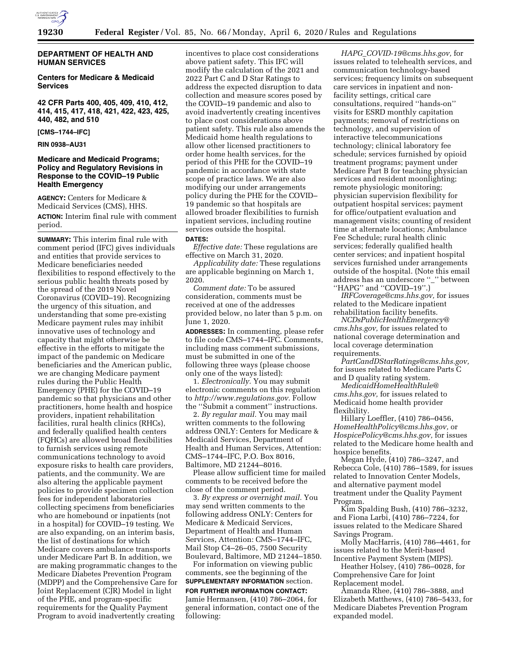

# **DEPARTMENT OF HEALTH AND HUMAN SERVICES**

# **Centers for Medicare & Medicaid Services**

**42 CFR Parts 400, 405, 409, 410, 412, 414, 415, 417, 418, 421, 422, 423, 425, 440, 482, and 510** 

**[CMS–1744–IFC]** 

## **RIN 0938–AU31**

# **Medicare and Medicaid Programs; Policy and Regulatory Revisions in Response to the COVID–19 Public Health Emergency**

**AGENCY:** Centers for Medicare & Medicaid Services (CMS), HHS.

**ACTION:** Interim final rule with comment period.

**SUMMARY:** This interim final rule with comment period (IFC) gives individuals and entities that provide services to Medicare beneficiaries needed flexibilities to respond effectively to the serious public health threats posed by the spread of the 2019 Novel Coronavirus (COVID–19). Recognizing the urgency of this situation, and understanding that some pre-existing Medicare payment rules may inhibit innovative uses of technology and capacity that might otherwise be effective in the efforts to mitigate the impact of the pandemic on Medicare beneficiaries and the American public, we are changing Medicare payment rules during the Public Health Emergency (PHE) for the COVID–19 pandemic so that physicians and other practitioners, home health and hospice providers, inpatient rehabilitation facilities, rural health clinics (RHCs), and federally qualified health centers (FQHCs) are allowed broad flexibilities to furnish services using remote communications technology to avoid exposure risks to health care providers, patients, and the community. We are also altering the applicable payment policies to provide specimen collection fees for independent laboratories collecting specimens from beneficiaries who are homebound or inpatients (not in a hospital) for COVID–19 testing. We are also expanding, on an interim basis, the list of destinations for which Medicare covers ambulance transports under Medicare Part B. In addition, we are making programmatic changes to the Medicare Diabetes Prevention Program (MDPP) and the Comprehensive Care for Joint Replacement (CJR) Model in light of the PHE, and program-specific requirements for the Quality Payment Program to avoid inadvertently creating

incentives to place cost considerations above patient safety. This IFC will modify the calculation of the 2021 and 2022 Part C and D Star Ratings to address the expected disruption to data collection and measure scores posed by the COVID–19 pandemic and also to avoid inadvertently creating incentives to place cost considerations above patient safety. This rule also amends the Medicaid home health regulations to allow other licensed practitioners to order home health services, for the period of this PHE for the COVID–19 pandemic in accordance with state scope of practice laws. We are also modifying our under arrangements policy during the PHE for the COVID– 19 pandemic so that hospitals are allowed broader flexibilities to furnish inpatient services, including routine services outside the hospital.

#### **DATES:**

*Effective date:* These regulations are effective on March 31, 2020.

*Applicability date:* These regulations are applicable beginning on March 1, 2020.

*Comment date:* To be assured consideration, comments must be received at one of the addresses provided below, no later than 5 p.m. on June 1, 2020.

**ADDRESSES:** In commenting, please refer to file code CMS–1744–IFC. Comments, including mass comment submissions, must be submitted in one of the following three ways (please choose only one of the ways listed):

1. *Electronically.* You may submit electronic comments on this regulation to *[http://www.regulations.gov.](http://www.regulations.gov)* Follow the ''Submit a comment'' instructions.

2. *By regular mail.* You may mail written comments to the following address ONLY: Centers for Medicare & Medicaid Services, Department of Health and Human Services, Attention: CMS–1744–IFC, P.O. Box 8016, Baltimore, MD 21244–8016.

Please allow sufficient time for mailed comments to be received before the close of the comment period.

3. *By express or overnight mail.* You may send written comments to the following address ONLY: Centers for Medicare & Medicaid Services, Department of Health and Human Services, Attention: CMS–1744–IFC, Mail Stop C4–26–05, 7500 Security Boulevard, Baltimore, MD 21244–1850.

For information on viewing public comments, see the beginning of the **SUPPLEMENTARY INFORMATION** section. **FOR FURTHER INFORMATION CONTACT:**  Jamie Hermansen, (410) 786–2064, for general information, contact one of the following:

*HAPG*\_*[COVID-19@cms.hhs.gov,](mailto:HAPG_COVID-19@cms.hhs.gov)* for issues related to telehealth services, and communication technology-based services; frequency limits on subsequent care services in inpatient and nonfacility settings, critical care consultations, required ''hands-on'' visits for ESRD monthly capitation payments; removal of restrictions on technology, and supervision of interactive telecommunications technology; clinical laboratory fee schedule; services furnished by opioid treatment programs; payment under Medicare Part B for teaching physician services and resident moonlighting; remote physiologic monitoring; physician supervision flexibility for outpatient hospital services; payment for office/outpatient evaluation and management visits; counting of resident time at alternate locations; Ambulance Fee Schedule; rural health clinic services; federally qualified health center services; and inpatient hospital services furnished under arrangements outside of the hospital. (Note this email address has an underscore ''\_'' between ''HAPG'' and ''COVID–19''.)

*[IRFCoverage@cms.hhs.gov,](mailto:IRFCoverage@cms.hhs.gov)* for issues related to the Medicare inpatient rehabilitation facility benefits.

*[NCDsPublicHealthEmergency@](mailto:NCDsPublicHealthEmergency@cms.hhs.gov) [cms.hhs.gov,](mailto:NCDsPublicHealthEmergency@cms.hhs.gov)* for issues related to national coverage determination and local coverage determination requirements.

*[PartCandDStarRatings@cms.hhs.gov,](mailto:PartCandDStarRatings@cms.hhs.gov)*  for issues related to Medicare Parts C and D quality rating system.

*[MedicaidHomeHealthRule@](mailto:MedicaidHomeHealthRule@cms.hhs.gov) [cms.hhs.gov,](mailto:MedicaidHomeHealthRule@cms.hhs.gov)* for issues related to Medicaid home health provider flexibility.

Hillary Loeffler, (410) 786–0456, *[HomeHealthPolicy@cms.hhs.gov,](mailto:HomeHealthPolicy@cms.hhs.gov)* or *[HospicePolicy@cms.hhs.gov,](mailto:HospicePolicy@cms.hhs.gov)* for issues related to the Medicare home health and hospice benefits.

Megan Hyde, (410) 786–3247, and Rebecca Cole, (410) 786–1589, for issues related to Innovation Center Models, and alternative payment model treatment under the Quality Payment Program.

Kim Spalding Bush, (410) 786–3232, and Fiona Larbi, (410) 786–7224, for issues related to the Medicare Shared Savings Program.

Molly MacHarris, (410) 786–4461, for issues related to the Merit-based Incentive Payment System (MIPS).

Heather Holsey, (410) 786–0028, for Comprehensive Care for Joint Replacement model.

Amanda Rhee, (410) 786–3888, and Elizabeth Matthews, (410) 786–5433, for Medicare Diabetes Prevention Program expanded model.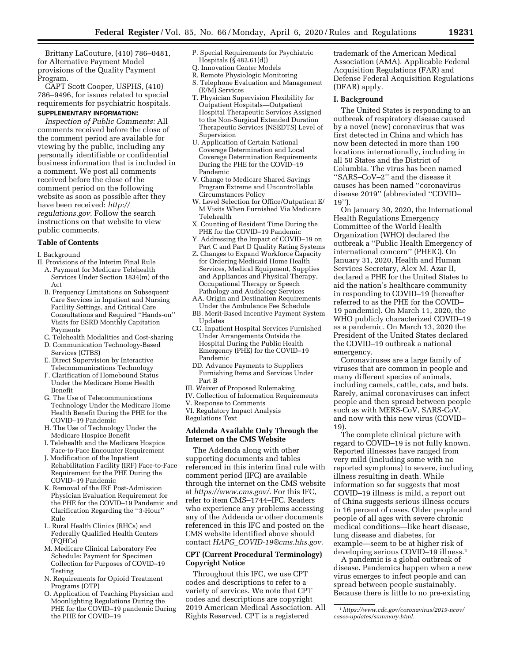Brittany LaCouture, (410) 786–0481, for Alternative Payment Model provisions of the Quality Payment Program.

CAPT Scott Cooper, USPHS, (410) 786–9496, for issues related to special requirements for psychiatric hospitals. **SUPPLEMENTARY INFORMATION:** 

*Inspection of Public Comments:* All comments received before the close of the comment period are available for viewing by the public, including any personally identifiable or confidential business information that is included in a comment. We post all comments received before the close of the comment period on the following website as soon as possible after they have been received: *[http://](http://regulations.gov) [regulations.gov.](http://regulations.gov)* Follow the search instructions on that website to view public comments.

# **Table of Contents**

I. Background

- II. Provisions of the Interim Final Rule
- A. Payment for Medicare Telehealth Services Under Section 1834(m) of the Act
- B. Frequency Limitations on Subsequent Care Services in Inpatient and Nursing Facility Settings, and Critical Care Consultations and Required ''Hands-on'' Visits for ESRD Monthly Capitation Payments
- C. Telehealth Modalities and Cost-sharing D. Communication Technology-Based
- Services (CTBS)
- E. Direct Supervision by Interactive Telecommunications Technology
- F. Clarification of Homebound Status Under the Medicare Home Health Benefit
- G. The Use of Telecommunications Technology Under the Medicare Home Health Benefit During the PHE for the COVID–19 Pandemic
- H. The Use of Technology Under the Medicare Hospice Benefit
- I. Telehealth and the Medicare Hospice Face-to-Face Encounter Requirement
- J. Modification of the Inpatient Rehabilitation Facility (IRF) Face-to-Face Requirement for the PHE During the COVID–19 Pandemic
- K. Removal of the IRF Post-Admission Physician Evaluation Requirement for the PHE for the COVID–19 Pandemic and Clarification Regarding the ''3-Hour'' Rule
- L. Rural Health Clinics (RHCs) and Federally Qualified Health Centers (FQHCs)
- M. Medicare Clinical Laboratory Fee Schedule: Payment for Specimen Collection for Purposes of COVID–19 Testing
- N. Requirements for Opioid Treatment Programs (OTP)
- O. Application of Teaching Physician and Moonlighting Regulations During the PHE for the COVID–19 pandemic During the PHE for COVID–19
- P. Special Requirements for Psychiatric Hospitals (§ 482.61(d))
- Q. Innovation Center Models
- R. Remote Physiologic Monitoring
- S. Telephone Evaluation and Management (E/M) Services
- T. Physician Supervision Flexibility for Outpatient Hospitals—Outpatient Hospital Therapeutic Services Assigned to the Non-Surgical Extended Duration Therapeutic Services (NSEDTS) Level of Supervision
- U. Application of Certain National Coverage Determination and Local Coverage Determination Requirements During the PHE for the COVID–19 Pandemic
- V. Change to Medicare Shared Savings Program Extreme and Uncontrollable Circumstances Policy
- W. Level Selection for Office/Outpatient E/ M Visits When Furnished Via Medicare Telehealth
- X. Counting of Resident Time During the PHE for the COVID–19 Pandemic
- Y. Addressing the Impact of COVID–19 on Part C and Part D Quality Rating Systems
- Z. Changes to Expand Workforce Capacity for Ordering Medicaid Home Health Services, Medical Equipment, Supplies and Appliances and Physical Therapy, Occupational Therapy or Speech Pathology and Audiology Services
- AA. Origin and Destination Requirements Under the Ambulance Fee Schedule
- BB. Merit-Based Incentive Payment System Updates
- CC. Inpatient Hospital Services Furnished Under Arrangements Outside the Hospital During the Public Health Emergency (PHE) for the COVID–19 Pandemic
- DD. Advance Payments to Suppliers Furnishing Items and Services Under Part B
- III. Waiver of Proposed Rulemaking
- IV. Collection of Information Requirements
- V. Response to Comments
- VI. Regulatory Impact Analysis Regulations Text

# **Addenda Available Only Through the Internet on the CMS Website**

The Addenda along with other supporting documents and tables referenced in this interim final rule with comment period (IFC) are available through the internet on the CMS website at *[https://www.cms.gov/.](https://www.cms.gov/)* For this IFC, refer to item CMS–1744–IFC. Readers who experience any problems accessing any of the Addenda or other documents referenced in this IFC and posted on the CMS website identified above should contact *HAPG*\_*[COVID-19@cms.hhs.gov.](mailto:HAPG_COVID-19@cms.hhs.gov)* 

# **CPT (Current Procedural Terminology) Copyright Notice**

Throughout this IFC, we use CPT codes and descriptions to refer to a variety of services. We note that CPT codes and descriptions are copyright 2019 American Medical Association. All Rights Reserved. CPT is a registered

trademark of the American Medical Association (AMA). Applicable Federal Acquisition Regulations (FAR) and Defense Federal Acquisition Regulations (DFAR) apply.

# **I. Background**

The United States is responding to an outbreak of respiratory disease caused by a novel (new) coronavirus that was first detected in China and which has now been detected in more than 190 locations internationally, including in all 50 States and the District of Columbia. The virus has been named ''SARS–CoV–2'' and the disease it causes has been named ''coronavirus disease 2019'' (abbreviated ''COVID– 19'').

On January 30, 2020, the International Health Regulations Emergency Committee of the World Health Organization (WHO) declared the outbreak a ''Public Health Emergency of international concern'' (PHEIC). On January 31, 2020, Health and Human Services Secretary, Alex M. Azar II, declared a PHE for the United States to aid the nation's healthcare community in responding to COVID–19 (hereafter referred to as the PHE for the COVID– 19 pandemic). On March 11, 2020, the WHO publicly characterized COVID–19 as a pandemic. On March 13, 2020 the President of the United States declared the COVID–19 outbreak a national emergency.

Coronaviruses are a large family of viruses that are common in people and many different species of animals, including camels, cattle, cats, and bats. Rarely, animal coronaviruses can infect people and then spread between people such as with MERS-CoV, SARS-CoV, and now with this new virus (COVID– 19).

The complete clinical picture with regard to COVID–19 is not fully known. Reported illnesses have ranged from very mild (including some with no reported symptoms) to severe, including illness resulting in death. While information so far suggests that most COVID–19 illness is mild, a report out of China suggests serious illness occurs in 16 percent of cases. Older people and people of all ages with severe chronic medical conditions—like heart disease, lung disease and diabetes, for example—seem to be at higher risk of developing serious COVID–19 illness.1

A pandemic is a global outbreak of disease. Pandemics happen when a new virus emerges to infect people and can spread between people sustainably. Because there is little to no pre-existing

<sup>1</sup>*[https://www.cdc.gov/coronavirus/2019-ncov/](https://www.cdc.gov/coronavirus/2019-ncov/cases-updates/summary.html)  [cases-updates/summary.html.](https://www.cdc.gov/coronavirus/2019-ncov/cases-updates/summary.html)*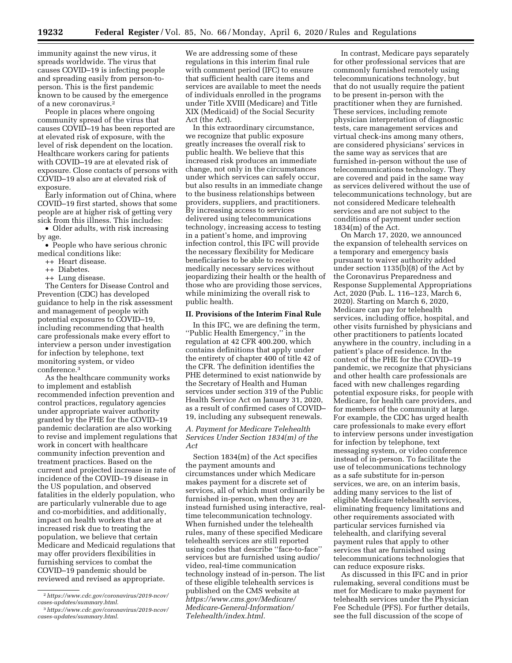immunity against the new virus, it spreads worldwide. The virus that causes COVID–19 is infecting people and spreading easily from person-toperson. This is the first pandemic known to be caused by the emergence of a new coronavirus.2

People in places where ongoing community spread of the virus that causes COVID–19 has been reported are at elevated risk of exposure, with the level of risk dependent on the location. Healthcare workers caring for patients with COVID–19 are at elevated risk of exposure. Close contacts of persons with COVID–19 also are at elevated risk of exposure.

Early information out of China, where COVID–19 first started, shows that some people are at higher risk of getting very sick from this illness. This includes:

• Older adults, with risk increasing by age.

• People who have serious chronic medical conditions like:

- ++ Heart disease.
- ++ Diabetes.
- ++ Lung disease.

The Centers for Disease Control and Prevention (CDC) has developed guidance to help in the risk assessment and management of people with potential exposures to COVID–19, including recommending that health care professionals make every effort to interview a person under investigation for infection by telephone, text monitoring system, or video conference.3

As the healthcare community works to implement and establish recommended infection prevention and control practices, regulatory agencies under appropriate waiver authority granted by the PHE for the COVID–19 pandemic declaration are also working to revise and implement regulations that work in concert with healthcare community infection prevention and treatment practices. Based on the current and projected increase in rate of incidence of the COVID–19 disease in the US population, and observed fatalities in the elderly population, who are particularly vulnerable due to age and co-morbidities, and additionally, impact on health workers that are at increased risk due to treating the population, we believe that certain Medicare and Medicaid regulations that may offer providers flexibilities in furnishing services to combat the COVID–19 pandemic should be reviewed and revised as appropriate.

We are addressing some of these regulations in this interim final rule with comment period (IFC) to ensure that sufficient health care items and services are available to meet the needs of individuals enrolled in the programs under Title XVIII (Medicare) and Title XIX (Medicaid) of the Social Security Act (the Act).

In this extraordinary circumstance, we recognize that public exposure greatly increases the overall risk to public health. We believe that this increased risk produces an immediate change, not only in the circumstances under which services can safely occur, but also results in an immediate change to the business relationships between providers, suppliers, and practitioners. By increasing access to services delivered using telecommunications technology, increasing access to testing in a patient's home, and improving infection control, this IFC will provide the necessary flexibility for Medicare beneficiaries to be able to receive medically necessary services without jeopardizing their health or the health of those who are providing those services, while minimizing the overall risk to public health.

### **II. Provisions of the Interim Final Rule**

In this IFC, we are defining the term, ''Public Health Emergency,'' in the regulation at 42 CFR 400.200, which contains definitions that apply under the entirety of chapter 400 of title 42 of the CFR. The definition identifies the PHE determined to exist nationwide by the Secretary of Health and Human services under section 319 of the Public Health Service Act on January 31, 2020, as a result of confirmed cases of COVID– 19, including any subsequent renewals.

### *A. Payment for Medicare Telehealth Services Under Section 1834(m) of the Act*

Section 1834(m) of the Act specifies the payment amounts and circumstances under which Medicare makes payment for a discrete set of services, all of which must ordinarily be furnished in-person, when they are instead furnished using interactive, realtime telecommunication technology. When furnished under the telehealth rules, many of these specified Medicare telehealth services are still reported using codes that describe ''face-to-face'' services but are furnished using audio/ video, real-time communication technology instead of in-person. The list of these eligible telehealth services is published on the CMS website at *[https://www.cms.gov/Medicare/](https://www.cms.gov/Medicare/Medicare-General-Information/Telehealth/index.html) [Medicare-General-Information/](https://www.cms.gov/Medicare/Medicare-General-Information/Telehealth/index.html)  [Telehealth/index.html.](https://www.cms.gov/Medicare/Medicare-General-Information/Telehealth/index.html)* 

In contrast, Medicare pays separately for other professional services that are commonly furnished remotely using telecommunications technology, but that do not usually require the patient to be present in-person with the practitioner when they are furnished. These services, including remote physician interpretation of diagnostic tests, care management services and virtual check-ins among many others, are considered physicians' services in the same way as services that are furnished in-person without the use of telecommunications technology. They are covered and paid in the same way as services delivered without the use of telecommunications technology, but are not considered Medicare telehealth services and are not subject to the conditions of payment under section 1834(m) of the Act.

On March 17, 2020, we announced the expansion of telehealth services on a temporary and emergency basis pursuant to waiver authority added under section 1135(b)(8) of the Act by the Coronavirus Preparedness and Response Supplemental Appropriations Act, 2020 (Pub. L. 116–123, March 6, 2020). Starting on March 6, 2020, Medicare can pay for telehealth services, including office, hospital, and other visits furnished by physicians and other practitioners to patients located anywhere in the country, including in a patient's place of residence. In the context of the PHE for the COVID–19 pandemic, we recognize that physicians and other health care professionals are faced with new challenges regarding potential exposure risks, for people with Medicare, for health care providers, and for members of the community at large. For example, the CDC has urged health care professionals to make every effort to interview persons under investigation for infection by telephone, text messaging system, or video conference instead of in-person. To facilitate the use of telecommunications technology as a safe substitute for in-person services, we are, on an interim basis, adding many services to the list of eligible Medicare telehealth services, eliminating frequency limitations and other requirements associated with particular services furnished via telehealth, and clarifying several payment rules that apply to other services that are furnished using telecommunications technologies that can reduce exposure risks.

As discussed in this IFC and in prior rulemaking, several conditions must be met for Medicare to make payment for telehealth services under the Physician Fee Schedule (PFS). For further details, see the full discussion of the scope of

<sup>2</sup>*[https://www.cdc.gov/coronavirus/2019-ncov/](https://www.cdc.gov/coronavirus/2019-ncov/cases-updates/summary.html)  [cases-updates/summary.html.](https://www.cdc.gov/coronavirus/2019-ncov/cases-updates/summary.html)* 

<sup>3</sup>*[https://www.cdc.gov/coronavirus/2019-ncov/](https://www.cdc.gov/coronavirus/2019-ncov/cases-updates/summary.html)  [cases-updates/summary.html.](https://www.cdc.gov/coronavirus/2019-ncov/cases-updates/summary.html)*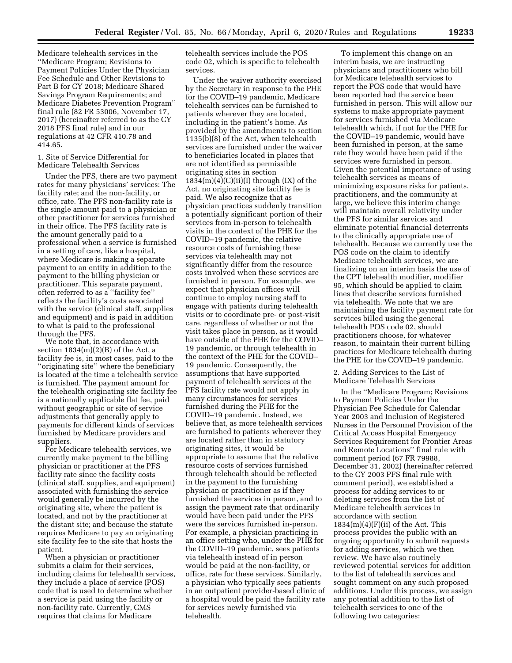Medicare telehealth services in the ''Medicare Program; Revisions to Payment Policies Under the Physician Fee Schedule and Other Revisions to Part B for CY 2018; Medicare Shared Savings Program Requirements; and Medicare Diabetes Prevention Program'' final rule (82 FR 53006, November 17, 2017) (hereinafter referred to as the CY 2018 PFS final rule) and in our regulations at 42 CFR 410.78 and 414.65.

#### 1. Site of Service Differential for Medicare Telehealth Services

Under the PFS, there are two payment rates for many physicians' services: The facility rate; and the non-facility, or office, rate. The PFS non-facility rate is the single amount paid to a physician or other practitioner for services furnished in their office. The PFS facility rate is the amount generally paid to a professional when a service is furnished in a setting of care, like a hospital, where Medicare is making a separate payment to an entity in addition to the payment to the billing physician or practitioner. This separate payment, often referred to as a ''facility fee'' reflects the facility's costs associated with the service (clinical staff, supplies and equipment) and is paid in addition to what is paid to the professional through the PFS.

We note that, in accordance with section  $1834(m)(2)(B)$  of the Act, a facility fee is, in most cases, paid to the ''originating site'' where the beneficiary is located at the time a telehealth service is furnished. The payment amount for the telehealth originating site facility fee is a nationally applicable flat fee, paid without geographic or site of service adjustments that generally apply to payments for different kinds of services furnished by Medicare providers and suppliers.

For Medicare telehealth services, we currently make payment to the billing physician or practitioner at the PFS facility rate since the facility costs (clinical staff, supplies, and equipment) associated with furnishing the service would generally be incurred by the originating site, where the patient is located, and not by the practitioner at the distant site; and because the statute requires Medicare to pay an originating site facility fee to the site that hosts the patient.

When a physician or practitioner submits a claim for their services, including claims for telehealth services, they include a place of service (POS) code that is used to determine whether a service is paid using the facility or non-facility rate. Currently, CMS requires that claims for Medicare

telehealth services include the POS code 02, which is specific to telehealth services.

Under the waiver authority exercised by the Secretary in response to the PHE for the COVID–19 pandemic, Medicare telehealth services can be furnished to patients wherever they are located, including in the patient's home. As provided by the amendments to section 1135(b)(8) of the Act, when telehealth services are furnished under the waiver to beneficiaries located in places that are not identified as permissible originating sites in section  $1834(m)(4)(C)(ii)(I)$  through  $(IX)$  of the Act, no originating site facility fee is paid. We also recognize that as physician practices suddenly transition a potentially significant portion of their services from in-person to telehealth visits in the context of the PHE for the COVID–19 pandemic, the relative resource costs of furnishing these services via telehealth may not significantly differ from the resource costs involved when these services are furnished in person. For example, we expect that physician offices will continue to employ nursing staff to engage with patients during telehealth visits or to coordinate pre- or post-visit care, regardless of whether or not the visit takes place in person, as it would have outside of the PHE for the COVID– 19 pandemic, or through telehealth in the context of the PHE for the COVID– 19 pandemic. Consequently, the assumptions that have supported payment of telehealth services at the PFS facility rate would not apply in many circumstances for services furnished during the PHE for the COVID–19 pandemic. Instead, we believe that, as more telehealth services are furnished to patients wherever they are located rather than in statutory originating sites, it would be appropriate to assume that the relative resource costs of services furnished through telehealth should be reflected in the payment to the furnishing physician or practitioner as if they furnished the services in person, and to assign the payment rate that ordinarily would have been paid under the PFS were the services furnished in-person. For example, a physician practicing in an office setting who, under the PHE for the COVID–19 pandemic, sees patients via telehealth instead of in person would be paid at the non-facility, or office, rate for these services. Similarly, a physician who typically sees patients in an outpatient provider-based clinic of a hospital would be paid the facility rate for services newly furnished via telehealth.

To implement this change on an interim basis, we are instructing physicians and practitioners who bill for Medicare telehealth services to report the POS code that would have been reported had the service been furnished in person. This will allow our systems to make appropriate payment for services furnished via Medicare telehealth which, if not for the PHE for the COVID–19 pandemic, would have been furnished in person, at the same rate they would have been paid if the services were furnished in person. Given the potential importance of using telehealth services as means of minimizing exposure risks for patients, practitioners, and the community at large, we believe this interim change will maintain overall relativity under the PFS for similar services and eliminate potential financial deterrents to the clinically appropriate use of telehealth. Because we currently use the POS code on the claim to identify Medicare telehealth services, we are finalizing on an interim basis the use of the CPT telehealth modifier, modifier 95, which should be applied to claim lines that describe services furnished via telehealth. We note that we are maintaining the facility payment rate for services billed using the general telehealth POS code 02, should practitioners choose, for whatever reason, to maintain their current billing practices for Medicare telehealth during the PHE for the COVID–19 pandemic.

## 2. Adding Services to the List of Medicare Telehealth Services

In the ''Medicare Program; Revisions to Payment Policies Under the Physician Fee Schedule for Calendar Year 2003 and Inclusion of Registered Nurses in the Personnel Provision of the Critical Access Hospital Emergency Services Requirement for Frontier Areas and Remote Locations'' final rule with comment period (67 FR 79988, December 31, 2002) (hereinafter referred to the CY 2003 PFS final rule with comment period), we established a process for adding services to or deleting services from the list of Medicare telehealth services in accordance with section  $1834(m)(4)(F)(ii)$  of the Act. This process provides the public with an ongoing opportunity to submit requests for adding services, which we then review. We have also routinely reviewed potential services for addition to the list of telehealth services and sought comment on any such proposed additions. Under this process, we assign any potential addition to the list of telehealth services to one of the following two categories: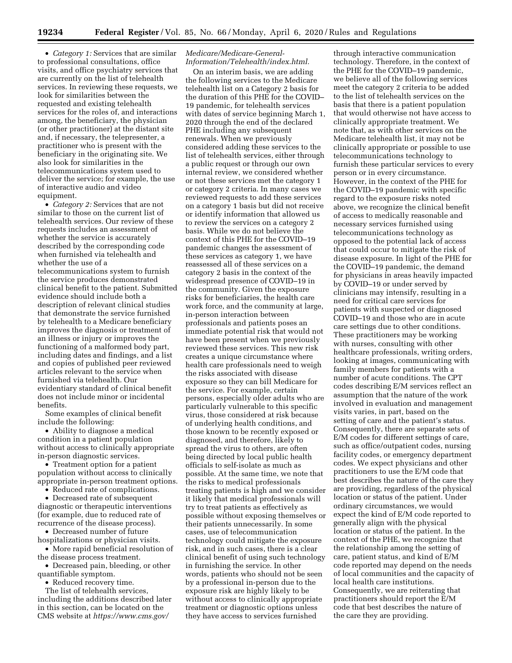• *Category 1:* Services that are similar to professional consultations, office visits, and office psychiatry services that are currently on the list of telehealth services. In reviewing these requests, we look for similarities between the requested and existing telehealth services for the roles of, and interactions among, the beneficiary, the physician (or other practitioner) at the distant site and, if necessary, the telepresenter, a practitioner who is present with the beneficiary in the originating site. We also look for similarities in the telecommunications system used to deliver the service; for example, the use of interactive audio and video equipment.

• *Category 2:* Services that are not similar to those on the current list of telehealth services. Our review of these requests includes an assessment of whether the service is accurately described by the corresponding code when furnished via telehealth and whether the use of a telecommunications system to furnish the service produces demonstrated clinical benefit to the patient. Submitted evidence should include both a description of relevant clinical studies that demonstrate the service furnished by telehealth to a Medicare beneficiary improves the diagnosis or treatment of an illness or injury or improves the functioning of a malformed body part, including dates and findings, and a list and copies of published peer reviewed articles relevant to the service when furnished via telehealth. Our evidentiary standard of clinical benefit does not include minor or incidental benefits.

Some examples of clinical benefit include the following:

• Ability to diagnose a medical condition in a patient population without access to clinically appropriate in-person diagnostic services.

• Treatment option for a patient population without access to clinically appropriate in-person treatment options.

• Reduced rate of complications.

• Decreased rate of subsequent diagnostic or therapeutic interventions (for example, due to reduced rate of recurrence of the disease process).

• Decreased number of future hospitalizations or physician visits.

• More rapid beneficial resolution of the disease process treatment.

• Decreased pain, bleeding, or other quantifiable symptom.

• Reduced recovery time.

The list of telehealth services, including the additions described later in this section, can be located on the CMS website at *[https://www.cms.gov/](https://www.cms.gov/Medicare/Medicare-General-Information/Telehealth/index.html)* 

## *[Medicare/Medicare-General-](https://www.cms.gov/Medicare/Medicare-General-Information/Telehealth/index.html)[Information/Telehealth/index.html.](https://www.cms.gov/Medicare/Medicare-General-Information/Telehealth/index.html)*

On an interim basis, we are adding the following services to the Medicare telehealth list on a Category 2 basis for the duration of this PHE for the COVID– 19 pandemic, for telehealth services with dates of service beginning March 1, 2020 through the end of the declared PHE including any subsequent renewals. When we previously considered adding these services to the list of telehealth services, either through a public request or through our own internal review, we considered whether or not these services met the category 1 or category 2 criteria. In many cases we reviewed requests to add these services on a category 1 basis but did not receive or identify information that allowed us to review the services on a category 2 basis. While we do not believe the context of this PHE for the COVID–19 pandemic changes the assessment of these services as category 1, we have reassessed all of these services on a category 2 basis in the context of the widespread presence of COVID–19 in the community. Given the exposure risks for beneficiaries, the health care work force, and the community at large, in-person interaction between professionals and patients poses an immediate potential risk that would not have been present when we previously reviewed these services. This new risk creates a unique circumstance where health care professionals need to weigh the risks associated with disease exposure so they can bill Medicare for the service. For example, certain persons, especially older adults who are particularly vulnerable to this specific virus, those considered at risk because of underlying health conditions, and those known to be recently exposed or diagnosed, and therefore, likely to spread the virus to others, are often being directed by local public health officials to self-isolate as much as possible. At the same time, we note that the risks to medical professionals treating patients is high and we consider it likely that medical professionals will try to treat patients as effectively as possible without exposing themselves or their patients unnecessarily. In some cases, use of telecommunication technology could mitigate the exposure risk, and in such cases, there is a clear clinical benefit of using such technology in furnishing the service. In other words, patients who should not be seen by a professional in-person due to the exposure risk are highly likely to be without access to clinically appropriate treatment or diagnostic options unless they have access to services furnished

through interactive communication technology. Therefore, in the context of the PHE for the COVID–19 pandemic, we believe all of the following services meet the category 2 criteria to be added to the list of telehealth services on the basis that there is a patient population that would otherwise not have access to clinically appropriate treatment. We note that, as with other services on the Medicare telehealth list, it may not be clinically appropriate or possible to use telecommunications technology to furnish these particular services to every person or in every circumstance. However, in the context of the PHE for the COVID–19 pandemic with specific regard to the exposure risks noted above, we recognize the clinical benefit of access to medically reasonable and necessary services furnished using telecommunications technology as opposed to the potential lack of access that could occur to mitigate the risk of disease exposure. In light of the PHE for the COVID–19 pandemic, the demand for physicians in areas heavily impacted by COVID–19 or under served by clinicians may intensify, resulting in a need for critical care services for patients with suspected or diagnosed COVID–19 and those who are in acute care settings due to other conditions. These practitioners may be working with nurses, consulting with other healthcare professionals, writing orders, looking at images, communicating with family members for patients with a number of acute conditions. The CPT codes describing E/M services reflect an assumption that the nature of the work involved in evaluation and management visits varies, in part, based on the setting of care and the patient's status. Consequently, there are separate sets of E/M codes for different settings of care, such as office/outpatient codes, nursing facility codes, or emergency department codes. We expect physicians and other practitioners to use the E/M code that best describes the nature of the care they are providing, regardless of the physical location or status of the patient. Under ordinary circumstances, we would expect the kind of E/M code reported to generally align with the physical location or status of the patient. In the context of the PHE, we recognize that the relationship among the setting of care, patient status, and kind of E/M code reported may depend on the needs of local communities and the capacity of local health care institutions. Consequently, we are reiterating that practitioners should report the E/M code that best describes the nature of the care they are providing.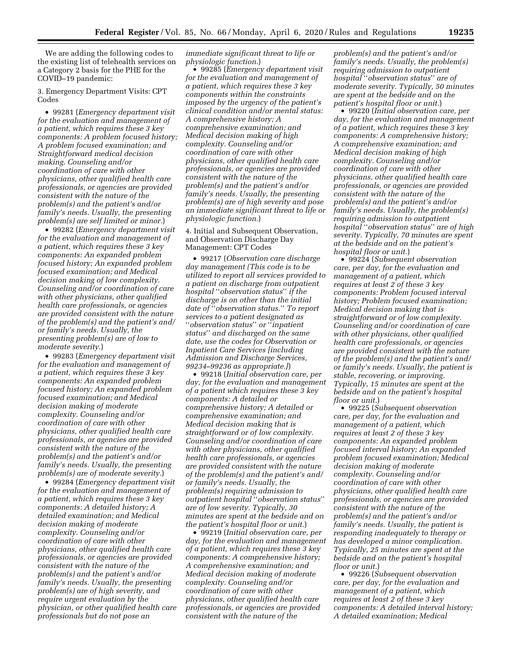We are adding the following codes to the existing list of telehealth services on a Category 2 basis for the PHE for the COVID–19 pandemic:

3. Emergency Department Visits: CPT Codes

• 99281 (*Emergency department visit for the evaluation and management of a patient, which requires these 3 key components: A problem focused history; A problem focused examination; and Straightforward medical decision making. Counseling and/or coordination of care with other physicians, other qualified health care professionals, or agencies are provided consistent with the nature of the problem(s) and the patient's and/or family's needs. Usually, the presenting problem(s) are self limited or minor.*)

• 99282 (*Emergency department visit for the evaluation and management of a patient, which requires these 3 key components: An expanded problem focused history; An expanded problem focused examination; and Medical decision making of low complexity. Counseling and/or coordination of care with other physicians, other qualified health care professionals, or agencies are provided consistent with the nature of the problem(s) and the patient's and/ or family's needs. Usually, the presenting problem(s) are of low to moderate severity.*)

• 99283 (*Emergency department visit for the evaluation and management of a patient, which requires these 3 key components: An expanded problem focused history; An expanded problem focused examination; and Medical decision making of moderate complexity. Counseling and/or coordination of care with other physicians, other qualified health care professionals, or agencies are provided consistent with the nature of the problem(s) and the patient's and/or family's needs. Usually, the presenting problem(s) are of moderate severity.*)

• 99284 (*Emergency department visit for the evaluation and management of a patient, which requires these 3 key components: A detailed history; A detailed examination; and Medical decision making of moderate complexity. Counseling and/or coordination of care with other physicians, other qualified health care professionals, or agencies are provided consistent with the nature of the problem(s) and the patient's and/or family's needs. Usually, the presenting problem(s) are of high severity, and require urgent evaluation by the physician, or other qualified health care professionals but do not pose an* 

*immediate significant threat to life or physiologic function.*)

• 99285 (*Emergency department visit for the evaluation and management of a patient, which requires these 3 key components within the constraints imposed by the urgency of the patient's clinical condition and/or mental status: A comprehensive history; A comprehensive examination; and Medical decision making of high complexity. Counseling and/or coordination of care with other physicians, other qualified health care professionals, or agencies are provided consistent with the nature of the problem(s) and the patient's and/or family's needs. Usually, the presenting problem(s) are of high severity and pose an immediate significant threat to life or physiologic function.*)

4. Initial and Subsequent Observation, and Observation Discharge Day Management: CPT Codes

• 99217 (*Observation care discharge day management (This code is to be utilized to report all services provided to a patient on discharge from outpatient hospital* ''*observation status*'' *if the discharge is on other than the initial date of* ''*observation status.*'' *To report services to a patient designated as*  ''*observation status*'' *or* ''*inpatient status*'' *and discharged on the same date, use the codes for Observation or Inpatient Care Services [including Admission and Discharge Services, 99234–99236 as appropriate.]*)

• 99218 (*Initial observation care, per day, for the evaluation and management of a patient which requires these 3 key components: A detailed or comprehensive history; A detailed or comprehensive examination; and Medical decision making that is straightforward or of low complexity. Counseling and/or coordination of care with other physicians, other qualified health care professionals, or agencies are provided consistent with the nature of the problem(s) and the patient's and/ or family's needs. Usually, the problem(s) requiring admission to outpatient hospital* ''*observation status*'' *are of low severity. Typically, 30 minutes are spent at the bedside and on the patient's hospital floor or unit.*)

• 99219 (*Initial observation care, per day, for the evaluation and management of a patient, which requires these 3 key components: A comprehensive history; A comprehensive examination; and Medical decision making of moderate complexity. Counseling and/or coordination of care with other physicians, other qualified health care professionals, or agencies are provided consistent with the nature of the* 

*problem(s) and the patient's and/or family's needs. Usually, the problem(s) requiring admission to outpatient hospital* ''*observation status*'' *are of moderate severity. Typically, 50 minutes are spent at the bedside and on the patient's hospital floor or unit.*)

• 99220 (*Initial observation care, per day, for the evaluation and management of a patient, which requires these 3 key components: A comprehensive history; A comprehensive examination; and Medical decision making of high complexity. Counseling and/or coordination of care with other physicians, other qualified health care professionals, or agencies are provided consistent with the nature of the problem(s) and the patient's and/or family's needs. Usually, the problem(s) requiring admission to outpatient hospital* ''*observation status*'' *are of high severity. Typically, 70 minutes are spent at the bedside and on the patient's hospital floor or unit.*)

• 99224 (*Subsequent observation care, per day, for the evaluation and management of a patient, which requires at least 2 of these 3 key components: Problem focused interval history; Problem focused examination; Medical decision making that is straightforward or of low complexity. Counseling and/or coordination of care with other physicians, other qualified health care professionals, or agencies are provided consistent with the nature of the problem(s) and the patient's and/ or family's needs. Usually, the patient is stable, recovering, or improving. Typically, 15 minutes are spent at the bedside and on the patient's hospital floor or unit.*)

• 99225 (*Subsequent observation care, per day, for the evaluation and management of a patient, which requires at least 2 of these 3 key components: An expanded problem focused interval history; An expanded problem focused examination; Medical decision making of moderate complexity. Counseling and/or coordination of care with other physicians, other qualified health care professionals, or agencies are provided consistent with the nature of the problem(s) and the patient's and/or family's needs. Usually, the patient is responding inadequately to therapy or has developed a minor complication. Typically, 25 minutes are spent at the bedside and on the patient's hospital floor or unit.*)

• 99226 (*Subsequent observation care, per day, for the evaluation and management of a patient, which requires at least 2 of these 3 key components: A detailed interval history; A detailed examination; Medical*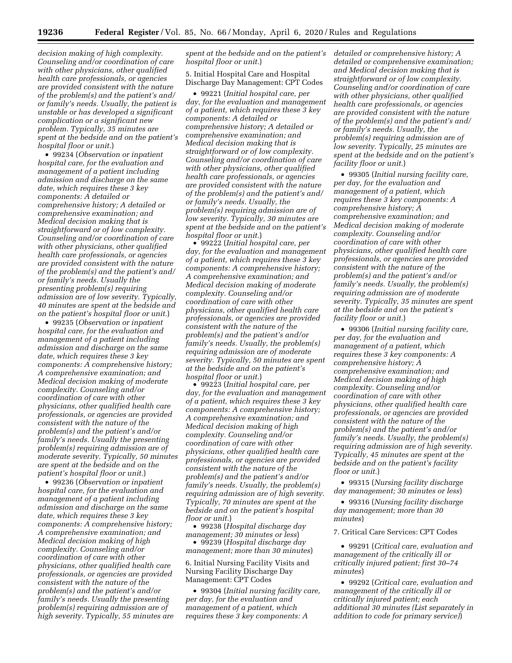*decision making of high complexity. Counseling and/or coordination of care with other physicians, other qualified health care professionals, or agencies are provided consistent with the nature of the problem(s) and the patient's and/ or family's needs. Usually, the patient is unstable or has developed a significant complication or a significant new problem. Typically, 35 minutes are spent at the bedside and on the patient's hospital floor or unit.*)

• 99234 (*Observation or inpatient hospital care, for the evaluation and management of a patient including admission and discharge on the same date, which requires these 3 key components: A detailed or comprehensive history; A detailed or comprehensive examination; and Medical decision making that is straightforward or of low complexity. Counseling and/or coordination of care with other physicians, other qualified health care professionals, or agencies are provided consistent with the nature of the problem(s) and the patient's and/ or family's needs. Usually the presenting problem(s) requiring admission are of low severity. Typically, 40 minutes are spent at the bedside and on the patient's hospital floor or unit.*)

• 99235 (*Observation or inpatient hospital care, for the evaluation and management of a patient including admission and discharge on the same date, which requires these 3 key components: A comprehensive history; A comprehensive examination; and Medical decision making of moderate complexity. Counseling and/or coordination of care with other physicians, other qualified health care professionals, or agencies are provided consistent with the nature of the problem(s) and the patient's and/or family's needs. Usually the presenting problem(s) requiring admission are of moderate severity. Typically, 50 minutes are spent at the bedside and on the patient's hospital floor or unit.*)

• 99236 (*Observation or inpatient hospital care, for the evaluation and management of a patient including admission and discharge on the same date, which requires these 3 key components: A comprehensive history; A comprehensive examination; and Medical decision making of high complexity. Counseling and/or coordination of care with other physicians, other qualified health care professionals, or agencies are provided consistent with the nature of the problem(s) and the patient's and/or family's needs. Usually the presenting problem(s) requiring admission are of high severity. Typically, 55 minutes are*  *spent at the bedside and on the patient's hospital floor or unit.*)

5. Initial Hospital Care and Hospital Discharge Day Management: CPT Codes

• 99221 (*Initial hospital care, per day, for the evaluation and management of a patient, which requires these 3 key components: A detailed or comprehensive history; A detailed or comprehensive examination; and Medical decision making that is straightforward or of low complexity. Counseling and/or coordination of care with other physicians, other qualified health care professionals, or agencies are provided consistent with the nature of the problem(s) and the patient's and/ or family's needs. Usually, the problem(s) requiring admission are of low severity. Typically, 30 minutes are spent at the bedside and on the patient's hospital floor or unit.*)

• 99222 (*Initial hospital care, per day, for the evaluation and management of a patient, which requires these 3 key components: A comprehensive history; A comprehensive examination; and Medical decision making of moderate complexity. Counseling and/or coordination of care with other physicians, other qualified health care professionals, or agencies are provided consistent with the nature of the problem(s) and the patient's and/or family's needs. Usually, the problem(s) requiring admission are of moderate severity. Typically, 50 minutes are spent at the bedside and on the patient's hospital floor or unit.*)

• 99223 (*Initial hospital care, per day, for the evaluation and management of a patient, which requires these 3 key components: A comprehensive history; A comprehensive examination; and Medical decision making of high complexity. Counseling and/or coordination of care with other physicians, other qualified health care professionals, or agencies are provided consistent with the nature of the problem(s) and the patient's and/or family's needs. Usually, the problem(s) requiring admission are of high severity. Typically, 70 minutes are spent at the bedside and on the patient's hospital floor or unit.*)

• 99238 (*Hospital discharge day management; 30 minutes or less*)

• 99239 (*Hospital discharge day management; more than 30 minutes*)

6. Initial Nursing Facility Visits and Nursing Facility Discharge Day Management: CPT Codes

• 99304 (*Initial nursing facility care, per day, for the evaluation and management of a patient, which requires these 3 key components: A* 

*detailed or comprehensive history; A detailed or comprehensive examination; and Medical decision making that is straightforward or of low complexity. Counseling and/or coordination of care with other physicians, other qualified health care professionals, or agencies are provided consistent with the nature of the problem(s) and the patient's and/ or family's needs. Usually, the problem(s) requiring admission are of low severity. Typically, 25 minutes are spent at the bedside and on the patient's facility floor or unit.*)

• 99305 (*Initial nursing facility care, per day, for the evaluation and management of a patient, which requires these 3 key components: A comprehensive history; A comprehensive examination; and Medical decision making of moderate complexity. Counseling and/or coordination of care with other physicians, other qualified health care professionals, or agencies are provided consistent with the nature of the problem(s) and the patient's and/or family's needs. Usually, the problem(s) requiring admission are of moderate severity. Typically, 35 minutes are spent at the bedside and on the patient's facility floor or unit.*)

• 99306 (*Initial nursing facility care, per day, for the evaluation and management of a patient, which requires these 3 key components: A comprehensive history; A comprehensive examination; and Medical decision making of high complexity. Counseling and/or coordination of care with other physicians, other qualified health care professionals, or agencies are provided consistent with the nature of the problem(s) and the patient's and/or family's needs. Usually, the problem(s) requiring admission are of high severity. Typically, 45 minutes are spent at the bedside and on the patient's facility floor or unit.*)

• 99315 (*Nursing facility discharge day management; 30 minutes or less*)

• 99316 (*Nursing facility discharge day management; more than 30 minutes*)

7. Critical Care Services: CPT Codes

• 99291 (*Critical care, evaluation and management of the critically ill or critically injured patient; first 30–74 minutes*)

• 99292 (*Critical care, evaluation and management of the critically ill or critically injured patient; each additional 30 minutes (List separately in addition to code for primary service)*)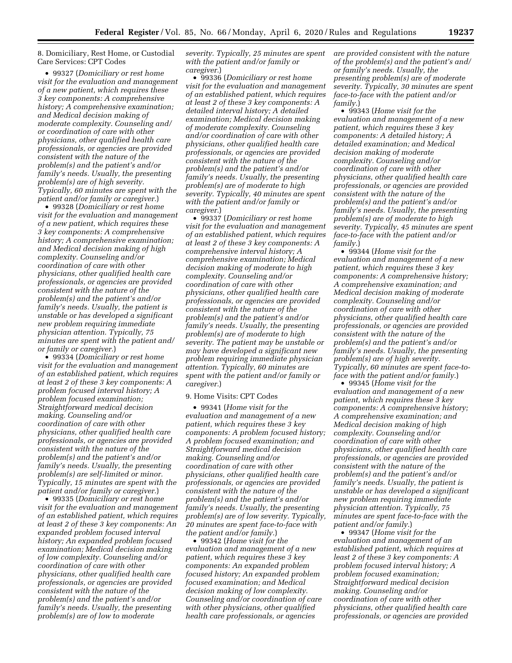8. Domiciliary, Rest Home, or Custodial Care Services: CPT Codes

• 99327 (*Domiciliary or rest home visit for the evaluation and management of a new patient, which requires these 3 key components: A comprehensive history; A comprehensive examination; and Medical decision making of moderate complexity. Counseling and/ or coordination of care with other physicians, other qualified health care professionals, or agencies are provided consistent with the nature of the problem(s) and the patient's and/or family's needs. Usually, the presenting problem(s) are of high severity. Typically, 60 minutes are spent with the patient and/or family or caregiver.*)

• 99328 (*Domiciliary or rest home visit for the evaluation and management of a new patient, which requires these 3 key components: A comprehensive history; A comprehensive examination; and Medical decision making of high complexity. Counseling and/or coordination of care with other physicians, other qualified health care professionals, or agencies are provided consistent with the nature of the problem(s) and the patient's and/or family's needs. Usually, the patient is unstable or has developed a significant new problem requiring immediate physician attention. Typically, 75 minutes are spent with the patient and/ or family or caregiver.*)

• 99334 (*Domiciliary or rest home visit for the evaluation and management of an established patient, which requires at least 2 of these 3 key components: A problem focused interval history; A problem focused examination; Straightforward medical decision making. Counseling and/or coordination of care with other physicians, other qualified health care professionals, or agencies are provided consistent with the nature of the problem(s) and the patient's and/or family's needs. Usually, the presenting problem(s) are self-limited or minor. Typically, 15 minutes are spent with the patient and/or family or caregiver.*)

• 99335 (*Domiciliary or rest home visit for the evaluation and management of an established patient, which requires at least 2 of these 3 key components: An expanded problem focused interval history; An expanded problem focused examination; Medical decision making of low complexity. Counseling and/or coordination of care with other physicians, other qualified health care professionals, or agencies are provided consistent with the nature of the problem(s) and the patient's and/or family's needs. Usually, the presenting problem(s) are of low to moderate* 

*severity. Typically, 25 minutes are spent with the patient and/or family or caregiver.*)

• 99336 (*Domiciliary or rest home visit for the evaluation and management of an established patient, which requires at least 2 of these 3 key components: A detailed interval history; A detailed examination; Medical decision making of moderate complexity. Counseling and/or coordination of care with other physicians, other qualified health care professionals, or agencies are provided consistent with the nature of the problem(s) and the patient's and/or family's needs. Usually, the presenting problem(s) are of moderate to high severity. Typically, 40 minutes are spent with the patient and/or family or caregiver.*)

• 99337 (*Domiciliary or rest home visit for the evaluation and management of an established patient, which requires at least 2 of these 3 key components: A comprehensive interval history; A comprehensive examination; Medical decision making of moderate to high complexity. Counseling and/or coordination of care with other physicians, other qualified health care professionals, or agencies are provided consistent with the nature of the problem(s) and the patient's and/or family's needs. Usually, the presenting problem(s) are of moderate to high severity. The patient may be unstable or may have developed a significant new problem requiring immediate physician attention. Typically, 60 minutes are spent with the patient and/or family or caregiver.*)

# 9. Home Visits: CPT Codes

• 99341 (*Home visit for the evaluation and management of a new patient, which requires these 3 key components: A problem focused history; A problem focused examination; and Straightforward medical decision making. Counseling and/or coordination of care with other physicians, other qualified health care professionals, or agencies are provided consistent with the nature of the problem(s) and the patient's and/or family's needs. Usually, the presenting problem(s) are of low severity. Typically, 20 minutes are spent face-to-face with the patient and/or family.*)

• 99342 (*Home visit for the evaluation and management of a new patient, which requires these 3 key components: An expanded problem focused history; An expanded problem focused examination; and Medical decision making of low complexity. Counseling and/or coordination of care with other physicians, other qualified health care professionals, or agencies* 

*are provided consistent with the nature of the problem(s) and the patient's and/ or family's needs. Usually, the presenting problem(s) are of moderate severity. Typically, 30 minutes are spent face-to-face with the patient and/or family.*)

• 99343 (*Home visit for the evaluation and management of a new patient, which requires these 3 key components: A detailed history; A detailed examination; and Medical decision making of moderate complexity. Counseling and/or coordination of care with other physicians, other qualified health care professionals, or agencies are provided consistent with the nature of the problem(s) and the patient's and/or family's needs. Usually, the presenting problem(s) are of moderate to high severity. Typically, 45 minutes are spent face-to-face with the patient and/or family.*)

• 99344 (*Home visit for the evaluation and management of a new patient, which requires these 3 key components: A comprehensive history; A comprehensive examination; and Medical decision making of moderate complexity. Counseling and/or coordination of care with other physicians, other qualified health care professionals, or agencies are provided consistent with the nature of the problem(s) and the patient's and/or family's needs. Usually, the presenting problem(s) are of high severity. Typically, 60 minutes are spent face-toface with the patient and/or family.*)

• 99345 (*Home visit for the evaluation and management of a new patient, which requires these 3 key components: A comprehensive history; A comprehensive examination; and Medical decision making of high complexity. Counseling and/or coordination of care with other physicians, other qualified health care professionals, or agencies are provided consistent with the nature of the problem(s) and the patient's and/or family's needs. Usually, the patient is unstable or has developed a significant new problem requiring immediate physician attention. Typically, 75 minutes are spent face-to-face with the patient and/or family.*)

• 99347 (*Home visit for the evaluation and management of an established patient, which requires at least 2 of these 3 key components: A problem focused interval history; A problem focused examination; Straightforward medical decision making. Counseling and/or coordination of care with other physicians, other qualified health care professionals, or agencies are provided*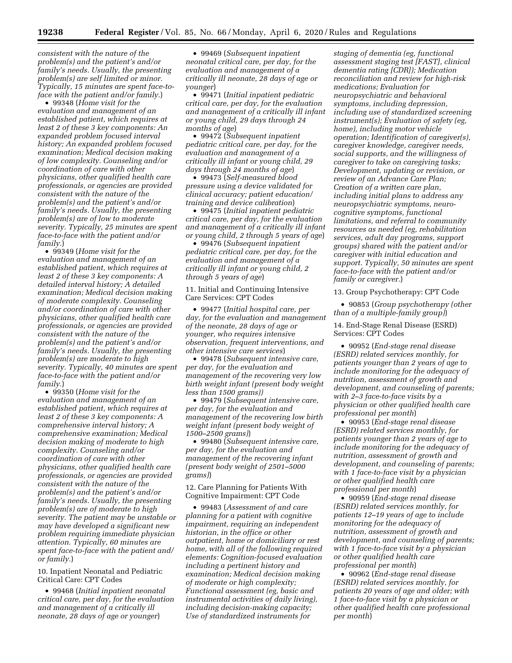*consistent with the nature of the problem(s) and the patient's and/or family's needs. Usually, the presenting problem(s) are self limited or minor. Typically, 15 minutes are spent face-toface with the patient and/or family.*)

• 99348 (*Home visit for the evaluation and management of an established patient, which requires at least 2 of these 3 key components: An expanded problem focused interval history; An expanded problem focused examination; Medical decision making of low complexity. Counseling and/or coordination of care with other physicians, other qualified health care professionals, or agencies are provided consistent with the nature of the problem(s) and the patient's and/or family's needs. Usually, the presenting problem(s) are of low to moderate severity. Typically, 25 minutes are spent face-to-face with the patient and/or family.*)

• 99349 (*Home visit for the evaluation and management of an established patient, which requires at least 2 of these 3 key components: A detailed interval history; A detailed examination; Medical decision making of moderate complexity. Counseling and/or coordination of care with other physicians, other qualified health care professionals, or agencies are provided consistent with the nature of the problem(s) and the patient's and/or family's needs. Usually, the presenting problem(s) are moderate to high severity. Typically, 40 minutes are spent face-to-face with the patient and/or family.*)

• 99350 (*Home visit for the evaluation and management of an established patient, which requires at least 2 of these 3 key components: A comprehensive interval history; A comprehensive examination; Medical decision making of moderate to high complexity. Counseling and/or coordination of care with other physicians, other qualified health care professionals, or agencies are provided consistent with the nature of the problem(s) and the patient's and/or family's needs. Usually, the presenting problem(s) are of moderate to high severity. The patient may be unstable or may have developed a significant new problem requiring immediate physician attention. Typically, 60 minutes are spent face-to-face with the patient and/ or family.*)

10. Inpatient Neonatal and Pediatric Critical Care: CPT Codes

• 99468 (*Initial inpatient neonatal critical care, per day, for the evaluation and management of a critically ill neonate, 28 days of age or younger*)

• 99469 (*Subsequent inpatient neonatal critical care, per day, for the evaluation and management of a critically ill neonate, 28 days of age or younger*)

• 99471 (*Initial inpatient pediatric critical care, per day, for the evaluation and management of a critically ill infant or young child, 29 days through 24 months of age*)

• 99472 (*Subsequent inpatient pediatric critical care, per day, for the evaluation and management of a critically ill infant or young child, 29 days through 24 months of age*)

• 99473 (*Self-measured blood pressure using a device validated for clinical accuracy; patient education/ training and device calibration*)

• 99475 (*Initial inpatient pediatric critical care, per day, for the evaluation and management of a critically ill infant or young child, 2 through 5 years of age*)

• 99476 (*Subsequent inpatient pediatric critical care, per day, for the evaluation and management of a critically ill infant or young child, 2 through 5 years of age*)

11. Initial and Continuing Intensive Care Services: CPT Codes

• 99477 (*Initial hospital care, per day, for the evaluation and management of the neonate, 28 days of age or younger, who requires intensive observation, frequent interventions, and other intensive care services*)

• 99478 (*Subsequent intensive care, per day, for the evaluation and management of the recovering very low birth weight infant (present body weight less than 1500 grams))* 

• 99479 (*Subsequent intensive care, per day, for the evaluation and management of the recovering low birth weight infant (present body weight of 1500–2500 grams)*)

• 99480 (*Subsequent intensive care, per day, for the evaluation and management of the recovering infant (present body weight of 2501–5000 grams)*)

12. Care Planning for Patients With Cognitive Impairment: CPT Code

• 99483 (*Assessment of and care planning for a patient with cognitive impairment, requiring an independent historian, in the office or other outpatient, home or domiciliary or rest home, with all of the following required elements: Cognition-focused evaluation including a pertinent history and examination; Medical decision making of moderate or high complexity; Functional assessment (eg, basic and instrumental activities of daily living), including decision-making capacity; Use of standardized instruments for* 

*staging of dementia (eg, functional assessment staging test [FAST], clinical dementia rating [CDR]); Medication reconciliation and review for high-risk medications; Evaluation for neuropsychiatric and behavioral symptoms, including depression, including use of standardized screening instrument(s); Evaluation of safety (eg, home), including motor vehicle operation; Identification of caregiver(s), caregiver knowledge, caregiver needs, social supports, and the willingness of caregiver to take on caregiving tasks; Development, updating or revision, or review of an Advance Care Plan; Creation of a written care plan, including initial plans to address any neuropsychiatric symptoms, neurocognitive symptoms, functional limitations, and referral to community resources as needed (eg, rehabilitation services, adult day programs, support groups) shared with the patient and/or caregiver with initial education and support. Typically, 50 minutes are spent face-to-face with the patient and/or family or caregiver.*)

13. Group Psychotherapy: CPT Code

• 90853 (*Group psychotherapy (other than of a multiple-family group)*)

14. End-Stage Renal Disease (ESRD) Services: CPT Codes

• 90952 (*End-stage renal disease (ESRD) related services monthly, for patients younger than 2 years of age to include monitoring for the adequacy of nutrition, assessment of growth and development, and counseling of parents; with 2–3 face-to-face visits by a physician or other qualified health care professional per month*)

• 90953 (*End-stage renal disease (ESRD) related services monthly, for patients younger than 2 years of age to include monitoring for the adequacy of nutrition, assessment of growth and development, and counseling of parents; with 1 face-to-face visit by a physician or other qualified health care professional per month*)

• 90959 (*End-stage renal disease (ESRD) related services monthly, for patients 12–19 years of age to include monitoring for the adequacy of nutrition, assessment of growth and development, and counseling of parents; with 1 face-to-face visit by a physician or other qualified health care professional per month*)

• 90962 (*End-stage renal disease (ESRD) related services monthly, for patients 20 years of age and older; with 1 face-to-face visit by a physician or other qualified health care professional per month*)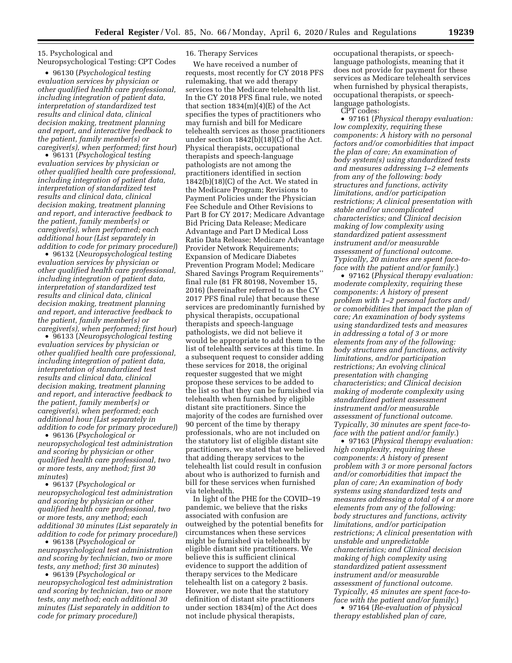15. Psychological and Neuropsychological Testing: CPT Codes

• 96130 (*Psychological testing evaluation services by physician or other qualified health care professional, including integration of patient data, interpretation of standardized test results and clinical data, clinical decision making, treatment planning and report, and interactive feedback to the patient, family member(s) or caregiver(s), when performed; first hour*)

• 96131 (*Psychological testing evaluation services by physician or other qualified health care professional, including integration of patient data, interpretation of standardized test results and clinical data, clinical decision making, treatment planning and report, and interactive feedback to the patient, family member(s) or caregiver(s), when performed; each additional hour (List separately in addition to code for primary procedure)*)

• 96132 (*Neuropsychological testing evaluation services by physician or other qualified health care professional, including integration of patient data, interpretation of standardized test results and clinical data, clinical decision making, treatment planning and report, and interactive feedback to the patient, family member(s) or caregiver(s), when performed; first hour*)

• 96133 (*Neuropsychological testing evaluation services by physician or other qualified health care professional, including integration of patient data, interpretation of standardized test results and clinical data, clinical decision making, treatment planning and report, and interactive feedback to the patient, family member(s) or caregiver(s), when performed; each additional hour (List separately in addition to code for primary procedure)*)

• 96136 (*Psychological or neuropsychological test administration and scoring by physician or other qualified health care professional, two or more tests, any method; first 30 minutes*)

• 96137 (*Psychological or neuropsychological test administration and scoring by physician or other qualified health care professional, two or more tests, any method; each additional 30 minutes (List separately in addition to code for primary procedure)*)

• 96138 (*Psychological or neuropsychological test administration and scoring by technician, two or more tests, any method; first 30 minutes*)

• 96139 (*Psychological or neuropsychological test administration and scoring by technician, two or more tests, any method; each additional 30 minutes (List separately in addition to code for primary procedure)*)

### 16. Therapy Services

We have received a number of requests, most recently for CY 2018 PFS rulemaking, that we add therapy services to the Medicare telehealth list. In the CY 2018 PFS final rule, we noted that section  $1834(m)(4)(E)$  of the Act specifies the types of practitioners who may furnish and bill for Medicare telehealth services as those practitioners under section 1842(b)(18)(C) of the Act. Physical therapists, occupational therapists and speech-language pathologists are not among the practitioners identified in section 1842(b)(18)(C) of the Act. We stated in the Medicare Program; Revisions to Payment Policies under the Physician Fee Schedule and Other Revisions to Part B for CY 2017; Medicare Advantage Bid Pricing Data Release; Medicare Advantage and Part D Medical Loss Ratio Data Release; Medicare Advantage Provider Network Requirements; Expansion of Medicare Diabetes Prevention Program Model; Medicare Shared Savings Program Requirements'' final rule (81 FR 80198, November 15, 2016) (hereinafter referred to as the CY 2017 PFS final rule) that because these services are predominantly furnished by physical therapists, occupational therapists and speech-language pathologists, we did not believe it would be appropriate to add them to the list of telehealth services at this time. In a subsequent request to consider adding these services for 2018, the original requester suggested that we might propose these services to be added to the list so that they can be furnished via telehealth when furnished by eligible distant site practitioners. Since the majority of the codes are furnished over 90 percent of the time by therapy professionals, who are not included on the statutory list of eligible distant site practitioners, we stated that we believed that adding therapy services to the telehealth list could result in confusion about who is authorized to furnish and bill for these services when furnished via telehealth.

In light of the PHE for the COVID–19 pandemic, we believe that the risks associated with confusion are outweighed by the potential benefits for circumstances when these services might be furnished via telehealth by eligible distant site practitioners. We believe this is sufficient clinical evidence to support the addition of therapy services to the Medicare telehealth list on a category 2 basis. However, we note that the statutory definition of distant site practitioners under section 1834(m) of the Act does not include physical therapists,

occupational therapists, or speechlanguage pathologists, meaning that it does not provide for payment for these services as Medicare telehealth services when furnished by physical therapists, occupational therapists, or speechlanguage pathologists.

CPT codes:

• 97161 (*Physical therapy evaluation: low complexity, requiring these components: A history with no personal factors and/or comorbidities that impact the plan of care; An examination of body system(s) using standardized tests and measures addressing 1–2 elements from any of the following: body structures and functions, activity limitations, and/or participation restrictions; A clinical presentation with stable and/or uncomplicated characteristics; and Clinical decision making of low complexity using standardized patient assessment instrument and/or measurable assessment of functional outcome. Typically, 20 minutes are spent face-toface with the patient and/or family.*)

• 97162 (*Physical therapy evaluation: moderate complexity, requiring these components: A history of present problem with 1–2 personal factors and/ or comorbidities that impact the plan of care; An examination of body systems using standardized tests and measures in addressing a total of 3 or more elements from any of the following: body structures and functions, activity limitations, and/or participation restrictions; An evolving clinical presentation with changing characteristics; and Clinical decision making of moderate complexity using standardized patient assessment instrument and/or measurable assessment of functional outcome. Typically, 30 minutes are spent face-toface with the patient and/or family.*)

• 97163 (*Physical therapy evaluation: high complexity, requiring these components: A history of present problem with 3 or more personal factors and/or comorbidities that impact the plan of care; An examination of body systems using standardized tests and measures addressing a total of 4 or more elements from any of the following: body structures and functions, activity limitations, and/or participation restrictions; A clinical presentation with unstable and unpredictable characteristics; and Clinical decision making of high complexity using standardized patient assessment instrument and/or measurable assessment of functional outcome. Typically, 45 minutes are spent face-toface with the patient and/or family.*)

• 97164 (*Re-evaluation of physical therapy established plan of care,*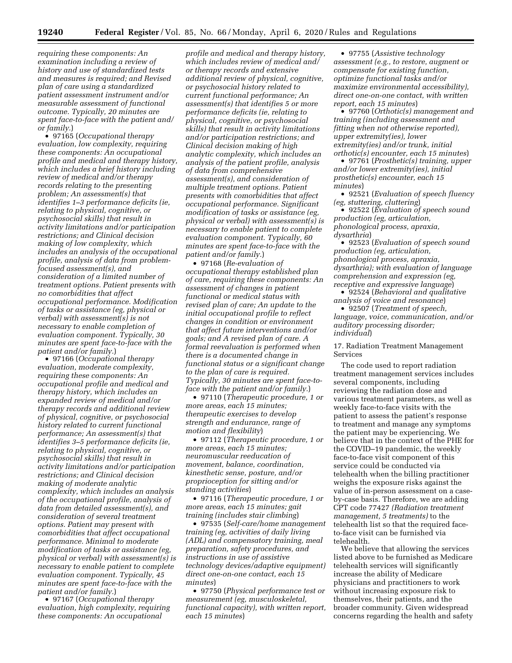*requiring these components: An examination including a review of history and use of standardized tests and measures is required; and Revised plan of care using a standardized patient assessment instrument and/or measurable assessment of functional outcome. Typically, 20 minutes are spent face-to-face with the patient and/ or family.*)

• 97165 (*Occupational therapy evaluation, low complexity, requiring these components: An occupational profile and medical and therapy history, which includes a brief history including review of medical and/or therapy records relating to the presenting problem; An assessment(s) that identifies 1–3 performance deficits (ie, relating to physical, cognitive, or psychosocial skills) that result in activity limitations and/or participation restrictions; and Clinical decision making of low complexity, which includes an analysis of the occupational profile, analysis of data from problemfocused assessment(s), and consideration of a limited number of treatment options. Patient presents with no comorbidities that affect occupational performance. Modification of tasks or assistance (eg, physical or verbal) with assessment(s) is not necessary to enable completion of evaluation component. Typically, 30 minutes are spent face-to-face with the patient and/or family.*)

• 97166 (*Occupational therapy evaluation, moderate complexity, requiring these components: An occupational profile and medical and therapy history, which includes an expanded review of medical and/or therapy records and additional review of physical, cognitive, or psychosocial history related to current functional performance; An assessment(s) that identifies 3–5 performance deficits (ie, relating to physical, cognitive, or psychosocial skills) that result in activity limitations and/or participation restrictions; and Clinical decision making of moderate analytic complexity, which includes an analysis of the occupational profile, analysis of data from detailed assessment(s), and consideration of several treatment options. Patient may present with comorbidities that affect occupational performance. Minimal to moderate modification of tasks or assistance (eg, physical or verbal) with assessment(s) is necessary to enable patient to complete evaluation component. Typically, 45 minutes are spent face-to-face with the patient and/or family.*)

• 97167 (*Occupational therapy evaluation, high complexity, requiring these components: An occupational* 

*profile and medical and therapy history, which includes review of medical and/ or therapy records and extensive additional review of physical, cognitive, or psychosocial history related to current functional performance; An assessment(s) that identifies 5 or more performance deficits (ie, relating to physical, cognitive, or psychosocial skills) that result in activity limitations and/or participation restrictions; and Clinical decision making of high analytic complexity, which includes an analysis of the patient profile, analysis of data from comprehensive assessment(s), and consideration of multiple treatment options. Patient presents with comorbidities that affect occupational performance. Significant modification of tasks or assistance (eg, physical or verbal) with assessment(s) is necessary to enable patient to complete evaluation component. Typically, 60 minutes are spent face-to-face with the patient and/or family.*)

• 97168 (*Re-evaluation of occupational therapy established plan of care, requiring these components: An assessment of changes in patient functional or medical status with revised plan of care; An update to the initial occupational profile to reflect changes in condition or environment that affect future interventions and/or goals; and A revised plan of care. A formal reevaluation is performed when there is a documented change in functional status or a significant change to the plan of care is required. Typically, 30 minutes are spent face-toface with the patient and/or family.*)

• 97110 (*Therapeutic procedure, 1 or more areas, each 15 minutes; therapeutic exercises to develop strength and endurance, range of motion and flexibility*)

• 97112 (*Therapeutic procedure, 1 or more areas, each 15 minutes; neuromuscular reeducation of movement, balance, coordination, kinesthetic sense, posture, and/or proprioception for sitting and/or standing activities*)

• 97116 (*Therapeutic procedure, 1 or more areas, each 15 minutes; gait training (includes stair climbing*)

• 97535 (*Self-care/home management training (eg, activities of daily living (ADL) and compensatory training, meal preparation, safety procedures, and instructions in use of assistive technology devices/adaptive equipment) direct one-on-one contact, each 15 minutes*)

• 97750 (*Physical performance test or measurement (eg, musculoskeletal, functional capacity), with written report, each 15 minutes*)

• 97755 (*Assistive technology assessment (e.g., to restore, augment or compensate for existing function, optimize functional tasks and/or maximize environmental accessibility), direct one-on-one contact, with written report, each 15 minutes*)

• 97760 (*Orthotic(s) management and training (including assessment and fitting when not otherwise reported), upper extremity(ies), lower extremity(ies) and/or trunk, initial orthotic(s) encounter, each 15 minutes*)

• 97761 (*Prosthetic(s) training, upper and/or lower extremity(ies), initial prosthetic(s) encounter, each 15 minutes*)

• 92521 (*Evaluation of speech fluency (eg, stuttering, cluttering*)

• 92522 (*Evaluation of speech sound production (eg, articulation, phonological process, apraxia, dysarthria*)

• 92523 (*Evaluation of speech sound production (eg, articulation, phonological process, apraxia, dysarthria); with evaluation of language comprehension and expression (eg, receptive and expressive language*) • 92524 (*Behavioral and qualitative* 

*analysis of voice and resonance*)

• 92507 (*Treatment of speech, language, voice, communication, and/or auditory processing disorder; individual*)

17. Radiation Treatment Management Services

The code used to report radiation treatment management services includes several components, including reviewing the radiation dose and various treatment parameters, as well as weekly face-to-face visits with the patient to assess the patient's response to treatment and manage any symptoms the patient may be experiencing. We believe that in the context of the PHE for the COVID–19 pandemic, the weekly face-to-face visit component of this service could be conducted via telehealth when the billing practitioner weighs the exposure risks against the value of in-person assessment on a caseby-case basis. Therefore, we are adding CPT code 77427 *(Radiation treatment management, 5 treatments)* to the telehealth list so that the required faceto-face visit can be furnished via telehealth.

We believe that allowing the services listed above to be furnished as Medicare telehealth services will significantly increase the ability of Medicare physicians and practitioners to work without increasing exposure risk to themselves, their patients, and the broader community. Given widespread concerns regarding the health and safety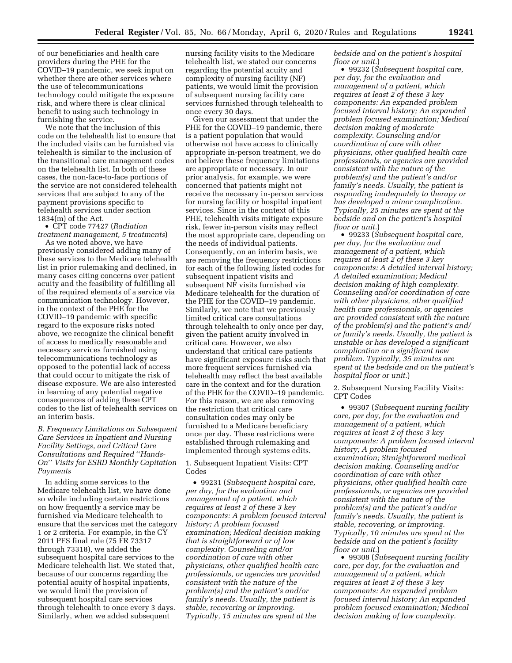of our beneficiaries and health care providers during the PHE for the COVID–19 pandemic, we seek input on whether there are other services where the use of telecommunications technology could mitigate the exposure risk, and where there is clear clinical benefit to using such technology in furnishing the service.

We note that the inclusion of this code on the telehealth list to ensure that the included visits can be furnished via telehealth is similar to the inclusion of the transitional care management codes on the telehealth list. In both of these cases, the non-face-to-face portions of the service are not considered telehealth services that are subject to any of the payment provisions specific to telehealth services under section 1834(m) of the Act.

• CPT code 77427 (*Radiation treatment management, 5 treatments*)

As we noted above, we have previously considered adding many of these services to the Medicare telehealth list in prior rulemaking and declined, in many cases citing concerns over patient acuity and the feasibility of fulfilling all of the required elements of a service via communication technology. However, in the context of the PHE for the COVID–19 pandemic with specific regard to the exposure risks noted above, we recognize the clinical benefit of access to medically reasonable and necessary services furnished using telecommunications technology as opposed to the potential lack of access that could occur to mitigate the risk of disease exposure. We are also interested in learning of any potential negative consequences of adding these CPT codes to the list of telehealth services on an interim basis.

# *B. Frequency Limitations on Subsequent Care Services in Inpatient and Nursing Facility Settings, and Critical Care Consultations and Required* ''*Hands-On*'' *Visits for ESRD Monthly Capitation Payments*

In adding some services to the Medicare telehealth list, we have done so while including certain restrictions on how frequently a service may be furnished via Medicare telehealth to ensure that the services met the category 1 or 2 criteria. For example, in the CY 2011 PFS final rule (75 FR 73317 through 73318), we added the subsequent hospital care services to the Medicare telehealth list. We stated that, because of our concerns regarding the potential acuity of hospital inpatients, we would limit the provision of subsequent hospital care services through telehealth to once every 3 days. Similarly, when we added subsequent

nursing facility visits to the Medicare telehealth list, we stated our concerns regarding the potential acuity and complexity of nursing facility (NF) patients, we would limit the provision of subsequent nursing facility care services furnished through telehealth to once every 30 days.

Given our assessment that under the PHE for the COVID–19 pandemic, there is a patient population that would otherwise not have access to clinically appropriate in-person treatment, we do not believe these frequency limitations are appropriate or necessary. In our prior analysis, for example, we were concerned that patients might not receive the necessary in-person services for nursing facility or hospital inpatient services. Since in the context of this PHE, telehealth visits mitigate exposure risk, fewer in-person visits may reflect the most appropriate care, depending on the needs of individual patients. Consequently, on an interim basis, we are removing the frequency restrictions for each of the following listed codes for subsequent inpatient visits and subsequent NF visits furnished via Medicare telehealth for the duration of the PHE for the COVID–19 pandemic. Similarly, we note that we previously limited critical care consultations through telehealth to only once per day, given the patient acuity involved in critical care. However, we also understand that critical care patients have significant exposure risks such that more frequent services furnished via telehealth may reflect the best available care in the context and for the duration of the PHE for the COVID–19 pandemic. For this reason, we are also removing the restriction that critical care consultation codes may only be furnished to a Medicare beneficiary once per day. These restrictions were established through rulemaking and implemented through systems edits.

1. Subsequent Inpatient Visits: CPT Codes

• 99231 (*Subsequent hospital care, per day, for the evaluation and management of a patient, which requires at least 2 of these 3 key components: A problem focused interval history; A problem focused examination; Medical decision making that is straightforward or of low complexity. Counseling and/or coordination of care with other physicians, other qualified health care professionals, or agencies are provided consistent with the nature of the problem(s) and the patient's and/or family's needs. Usually, the patient is stable, recovering or improving. Typically, 15 minutes are spent at the* 

*bedside and on the patient's hospital floor or unit.*)

• 99232 (*Subsequent hospital care, per day, for the evaluation and management of a patient, which requires at least 2 of these 3 key components: An expanded problem focused interval history; An expanded problem focused examination; Medical decision making of moderate complexity. Counseling and/or coordination of care with other physicians, other qualified health care professionals, or agencies are provided consistent with the nature of the problem(s) and the patient's and/or family's needs. Usually, the patient is responding inadequately to therapy or has developed a minor complication. Typically, 25 minutes are spent at the bedside and on the patient's hospital floor or unit.*)

• 99233 (*Subsequent hospital care, per day, for the evaluation and management of a patient, which requires at least 2 of these 3 key components: A detailed interval history; A detailed examination; Medical decision making of high complexity. Counseling and/or coordination of care with other physicians, other qualified health care professionals, or agencies are provided consistent with the nature of the problem(s) and the patient's and/ or family's needs. Usually, the patient is unstable or has developed a significant complication or a significant new problem. Typically, 35 minutes are spent at the bedside and on the patient's hospital floor or unit.*)

2. Subsequent Nursing Facility Visits: CPT Codes

• 99307 (*Subsequent nursing facility care, per day, for the evaluation and management of a patient, which requires at least 2 of these 3 key components: A problem focused interval history; A problem focused examination; Straightforward medical decision making. Counseling and/or coordination of care with other physicians, other qualified health care professionals, or agencies are provided consistent with the nature of the problem(s) and the patient's and/or family's needs. Usually, the patient is stable, recovering, or improving. Typically, 10 minutes are spent at the bedside and on the patient's facility floor or unit.*)

• 99308 (*Subsequent nursing facility care, per day, for the evaluation and management of a patient, which requires at least 2 of these 3 key components: An expanded problem focused interval history; An expanded problem focused examination; Medical decision making of low complexity.*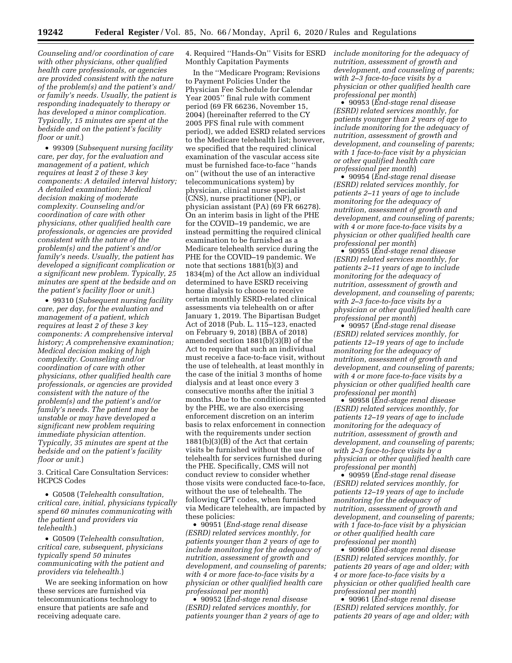*Counseling and/or coordination of care with other physicians, other qualified health care professionals, or agencies are provided consistent with the nature of the problem(s) and the patient's and/ or family's needs. Usually, the patient is responding inadequately to therapy or has developed a minor complication. Typically, 15 minutes are spent at the bedside and on the patient's facility floor or unit.*)

• 99309 (*Subsequent nursing facility care, per day, for the evaluation and management of a patient, which requires at least 2 of these 3 key components: A detailed interval history; A detailed examination; Medical decision making of moderate complexity. Counseling and/or coordination of care with other physicians, other qualified health care professionals, or agencies are provided consistent with the nature of the problem(s) and the patient's and/or family's needs. Usually, the patient has developed a significant complication or a significant new problem. Typically, 25 minutes are spent at the bedside and on the patient's facility floor or unit.*)

• 99310 (*Subsequent nursing facility care, per day, for the evaluation and management of a patient, which requires at least 2 of these 3 key components: A comprehensive interval history; A comprehensive examination; Medical decision making of high complexity. Counseling and/or coordination of care with other physicians, other qualified health care professionals, or agencies are provided consistent with the nature of the problem(s) and the patient's and/or family's needs. The patient may be unstable or may have developed a significant new problem requiring immediate physician attention. Typically, 35 minutes are spent at the bedside and on the patient's facility floor or unit.*)

3. Critical Care Consultation Services: HCPCS Codes

• G0508 (*Telehealth consultation, critical care, initial, physicians typically spend 60 minutes communicating with the patient and providers via telehealth.*)

• G0509 (*Telehealth consultation, critical care, subsequent, physicians typically spend 50 minutes communicating with the patient and providers via telehealth.*)

We are seeking information on how these services are furnished via telecommunications technology to ensure that patients are safe and receiving adequate care.

4. Required ''Hands-On'' Visits for ESRD Monthly Capitation Payments

In the ''Medicare Program; Revisions to Payment Policies Under the Physician Fee Schedule for Calendar Year 2005'' final rule with comment period (69 FR 66236, November 15, 2004) (hereinafter referred to the CY 2005 PFS final rule with comment period), we added ESRD related services to the Medicare telehealth list; however, we specified that the required clinical examination of the vascular access site must be furnished face-to-face ''hands on'' (without the use of an interactive telecommunications system) by physician, clinical nurse specialist (CNS), nurse practitioner (NP), or physician assistant (PA) (69 FR 66278). On an interim basis in light of the PHE for the COVID–19 pandemic, we are instead permitting the required clinical examination to be furnished as a Medicare telehealth service during the PHE for the COVID–19 pandemic. We note that sections 1881(b)(3) and 1834(m) of the Act allow an individual determined to have ESRD receiving home dialysis to choose to receive certain monthly ESRD-related clinical assessments via telehealth on or after January 1, 2019. The Bipartisan Budget Act of 2018 (Pub. L. 115–123, enacted on February 9, 2018) (BBA of 2018) amended section 1881(b)(3)(B) of the Act to require that such an individual must receive a face-to-face visit, without the use of telehealth, at least monthly in the case of the initial 3 months of home dialysis and at least once every 3 consecutive months after the initial 3 months. Due to the conditions presented by the PHE, we are also exercising enforcement discretion on an interim basis to relax enforcement in connection with the requirements under section 1881(b)(3)(B) of the Act that certain visits be furnished without the use of telehealth for services furnished during the PHE. Specifically, CMS will not conduct review to consider whether those visits were conducted face-to-face, without the use of telehealth. The following CPT codes, when furnished via Medicare telehealth, are impacted by these policies:

• 90951 (*End-stage renal disease (ESRD) related services monthly, for patients younger than 2 years of age to include monitoring for the adequacy of nutrition, assessment of growth and development, and counseling of parents; with 4 or more face-to-face visits by a physician or other qualified health care professional per month*)

• 90952 (*End-stage renal disease (ESRD) related services monthly, for patients younger than 2 years of age to*  *include monitoring for the adequacy of nutrition, assessment of growth and development, and counseling of parents; with 2–3 face-to-face visits by a physician or other qualified health care professional per month*)

• 90953 (*End-stage renal disease (ESRD) related services monthly, for patients younger than 2 years of age to include monitoring for the adequacy of nutrition, assessment of growth and development, and counseling of parents; with 1 face-to-face visit by a physician or other qualified health care professional per month*)

• 90954 (*End-stage renal disease (ESRD) related services monthly, for patients 2–11 years of age to include monitoring for the adequacy of nutrition, assessment of growth and development, and counseling of parents; with 4 or more face-to-face visits by a physician or other qualified health care professional per month*)

• 90955 (*End-stage renal disease (ESRD) related services monthly, for patients 2–11 years of age to include monitoring for the adequacy of nutrition, assessment of growth and development, and counseling of parents; with 2–3 face-to-face visits by a physician or other qualified health care professional per month*)

• 90957 (*End-stage renal disease (ESRD) related services monthly, for patients 12–19 years of age to include monitoring for the adequacy of nutrition, assessment of growth and development, and counseling of parents; with 4 or more face-to-face visits by a physician or other qualified health care professional per month*)

• 90958 (*End-stage renal disease (ESRD) related services monthly, for patients 12–19 years of age to include monitoring for the adequacy of nutrition, assessment of growth and development, and counseling of parents; with 2–3 face-to-face visits by a physician or other qualified health care professional per month*)

• 90959 (*End-stage renal disease (ESRD) related services monthly, for patients 12–19 years of age to include monitoring for the adequacy of nutrition, assessment of growth and development, and counseling of parents; with 1 face-to-face visit by a physician or other qualified health care professional per month*)

• 90960 (*End-stage renal disease (ESRD) related services monthly, for patients 20 years of age and older; with 4 or more face-to-face visits by a physician or other qualified health care professional per month*)

• 90961 (*End-stage renal disease (ESRD) related services monthly, for patients 20 years of age and older; with*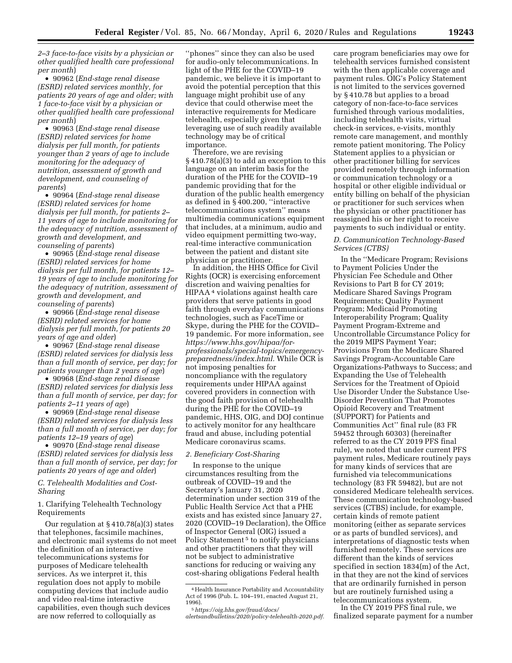*2–3 face-to-face visits by a physician or other qualified health care professional per month*)

• 90962 (*End-stage renal disease (ESRD) related services monthly, for patients 20 years of age and older; with 1 face-to-face visit by a physician or other qualified health care professional per month*)

• 90963 (*End-stage renal disease (ESRD) related services for home dialysis per full month, for patients younger than 2 years of age to include monitoring for the adequacy of nutrition, assessment of growth and development, and counseling of parents*)

• 90964 (*End-stage renal disease (ESRD) related services for home dialysis per full month, for patients 2– 11 years of age to include monitoring for the adequacy of nutrition, assessment of growth and development, and counseling of parents*)

• 90965 (*End-stage renal disease (ESRD) related services for home dialysis per full month, for patients 12– 19 years of age to include monitoring for the adequacy of nutrition, assessment of growth and development, and counseling of parents*)

• 90966 (*End-stage renal disease (ESRD) related services for home dialysis per full month, for patients 20 years of age and older*)

• 90967 (*End-stage renal disease (ESRD) related services for dialysis less than a full month of service, per day; for patients younger than 2 years of age*)

• 90968 (*End-stage renal disease (ESRD) related services for dialysis less than a full month of service, per day; for patients 2–11 years of age*)

• 90969 (*End-stage renal disease (ESRD) related services for dialysis less than a full month of service, per day; for patients 12–19 years of age*)

• 90970 (*End-stage renal disease (ESRD) related services for dialysis less than a full month of service, per day; for patients 20 years of age and older*)

*C. Telehealth Modalities and Cost-Sharing* 

1. Clarifying Telehealth Technology Requirements

Our regulation at § 410.78(a)(3) states that telephones, facsimile machines, and electronic mail systems do not meet the definition of an interactive telecommunications systems for purposes of Medicare telehealth services. As we interpret it, this regulation does not apply to mobile computing devices that include audio and video real-time interactive capabilities, even though such devices are now referred to colloquially as

''phones'' since they can also be used for audio-only telecommunications. In light of the PHE for the COVID–19 pandemic, we believe it is important to avoid the potential perception that this language might prohibit use of any device that could otherwise meet the interactive requirements for Medicare telehealth, especially given that leveraging use of such readily available technology may be of critical importance.

Therefore, we are revising § 410.78(a)(3) to add an exception to this language on an interim basis for the duration of the PHE for the COVID–19 pandemic providing that for the duration of the public health emergency as defined in § 400.200, ''interactive telecommunications system'' means multimedia communications equipment that includes, at a minimum, audio and video equipment permitting two-way, real-time interactive communication between the patient and distant site physician or practitioner.

In addition, the HHS Office for Civil Rights (OCR) is exercising enforcement discretion and waiving penalties for HIPAA 4 violations against health care providers that serve patients in good faith through everyday communications technologies, such as FaceTime or Skype, during the PHE for the COVID– 19 pandemic. For more information, see *[https://www.hhs.gov/hipaa/for](https://www.hhs.gov/hipaa/for-professionals/special-topics/emergency-preparedness/index.html)[professionals/special-topics/emergency](https://www.hhs.gov/hipaa/for-professionals/special-topics/emergency-preparedness/index.html)[preparedness/index.html.](https://www.hhs.gov/hipaa/for-professionals/special-topics/emergency-preparedness/index.html)* While OCR is not imposing penalties for noncompliance with the regulatory requirements under HIPAA against covered providers in connection with the good faith provision of telehealth during the PHE for the COVID–19 pandemic, HHS, OIG, and DOJ continue to actively monitor for any healthcare fraud and abuse, including potential Medicare coronavirus scams.

# *2. Beneficiary Cost-Sharing*

In response to the unique circumstances resulting from the outbreak of COVID–19 and the Secretary's January 31, 2020 determination under section 319 of the Public Health Service Act that a PHE exists and has existed since January 27, 2020 (COVID–19 Declaration), the Office of Inspector General (OIG) issued a Policy Statement 5 to notify physicians and other practitioners that they will not be subject to administrative sanctions for reducing or waiving any cost-sharing obligations Federal health

care program beneficiaries may owe for telehealth services furnished consistent with the then applicable coverage and payment rules. OIG's Policy Statement is not limited to the services governed by § 410.78 but applies to a broad category of non-face-to-face services furnished through various modalities, including telehealth visits, virtual check-in services, e-visits, monthly remote care management, and monthly remote patient monitoring. The Policy Statement applies to a physician or other practitioner billing for services provided remotely through information or communication technology or a hospital or other eligible individual or entity billing on behalf of the physician or practitioner for such services when the physician or other practitioner has reassigned his or her right to receive payments to such individual or entity.

### *D. Communication Technology-Based Services (CTBS)*

In the ''Medicare Program; Revisions to Payment Policies Under the Physician Fee Schedule and Other Revisions to Part B for CY 2019; Medicare Shared Savings Program Requirements; Quality Payment Program; Medicaid Promoting Interoperability Program; Quality Payment Program-Extreme and Uncontrollable Circumstance Policy for the 2019 MIPS Payment Year; Provisions From the Medicare Shared Savings Program-Accountable Care Organizations-Pathways to Success; and Expanding the Use of Telehealth Services for the Treatment of Opioid Use Disorder Under the Substance Use-Disorder Prevention That Promotes Opioid Recovery and Treatment (SUPPORT) for Patients and Communities Act'' final rule (83 FR 59452 through 60303) (hereinafter referred to as the CY 2019 PFS final rule), we noted that under current PFS payment rules, Medicare routinely pays for many kinds of services that are furnished via telecommunications technology (83 FR 59482), but are not considered Medicare telehealth services. These communication technology-based services (CTBS) include, for example, certain kinds of remote patient monitoring (either as separate services or as parts of bundled services), and interpretations of diagnostic tests when furnished remotely. These services are different than the kinds of services specified in section 1834(m) of the Act, in that they are not the kind of services that are ordinarily furnished in person but are routinely furnished using a telecommunications system.

In the CY 2019 PFS final rule, we finalized separate payment for a number

<sup>4</sup>Health Insurance Portability and Accountability Act of 1996 (Pub. L. 104–191, enacted August 21,

<sup>1996). 5</sup>*[https://oig.hhs.gov/fraud/docs/](https://oig.hhs.gov/fraud/docs/alertsandbulletins/2020/policy-telehealth-2020.pdf)* 

*[alertsandbulletins/2020/policy-telehealth-2020.pdf.](https://oig.hhs.gov/fraud/docs/alertsandbulletins/2020/policy-telehealth-2020.pdf)*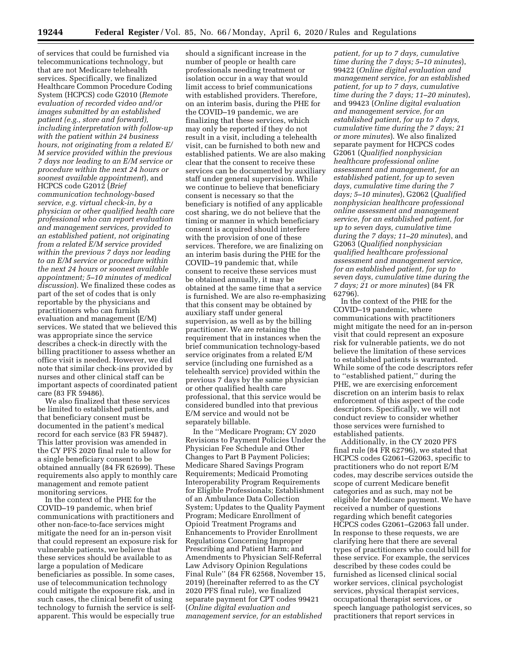of services that could be furnished via telecommunications technology, but that are not Medicare telehealth services. Specifically, we finalized Healthcare Common Procedure Coding System (HCPCS) code G2010 (*Remote evaluation of recorded video and/or images submitted by an established patient (e.g., store and forward), including interpretation with follow-up with the patient within 24 business hours, not originating from a related E/ M service provided within the previous 7 days nor leading to an E/M service or procedure within the next 24 hours or soonest available appointment*), and HCPCS code G2012 (*Brief communication technology-based service, e.g. virtual check-in, by a physician or other qualified health care professional who can report evaluation and management services, provided to an established patient, not originating from a related E/M service provided within the previous 7 days nor leading to an E/M service or procedure within the next 24 hours or soonest available appointment; 5–10 minutes of medical discussion*). We finalized these codes as part of the set of codes that is only reportable by the physicians and practitioners who can furnish evaluation and management (E/M) services. We stated that we believed this was appropriate since the service describes a check-in directly with the billing practitioner to assess whether an office visit is needed. However, we did note that similar check-ins provided by nurses and other clinical staff can be important aspects of coordinated patient care (83 FR 59486).

We also finalized that these services be limited to established patients, and that beneficiary consent must be documented in the patient's medical record for each service (83 FR 59487). This latter provision was amended in the CY PFS 2020 final rule to allow for a single beneficiary consent to be obtained annually (84 FR 62699). These requirements also apply to monthly care management and remote patient monitoring services.

In the context of the PHE for the COVID–19 pandemic, when brief communications with practitioners and other non-face-to-face services might mitigate the need for an in-person visit that could represent an exposure risk for vulnerable patients, we believe that these services should be available to as large a population of Medicare beneficiaries as possible. In some cases, use of telecommunication technology could mitigate the exposure risk, and in such cases, the clinical benefit of using technology to furnish the service is selfapparent. This would be especially true

should a significant increase in the number of people or health care professionals needing treatment or isolation occur in a way that would limit access to brief communications with established providers. Therefore, on an interim basis, during the PHE for the COVID–19 pandemic, we are finalizing that these services, which may only be reported if they do not result in a visit, including a telehealth visit, can be furnished to both new and established patients. We are also making clear that the consent to receive these services can be documented by auxiliary staff under general supervision. While we continue to believe that beneficiary consent is necessary so that the beneficiary is notified of any applicable cost sharing, we do not believe that the timing or manner in which beneficiary consent is acquired should interfere with the provision of one of these services. Therefore, we are finalizing on an interim basis during the PHE for the COVID–19 pandemic that, while consent to receive these services must be obtained annually, it may be obtained at the same time that a service is furnished. We are also re-emphasizing that this consent may be obtained by auxiliary staff under general supervision, as well as by the billing practitioner. We are retaining the requirement that in instances when the brief communication technology-based service originates from a related E/M service (including one furnished as a telehealth service) provided within the previous 7 days by the same physician or other qualified health care professional, that this service would be considered bundled into that previous E/M service and would not be separately billable.

In the ''Medicare Program; CY 2020 Revisions to Payment Policies Under the Physician Fee Schedule and Other Changes to Part B Payment Policies; Medicare Shared Savings Program Requirements; Medicaid Promoting Interoperability Program Requirements for Eligible Professionals; Establishment of an Ambulance Data Collection System; Updates to the Quality Payment Program; Medicare Enrollment of Opioid Treatment Programs and Enhancements to Provider Enrollment Regulations Concerning Improper Prescribing and Patient Harm; and Amendments to Physician Self-Referral Law Advisory Opinion Regulations Final Rule'' (84 FR 62568, November 15, 2019) (hereinafter referred to as the CY 2020 PFS final rule), we finalized separate payment for CPT codes 99421 (*Online digital evaluation and management service, for an established* 

*patient, for up to 7 days, cumulative time during the 7 days; 5–10 minutes*), 99422 (*Online digital evaluation and management service, for an established patient, for up to 7 days, cumulative time during the 7 days; 11–20 minutes*), and 99423 (*Online digital evaluation and management service, for an established patient, for up to 7 days, cumulative time during the 7 days; 21 or more minutes*). We also finalized separate payment for HCPCS codes G2061 (*Qualified nonphysician healthcare professional online assessment and management, for an established patient, for up to seven days, cumulative time during the 7 days; 5–10 minutes*), G2062 (*Qualified nonphysician healthcare professional online assessment and management service, for an established patient, for up to seven days, cumulative time during the 7 days; 11–20 minutes*), and G2063 (*Qualified nonphysician qualified healthcare professional assessment and management service, for an established patient, for up to seven days, cumulative time during the 7 days; 21 or more minutes*) (84 FR 62796).

In the context of the PHE for the COVID–19 pandemic, where communications with practitioners might mitigate the need for an in-person visit that could represent an exposure risk for vulnerable patients, we do not believe the limitation of these services to established patients is warranted. While some of the code descriptors refer to ''established patient,'' during the PHE, we are exercising enforcement discretion on an interim basis to relax enforcement of this aspect of the code descriptors. Specifically, we will not conduct review to consider whether those services were furnished to established patients.

Additionally, in the CY 2020 PFS final rule (84 FR 62796), we stated that HCPCS codes G2061–G2063, specific to practitioners who do not report E/M codes, may describe services outside the scope of current Medicare benefit categories and as such, may not be eligible for Medicare payment. We have received a number of questions regarding which benefit categories HCPCS codes G2061–G2063 fall under. In response to these requests, we are clarifying here that there are several types of practitioners who could bill for these service. For example, the services described by these codes could be furnished as licensed clinical social worker services, clinical psychologist services, physical therapist services, occupational therapist services, or speech language pathologist services, so practitioners that report services in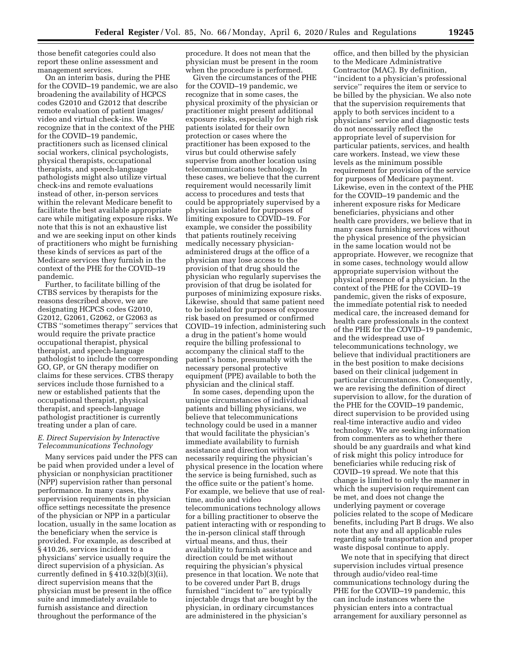those benefit categories could also report these online assessment and management services.

On an interim basis, during the PHE for the COVID–19 pandemic, we are also broadening the availability of HCPCS codes G2010 and G2012 that describe remote evaluation of patient images/ video and virtual check-ins. We recognize that in the context of the PHE for the COVID–19 pandemic, practitioners such as licensed clinical social workers, clinical psychologists, physical therapists, occupational therapists, and speech-language pathologists might also utilize virtual check-ins and remote evaluations instead of other, in-person services within the relevant Medicare benefit to facilitate the best available appropriate care while mitigating exposure risks. We note that this is not an exhaustive list and we are seeking input on other kinds of practitioners who might be furnishing these kinds of services as part of the Medicare services they furnish in the context of the PHE for the COVID–19 pandemic.

Further, to facilitate billing of the CTBS services by therapists for the reasons described above, we are designating HCPCS codes G2010, G2012, G2061, G2062, or G2063 as CTBS ''sometimes therapy'' services that would require the private practice occupational therapist, physical therapist, and speech-language pathologist to include the corresponding GO, GP, or GN therapy modifier on claims for these services. CTBS therapy services include those furnished to a new or established patients that the occupational therapist, physical therapist, and speech-language pathologist practitioner is currently treating under a plan of care.

# *E. Direct Supervision by Interactive Telecommunications Technology*

Many services paid under the PFS can be paid when provided under a level of physician or nonphysician practitioner (NPP) supervision rather than personal performance. In many cases, the supervision requirements in physician office settings necessitate the presence of the physician or NPP in a particular location, usually in the same location as the beneficiary when the service is provided. For example, as described at § 410.26, services incident to a physicians' service usually require the direct supervision of a physician. As currently defined in § 410.32(b)(3)(ii), direct supervision means that the physician must be present in the office suite and immediately available to furnish assistance and direction throughout the performance of the

procedure. It does not mean that the physician must be present in the room when the procedure is performed.

Given the circumstances of the PHE for the COVID–19 pandemic, we recognize that in some cases, the physical proximity of the physician or practitioner might present additional exposure risks, especially for high risk patients isolated for their own protection or cases where the practitioner has been exposed to the virus but could otherwise safely supervise from another location using telecommunications technology. In these cases, we believe that the current requirement would necessarily limit access to procedures and tests that could be appropriately supervised by a physician isolated for purposes of limiting exposure to COVID–19. For example, we consider the possibility that patients routinely receiving medically necessary physicianadministered drugs at the office of a physician may lose access to the provision of that drug should the physician who regularly supervises the provision of that drug be isolated for purposes of minimizing exposure risks. Likewise, should that same patient need to be isolated for purposes of exposure risk based on presumed or confirmed COVID–19 infection, administering such a drug in the patient's home would require the billing professional to accompany the clinical staff to the patient's home, presumably with the necessary personal protective equipment (PPE) available to both the physician and the clinical staff.

In some cases, depending upon the unique circumstances of individual patients and billing physicians, we believe that telecommunications technology could be used in a manner that would facilitate the physician's immediate availability to furnish assistance and direction without necessarily requiring the physician's physical presence in the location where the service is being furnished, such as the office suite or the patient's home. For example, we believe that use of realtime, audio and video telecommunications technology allows for a billing practitioner to observe the patient interacting with or responding to the in-person clinical staff through virtual means, and thus, their availability to furnish assistance and direction could be met without requiring the physician's physical presence in that location. We note that to be covered under Part B, drugs furnished ''incident to'' are typically injectable drugs that are bought by the physician, in ordinary circumstances are administered in the physician's

office, and then billed by the physician to the Medicare Administrative Contractor (MAC). By definition, ''incident to a physician's professional service'' requires the item or service to be billed by the physician. We also note that the supervision requirements that apply to both services incident to a physicians' service and diagnostic tests do not necessarily reflect the appropriate level of supervision for particular patients, services, and health care workers. Instead, we view these levels as the minimum possible requirement for provision of the service for purposes of Medicare payment. Likewise, even in the context of the PHE for the COVID–19 pandemic and the inherent exposure risks for Medicare beneficiaries, physicians and other health care providers, we believe that in many cases furnishing services without the physical presence of the physician in the same location would not be appropriate. However, we recognize that in some cases, technology would allow appropriate supervision without the physical presence of a physician. In the context of the PHE for the COVID–19 pandemic, given the risks of exposure, the immediate potential risk to needed medical care, the increased demand for health care professionals in the context of the PHE for the COVID–19 pandemic, and the widespread use of telecommunications technology, we believe that individual practitioners are in the best position to make decisions based on their clinical judgement in particular circumstances. Consequently, we are revising the definition of direct supervision to allow, for the duration of the PHE for the COVID–19 pandemic, direct supervision to be provided using real-time interactive audio and video technology. We are seeking information from commenters as to whether there should be any guardrails and what kind of risk might this policy introduce for beneficiaries while reducing risk of COVID–19 spread. We note that this change is limited to only the manner in which the supervision requirement can be met, and does not change the underlying payment or coverage policies related to the scope of Medicare benefits, including Part B drugs. We also note that any and all applicable rules regarding safe transportation and proper waste disposal continue to apply.

We note that in specifying that direct supervision includes virtual presence through audio/video real-time communications technology during the PHE for the COVID–19 pandemic, this can include instances where the physician enters into a contractual arrangement for auxiliary personnel as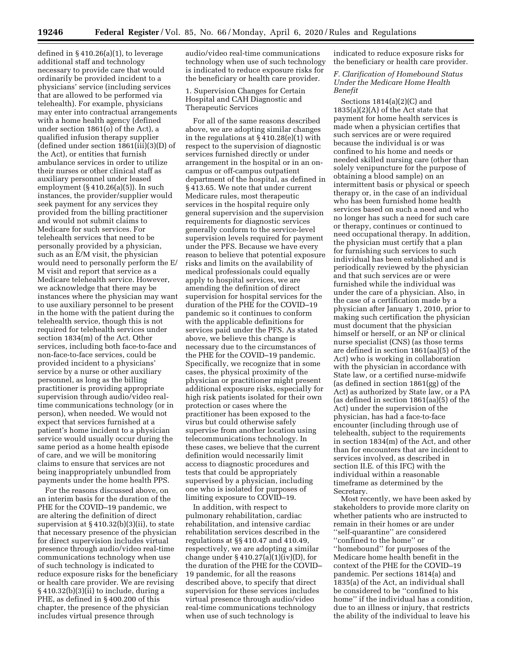defined in  $\S 410.26(a)(1)$ , to leverage additional staff and technology necessary to provide care that would ordinarily be provided incident to a physicians' service (including services that are allowed to be performed via telehealth). For example, physicians may enter into contractual arrangements with a home health agency (defined under section 1861(o) of the Act), a qualified infusion therapy supplier (defined under section 1861(iii)(3)(D) of the Act), or entities that furnish ambulance services in order to utilize their nurses or other clinical staff as auxiliary personnel under leased employment  $(\S 410.26(a)(5))$ . In such instances, the provider/supplier would seek payment for any services they provided from the billing practitioner and would not submit claims to Medicare for such services. For telehealth services that need to be personally provided by a physician, such as an E/M visit, the physician would need to personally perform the E/ M visit and report that service as a Medicare telehealth service. However, we acknowledge that there may be instances where the physician may want to use auxiliary personnel to be present in the home with the patient during the telehealth service, though this is not required for telehealth services under section 1834(m) of the Act. Other services, including both face-to-face and non-face-to-face services, could be provided incident to a physicians' service by a nurse or other auxiliary personnel, as long as the billing practitioner is providing appropriate supervision through audio/video realtime communications technology (or in person), when needed. We would not expect that services furnished at a patient's home incident to a physician service would usually occur during the same period as a home health episode of care, and we will be monitoring claims to ensure that services are not being inappropriately unbundled from payments under the home health PPS.

For the reasons discussed above, on an interim basis for the duration of the PHE for the COVID–19 pandemic, we are altering the definition of direct supervision at § 410.32(b)(3)(ii), to state that necessary presence of the physician for direct supervision includes virtual presence through audio/video real-time communications technology when use of such technology is indicated to reduce exposure risks for the beneficiary or health care provider. We are revising § 410.32(b)(3)(ii) to include, during a PHE, as defined in § 400.200 of this chapter, the presence of the physician includes virtual presence through

audio/video real-time communications technology when use of such technology is indicated to reduce exposure risks for the beneficiary or health care provider.

### 1. Supervision Changes for Certain Hospital and CAH Diagnostic and Therapeutic Services

For all of the same reasons described above, we are adopting similar changes in the regulations at § 410.28(e)(1) with respect to the supervision of diagnostic services furnished directly or under arrangement in the hospital or in an oncampus or off-campus outpatient department of the hospital, as defined in § 413.65. We note that under current Medicare rules, most therapeutic services in the hospital require only general supervision and the supervision requirements for diagnostic services generally conform to the service-level supervision levels required for payment under the PFS. Because we have every reason to believe that potential exposure risks and limits on the availability of medical professionals could equally apply to hospital services, we are amending the definition of direct supervision for hospital services for the duration of the PHE for the COVID–19 pandemic so it continues to conform with the applicable definitions for services paid under the PFS. As stated above, we believe this change is necessary due to the circumstances of the PHE for the COVID–19 pandemic. Specifically, we recognize that in some cases, the physical proximity of the physician or practitioner might present additional exposure risks, especially for high risk patients isolated for their own protection or cases where the practitioner has been exposed to the virus but could otherwise safely supervise from another location using telecommunications technology. In these cases, we believe that the current definition would necessarily limit access to diagnostic procedures and tests that could be appropriately supervised by a physician, including one who is isolated for purposes of limiting exposure to COVID–19.

In addition, with respect to pulmonary rehabilitation, cardiac rehabilitation, and intensive cardiac rehabilitation services described in the regulations at §§ 410.47 and 410.49, respectively, we are adopting a similar change under  $\S 410.27(a)(1)(iv)(D)$ , for the duration of the PHE for the COVID– 19 pandemic, for all the reasons described above, to specify that direct supervision for these services includes virtual presence through audio/video real-time communications technology when use of such technology is

indicated to reduce exposure risks for the beneficiary or health care provider.

### *F. Clarification of Homebound Status Under the Medicare Home Health Benefit*

Sections 1814(a)(2)(C) and 1835(a)(2)(A) of the Act state that payment for home health services is made when a physician certifies that such services are or were required because the individual is or was confined to his home and needs or needed skilled nursing care (other than solely venipuncture for the purpose of obtaining a blood sample) on an intermittent basis or physical or speech therapy or, in the case of an individual who has been furnished home health services based on such a need and who no longer has such a need for such care or therapy, continues or continued to need occupational therapy. In addition, the physician must certify that a plan for furnishing such services to such individual has been established and is periodically reviewed by the physician and that such services are or were furnished while the individual was under the care of a physician. Also, in the case of a certification made by a physician after January 1, 2010, prior to making such certification the physician must document that the physician himself or herself, or an NP or clinical nurse specialist (CNS) (as those terms are defined in section 1861(aa)(5) of the Act) who is working in collaboration with the physician in accordance with State law, or a certified nurse-midwife (as defined in section 1861(gg) of the Act) as authorized by State law, or a PA (as defined in section 1861(aa)(5) of the Act) under the supervision of the physician, has had a face-to-face encounter (including through use of telehealth, subject to the requirements in section 1834(m) of the Act, and other than for encounters that are incident to services involved, as described in section II.E. of this IFC) with the individual within a reasonable timeframe as determined by the Secretary.

Most recently, we have been asked by stakeholders to provide more clarity on whether patients who are instructed to remain in their homes or are under ''self-quarantine'' are considered ''confined to the home'' or ''homebound'' for purposes of the Medicare home health benefit in the context of the PHE for the COVID–19 pandemic. Per sections 1814(a) and 1835(a) of the Act, an individual shall be considered to be ''confined to his home'' if the individual has a condition, due to an illness or injury, that restricts the ability of the individual to leave his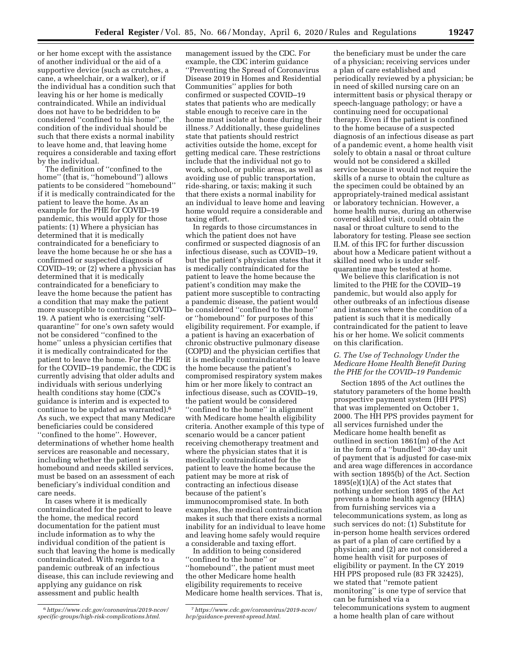or her home except with the assistance of another individual or the aid of a supportive device (such as crutches, a cane, a wheelchair, or a walker), or if the individual has a condition such that leaving his or her home is medically contraindicated. While an individual does not have to be bedridden to be considered ''confined to his home'', the condition of the individual should be such that there exists a normal inability to leave home and, that leaving home requires a considerable and taxing effort by the individual.

The definition of ''confined to the home'' (that is, ''homebound'') allows patients to be considered ''homebound'' if it is medically contraindicated for the patient to leave the home. As an example for the PHE for COVID–19 pandemic, this would apply for those patients: (1) Where a physician has determined that it is medically contraindicated for a beneficiary to leave the home because he or she has a confirmed or suspected diagnosis of COVID–19; or (2) where a physician has determined that it is medically contraindicated for a beneficiary to leave the home because the patient has a condition that may make the patient more susceptible to contracting COVID– 19. A patient who is exercising ''selfquarantine'' for one's own safety would not be considered ''confined to the home'' unless a physician certifies that it is medically contraindicated for the patient to leave the home. For the PHE for the COVID–19 pandemic, the CDC is currently advising that older adults and individuals with serious underlying health conditions stay home (CDC's guidance is interim and is expected to continue to be updated as warranted).6 As such, we expect that many Medicare beneficiaries could be considered ''confined to the home''. However, determinations of whether home health services are reasonable and necessary, including whether the patient is homebound and needs skilled services, must be based on an assessment of each beneficiary's individual condition and care needs.

In cases where it is medically contraindicated for the patient to leave the home, the medical record documentation for the patient must include information as to why the individual condition of the patient is such that leaving the home is medically contraindicated. With regards to a pandemic outbreak of an infectious disease, this can include reviewing and applying any guidance on risk assessment and public health

management issued by the CDC. For example, the CDC interim guidance ''Preventing the Spread of Coronavirus Disease 2019 in Homes and Residential Communities'' applies for both confirmed or suspected COVID–19 states that patients who are medically stable enough to receive care in the home must isolate at home during their illness.7 Additionally, these guidelines state that patients should restrict activities outside the home, except for getting medical care. These restrictions include that the individual not go to work, school, or public areas, as well as avoiding use of public transportation, ride-sharing, or taxis; making it such that there exists a normal inability for an individual to leave home and leaving home would require a considerable and taxing effort.

In regards to those circumstances in which the patient does not have confirmed or suspected diagnosis of an infectious disease, such as COVID–19, but the patient's physician states that it is medically contraindicated for the patient to leave the home because the patient's condition may make the patient more susceptible to contracting a pandemic disease, the patient would be considered ''confined to the home'' or ''homebound'' for purposes of this eligibility requirement. For example, if a patient is having an exacerbation of chronic obstructive pulmonary disease (COPD) and the physician certifies that it is medically contraindicated to leave the home because the patient's compromised respiratory system makes him or her more likely to contract an infectious disease, such as COVID–19, the patient would be considered ''confined to the home'' in alignment with Medicare home health eligibility criteria. Another example of this type of scenario would be a cancer patient receiving chemotherapy treatment and where the physician states that it is medically contraindicated for the patient to leave the home because the patient may be more at risk of contracting an infectious disease because of the patient's immunocompromised state. In both examples, the medical contraindication makes it such that there exists a normal inability for an individual to leave home and leaving home safely would require a considerable and taxing effort.

In addition to being considered ''confined to the home'' or ''homebound'', the patient must meet the other Medicare home health eligibility requirements to receive Medicare home health services. That is,

the beneficiary must be under the care of a physician; receiving services under a plan of care established and periodically reviewed by a physician; be in need of skilled nursing care on an intermittent basis or physical therapy or speech-language pathology; or have a continuing need for occupational therapy. Even if the patient is confined to the home because of a suspected diagnosis of an infectious disease as part of a pandemic event, a home health visit solely to obtain a nasal or throat culture would not be considered a skilled service because it would not require the skills of a nurse to obtain the culture as the specimen could be obtained by an appropriately-trained medical assistant or laboratory technician. However, a home health nurse, during an otherwise covered skilled visit, could obtain the nasal or throat culture to send to the laboratory for testing. Please see section II.M. of this IFC for further discussion about how a Medicare patient without a skilled need who is under selfquarantine may be tested at home.

We believe this clarification is not limited to the PHE for the COVID–19 pandemic, but would also apply for other outbreaks of an infectious disease and instances where the condition of a patient is such that it is medically contraindicated for the patient to leave his or her home. We solicit comments on this clarification.

### *G. The Use of Technology Under the Medicare Home Health Benefit During the PHE for the COVID–19 Pandemic*

Section 1895 of the Act outlines the statutory parameters of the home health prospective payment system (HH PPS) that was implemented on October 1, 2000. The HH PPS provides payment for all services furnished under the Medicare home health benefit as outlined in section 1861(m) of the Act in the form of a ''bundled'' 30-day unit of payment that is adjusted for case-mix and area wage differences in accordance with section 1895(b) of the Act. Section  $1895(e)(1)(A)$  of the Act states that nothing under section 1895 of the Act prevents a home health agency (HHA) from furnishing services via a telecommunications system, as long as such services do not: (1) Substitute for in-person home health services ordered as part of a plan of care certified by a physician; and (2) are not considered a home health visit for purposes of eligibility or payment. In the CY 2019 HH PPS proposed rule (83 FR 32425), we stated that ''remote patient monitoring'' is one type of service that can be furnished via a telecommunications system to augment a home health plan of care without

<sup>6</sup>*[https://www.cdc.gov/coronavirus/2019-ncov/](https://www.cdc.gov/coronavirus/2019-ncov/specific-groups/high-risk-complications.html)  [specific-groups/high-risk-complications.html.](https://www.cdc.gov/coronavirus/2019-ncov/specific-groups/high-risk-complications.html)* 

<sup>7</sup>*[https://www.cdc.gov/coronavirus/2019-ncov/](https://www.cdc.gov/coronavirus/2019-ncov/hcp/guidance-prevent-spread.html)  [hcp/guidance-prevent-spread.html.](https://www.cdc.gov/coronavirus/2019-ncov/hcp/guidance-prevent-spread.html)*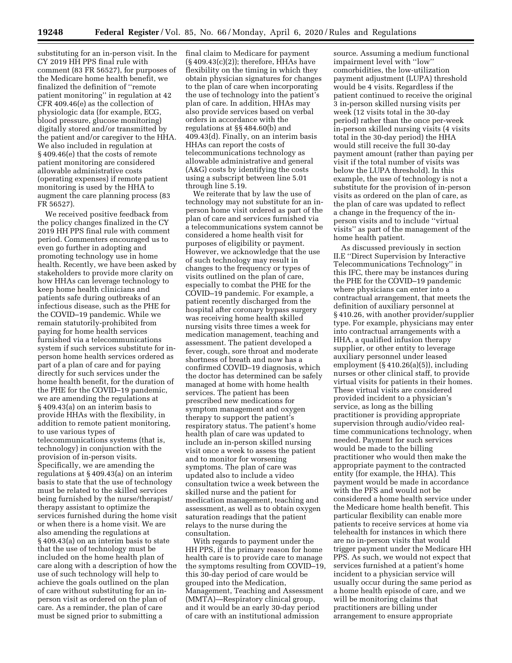substituting for an in-person visit. In the CY 2019 HH PPS final rule with comment (83 FR 56527), for purposes of the Medicare home health benefit, we finalized the definition of ''remote patient monitoring'' in regulation at 42 CFR 409.46(e) as the collection of physiologic data (for example, ECG, blood pressure, glucose monitoring) digitally stored and/or transmitted by the patient and/or caregiver to the HHA. We also included in regulation at § 409.46(e) that the costs of remote patient monitoring are considered allowable administrative costs (operating expenses) if remote patient monitoring is used by the HHA to augment the care planning process (83 FR 56527).

We received positive feedback from the policy changes finalized in the CY 2019 HH PPS final rule with comment period. Commenters encouraged us to even go further in adopting and promoting technology use in home health. Recently, we have been asked by stakeholders to provide more clarity on how HHAs can leverage technology to keep home health clinicians and patients safe during outbreaks of an infectious disease, such as the PHE for the COVID–19 pandemic. While we remain statutorily-prohibited from paying for home health services furnished via a telecommunications system if such services substitute for inperson home health services ordered as part of a plan of care and for paying directly for such services under the home health benefit, for the duration of the PHE for the COVID–19 pandemic, we are amending the regulations at § 409.43(a) on an interim basis to provide HHAs with the flexibility, in addition to remote patient monitoring, to use various types of telecommunications systems (that is, technology) in conjunction with the provision of in-person visits. Specifically, we are amending the regulations at § 409.43(a) on an interim basis to state that the use of technology must be related to the skilled services being furnished by the nurse/therapist/ therapy assistant to optimize the services furnished during the home visit or when there is a home visit. We are also amending the regulations at § 409.43(a) on an interim basis to state that the use of technology must be included on the home health plan of care along with a description of how the use of such technology will help to achieve the goals outlined on the plan of care without substituting for an inperson visit as ordered on the plan of care. As a reminder, the plan of care must be signed prior to submitting a

final claim to Medicare for payment  $(S409.43(c)(2))$ ; therefore, HHAs have flexibility on the timing in which they obtain physician signatures for changes to the plan of care when incorporating the use of technology into the patient's plan of care. In addition, HHAs may also provide services based on verbal orders in accordance with the regulations at §§ 484.60(b) and 409.43(d). Finally, on an interim basis HHAs can report the costs of telecommunications technology as allowable administrative and general (A&G) costs by identifying the costs using a subscript between line 5.01 through line 5.19.

We reiterate that by law the use of technology may not substitute for an inperson home visit ordered as part of the plan of care and services furnished via a telecommunications system cannot be considered a home health visit for purposes of eligibility or payment. However, we acknowledge that the use of such technology may result in changes to the frequency or types of visits outlined on the plan of care, especially to combat the PHE for the COVID–19 pandemic. For example, a patient recently discharged from the hospital after coronary bypass surgery was receiving home health skilled nursing visits three times a week for medication management, teaching and assessment. The patient developed a fever, cough, sore throat and moderate shortness of breath and now has a confirmed COVID–19 diagnosis, which the doctor has determined can be safely managed at home with home health services. The patient has been prescribed new medications for symptom management and oxygen therapy to support the patient's respiratory status. The patient's home health plan of care was updated to include an in-person skilled nursing visit once a week to assess the patient and to monitor for worsening symptoms. The plan of care was updated also to include a video consultation twice a week between the skilled nurse and the patient for medication management, teaching and assessment, as well as to obtain oxygen saturation readings that the patient relays to the nurse during the consultation.

With regards to payment under the HH PPS, if the primary reason for home health care is to provide care to manage the symptoms resulting from COVID–19, this 30-day period of care would be grouped into the Medication, Management, Teaching and Assessment (MMTA)—Respiratory clinical group, and it would be an early 30-day period of care with an institutional admission

source. Assuming a medium functional impairment level with ''low'' comorbidities, the low-utilization payment adjustment (LUPA) threshold would be 4 visits. Regardless if the patient continued to receive the original 3 in-person skilled nursing visits per week (12 visits total in the 30-day period) rather than the once per-week in-person skilled nursing visits (4 visits total in the 30-day period) the HHA would still receive the full 30-day payment amount (rather than paying per visit if the total number of visits was below the LUPA threshold). In this example, the use of technology is not a substitute for the provision of in-person visits as ordered on the plan of care, as the plan of care was updated to reflect a change in the frequency of the inperson visits and to include ''virtual visits'' as part of the management of the home health patient.

As discussed previously in section II.E ''Direct Supervision by Interactive Telecommunications Technology'' in this IFC, there may be instances during the PHE for the COVID–19 pandemic where physicians can enter into a contractual arrangement, that meets the definition of auxiliary personnel at § 410.26, with another provider/supplier type. For example, physicians may enter into contractual arrangements with a HHA, a qualified infusion therapy supplier, or other entity to leverage auxiliary personnel under leased employment (§ 410.26(a)(5)), including nurses or other clinical staff, to provide virtual visits for patients in their homes. These virtual visits are considered provided incident to a physician's service, as long as the billing practitioner is providing appropriate supervision through audio/video realtime communications technology, when needed. Payment for such services would be made to the billing practitioner who would then make the appropriate payment to the contracted entity (for example, the HHA). This payment would be made in accordance with the PFS and would not be considered a home health service under the Medicare home health benefit. This particular flexibility can enable more patients to receive services at home via telehealth for instances in which there are no in-person visits that would trigger payment under the Medicare HH PPS. As such, we would not expect that services furnished at a patient's home incident to a physician service will usually occur during the same period as a home health episode of care, and we will be monitoring claims that practitioners are billing under arrangement to ensure appropriate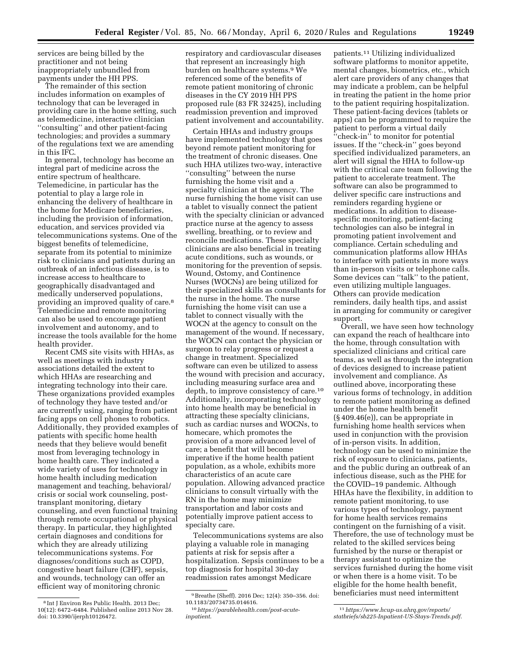services are being billed by the practitioner and not being inappropriately unbundled from payments under the HH PPS.

The remainder of this section includes information on examples of technology that can be leveraged in providing care in the home setting, such as telemedicine, interactive clinician ''consulting'' and other patient-facing technologies; and provides a summary of the regulations text we are amending in this IFC.

In general, technology has become an integral part of medicine across the entire spectrum of healthcare. Telemedicine, in particular has the potential to play a large role in enhancing the delivery of healthcare in the home for Medicare beneficiaries, including the provision of information, education, and services provided via telecommunications systems. One of the biggest benefits of telemedicine, separate from its potential to minimize risk to clinicians and patients during an outbreak of an infectious disease, is to increase access to healthcare to geographically disadvantaged and medically underserved populations, providing an improved quality of care.8 Telemedicine and remote monitoring can also be used to encourage patient involvement and autonomy, and to increase the tools available for the home health provider.

Recent CMS site visits with HHAs, as well as meetings with industry associations detailed the extent to which HHAs are researching and integrating technology into their care. These organizations provided examples of technology they have tested and/or are currently using, ranging from patient facing apps on cell phones to robotics. Additionally, they provided examples of patients with specific home health needs that they believe would benefit most from leveraging technology in home health care. They indicated a wide variety of uses for technology in home health including medication management and teaching, behavioral/ crisis or social work counseling, posttransplant monitoring, dietary counseling, and even functional training through remote occupational or physical therapy. In particular, they highlighted certain diagnoses and conditions for which they are already utilizing telecommunications systems. For diagnoses/conditions such as COPD, congestive heart failure (CHF), sepsis, and wounds, technology can offer an efficient way of monitoring chronic

respiratory and cardiovascular diseases that represent an increasingly high burden on healthcare systems.9 We referenced some of the benefits of remote patient monitoring of chronic diseases in the CY 2019 HH PPS proposed rule (83 FR 32425), including readmission prevention and improved patient involvement and accountability.

Certain HHAs and industry groups have implemented technology that goes beyond remote patient monitoring for the treatment of chronic diseases. One such HHA utilizes two-way, interactive ''consulting'' between the nurse furnishing the home visit and a specialty clinician at the agency. The nurse furnishing the home visit can use a tablet to visually connect the patient with the specialty clinician or advanced practice nurse at the agency to assess swelling, breathing, or to review and reconcile medications. These specialty clinicians are also beneficial in treating acute conditions, such as wounds, or monitoring for the prevention of sepsis. Wound, Ostomy, and Continence Nurses (WOCNs) are being utilized for their specialized skills as consultants for the nurse in the home. The nurse furnishing the home visit can use a tablet to connect visually with the WOCN at the agency to consult on the management of the wound. If necessary, the WOCN can contact the physician or surgeon to relay progress or request a change in treatment. Specialized software can even be utilized to assess the wound with precision and accuracy, including measuring surface area and depth, to improve consistency of care.10 Additionally, incorporating technology into home health may be beneficial in attracting these specialty clinicians, such as cardiac nurses and WOCNs, to homecare, which promotes the provision of a more advanced level of care; a benefit that will become imperative if the home health patient population, as a whole, exhibits more characteristics of an acute care population. Allowing advanced practice clinicians to consult virtually with the RN in the home may minimize transportation and labor costs and potentially improve patient access to specialty care.

Telecommunications systems are also playing a valuable role in managing patients at risk for sepsis after a hospitalization. Sepsis continues to be a top diagnosis for hospital 30-day readmission rates amongst Medicare

patients.11 Utilizing individualized software platforms to monitor appetite, mental changes, biometrics, etc., which alert care providers of any changes that may indicate a problem, can be helpful in treating the patient in the home prior to the patient requiring hospitalization. These patient-facing devices (tablets or apps) can be programmed to require the patient to perform a virtual daily ''check-in'' to monitor for potential issues. If the ''check-in'' goes beyond specified individualized parameters, an alert will signal the HHA to follow-up with the critical care team following the patient to accelerate treatment. The software can also be programmed to deliver specific care instructions and reminders regarding hygiene or medications. In addition to diseasespecific monitoring, patient-facing technologies can also be integral in promoting patient involvement and compliance. Certain scheduling and communication platforms allow HHAs to interface with patients in more ways than in-person visits or telephone calls. Some devices can ''talk'' to the patient, even utilizing multiple languages. Others can provide medication reminders, daily health tips, and assist in arranging for community or caregiver support.

Overall, we have seen how technology can expand the reach of healthcare into the home, through consultation with specialized clinicians and critical care teams, as well as through the integration of devices designed to increase patient involvement and compliance. As outlined above, incorporating these various forms of technology, in addition to remote patient monitoring as defined under the home health benefit (§ 409.46(e)), can be appropriate in furnishing home health services when used in conjunction with the provision of in-person visits. In addition, technology can be used to minimize the risk of exposure to clinicians, patients, and the public during an outbreak of an infectious disease, such as the PHE for the COVID–19 pandemic. Although HHAs have the flexibility, in addition to remote patient monitoring, to use various types of technology, payment for home health services remains contingent on the furnishing of a visit. Therefore, the use of technology must be related to the skilled services being furnished by the nurse or therapist or therapy assistant to optimize the services furnished during the home visit or when there is a home visit. To be eligible for the home health benefit, beneficiaries must need intermittent

<sup>8</sup> Int J Environ Res Public Health. 2013 Dec; 10(12): 6472–6484. Published online 2013 Nov 28. doi: 10.3390/ijerph10126472.

<sup>9</sup>Breathe (Sheff). 2016 Dec; 12(4): 350–356. doi: 10.1183/20734735.014616.

<sup>10</sup>*[https://parablehealth.com/post-acute](https://parablehealth.com/post-acute-inpatient)[inpatient](https://parablehealth.com/post-acute-inpatient)*.

<sup>11</sup>*[https://www.hcup-us.ahrq.gov/reports/](https://www.hcup-us.ahrq.gov/reports/statbriefs/sb225-Inpatient-US-Stays-Trends.pdf)  [statbriefs/sb225-Inpatient-US-Stays-Trends.pdf](https://www.hcup-us.ahrq.gov/reports/statbriefs/sb225-Inpatient-US-Stays-Trends.pdf)*.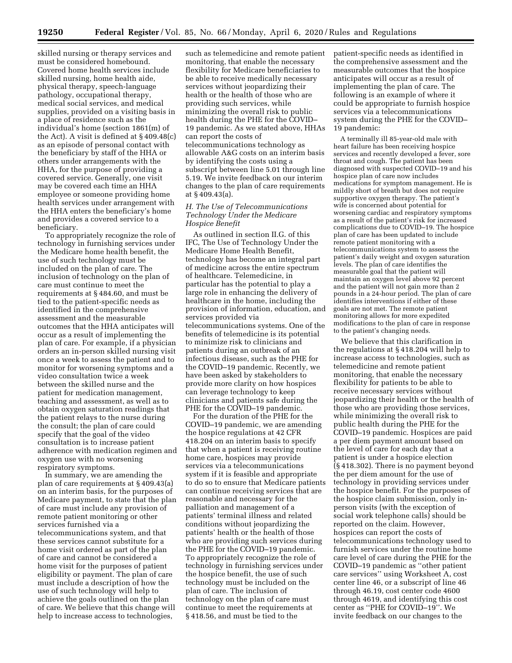skilled nursing or therapy services and must be considered homebound. Covered home health services include skilled nursing, home health aide, physical therapy, speech-language pathology, occupational therapy, medical social services, and medical supplies, provided on a visiting basis in a place of residence such as the individual's home (section 1861(m) of the Act). A visit is defined at § 409.48(c) as an episode of personal contact with the beneficiary by staff of the HHA or others under arrangements with the HHA, for the purpose of providing a covered service. Generally, one visit may be covered each time an HHA employee or someone providing home health services under arrangement with the HHA enters the beneficiary's home and provides a covered service to a beneficiary.

To appropriately recognize the role of technology in furnishing services under the Medicare home health benefit, the use of such technology must be included on the plan of care. The inclusion of technology on the plan of care must continue to meet the requirements at § 484.60, and must be tied to the patient-specific needs as identified in the comprehensive assessment and the measurable outcomes that the HHA anticipates will occur as a result of implementing the plan of care. For example, if a physician orders an in-person skilled nursing visit once a week to assess the patient and to monitor for worsening symptoms and a video consultation twice a week between the skilled nurse and the patient for medication management, teaching and assessment, as well as to obtain oxygen saturation readings that the patient relays to the nurse during the consult; the plan of care could specify that the goal of the video consultation is to increase patient adherence with medication regimen and oxygen use with no worsening respiratory symptoms.

In summary, we are amending the plan of care requirements at § 409.43(a) on an interim basis, for the purposes of Medicare payment, to state that the plan of care must include any provision of remote patient monitoring or other services furnished via a telecommunications system, and that these services cannot substitute for a home visit ordered as part of the plan of care and cannot be considered a home visit for the purposes of patient eligibility or payment. The plan of care must include a description of how the use of such technology will help to achieve the goals outlined on the plan of care. We believe that this change will help to increase access to technologies,

such as telemedicine and remote patient monitoring, that enable the necessary flexibility for Medicare beneficiaries to be able to receive medically necessary services without jeopardizing their health or the health of those who are providing such services, while minimizing the overall risk to public health during the PHE for the COVID– 19 pandemic. As we stated above, HHAs can report the costs of telecommunications technology as allowable A&G costs on an interim basis by identifying the costs using a subscript between line 5.01 through line 5.19. We invite feedback on our interim changes to the plan of care requirements at § 409.43(a).

# *H. The Use of Telecommunications Technology Under the Medicare Hospice Benefit*

As outlined in section II.G. of this IFC, The Use of Technology Under the Medicare Home Health Benefit, technology has become an integral part of medicine across the entire spectrum of healthcare. Telemedicine, in particular has the potential to play a large role in enhancing the delivery of healthcare in the home, including the provision of information, education, and services provided via telecommunications systems. One of the benefits of telemedicine is its potential to minimize risk to clinicians and patients during an outbreak of an infectious disease, such as the PHE for the COVID–19 pandemic. Recently, we have been asked by stakeholders to provide more clarity on how hospices can leverage technology to keep clinicians and patients safe during the PHE for the COVID-19 pandemic.

For the duration of the PHE for the COVID–19 pandemic, we are amending the hospice regulations at 42 CFR 418.204 on an interim basis to specify that when a patient is receiving routine home care, hospices may provide services via a telecommunications system if it is feasible and appropriate to do so to ensure that Medicare patients can continue receiving services that are reasonable and necessary for the palliation and management of a patients' terminal illness and related conditions without jeopardizing the patients' health or the health of those who are providing such services during the PHE for the COVID–19 pandemic. To appropriately recognize the role of technology in furnishing services under the hospice benefit, the use of such technology must be included on the plan of care. The inclusion of technology on the plan of care must continue to meet the requirements at § 418.56, and must be tied to the

patient-specific needs as identified in the comprehensive assessment and the measurable outcomes that the hospice anticipates will occur as a result of implementing the plan of care. The following is an example of where it could be appropriate to furnish hospice services via a telecommunications system during the PHE for the COVID– 19 pandemic:

A terminally ill 85-year-old male with heart failure has been receiving hospice services and recently developed a fever, sore throat and cough. The patient has been diagnosed with suspected COVID–19 and his hospice plan of care now includes medications for symptom management. He is mildly short of breath but does not require supportive oxygen therapy. The patient's wife is concerned about potential for worsening cardiac and respiratory symptoms as a result of the patient's risk for increased complications due to COVID–19. The hospice plan of care has been updated to include remote patient monitoring with a telecommunications system to assess the patient's daily weight and oxygen saturation levels. The plan of care identifies the measurable goal that the patient will maintain an oxygen level above 92 percent and the patient will not gain more than 2 pounds in a 24-hour period. The plan of care identifies interventions if either of these goals are not met. The remote patient monitoring allows for more expedited modifications to the plan of care in response to the patient's changing needs.

We believe that this clarification in the regulations at § 418.204 will help to increase access to technologies, such as telemedicine and remote patient monitoring, that enable the necessary flexibility for patients to be able to receive necessary services without jeopardizing their health or the health of those who are providing those services, while minimizing the overall risk to public health during the PHE for the COVID–19 pandemic. Hospices are paid a per diem payment amount based on the level of care for each day that a patient is under a hospice election (§ 418.302). There is no payment beyond the per diem amount for the use of technology in providing services under the hospice benefit. For the purposes of the hospice claim submission, only inperson visits (with the exception of social work telephone calls) should be reported on the claim. However, hospices can report the costs of telecommunications technology used to furnish services under the routine home care level of care during the PHE for the COVID–19 pandemic as ''other patient care services'' using Worksheet A, cost center line 46, or a subscript of line 46 through 46.19, cost center code 4600 through 4619, and identifying this cost center as ''PHE for COVID–19''. We invite feedback on our changes to the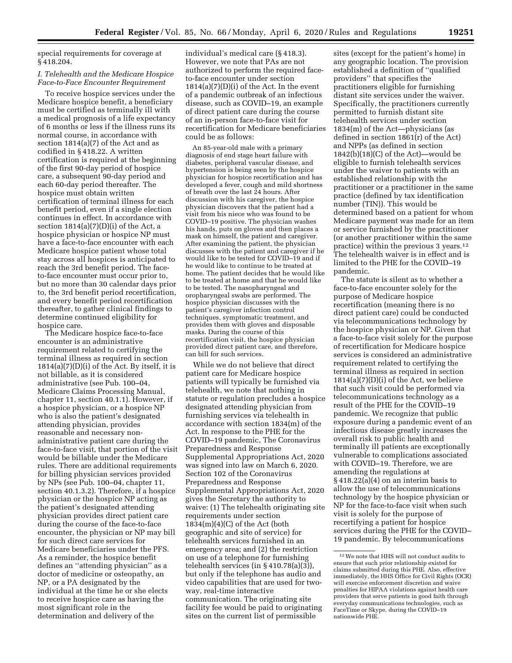special requirements for coverage at § 418.204.

### *I. Telehealth and the Medicare Hospice Face-to-Face Encounter Requirement*

To receive hospice services under the Medicare hospice benefit, a beneficiary must be certified as terminally ill with a medical prognosis of a life expectancy of 6 months or less if the illness runs its normal course, in accordance with section 1814(a)(7) of the Act and as codified in § 418.22. A written certification is required at the beginning of the first 90-day period of hospice care, a subsequent 90-day period and each 60-day period thereafter. The hospice must obtain written certification of terminal illness for each benefit period, even if a single election continues in effect. In accordance with section  $1814(a)(7)(D)(i)$  of the Act, a hospice physician or hospice NP must have a face-to-face encounter with each Medicare hospice patient whose total stay across all hospices is anticipated to reach the 3rd benefit period. The faceto-face encounter must occur prior to, but no more than 30 calendar days prior to, the 3rd benefit period recertification, and every benefit period recertification thereafter, to gather clinical findings to determine continued eligibility for hospice care.

The Medicare hospice face-to-face encounter is an administrative requirement related to certifying the terminal illness as required in section  $1814(a)(7)(D)(i)$  of the Act. By itself, it is not billable, as it is considered administrative (see Pub. 100–04, Medicare Claims Processing Manual, chapter 11, section 40.1.1). However, if a hospice physician, or a hospice NP who is also the patient's designated attending physician, provides reasonable and necessary nonadministrative patient care during the face-to-face visit, that portion of the visit would be billable under the Medicare rules. There are additional requirements for billing physician services provided by NPs (see Pub. 100–04, chapter 11, section 40.1.3.2). Therefore, if a hospice physician or the hospice NP acting as the patient's designated attending physician provides direct patient care during the course of the face-to-face encounter, the physician or NP may bill for such direct care services for Medicare beneficiaries under the PFS. As a reminder, the hospice benefit defines an ''attending physician'' as a doctor of medicine or osteopathy, an NP, or a PA designated by the individual at the time he or she elects to receive hospice care as having the most significant role in the determination and delivery of the

individual's medical care (§ 418.3). However, we note that PAs are not authorized to perform the required faceto-face encounter under section  $1814(a)(7)(D)(i)$  of the Act. In the event of a pandemic outbreak of an infectious disease, such as COVID–19, an example of direct patient care during the course of an in-person face-to-face visit for recertification for Medicare beneficiaries could be as follows:

An 85-year-old male with a primary diagnosis of end stage heart failure with diabetes, peripheral vascular disease, and hypertension is being seen by the hospice physician for hospice recertification and has developed a fever, cough and mild shortness of breath over the last 24 hours. After discussion with his caregiver, the hospice physician discovers that the patient had a visit from his niece who was found to be COVID–19 positive. The physician washes his hands, puts on gloves and then places a mask on himself, the patient and caregiver. After examining the patient, the physician discusses with the patient and caregiver if he would like to be tested for COVID–19 and if he would like to continue to be treated at home. The patient decides that he would like to be treated at home and that he would like to be tested. The nasopharyngeal and oropharyngeal swabs are performed. The hospice physician discusses with the patient's caregiver infection control techniques, symptomatic treatment, and provides them with gloves and disposable masks. During the course of this recertification visit, the hospice physician provided direct patient care, and therefore, can bill for such services.

While we do not believe that direct patient care for Medicare hospice patients will typically be furnished via telehealth, we note that nothing in statute or regulation precludes a hospice designated attending physician from furnishing services via telehealth in accordance with section 1834(m) of the Act. In response to the PHE for the COVID–19 pandemic, The Coronavirus Preparedness and Response Supplemental Appropriations Act, 2020 was signed into law on March 6, 2020. Section 102 of the Coronavirus Preparedness and Response Supplemental Appropriations Act, 2020 gives the Secretary the authority to waive: (1) The telehealth originating site requirements under section  $1834(m)(4)(C)$  of the Act (both geographic and site of service) for telehealth services furnished in an emergency area; and (2) the restriction on use of a telephone for furnishing telehealth services (in § 410.78(a)(3)), but only if the telephone has audio and video capabilities that are used for twoway, real-time interactive communication. The originating site facility fee would be paid to originating sites on the current list of permissible

sites (except for the patient's home) in any geographic location. The provision established a definition of ''qualified providers'' that specifies the practitioners eligible for furnishing distant site services under the waiver. Specifically, the practitioners currently permitted to furnish distant site telehealth services under section 1834(m) of the Act—physicians (as defined in section 1861(r) of the Act) and NPPs (as defined in section  $1842(b)(18)(C)$  of the Act)—would be eligible to furnish telehealth services under the waiver to patients with an established relationship with the practitioner or a practitioner in the same practice (defined by tax identification number (TIN)). This would be determined based on a patient for whom Medicare payment was made for an item or service furnished by the practitioner (or another practitioner within the same practice) within the previous 3 years.12 The telehealth waiver is in effect and is limited to the PHE for the COVID–19 pandemic.

The statute is silent as to whether a face-to-face encounter solely for the purpose of Medicare hospice recertification (meaning there is no direct patient care) could be conducted via telecommunications technology by the hospice physician or NP. Given that a face-to-face visit solely for the purpose of recertification for Medicare hospice services is considered an administrative requirement related to certifying the terminal illness as required in section  $1814(a)(7)(D)(i)$  of the Act, we believe that such visit could be performed via telecommunications technology as a result of the PHE for the COVID–19 pandemic. We recognize that public exposure during a pandemic event of an infectious disease greatly increases the overall risk to public health and terminally ill patients are exceptionally vulnerable to complications associated with COVID–19. Therefore, we are amending the regulations at § 418.22(a)(4) on an interim basis to allow the use of telecommunications technology by the hospice physician or NP for the face-to-face visit when such visit is solely for the purpose of recertifying a patient for hospice services during the PHE for the COVID– 19 pandemic. By telecommunications

<sup>12</sup>We note that HHS will not conduct audits to ensure that such prior relationship existed for claims submitted during this PHE. Also, effective immediately, the HHS Office for Civil Rights (OCR) will exercise enforcement discretion and waive penalties for HIPAA violations against health care providers that serve patients in good faith through everyday communications technologies, such as FaceTime or Skype, during the COVID–19 nationwide PHE.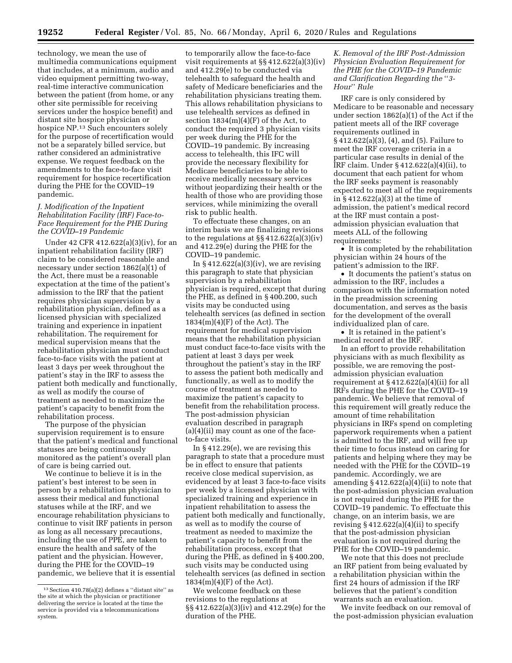technology, we mean the use of multimedia communications equipment that includes, at a minimum, audio and video equipment permitting two-way, real-time interactive communication between the patient (from home, or any other site permissible for receiving services under the hospice benefit) and distant site hospice physician or hospice NP.13 Such encounters solely for the purpose of recertification would not be a separately billed service, but rather considered an administrative expense. We request feedback on the amendments to the face-to-face visit requirement for hospice recertification during the PHE for the COVID–19 pandemic.

# *J. Modification of the Inpatient Rehabilitation Facility (IRF) Face-to-Face Requirement for the PHE During the COVID–19 Pandemic*

Under 42 CFR 412.622(a)(3)(iv), for an inpatient rehabilitation facility (IRF) claim to be considered reasonable and necessary under section 1862(a)(1) of the Act, there must be a reasonable expectation at the time of the patient's admission to the IRF that the patient requires physician supervision by a rehabilitation physician, defined as a licensed physician with specialized training and experience in inpatient rehabilitation. The requirement for medical supervision means that the rehabilitation physician must conduct face-to-face visits with the patient at least 3 days per week throughout the patient's stay in the IRF to assess the patient both medically and functionally, as well as modify the course of treatment as needed to maximize the patient's capacity to benefit from the rehabilitation process.

The purpose of the physician supervision requirement is to ensure that the patient's medical and functional statuses are being continuously monitored as the patient's overall plan of care is being carried out.

We continue to believe it is in the patient's best interest to be seen in person by a rehabilitation physician to assess their medical and functional statuses while at the IRF, and we encourage rehabilitation physicians to continue to visit IRF patients in person as long as all necessary precautions, including the use of PPE, are taken to ensure the health and safety of the patient and the physician. However, during the PHE for the COVID–19 pandemic, we believe that it is essential

to temporarily allow the face-to-face visit requirements at §§ 412.622(a)(3)(iv) and 412.29(e) to be conducted via telehealth to safeguard the health and safety of Medicare beneficiaries and the rehabilitation physicians treating them. This allows rehabilitation physicians to use telehealth services as defined in section  $1834(m)(4)(F)$  of the Act, to conduct the required 3 physician visits per week during the PHE for the COVID–19 pandemic. By increasing access to telehealth, this IFC will provide the necessary flexibility for Medicare beneficiaries to be able to receive medically necessary services without jeopardizing their health or the health of those who are providing those services, while minimizing the overall risk to public health.

To effectuate these changes, on an interim basis we are finalizing revisions to the regulations at §§ 412.622(a)(3)(iv) and 412.29(e) during the PHE for the COVID–19 pandemic.

In  $§$  412.622(a)(3)(iv), we are revising this paragraph to state that physician supervision by a rehabilitation physician is required, except that during the PHE, as defined in § 400.200, such visits may be conducted using telehealth services (as defined in section  $1834(m)(4)(F)$  of the Act). The requirement for medical supervision means that the rehabilitation physician must conduct face-to-face visits with the patient at least 3 days per week throughout the patient's stay in the IRF to assess the patient both medically and functionally, as well as to modify the course of treatment as needed to maximize the patient's capacity to benefit from the rehabilitation process. The post-admission physician evaluation described in paragraph  $(a)(4)(ii)$  may count as one of the faceto-face visits.

In § 412.29(e), we are revising this paragraph to state that a procedure must be in effect to ensure that patients receive close medical supervision, as evidenced by at least 3 face-to-face visits per week by a licensed physician with specialized training and experience in inpatient rehabilitation to assess the patient both medically and functionally, as well as to modify the course of treatment as needed to maximize the patient's capacity to benefit from the rehabilitation process, except that during the PHE, as defined in § 400.200, such visits may be conducted using telehealth services (as defined in section 1834(m)(4)(F) of the Act).

We welcome feedback on these revisions to the regulations at §§ 412.622(a)(3)(iv) and 412.29(e) for the duration of the PHE.

# *K. Removal of the IRF Post-Admission Physician Evaluation Requirement for the PHE for the COVID–19 Pandemic and Clarification Regarding the* ''*3- Hour*'' *Rule*

IRF care is only considered by Medicare to be reasonable and necessary under section 1862(a)(1) of the Act if the patient meets all of the IRF coverage requirements outlined in § 412.622(a)(3), (4), and (5). Failure to meet the IRF coverage criteria in a particular case results in denial of the IRF claim. Under § 412.622(a)(4)(ii), to document that each patient for whom the IRF seeks payment is reasonably expected to meet all of the requirements in § 412.622(a)(3) at the time of admission, the patient's medical record at the IRF must contain a postadmission physician evaluation that meets ALL of the following requirements:

• It is completed by the rehabilitation physician within 24 hours of the patient's admission to the IRF.

• It documents the patient's status on admission to the IRF, includes a comparison with the information noted in the preadmission screening documentation, and serves as the basis for the development of the overall individualized plan of care.

• It is retained in the patient's medical record at the IRF.

In an effort to provide rehabilitation physicians with as much flexibility as possible, we are removing the postadmission physician evaluation requirement at  $\S 412.622(a)(4)(ii)$  for all IRFs during the PHE for the COVID–19 pandemic. We believe that removal of this requirement will greatly reduce the amount of time rehabilitation physicians in IRFs spend on completing paperwork requirements when a patient is admitted to the IRF, and will free up their time to focus instead on caring for patients and helping where they may be needed with the PHE for the COVID–19 pandemic. Accordingly, we are amending  $\S 412.622(a)(4)(ii)$  to note that the post-admission physician evaluation is not required during the PHE for the COVID–19 pandemic. To effectuate this change, on an interim basis, we are revising  $§$  412.622(a)(4)(ii) to specify that the post-admission physician evaluation is not required during the PHE for the COVID–19 pandemic.

We note that this does not preclude an IRF patient from being evaluated by a rehabilitation physician within the first 24 hours of admission if the IRF believes that the patient's condition warrants such an evaluation.

We invite feedback on our removal of the post-admission physician evaluation

 $13$  Section 410.78(a)(2) defines a "distant site" as the site at which the physician or practitioner delivering the service is located at the time the service is provided via a telecommunications system.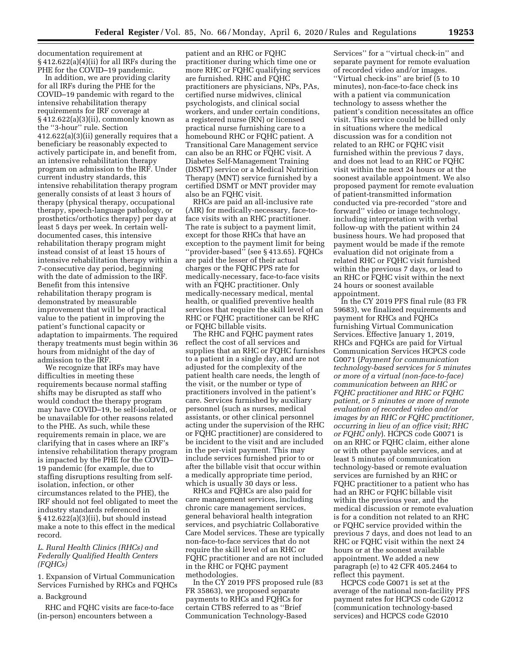documentation requirement at  $\S 412.622(a)(4)(ii)$  for all IRFs during the PHE for the COVID–19 pandemic.

In addition, we are providing clarity for all IRFs during the PHE for the COVID–19 pandemic with regard to the intensive rehabilitation therapy requirements for IRF coverage at § 412.622(a)(3)(ii), commonly known as the ''3-hour'' rule. Section 412.622(a)(3)(ii) generally requires that a beneficiary be reasonably expected to actively participate in, and benefit from, an intensive rehabilitation therapy program on admission to the IRF. Under current industry standards, this intensive rehabilitation therapy program generally consists of at least 3 hours of therapy (physical therapy, occupational therapy, speech-language pathology, or prosthetics/orthotics therapy) per day at least 5 days per week. In certain welldocumented cases, this intensive rehabilitation therapy program might instead consist of at least 15 hours of intensive rehabilitation therapy within a 7-consecutive day period, beginning with the date of admission to the IRF. Benefit from this intensive rehabilitation therapy program is demonstrated by measurable improvement that will be of practical value to the patient in improving the patient's functional capacity or adaptation to impairments. The required therapy treatments must begin within 36 hours from midnight of the day of admission to the IRF.

We recognize that IRFs may have difficulties in meeting these requirements because normal staffing shifts may be disrupted as staff who would conduct the therapy program may have COVID–19, be self-isolated, or be unavailable for other reasons related to the PHE. As such, while these requirements remain in place, we are clarifying that in cases where an IRF's intensive rehabilitation therapy program is impacted by the PHE for the COVID– 19 pandemic (for example, due to staffing disruptions resulting from selfisolation, infection, or other circumstances related to the PHE), the IRF should not feel obligated to meet the industry standards referenced in § 412.622(a)(3)(ii), but should instead make a note to this effect in the medical record.

## *L. Rural Health Clinics (RHCs) and Federally Qualified Health Centers (FQHCs)*

1. Expansion of Virtual Communication Services Furnished by RHCs and FQHCs

# a. Background

RHC and FQHC visits are face-to-face (in-person) encounters between a

patient and an RHC or FQHC practitioner during which time one or more RHC or FQHC qualifying services are furnished. RHC and FQHC practitioners are physicians, NPs, PAs, certified nurse midwives, clinical psychologists, and clinical social workers, and under certain conditions, a registered nurse (RN) or licensed practical nurse furnishing care to a homebound RHC or FQHC patient. A Transitional Care Management service can also be an RHC or FQHC visit. A Diabetes Self-Management Training (DSMT) service or a Medical Nutrition Therapy (MNT) service furnished by a certified DSMT or MNT provider may also be an FQHC visit.

RHCs are paid an all-inclusive rate (AIR) for medically-necessary, face-toface visits with an RHC practitioner. The rate is subject to a payment limit, except for those RHCs that have an exception to the payment limit for being ''provider-based'' (see § 413.65). FQHCs are paid the lesser of their actual charges or the FQHC PPS rate for medically-necessary, face-to-face visits with an FQHC practitioner. Only medically-necessary medical, mental health, or qualified preventive health services that require the skill level of an RHC or FQHC practitioner can be RHC or FQHC billable visits.

The RHC and FQHC payment rates reflect the cost of all services and supplies that an RHC or FQHC furnishes to a patient in a single day, and are not adjusted for the complexity of the patient health care needs, the length of the visit, or the number or type of practitioners involved in the patient's care. Services furnished by auxiliary personnel (such as nurses, medical assistants, or other clinical personnel acting under the supervision of the RHC or FQHC practitioner) are considered to be incident to the visit and are included in the per-visit payment. This may include services furnished prior to or after the billable visit that occur within a medically appropriate time period, which is usually 30 days or less.

RHCs and FQHCs are also paid for care management services, including chronic care management services, general behavioral health integration services, and psychiatric Collaborative Care Model services. These are typically non-face-to-face services that do not require the skill level of an RHC or FQHC practitioner and are not included in the RHC or FQHC payment methodologies.

In the CY 2019 PFS proposed rule (83 FR 35863), we proposed separate payments to RHCs and FQHCs for certain CTBS referred to as ''Brief Communication Technology-Based

Services'' for a ''virtual check-in'' and separate payment for remote evaluation of recorded video and/or images. ''Virtual check-ins'' are brief (5 to 10 minutes), non-face-to-face check ins with a patient via communication technology to assess whether the patient's condition necessitates an office visit. This service could be billed only in situations where the medical discussion was for a condition not related to an RHC or FQHC visit furnished within the previous 7 days, and does not lead to an RHC or FQHC visit within the next 24 hours or at the soonest available appointment. We also proposed payment for remote evaluation of patient-transmitted information conducted via pre-recorded ''store and forward'' video or image technology, including interpretation with verbal follow-up with the patient within 24 business hours. We had proposed that payment would be made if the remote evaluation did not originate from a related RHC or FQHC visit furnished within the previous 7 days, or lead to an RHC or FQHC visit within the next 24 hours or soonest available appointment.

In the CY 2019 PFS final rule (83 FR 59683), we finalized requirements and payment for RHCs and FQHCs furnishing Virtual Communication Services. Effective January 1, 2019, RHCs and FQHCs are paid for Virtual Communication Services HCPCS code G0071 (*Payment for communication technology-based services for 5 minutes or more of a virtual (non-face-to-face) communication between an RHC or FQHC practitioner and RHC or FQHC patient, or 5 minutes or more of remote evaluation of recorded video and/or images by an RHC or FQHC practitioner, occurring in lieu of an office visit; RHC or FQHC only*). HCPCS code G0071 is on an RHC or FQHC claim, either alone or with other payable services, and at least 5 minutes of communication technology-based or remote evaluation services are furnished by an RHC or FQHC practitioner to a patient who has had an RHC or FQHC billable visit within the previous year, and the medical discussion or remote evaluation is for a condition not related to an RHC or FQHC service provided within the previous 7 days, and does not lead to an RHC or FQHC visit within the next 24 hours or at the soonest available appointment. We added a new paragraph (e) to 42 CFR 405.2464 to reflect this payment.

HCPCS code G0071 is set at the average of the national non-facility PFS payment rates for HCPCS code G2012 (communication technology-based services) and HCPCS code G2010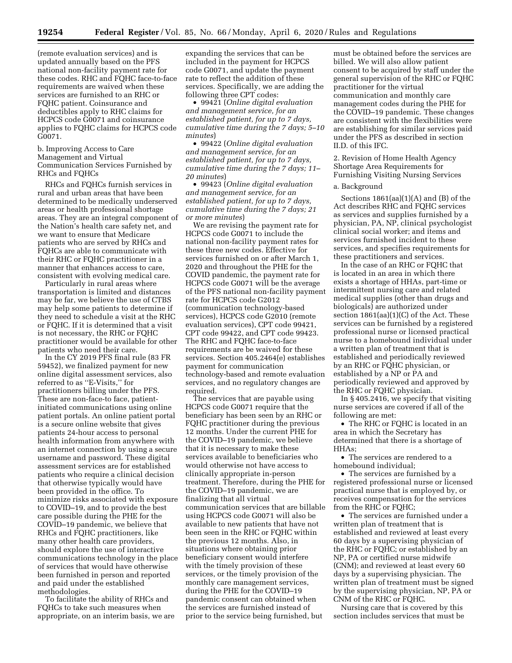(remote evaluation services) and is updated annually based on the PFS national non-facility payment rate for these codes. RHC and FQHC face-to-face requirements are waived when these services are furnished to an RHC or FQHC patient. Coinsurance and deductibles apply to RHC claims for HCPCS code G0071 and coinsurance applies to FQHC claims for HCPCS code G0071.

### b. Improving Access to Care Management and Virtual Communication Services Furnished by RHCs and FQHCs

RHCs and FQHCs furnish services in rural and urban areas that have been determined to be medically underserved areas or health professional shortage areas. They are an integral component of the Nation's health care safety net, and we want to ensure that Medicare patients who are served by RHCs and FQHCs are able to communicate with their RHC or FQHC practitioner in a manner that enhances access to care, consistent with evolving medical care.

Particularly in rural areas where transportation is limited and distances may be far, we believe the use of CTBS may help some patients to determine if they need to schedule a visit at the RHC or FQHC. If it is determined that a visit is not necessary, the RHC or FQHC practitioner would be available for other patients who need their care.

In the CY 2019 PFS final rule (83 FR 59452), we finalized payment for new online digital assessment services, also referred to as ''E-Visits,'' for practitioners billing under the PFS. These are non-face-to face, patientinitiated communications using online patient portals. An online patient portal is a secure online website that gives patients 24-hour access to personal health information from anywhere with an internet connection by using a secure username and password. These digital assessment services are for established patients who require a clinical decision that otherwise typically would have been provided in the office. To minimize risks associated with exposure to COVID–19, and to provide the best care possible during the PHE for the COVID–19 pandemic, we believe that RHCs and FQHC practitioners, like many other health care providers, should explore the use of interactive communications technology in the place of services that would have otherwise been furnished in person and reported and paid under the established methodologies.

To facilitate the ability of RHCs and FQHCs to take such measures when appropriate, on an interim basis, we are

expanding the services that can be included in the payment for HCPCS code G0071, and update the payment rate to reflect the addition of these services. Specifically, we are adding the following three CPT codes:

• 99421 (*Online digital evaluation and management service, for an established patient, for up to 7 days, cumulative time during the 7 days; 5–10 minutes*)

• 99422 (*Online digital evaluation and management service, for an established patient, for up to 7 days, cumulative time during the 7 days; 11– 20 minutes*)

• 99423 (*Online digital evaluation and management service, for an established patient, for up to 7 days, cumulative time during the 7 days; 21 or more minutes*)

We are revising the payment rate for HCPCS code G0071 to include the national non-facility payment rates for these three new codes. Effective for services furnished on or after March 1, 2020 and throughout the PHE for the COVID pandemic, the payment rate for HCPCS code G0071 will be the average of the PFS national non-facility payment rate for HCPCS code G2012 (communication technology-based services), HCPCS code G2010 (remote evaluation services), CPT code 99421, CPT code 99422, and CPT code 99423. The RHC and FQHC face-to-face requirements are be waived for these services. Section 405.2464(e) establishes payment for communication technology-based and remote evaluation services, and no regulatory changes are required.

The services that are payable using HCPCS code G0071 require that the beneficiary has been seen by an RHC or FQHC practitioner during the previous 12 months. Under the current PHE for the COVID–19 pandemic, we believe that it is necessary to make these services available to beneficiaries who would otherwise not have access to clinically appropriate in-person treatment. Therefore, during the PHE for the COVID–19 pandemic, we are finalizing that all virtual communication services that are billable using HCPCS code G0071 will also be available to new patients that have not been seen in the RHC or FQHC within the previous 12 months. Also, in situations where obtaining prior beneficiary consent would interfere with the timely provision of these services, or the timely provision of the monthly care management services, during the PHE for the COVID–19 pandemic consent can obtained when the services are furnished instead of prior to the service being furnished, but

must be obtained before the services are billed. We will also allow patient consent to be acquired by staff under the general supervision of the RHC or FQHC practitioner for the virtual communication and monthly care management codes during the PHE for the COVID–19 pandemic. These changes are consistent with the flexibilities were are establishing for similar services paid under the PFS as described in section II.D. of this IFC.

2. Revision of Home Health Agency Shortage Area Requirements for Furnishing Visiting Nursing Services

#### a. Background

Sections  $1861(aa)(1)(A)$  and  $(B)$  of the Act describes RHC and FQHC services as services and supplies furnished by a physician, PA, NP, clinical psychologist clinical social worker; and items and services furnished incident to these services, and specifies requirements for these practitioners and services.

In the case of an RHC or FQHC that is located in an area in which there exists a shortage of HHAs, part-time or intermittent nursing care and related medical supplies (other than drugs and biologicals) are authorized under section 1861(aa)(1)(C) of the Act. These services can be furnished by a registered professional nurse or licensed practical nurse to a homebound individual under a written plan of treatment that is established and periodically reviewed by an RHC or FQHC physician, or established by a NP or PA and periodically reviewed and approved by the RHC or FQHC physician.

In § 405.2416, we specify that visiting nurse services are covered if all of the following are met:

• The RHC or FQHC is located in an area in which the Secretary has determined that there is a shortage of HHAs;

• The services are rendered to a homebound individual;

• The services are furnished by a registered professional nurse or licensed practical nurse that is employed by, or receives compensation for the services from the RHC or FQHC;

• The services are furnished under a written plan of treatment that is established and reviewed at least every 60 days by a supervising physician of the RHC or FQHC; or established by an NP, PA or certified nurse midwife (CNM); and reviewed at least every 60 days by a supervising physician. The written plan of treatment must be signed by the supervising physician, NP, PA or CNM of the RHC or FQHC.

Nursing care that is covered by this section includes services that must be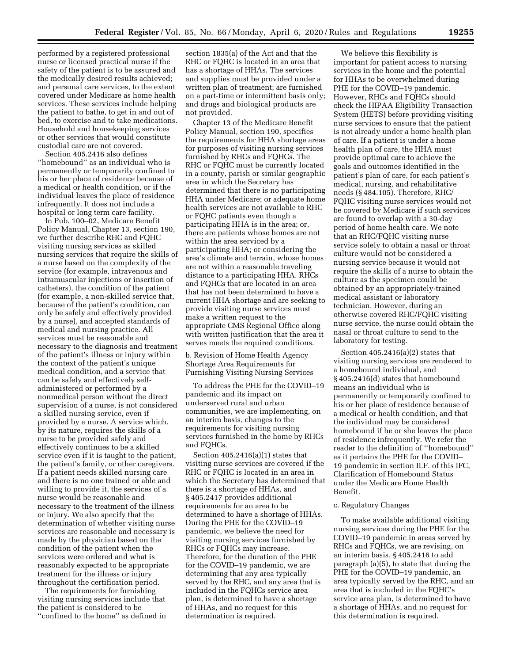performed by a registered professional nurse or licensed practical nurse if the safety of the patient is to be assured and the medically desired results achieved; and personal care services, to the extent covered under Medicare as home health services. These services include helping the patient to bathe, to get in and out of bed, to exercise and to take medications. Household and housekeeping services or other services that would constitute custodial care are not covered.

Section 405.2416 also defines ''homebound'' as an individual who is permanently or temporarily confined to his or her place of residence because of a medical or health condition, or if the individual leaves the place of residence infrequently. It does not include a hospital or long term care facility.

In Pub. 100–02, Medicare Benefit Policy Manual, Chapter 13, section 190, we further describe RHC and FQHC visiting nursing services as skilled nursing services that require the skills of a nurse based on the complexity of the service (for example, intravenous and intramuscular injections or insertion of catheters), the condition of the patient (for example, a non-skilled service that, because of the patient's condition, can only be safely and effectively provided by a nurse), and accepted standards of medical and nursing practice. All services must be reasonable and necessary to the diagnosis and treatment of the patient's illness or injury within the context of the patient's unique medical condition, and a service that can be safely and effectively selfadministered or performed by a nonmedical person without the direct supervision of a nurse, is not considered a skilled nursing service, even if provided by a nurse. A service which, by its nature, requires the skills of a nurse to be provided safely and effectively continues to be a skilled service even if it is taught to the patient, the patient's family, or other caregivers. If a patient needs skilled nursing care and there is no one trained or able and willing to provide it, the services of a nurse would be reasonable and necessary to the treatment of the illness or injury. We also specify that the determination of whether visiting nurse services are reasonable and necessary is made by the physician based on the condition of the patient when the services were ordered and what is reasonably expected to be appropriate treatment for the illness or injury throughout the certification period.

The requirements for furnishing visiting nursing services include that the patient is considered to be ''confined to the home'' as defined in

section 1835(a) of the Act and that the RHC or FQHC is located in an area that has a shortage of HHAs. The services and supplies must be provided under a written plan of treatment; are furnished on a part-time or intermittent basis only; and drugs and biological products are not provided.

Chapter 13 of the Medicare Benefit Policy Manual, section 190, specifies the requirements for HHA shortage areas for purposes of visiting nursing services furnished by RHCs and FQHCs. The RHC or FQHC must be currently located in a county, parish or similar geographic area in which the Secretary has determined that there is no participating HHA under Medicare; or adequate home health services are not available to RHC or FQHC patients even though a participating HHA is in the area; or, there are patients whose homes are not within the area serviced by a participating HHA; or considering the area's climate and terrain, whose homes are not within a reasonable traveling distance to a participating HHA. RHCs and FQHCs that are located in an area that has not been determined to have a current HHA shortage and are seeking to provide visiting nurse services must make a written request to the appropriate CMS Regional Office along with written justification that the area it serves meets the required conditions.

b. Revision of Home Health Agency Shortage Area Requirements for Furnishing Visiting Nursing Services

To address the PHE for the COVID–19 pandemic and its impact on underserved rural and urban communities, we are implementing, on an interim basis, changes to the requirements for visiting nursing services furnished in the home by RHCs and FQHCs.

Section 405.2416(a)(1) states that visiting nurse services are covered if the RHC or FQHC is located in an area in which the Secretary has determined that there is a shortage of HHAs, and § 405.2417 provides additional requirements for an area to be determined to have a shortage of HHAs. During the PHE for the COVID–19 pandemic, we believe the need for visiting nursing services furnished by RHCs or FQHCs may increase. Therefore, for the duration of the PHE for the COVID–19 pandemic, we are determining that any area typically served by the RHC, and any area that is included in the FQHCs service area plan, is determined to have a shortage of HHAs, and no request for this determination is required.

We believe this flexibility is important for patient access to nursing services in the home and the potential for HHAs to be overwhelmed during PHE for the COVID–19 pandemic. However, RHCs and FQHCs should check the HIPAA Eligibility Transaction System (HETS) before providing visiting nurse services to ensure that the patient is not already under a home health plan of care. If a patient is under a home health plan of care, the HHA must provide optimal care to achieve the goals and outcomes identified in the patient's plan of care, for each patient's medical, nursing, and rehabilitative needs (§ 484.105). Therefore, RHC/ FQHC visiting nurse services would not be covered by Medicare if such services are found to overlap with a 30-day period of home health care. We note that an RHC/FQHC visiting nurse service solely to obtain a nasal or throat culture would not be considered a nursing service because it would not require the skills of a nurse to obtain the culture as the specimen could be obtained by an appropriately-trained medical assistant or laboratory technician. However, during an otherwise covered RHC/FQHC visiting nurse service, the nurse could obtain the nasal or throat culture to send to the laboratory for testing.

Section 405.2416(a)(2) states that visiting nursing services are rendered to a homebound individual, and § 405.2416(d) states that homebound means an individual who is permanently or temporarily confined to his or her place of residence because of a medical or health condition, and that the individual may be considered homebound if he or she leaves the place of residence infrequently. We refer the reader to the definition of ''homebound'' as it pertains the PHE for the COVID– 19 pandemic in section II.F. of this IFC, Clarification of Homebound Status under the Medicare Home Health Benefit.

# c. Regulatory Changes

To make available additional visiting nursing services during the PHE for the COVID–19 pandemic in areas served by RHCs and FQHCs, we are revising, on an interim basis, § 405.2416 to add paragraph (a)(5), to state that during the PHE for the COVID–19 pandemic, an area typically served by the RHC, and an area that is included in the FQHC's service area plan, is determined to have a shortage of HHAs, and no request for this determination is required.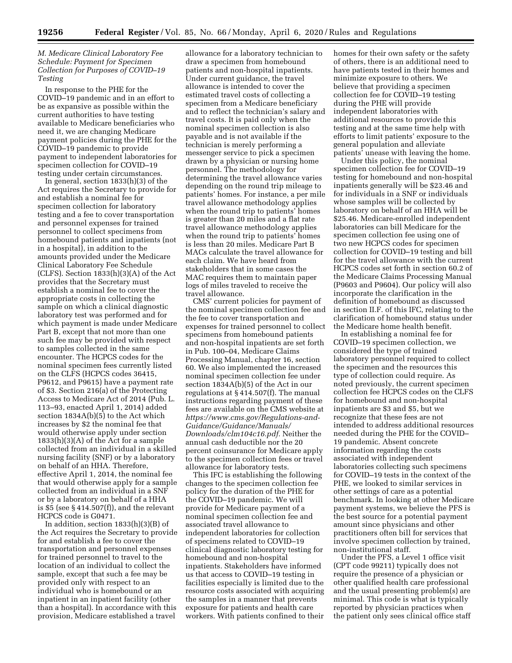# *M. Medicare Clinical Laboratory Fee Schedule: Payment for Specimen Collection for Purposes of COVID–19 Testing*

In response to the PHE for the COVID–19 pandemic and in an effort to be as expansive as possible within the current authorities to have testing available to Medicare beneficiaries who need it, we are changing Medicare payment policies during the PHE for the COVID–19 pandemic to provide payment to independent laboratories for specimen collection for COVID–19 testing under certain circumstances.

In general, section 1833(h)(3) of the Act requires the Secretary to provide for and establish a nominal fee for specimen collection for laboratory testing and a fee to cover transportation and personnel expenses for trained personnel to collect specimens from homebound patients and inpatients (not in a hospital), in addition to the amounts provided under the Medicare Clinical Laboratory Fee Schedule  $(CLFS)$ . Section 1833 $(h)(3)(A)$  of the Act provides that the Secretary must establish a nominal fee to cover the appropriate costs in collecting the sample on which a clinical diagnostic laboratory test was performed and for which payment is made under Medicare Part B, except that not more than one such fee may be provided with respect to samples collected in the same encounter. The HCPCS codes for the nominal specimen fees currently listed on the CLFS (HCPCS codes 36415, P9612, and P9615) have a payment rate of \$3. Section 216(a) of the Protecting Access to Medicare Act of 2014 (Pub. L. 113–93, enacted April 1, 2014) added section 1834A(b)(5) to the Act which increases by \$2 the nominal fee that would otherwise apply under section 1833(h)(3)(A) of the Act for a sample collected from an individual in a skilled nursing facility (SNF) or by a laboratory on behalf of an HHA. Therefore, effective April 1, 2014, the nominal fee that would otherwise apply for a sample collected from an individual in a SNF or by a laboratory on behalf of a HHA is \$5 (see § 414.507(f)), and the relevant HCPCS code is G0471.

In addition, section 1833(h)(3)(B) of the Act requires the Secretary to provide for and establish a fee to cover the transportation and personnel expenses for trained personnel to travel to the location of an individual to collect the sample, except that such a fee may be provided only with respect to an individual who is homebound or an inpatient in an inpatient facility (other than a hospital). In accordance with this provision, Medicare established a travel

allowance for a laboratory technician to draw a specimen from homebound patients and non-hospital inpatients. Under current guidance, the travel allowance is intended to cover the estimated travel costs of collecting a specimen from a Medicare beneficiary and to reflect the technician's salary and travel costs. It is paid only when the nominal specimen collection is also payable and is not available if the technician is merely performing a messenger service to pick a specimen drawn by a physician or nursing home personnel. The methodology for determining the travel allowance varies depending on the round trip mileage to patients' homes. For instance, a per mile travel allowance methodology applies when the round trip to patients' homes is greater than 20 miles and a flat rate travel allowance methodology applies when the round trip to patients' homes is less than 20 miles. Medicare Part B MACs calculate the travel allowance for each claim. We have heard from stakeholders that in some cases the MAC requires them to maintain paper logs of miles traveled to receive the travel allowance.

CMS' current policies for payment of the nominal specimen collection fee and the fee to cover transportation and expenses for trained personnel to collect specimens from homebound patients and non-hospital inpatients are set forth in Pub. 100–04, Medicare Claims Processing Manual, chapter 16, section 60. We also implemented the increased nominal specimen collection fee under section 1834A(b)(5) of the Act in our regulations at § 414.507(f). The manual instructions regarding payment of these fees are available on the CMS website at *[https://www.cms.gov/Regulations-and-](https://www.cms.gov/Regulations-and-Guidance/Guidance/Manuals/Downloads/clm104c16.pdf)[Guidance/Guidance/Manuals/](https://www.cms.gov/Regulations-and-Guidance/Guidance/Manuals/Downloads/clm104c16.pdf) [Downloads/clm104c16.pdf.](https://www.cms.gov/Regulations-and-Guidance/Guidance/Manuals/Downloads/clm104c16.pdf)* Neither the annual cash deductible nor the 20 percent coinsurance for Medicare apply to the specimen collection fees or travel allowance for laboratory tests.

This IFC is establishing the following changes to the specimen collection fee policy for the duration of the PHE for the COVID–19 pandemic. We will provide for Medicare payment of a nominal specimen collection fee and associated travel allowance to independent laboratories for collection of specimens related to COVID–19 clinical diagnostic laboratory testing for homebound and non-hospital inpatients. Stakeholders have informed us that access to COVID–19 testing in facilities especially is limited due to the resource costs associated with acquiring the samples in a manner that prevents exposure for patients and health care workers. With patients confined to their

homes for their own safety or the safety of others, there is an additional need to have patients tested in their homes and minimize exposure to others. We believe that providing a specimen collection fee for COVID–19 testing during the PHE will provide independent laboratories with additional resources to provide this testing and at the same time help with efforts to limit patients' exposure to the general population and alleviate patients' unease with leaving the home.

Under this policy, the nominal specimen collection fee for COVID–19 testing for homebound and non-hospital inpatients generally will be \$23.46 and for individuals in a SNF or individuals whose samples will be collected by laboratory on behalf of an HHA will be \$25.46. Medicare-enrolled independent laboratories can bill Medicare for the specimen collection fee using one of two new HCPCS codes for specimen collection for COVID–19 testing and bill for the travel allowance with the current HCPCS codes set forth in section 60.2 of the Medicare Claims Processing Manual (P9603 and P9604). Our policy will also incorporate the clarification in the definition of homebound as discussed in section II.F. of this IFC, relating to the clarification of homebound status under the Medicare home health benefit.

In establishing a nominal fee for COVID–19 specimen collection, we considered the type of trained laboratory personnel required to collect the specimen and the resources this type of collection could require. As noted previously, the current specimen collection fee HCPCS codes on the CLFS for homebound and non-hospital inpatients are \$3 and \$5, but we recognize that these fees are not intended to address additional resources needed during the PHE for the COVID– 19 pandemic. Absent concrete information regarding the costs associated with independent laboratories collecting such specimens for COVID–19 tests in the context of the PHE, we looked to similar services in other settings of care as a potential benchmark. In looking at other Medicare payment systems, we believe the PFS is the best source for a potential payment amount since physicians and other practitioners often bill for services that involve specimen collection by trained, non-institutional staff.

Under the PFS, a Level 1 office visit (CPT code 99211) typically does not require the presence of a physician or other qualified health care professional and the usual presenting problem(s) are minimal. This code is what is typically reported by physician practices when the patient only sees clinical office staff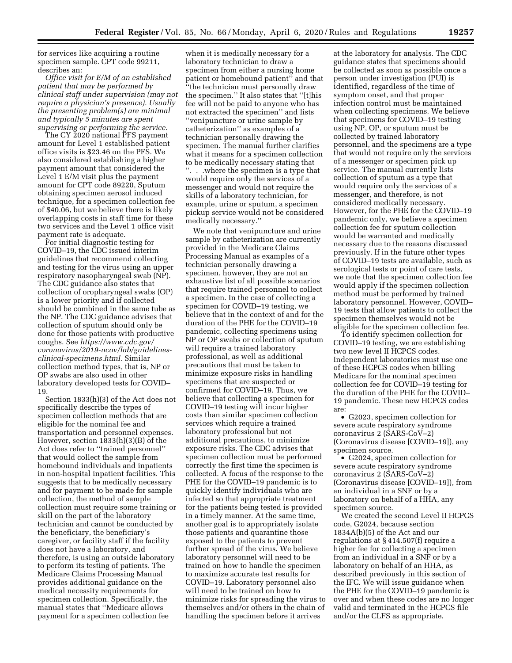for services like acquiring a routine specimen sample. CPT code 99211, describes an:

*Office visit for E/M of an established patient that may be performed by clinical staff under supervision (may not require a physician's presence). Usually the presenting problem(s) are minimal and typically 5 minutes are spent supervising or performing the service.* 

The CY 2020 national PFS payment amount for Level 1 established patient office visits is \$23.46 on the PFS. We also considered establishing a higher payment amount that considered the Level 1 E/M visit plus the payment amount for CPT code 89220, Sputum obtaining specimen aerosol induced technique, for a specimen collection fee of \$40.06, but we believe there is likely overlapping costs in staff time for these two services and the Level 1 office visit payment rate is adequate.

For initial diagnostic testing for COVID–19, the CDC issued interim guidelines that recommend collecting and testing for the virus using an upper respiratory nasopharyngeal swab (NP). The CDC guidance also states that collection of oropharyngeal swabs (OP) is a lower priority and if collected should be combined in the same tube as the NP. The CDC guidance advises that collection of sputum should only be done for those patients with productive coughs. See *[https://www.cdc.gov/](https://www.cdc.gov/coronavirus/2019-ncov/lab/guidelines-clinical-specimens.html) [coronavirus/2019-ncov/lab/guidelines](https://www.cdc.gov/coronavirus/2019-ncov/lab/guidelines-clinical-specimens.html)[clinical-specimens.html.](https://www.cdc.gov/coronavirus/2019-ncov/lab/guidelines-clinical-specimens.html)* Similar collection method types, that is, NP or OP swabs are also used in other laboratory developed tests for COVID– 19.

Section 1833(h)(3) of the Act does not specifically describe the types of specimen collection methods that are eligible for the nominal fee and transportation and personnel expenses. However, section 1833(h)(3)(B) of the Act does refer to ''trained personnel'' that would collect the sample from homebound individuals and inpatients in non-hospital inpatient facilities. This suggests that to be medically necessary and for payment to be made for sample collection, the method of sample collection must require some training or skill on the part of the laboratory technician and cannot be conducted by the beneficiary, the beneficiary's caregiver, or facility staff if the facility does not have a laboratory, and therefore, is using an outside laboratory to perform its testing of patients. The Medicare Claims Processing Manual provides additional guidance on the medical necessity requirements for specimen collection. Specifically, the manual states that ''Medicare allows payment for a specimen collection fee

when it is medically necessary for a laboratory technician to draw a specimen from either a nursing home patient or homebound patient'' and that ''the technician must personally draw the specimen.'' It also states that ''[t]his fee will not be paid to anyone who has not extracted the specimen'' and lists ''venipuncture or urine sample by catheterization'' as examples of a technician personally drawing the specimen. The manual further clarifies what it means for a specimen collection to be medically necessary stating that ''. . .where the specimen is a type that would require only the services of a messenger and would not require the skills of a laboratory technician, for example, urine or sputum, a specimen pickup service would not be considered medically necessary.''

We note that venipuncture and urine sample by catheterization are currently provided in the Medicare Claims Processing Manual as examples of a technician personally drawing a specimen, however, they are not an exhaustive list of all possible scenarios that require trained personnel to collect a specimen. In the case of collecting a specimen for COVID–19 testing, we believe that in the context of and for the duration of the PHE for the COVID–19 pandemic, collecting specimens using NP or OP swabs or collection of sputum will require a trained laboratory professional, as well as additional precautions that must be taken to minimize exposure risks in handling specimens that are suspected or confirmed for COVID–19. Thus, we believe that collecting a specimen for COVID–19 testing will incur higher costs than similar specimen collection services which require a trained laboratory professional but not additional precautions, to minimize exposure risks. The CDC advises that specimen collection must be performed correctly the first time the specimen is collected. A focus of the response to the PHE for the COVID–19 pandemic is to quickly identify individuals who are infected so that appropriate treatment for the patients being tested is provided in a timely manner. At the same time, another goal is to appropriately isolate those patients and quarantine those exposed to the patients to prevent further spread of the virus. We believe laboratory personnel will need to be trained on how to handle the specimen to maximize accurate test results for COVID–19. Laboratory personnel also will need to be trained on how to minimize risks for spreading the virus to themselves and/or others in the chain of handling the specimen before it arrives

at the laboratory for analysis. The CDC guidance states that specimens should be collected as soon as possible once a person under investigation (PUI) is identified, regardless of the time of symptom onset, and that proper infection control must be maintained when collecting specimens. We believe that specimens for COVID–19 testing using NP, OP, or sputum must be collected by trained laboratory personnel, and the specimens are a type that would not require only the services of a messenger or specimen pick up service. The manual currently lists collection of sputum as a type that would require only the services of a messenger, and therefore, is not considered medically necessary. However, for the PHE for the COVID–19 pandemic only, we believe a specimen collection fee for sputum collection would be warranted and medically necessary due to the reasons discussed previously. If in the future other types of COVID–19 tests are available, such as serological tests or point of care tests, we note that the specimen collection fee would apply if the specimen collection method must be performed by trained laboratory personnel. However, COVID– 19 tests that allow patients to collect the specimen themselves would not be eligible for the specimen collection fee.

To identify specimen collection for COVID–19 testing, we are establishing two new level II HCPCS codes. Independent laboratories must use one of these HCPCS codes when billing Medicare for the nominal specimen collection fee for COVID–19 testing for the duration of the PHE for the COVID– 19 pandemic. These new HCPCS codes are:

• G2023, specimen collection for severe acute respiratory syndrome coronavirus 2 (SARS-CoV–2) (Coronavirus disease [COVID–19]), any specimen source.

• G2024, specimen collection for severe acute respiratory syndrome coronavirus 2 (SARS-CoV–2) (Coronavirus disease [COVID–19]), from an individual in a SNF or by a laboratory on behalf of a HHA, any specimen source.

We created the second Level II HCPCS code, G2024, because section 1834A(b)(5) of the Act and our regulations at § 414.507(f) require a higher fee for collecting a specimen from an individual in a SNF or by a laboratory on behalf of an HHA, as described previously in this section of the IFC. We will issue guidance when the PHE for the COVID–19 pandemic is over and when these codes are no longer valid and terminated in the HCPCS file and/or the CLFS as appropriate.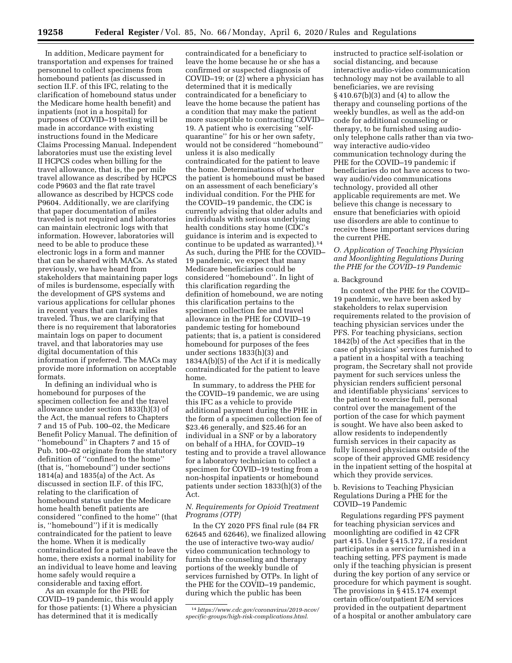In addition, Medicare payment for transportation and expenses for trained personnel to collect specimens from homebound patients (as discussed in section II.F. of this IFC, relating to the clarification of homebound status under the Medicare home health benefit) and inpatients (not in a hospital) for purposes of COVID–19 testing will be made in accordance with existing instructions found in the Medicare Claims Processing Manual. Independent laboratories must use the existing level II HCPCS codes when billing for the travel allowance, that is, the per mile travel allowance as described by HCPCS code P9603 and the flat rate travel allowance as described by HCPCS code P9604. Additionally, we are clarifying that paper documentation of miles traveled is not required and laboratories can maintain electronic logs with that information. However, laboratories will need to be able to produce these electronic logs in a form and manner that can be shared with MACs. As stated previously, we have heard from stakeholders that maintaining paper logs of miles is burdensome, especially with the development of GPS systems and various applications for cellular phones in recent years that can track miles traveled. Thus, we are clarifying that there is no requirement that laboratories maintain logs on paper to document travel, and that laboratories may use digital documentation of this information if preferred. The MACs may provide more information on acceptable formats.

In defining an individual who is homebound for purposes of the specimen collection fee and the travel allowance under section 1833(h)(3) of the Act, the manual refers to Chapters 7 and 15 of Pub. 100–02, the Medicare Benefit Policy Manual. The definition of ''homebound'' in Chapters 7 and 15 of Pub. 100–02 originate from the statutory definition of ''confined to the home'' (that is, ''homebound'') under sections 1814(a) and 1835(a) of the Act. As discussed in section II.F. of this IFC, relating to the clarification of homebound status under the Medicare home health benefit patients are considered ''confined to the home'' (that is, ''homebound'') if it is medically contraindicated for the patient to leave the home. When it is medically contraindicated for a patient to leave the home, there exists a normal inability for an individual to leave home and leaving home safely would require a considerable and taxing effort.

As an example for the PHE for COVID–19 pandemic, this would apply for those patients: (1) Where a physician has determined that it is medically

contraindicated for a beneficiary to leave the home because he or she has a confirmed or suspected diagnosis of COVID–19; or (2) where a physician has determined that it is medically contraindicated for a beneficiary to leave the home because the patient has a condition that may make the patient more susceptible to contracting COVID– 19. A patient who is exercising ''selfquarantine'' for his or her own safety, would not be considered ''homebound'' unless it is also medically contraindicated for the patient to leave the home. Determinations of whether the patient is homebound must be based on an assessment of each beneficiary's individual condition. For the PHE for the COVID–19 pandemic, the CDC is currently advising that older adults and individuals with serious underlying health conditions stay home (CDC's guidance is interim and is expected to continue to be updated as warranted).14 As such, during the PHE for the COVID– 19 pandemic, we expect that many Medicare beneficiaries could be considered ''homebound''. In light of this clarification regarding the definition of homebound, we are noting this clarification pertains to the specimen collection fee and travel allowance in the PHE for COVID–19 pandemic testing for homebound patients; that is, a patient is considered homebound for purposes of the fees under sections 1833(h)(3) and 1834A(b)(5) of the Act if it is medically contraindicated for the patient to leave home.

In summary, to address the PHE for the COVID–19 pandemic, we are using this IFC as a vehicle to provide additional payment during the PHE in the form of a specimen collection fee of \$23.46 generally, and \$25.46 for an individual in a SNF or by a laboratory on behalf of a HHA, for COVID–19 testing and to provide a travel allowance for a laboratory technician to collect a specimen for COVID–19 testing from a non-hospital inpatients or homebound patients under section 1833(h)(3) of the Act.

## *N. Requirements for Opioid Treatment Programs (OTP)*

In the CY 2020 PFS final rule (84 FR 62645 and 62646), we finalized allowing the use of interactive two-way audio/ video communication technology to furnish the counseling and therapy portions of the weekly bundle of services furnished by OTPs. In light of the PHE for the COVID–19 pandemic, during which the public has been

instructed to practice self-isolation or social distancing, and because interactive audio-video communication technology may not be available to all beneficiaries, we are revising § 410.67(b)(3) and (4) to allow the therapy and counseling portions of the weekly bundles, as well as the add-on code for additional counseling or therapy, to be furnished using audioonly telephone calls rather than via twoway interactive audio-video communication technology during the PHE for the COVID–19 pandemic if beneficiaries do not have access to twoway audio/video communications technology, provided all other applicable requirements are met. We believe this change is necessary to ensure that beneficiaries with opioid use disorders are able to continue to receive these important services during the current PHE.

### *O. Application of Teaching Physician and Moonlighting Regulations During the PHE for the COVID–19 Pandemic*

## a. Background

In context of the PHE for the COVID– 19 pandemic, we have been asked by stakeholders to relax supervision requirements related to the provision of teaching physician services under the PFS. For teaching physicians, section 1842(b) of the Act specifies that in the case of physicians' services furnished to a patient in a hospital with a teaching program, the Secretary shall not provide payment for such services unless the physician renders sufficient personal and identifiable physicians' services to the patient to exercise full, personal control over the management of the portion of the case for which payment is sought. We have also been asked to allow residents to independently furnish services in their capacity as fully licensed physicians outside of the scope of their approved GME residency in the inpatient setting of the hospital at which they provide services.

### b. Revisions to Teaching Physician Regulations During a PHE for the COVID–19 Pandemic

Regulations regarding PFS payment for teaching physician services and moonlighting are codified in 42 CFR part 415. Under § 415.172, if a resident participates in a service furnished in a teaching setting, PFS payment is made only if the teaching physician is present during the key portion of any service or procedure for which payment is sought. The provisions in § 415.174 exempt certain office/outpatient E/M services provided in the outpatient department of a hospital or another ambulatory care

<sup>14</sup>*[https://www.cdc.gov/coronavirus/2019-ncov/](https://www.cdc.gov/coronavirus/2019-ncov/specific-groups/high-risk-complications.html)  [specific-groups/high-risk-complications.html](https://www.cdc.gov/coronavirus/2019-ncov/specific-groups/high-risk-complications.html)*.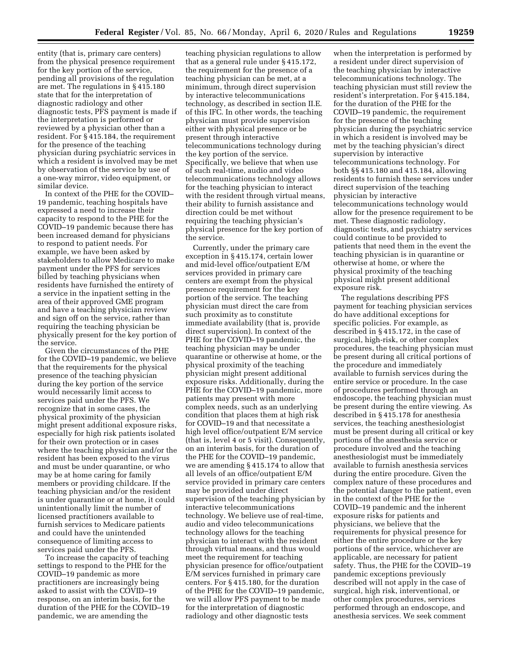entity (that is, primary care centers) from the physical presence requirement for the key portion of the service, pending all provisions of the regulation are met. The regulations in § 415.180 state that for the interpretation of diagnostic radiology and other diagnostic tests, PFS payment is made if the interpretation is performed or reviewed by a physician other than a resident. For § 415.184, the requirement for the presence of the teaching physician during psychiatric services in which a resident is involved may be met by observation of the service by use of a one-way mirror, video equipment, or similar device.

In context of the PHE for the COVID– 19 pandemic, teaching hospitals have expressed a need to increase their capacity to respond to the PHE for the COVID–19 pandemic because there has been increased demand for physicians to respond to patient needs. For example, we have been asked by stakeholders to allow Medicare to make payment under the PFS for services billed by teaching physicians when residents have furnished the entirety of a service in the inpatient setting in the area of their approved GME program and have a teaching physician review and sign off on the service, rather than requiring the teaching physician be physically present for the key portion of the service.

Given the circumstances of the PHE for the COVID–19 pandemic, we believe that the requirements for the physical presence of the teaching physician during the key portion of the service would necessarily limit access to services paid under the PFS. We recognize that in some cases, the physical proximity of the physician might present additional exposure risks, especially for high risk patients isolated for their own protection or in cases where the teaching physician and/or the resident has been exposed to the virus and must be under quarantine, or who may be at home caring for family members or providing childcare. If the teaching physician and/or the resident is under quarantine or at home, it could unintentionally limit the number of licensed practitioners available to furnish services to Medicare patients and could have the unintended consequence of limiting access to services paid under the PFS.

To increase the capacity of teaching settings to respond to the PHE for the COVID–19 pandemic as more practitioners are increasingly being asked to assist with the COVID–19 response, on an interim basis, for the duration of the PHE for the COVID–19 pandemic, we are amending the

teaching physician regulations to allow that as a general rule under § 415.172, the requirement for the presence of a teaching physician can be met, at a minimum, through direct supervision by interactive telecommunications technology, as described in section II.E. of this IFC. In other words, the teaching physician must provide supervision either with physical presence or be present through interactive telecommunications technology during the key portion of the service. Specifically, we believe that when use of such real-time, audio and video telecommunications technology allows for the teaching physician to interact with the resident through virtual means, their ability to furnish assistance and direction could be met without requiring the teaching physician's physical presence for the key portion of the service.

Currently, under the primary care exception in § 415.174, certain lower and mid-level office/outpatient E/M services provided in primary care centers are exempt from the physical presence requirement for the key portion of the service. The teaching physician must direct the care from such proximity as to constitute immediate availability (that is, provide direct supervision). In context of the PHE for the COVID–19 pandemic, the teaching physician may be under quarantine or otherwise at home, or the physical proximity of the teaching physician might present additional exposure risks. Additionally, during the PHE for the COVID–19 pandemic, more patients may present with more complex needs, such as an underlying condition that places them at high risk for COVID–19 and that necessitate a high level office/outpatient E/M service (that is, level 4 or 5 visit). Consequently, on an interim basis, for the duration of the PHE for the COVID–19 pandemic, we are amending § 415.174 to allow that all levels of an office/outpatient E/M service provided in primary care centers may be provided under direct supervision of the teaching physician by interactive telecommunications technology. We believe use of real-time, audio and video telecommunications technology allows for the teaching physician to interact with the resident through virtual means, and thus would meet the requirement for teaching physician presence for office/outpatient E/M services furnished in primary care centers. For § 415.180, for the duration of the PHE for the COVID–19 pandemic, we will allow PFS payment to be made for the interpretation of diagnostic radiology and other diagnostic tests

when the interpretation is performed by a resident under direct supervision of the teaching physician by interactive telecommunications technology. The teaching physician must still review the resident's interpretation. For § 415.184, for the duration of the PHE for the COVID–19 pandemic, the requirement for the presence of the teaching physician during the psychiatric service in which a resident is involved may be met by the teaching physician's direct supervision by interactive telecommunications technology. For both §§ 415.180 and 415.184, allowing residents to furnish these services under direct supervision of the teaching physician by interactive telecommunications technology would allow for the presence requirement to be met. These diagnostic radiology, diagnostic tests, and psychiatry services could continue to be provided to patients that need them in the event the teaching physician is in quarantine or otherwise at home, or where the physical proximity of the teaching physical might present additional exposure risk.

The regulations describing PFS payment for teaching physician services do have additional exceptions for specific policies. For example, as described in § 415.172, in the case of surgical, high-risk, or other complex procedures, the teaching physician must be present during all critical portions of the procedure and immediately available to furnish services during the entire service or procedure. In the case of procedures performed through an endoscope, the teaching physician must be present during the entire viewing. As described in § 415.178 for anesthesia services, the teaching anesthesiologist must be present during all critical or key portions of the anesthesia service or procedure involved and the teaching anesthesiologist must be immediately available to furnish anesthesia services during the entire procedure. Given the complex nature of these procedures and the potential danger to the patient, even in the context of the PHE for the COVID–19 pandemic and the inherent exposure risks for patients and physicians, we believe that the requirements for physical presence for either the entire procedure or the key portions of the service, whichever are applicable, are necessary for patient safety. Thus, the PHE for the COVID–19 pandemic exceptions previously described will not apply in the case of surgical, high risk, interventional, or other complex procedures, services performed through an endoscope, and anesthesia services. We seek comment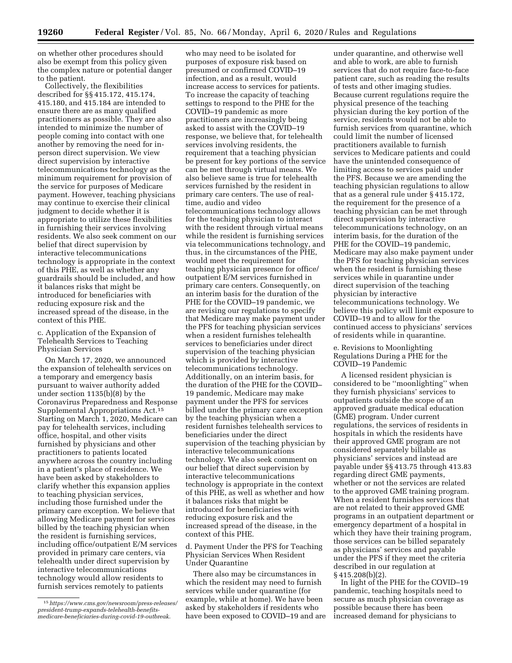on whether other procedures should also be exempt from this policy given the complex nature or potential danger to the patient.

Collectively, the flexibilities described for §§ 415.172, 415.174, 415.180, and 415.184 are intended to ensure there are as many qualified practitioners as possible. They are also intended to minimize the number of people coming into contact with one another by removing the need for inperson direct supervision. We view direct supervision by interactive telecommunications technology as the minimum requirement for provision of the service for purposes of Medicare payment. However, teaching physicians may continue to exercise their clinical judgment to decide whether it is appropriate to utilize these flexibilities in furnishing their services involving residents. We also seek comment on our belief that direct supervision by interactive telecommunications technology is appropriate in the context of this PHE, as well as whether any guardrails should be included, and how it balances risks that might be introduced for beneficiaries with reducing exposure risk and the increased spread of the disease, in the context of this PHE.

c. Application of the Expansion of Telehealth Services to Teaching Physician Services

On March 17, 2020, we announced the expansion of telehealth services on a temporary and emergency basis pursuant to waiver authority added under section 1135(b)(8) by the Coronavirus Preparedness and Response Supplemental Appropriations Act.15 Starting on March 1, 2020, Medicare can pay for telehealth services, including office, hospital, and other visits furnished by physicians and other practitioners to patients located anywhere across the country including in a patient's place of residence. We have been asked by stakeholders to clarify whether this expansion applies to teaching physician services, including those furnished under the primary care exception. We believe that allowing Medicare payment for services billed by the teaching physician when the resident is furnishing services, including office/outpatient E/M services provided in primary care centers, via telehealth under direct supervision by interactive telecommunications technology would allow residents to furnish services remotely to patients

who may need to be isolated for purposes of exposure risk based on presumed or confirmed COVID–19 infection, and as a result, would increase access to services for patients. To increase the capacity of teaching settings to respond to the PHE for the COVID–19 pandemic as more practitioners are increasingly being asked to assist with the COVID–19 response, we believe that, for telehealth services involving residents, the requirement that a teaching physician be present for key portions of the service can be met through virtual means. We also believe same is true for telehealth services furnished by the resident in primary care centers. The use of realtime, audio and video telecommunications technology allows for the teaching physician to interact with the resident through virtual means while the resident is furnishing services via telecommunications technology, and thus, in the circumstances of the PHE, would meet the requirement for teaching physician presence for office/ outpatient E/M services furnished in primary care centers. Consequently, on an interim basis for the duration of the PHE for the COVID–19 pandemic, we are revising our regulations to specify that Medicare may make payment under the PFS for teaching physician services when a resident furnishes telehealth services to beneficiaries under direct supervision of the teaching physician which is provided by interactive telecommunications technology. Additionally, on an interim basis, for the duration of the PHE for the COVID– 19 pandemic, Medicare may make payment under the PFS for services billed under the primary care exception by the teaching physician when a resident furnishes telehealth services to beneficiaries under the direct supervision of the teaching physician by interactive telecommunications technology. We also seek comment on our belief that direct supervision by interactive telecommunications technology is appropriate in the context of this PHE, as well as whether and how it balances risks that might be introduced for beneficiaries with reducing exposure risk and the increased spread of the disease, in the context of this PHE.

d. Payment Under the PFS for Teaching Physician Services When Resident Under Quarantine

There also may be circumstances in which the resident may need to furnish services while under quarantine (for example, while at home). We have been asked by stakeholders if residents who have been exposed to COVID–19 and are

under quarantine, and otherwise well and able to work, are able to furnish services that do not require face-to-face patient care, such as reading the results of tests and other imaging studies. Because current regulations require the physical presence of the teaching physician during the key portion of the service, residents would not be able to furnish services from quarantine, which could limit the number of licensed practitioners available to furnish services to Medicare patients and could have the unintended consequence of limiting access to services paid under the PFS. Because we are amending the teaching physician regulations to allow that as a general rule under § 415.172, the requirement for the presence of a teaching physician can be met through direct supervision by interactive telecommunications technology, on an interim basis, for the duration of the PHE for the COVID–19 pandemic, Medicare may also make payment under the PFS for teaching physician services when the resident is furnishing these services while in quarantine under direct supervision of the teaching physician by interactive telecommunications technology. We believe this policy will limit exposure to COVID–19 and to allow for the continued access to physicians' services of residents while in quarantine.

e. Revisions to Moonlighting Regulations During a PHE for the COVID–19 Pandemic

A licensed resident physician is considered to be ''moonlighting'' when they furnish physicians' services to outpatients outside the scope of an approved graduate medical education (GME) program. Under current regulations, the services of residents in hospitals in which the residents have their approved GME program are not considered separately billable as physicians' services and instead are payable under §§ 413.75 through 413.83 regarding direct GME payments, whether or not the services are related to the approved GME training program. When a resident furnishes services that are not related to their approved GME programs in an outpatient department or emergency department of a hospital in which they have their training program, those services can be billed separately as physicians' services and payable under the PFS if they meet the criteria described in our regulation at § 415.208(b)(2).

In light of the PHE for the COVID–19 pandemic, teaching hospitals need to secure as much physician coverage as possible because there has been increased demand for physicians to

<sup>15</sup>*[https://www.cms.gov/newsroom/press-releases/](https://www.cms.gov/newsroom/press-releases/president-trump-expands-telehealth-benefits-medicare-beneficiaries-during-covid-19-outbreak) [president-trump-expands-telehealth-benefits](https://www.cms.gov/newsroom/press-releases/president-trump-expands-telehealth-benefits-medicare-beneficiaries-during-covid-19-outbreak)[medicare-beneficiaries-during-covid-19-outbreak](https://www.cms.gov/newsroom/press-releases/president-trump-expands-telehealth-benefits-medicare-beneficiaries-during-covid-19-outbreak)*.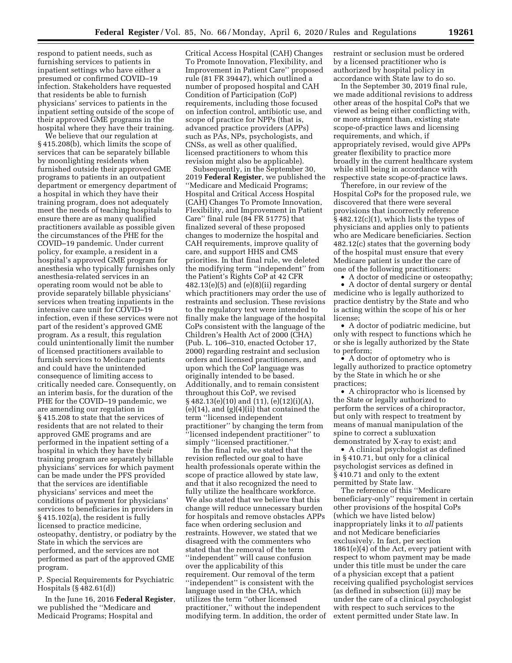respond to patient needs, such as furnishing services to patients in inpatient settings who have either a presumed or confirmed COVID–19 infection. Stakeholders have requested that residents be able to furnish physicians' services to patients in the inpatient setting outside of the scope of their approved GME programs in the hospital where they have their training.

We believe that our regulation at § 415.208(b), which limits the scope of services that can be separately billable by moonlighting residents when furnished outside their approved GME programs to patients in an outpatient department or emergency department of a hospital in which they have their training program, does not adequately meet the needs of teaching hospitals to ensure there are as many qualified practitioners available as possible given the circumstances of the PHE for the COVID–19 pandemic. Under current policy, for example, a resident in a hospital's approved GME program for anesthesia who typically furnishes only anesthesia-related services in an operating room would not be able to provide separately billable physicians' services when treating inpatients in the intensive care unit for COVID–19 infection, even if these services were not part of the resident's approved GME program. As a result, this regulation could unintentionally limit the number of licensed practitioners available to furnish services to Medicare patients and could have the unintended consequence of limiting access to critically needed care. Consequently, on an interim basis, for the duration of the PHE for the COVID–19 pandemic, we are amending our regulation in § 415.208 to state that the services of residents that are not related to their approved GME programs and are performed in the inpatient setting of a hospital in which they have their training program are separately billable physicians' services for which payment can be made under the PFS provided that the services are identifiable physicians' services and meet the conditions of payment for physicians' services to beneficiaries in providers in § 415.102(a), the resident is fully licensed to practice medicine, osteopathy, dentistry, or podiatry by the State in which the services are performed, and the services are not performed as part of the approved GME program.

P. Special Requirements for Psychiatric Hospitals (§ 482.61(d))

In the June 16, 2016 **Federal Register**, we published the ''Medicare and Medicaid Programs; Hospital and

Critical Access Hospital (CAH) Changes To Promote Innovation, Flexibility, and Improvement in Patient Care'' proposed rule (81 FR 39447), which outlined a number of proposed hospital and CAH Condition of Participation (CoP) requirements, including those focused on infection control, antibiotic use, and scope of practice for NPPs (that is, advanced practice providers (APPs) such as PAs, NPs, psychologists, and CNSs, as well as other qualified, licensed practitioners to whom this revision might also be applicable).

Subsequently, in the September 30, 2019 **Federal Register**, we published the ''Medicare and Medicaid Programs; Hospital and Critical Access Hospital (CAH) Changes To Promote Innovation, Flexibility, and Improvement in Patient Care'' final rule (84 FR 51775) that finalized several of these proposed changes to modernize the hospital and CAH requirements, improve quality of care, and support HHS and CMS priorities. In that final rule, we deleted the modifying term ''independent'' from the Patient's Rights CoP at 42 CFR  $482.13(e)(5)$  and  $(e)(8)(ii)$  regarding which practitioners may order the use of restraints and seclusion. These revisions to the regulatory text were intended to finally make the language of the hospital CoPs consistent with the language of the Children's Health Act of 2000 (CHA) (Pub. L. 106–310, enacted October 17, 2000) regarding restraint and seclusion orders and licensed practitioners, and upon which the CoP language was originally intended to be based. Additionally, and to remain consistent throughout this CoP, we revised § 482.13(e)(10) and (11), (e)(12)(i)(A),  $(e)(14)$ , and  $(g)(4)(ii)$  that contained the term ''licensed independent practitioner'' by changing the term from ''licensed independent practitioner'' to simply ''licensed practitioner.''

In the final rule, we stated that the revision reflected our goal to have health professionals operate within the scope of practice allowed by state law, and that it also recognized the need to fully utilize the healthcare workforce. We also stated that we believe that this change will reduce unnecessary burden for hospitals and remove obstacles APPs face when ordering seclusion and restraints. However, we stated that we disagreed with the commenters who stated that the removal of the term ''independent'' will cause confusion over the applicability of this requirement. Our removal of the term ''independent'' is consistent with the language used in the CHA, which utilizes the term ''other licensed practitioner,'' without the independent modifying term. In addition, the order of restraint or seclusion must be ordered by a licensed practitioner who is authorized by hospital policy in accordance with State law to do so.

In the September 30, 2019 final rule, we made additional revisions to address other areas of the hospital CoPs that we viewed as being either conflicting with, or more stringent than, existing state scope-of-practice laws and licensing requirements, and which, if appropriately revised, would give APPs greater flexibility to practice more broadly in the current healthcare system while still being in accordance with respective state scope-of-practice laws.

Therefore, in our review of the Hospital CoPs for the proposed rule, we discovered that there were several provisions that incorrectly reference § 482.12(c)(1), which lists the types of physicians and applies only to patients who are Medicare beneficiaries. Section 482.12(c) states that the governing body of the hospital must ensure that every Medicare patient is under the care of one of the following practitioners:

• A doctor of medicine or osteopathy;

• A doctor of dental surgery or dental medicine who is legally authorized to practice dentistry by the State and who is acting within the scope of his or her license;

• A doctor of podiatric medicine, but only with respect to functions which he or she is legally authorized by the State to perform;

• A doctor of optometry who is legally authorized to practice optometry by the State in which he or she practices;

• A chiropractor who is licensed by the State or legally authorized to perform the services of a chiropractor, but only with respect to treatment by means of manual manipulation of the spine to correct a subluxation demonstrated by X-ray to exist; and

• A clinical psychologist as defined in § 410.71, but only for a clinical psychologist services as defined in § 410.71 and only to the extent permitted by State law.

The reference of this ''Medicare beneficiary-only'' requirement in certain other provisions of the hospital CoPs (which we have listed below) inappropriately links it to *all* patients and not Medicare beneficiaries exclusively. In fact, per section 1861(e)(4) of the Act, every patient with respect to whom payment may be made under this title must be under the care of a physician except that a patient receiving qualified psychologist services (as defined in subsection (ii)) may be under the care of a clinical psychologist with respect to such services to the extent permitted under State law. In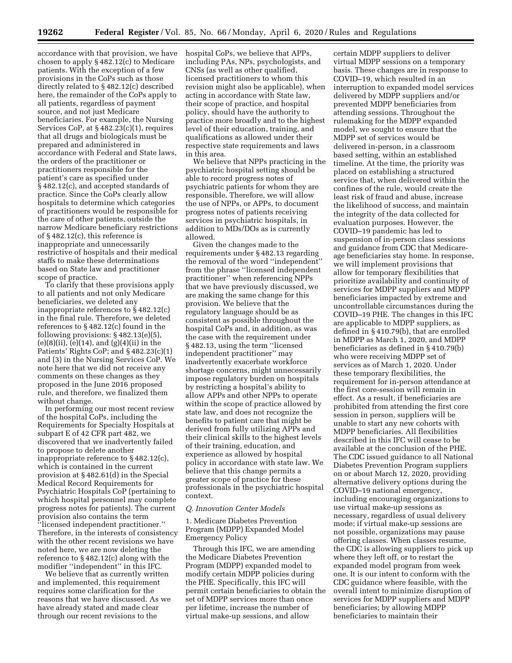accordance with that provision, we have chosen to apply § 482.12(c) to Medicare patients. With the exception of a few provisions in the CoPs such as those directly related to § 482.12(c) described here, the remainder of the CoPs apply to all patients, regardless of payment source, and not just Medicare beneficiaries. For example, the Nursing Services CoP, at § 482.23(c)(1), requires that all drugs and biologicals must be prepared and administered in accordance with Federal and State laws, the orders of the practitioner or practitioners responsible for the patient's care as specified under § 482.12(c), and accepted standards of practice. Since the CoPs clearly allow hospitals to determine which categories of practitioners would be responsible for the care of other patients, outside the narrow Medicare beneficiary restrictions of § 482.12(c), this reference is inappropriate and unnecessarily restrictive of hospitals and their medical staffs to make these determinations based on State law and practitioner scope of practice.

To clarify that these provisions apply to all patients and not only Medicare beneficiaries, we deleted any inappropriate references to § 482.12(c) in the final rule. Therefore, we deleted references to § 482.12(c) found in the following provisions: § 482.13(e)(5),  $(e)(8)(ii)$ ,  $(e)(14)$ , and  $(g)(4)(ii)$  in the Patients' Rights CoP; and § 482.23(c)(1) and (3) in the Nursing Services CoP. We note here that we did not receive any comments on these changes as they proposed in the June 2016 proposed rule, and therefore, we finalized them without change.

In performing our most recent review of the hospital CoPs, including the Requirements for Specialty Hospitals at subpart E of 42 CFR part 482, we discovered that we inadvertently failed to propose to delete another inappropriate reference to § 482.12(c), which is contained in the current provision at § 482.61(d) in the Special Medical Record Requirements for Psychiatric Hospitals CoP (pertaining to which hospital personnel may complete progress notes for patients). The current provision also contains the term ''licensed independent practitioner.'' Therefore, in the interests of consistency with the other recent revisions we have noted here, we are now deleting the reference to § 482.12(c) along with the modifier ''independent'' in this IFC.

We believe that as currently written and implemented, this requirement requires some clarification for the reasons that we have discussed. As we have already stated and made clear through our recent revisions to the

hospital CoPs, we believe that APPs, including PAs, NPs, psychologists, and CNSs (as well as other qualified, licensed practitioners to whom this revision might also be applicable), when acting in accordance with State law, their scope of practice, and hospital policy, should have the authority to practice more broadly and to the highest level of their education, training, and qualifications as allowed under their respective state requirements and laws in this area.

We believe that NPPs practicing in the psychiatric hospital setting should be able to record progress notes of psychiatric patients for whom they are responsible. Therefore, we will allow the use of NPPs, or APPs, to document progress notes of patients receiving services in psychiatric hospitals, in addition to MDs/DOs as is currently allowed.

Given the changes made to the requirements under § 482.13 regarding the removal of the word ''independent'' from the phrase ''licensed independent practitioner'' when referencing NPPs that we have previously discussed, we are making the same change for this provision. We believe that the regulatory language should be as consistent as possible throughout the hospital CoPs and, in addition, as was the case with the requirement under § 482.13, using the term ''licensed independent practitioner'' may inadvertently exacerbate workforce shortage concerns, might unnecessarily impose regulatory burden on hospitals by restricting a hospital's ability to allow APPs and other NPPs to operate within the scope of practice allowed by state law, and does not recognize the benefits to patient care that might be derived from fully utilizing APPs and their clinical skills to the highest levels of their training, education, and experience as allowed by hospital policy in accordance with state law. We believe that this change permits a greater scope of practice for these professionals in the psychiatric hospital context.

### *Q. Innovation Center Models*

1. Medicare Diabetes Prevention Program (MDPP) Expanded Model Emergency Policy

Through this IFC, we are amending the Medicare Diabetes Prevention Program (MDPP) expanded model to modify certain MDPP policies during the PHE. Specifically, this IFC will permit certain beneficiaries to obtain the set of MDPP services more than once per lifetime, increase the number of virtual make-up sessions, and allow

certain MDPP suppliers to deliver virtual MDPP sessions on a temporary basis. These changes are in response to COVID–19, which resulted in an interruption to expanded model services delivered by MDPP suppliers and/or prevented MDPP beneficiaries from attending sessions. Throughout the rulemaking for the MDPP expanded model, we sought to ensure that the MDPP set of services would be delivered in-person, in a classroom based setting, within an established timeline. At the time, the priority was placed on establishing a structured service that, when delivered within the confines of the rule, would create the least risk of fraud and abuse, increase the likelihood of success, and maintain the integrity of the data collected for evaluation purposes. However, the COVID–19 pandemic has led to suspension of in-person class sessions and guidance from CDC that Medicareage beneficiaries stay home. In response, we will implement provisions that allow for temporary flexibilities that prioritize availability and continuity of services for MDPP suppliers and MDPP beneficiaries impacted by extreme and uncontrollable circumstances during the COVID–19 PHE. The changes in this IFC are applicable to MDPP suppliers, as defined in § 410.79(b), that are enrolled in MDPP as March 1, 2020, and MDPP beneficiaries as defined in § 410.79(b) who were receiving MDPP set of services as of March 1, 2020. Under these temporary flexibilities, the requirement for in-person attendance at the first core-session will remain in effect. As a result, if beneficiaries are prohibited from attending the first core session in person, suppliers will be unable to start any new cohorts with MDPP beneficiaries. All flexibilities described in this IFC will cease to be available at the conclusion of the PHE. The CDC issued guidance to all National Diabetes Prevention Program suppliers on or about March 12, 2020, providing alternative delivery options during the COVID–19 national emergency, including encouraging organizations to use virtual make-up sessions as necessary, regardless of usual delivery mode; if virtual make-up sessions are not possible, organizations may pause offering classes. When classes resume, the CDC is allowing suppliers to pick up where they left off, or to restart the expanded model program from week one. It is our intent to conform with the CDC guidance where feasible, with the overall intent to minimize disruption of services for MDPP suppliers and MDPP beneficiaries; by allowing MDPP beneficiaries to maintain their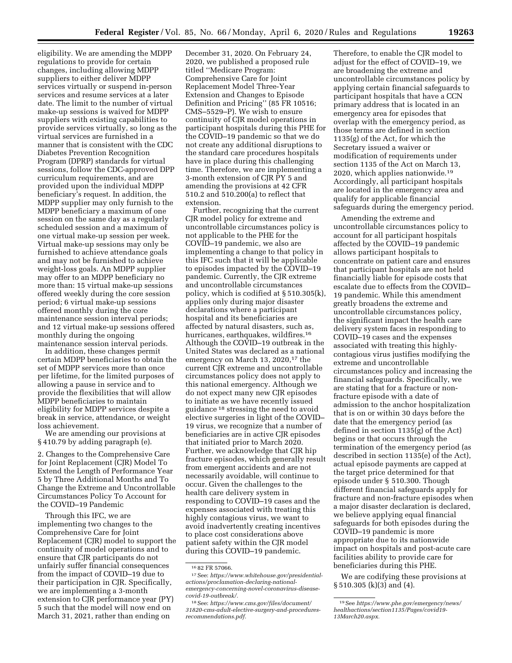eligibility. We are amending the MDPP regulations to provide for certain changes, including allowing MDPP suppliers to either deliver MDPP services virtually or suspend in-person services and resume services at a later date. The limit to the number of virtual make-up sessions is waived for MDPP suppliers with existing capabilities to provide services virtually, so long as the virtual services are furnished in a manner that is consistent with the CDC Diabetes Prevention Recognition Program (DPRP) standards for virtual sessions, follow the CDC-approved DPP curriculum requirements, and are provided upon the individual MDPP beneficiary's request. In addition, the MDPP supplier may only furnish to the MDPP beneficiary a maximum of one session on the same day as a regularly scheduled session and a maximum of one virtual make-up session per week. Virtual make-up sessions may only be furnished to achieve attendance goals and may not be furnished to achieve weight-loss goals. An MDPP supplier may offer to an MDPP beneficiary no more than: 15 virtual make-up sessions offered weekly during the core session period; 6 virtual make-up sessions offered monthly during the core maintenance session interval periods; and 12 virtual make-up sessions offered monthly during the ongoing maintenance session interval periods.

In addition, these changes permit certain MDPP beneficiaries to obtain the set of MDPP services more than once per lifetime, for the limited purposes of allowing a pause in service and to provide the flexibilities that will allow MDPP beneficiaries to maintain eligibility for MDPP services despite a break in service, attendance, or weight loss achievement.

We are amending our provisions at § 410.79 by adding paragraph (e).

2. Changes to the Comprehensive Care for Joint Replacement (CJR) Model To Extend the Length of Performance Year 5 by Three Additional Months and To Change the Extreme and Uncontrollable Circumstances Policy To Account for the COVID–19 Pandemic

Through this IFC, we are implementing two changes to the Comprehensive Care for Joint Replacement (CJR) model to support the continuity of model operations and to ensure that CJR participants do not unfairly suffer financial consequences from the impact of COVID–19 due to their participation in CJR. Specifically, we are implementing a 3-month extension to CJR performance year (PY) 5 such that the model will now end on March 31, 2021, rather than ending on

December 31, 2020. On February 24, 2020, we published a proposed rule titled ''Medicare Program: Comprehensive Care for Joint Replacement Model Three-Year Extension and Changes to Episode Definition and Pricing'' (85 FR 10516; CMS–5529–P). We wish to ensure continuity of CJR model operations in participant hospitals during this PHE for the COVID–19 pandemic so that we do not create any additional disruptions to the standard care procedures hospitals have in place during this challenging time. Therefore, we are implementing a 3-month extension of CJR PY 5 and amending the provisions at 42 CFR 510.2 and 510.200(a) to reflect that extension.

Further, recognizing that the current CJR model policy for extreme and uncontrollable circumstances policy is not applicable to the PHE for the COVID–19 pandemic, we also are implementing a change to that policy in this IFC such that it will be applicable to episodes impacted by the COVID–19 pandemic. Currently, the CJR extreme and uncontrollable circumstances policy, which is codified at § 510.305(k), applies only during major disaster declarations where a participant hospital and its beneficiaries are affected by natural disasters, such as, hurricanes, earthquakes, wildfires.16 Although the COVID–19 outbreak in the United States was declared as a national emergency on March 13, 2020,<sup>17</sup> the current CJR extreme and uncontrollable circumstances policy does not apply to this national emergency. Although we do not expect many new CJR episodes to initiate as we have recently issued guidance 18 stressing the need to avoid elective surgeries in light of the COVID– 19 virus, we recognize that a number of beneficiaries are in active CJR episodes that initiated prior to March 2020. Further, we acknowledge that CJR hip fracture episodes, which generally result from emergent accidents and are not necessarily avoidable, will continue to occur. Given the challenges to the health care delivery system in responding to COVID–19 cases and the expenses associated with treating this highly contagious virus, we want to avoid inadvertently creating incentives to place cost considerations above patient safety within the CJR model during this COVID–19 pandemic.

Therefore, to enable the CJR model to adjust for the effect of COVID–19, we are broadening the extreme and uncontrollable circumstances policy by applying certain financial safeguards to participant hospitals that have a CCN primary address that is located in an emergency area for episodes that overlap with the emergency period, as those terms are defined in section 1135(g) of the Act, for which the Secretary issued a waiver or modification of requirements under section 1135 of the Act on March 13, 2020, which applies nationwide.19 Accordingly, all participant hospitals are located in the emergency area and qualify for applicable financial safeguards during the emergency period.

Amending the extreme and uncontrollable circumstances policy to account for all participant hospitals affected by the COVID–19 pandemic allows participant hospitals to concentrate on patient care and ensures that participant hospitals are not held financially liable for episode costs that escalate due to effects from the COVID– 19 pandemic. While this amendment greatly broadens the extreme and uncontrollable circumstances policy, the significant impact the health care delivery system faces in responding to COVID–19 cases and the expenses associated with treating this highlycontagious virus justifies modifying the extreme and uncontrollable circumstances policy and increasing the financial safeguards. Specifically, we are stating that for a fracture or nonfracture episode with a date of admission to the anchor hospitalization that is on or within 30 days before the date that the emergency period (as defined in section 1135(g) of the Act) begins or that occurs through the termination of the emergency period (as described in section 1135(e) of the Act), actual episode payments are capped at the target price determined for that episode under § 510.300. Though different financial safeguards apply for fracture and non-fracture episodes when a major disaster declaration is declared, we believe applying equal financial safeguards for both episodes during the COVID–19 pandemic is more appropriate due to its nationwide impact on hospitals and post-acute care facilities ability to provide care for beneficiaries during this PHE.

We are codifying these provisions at § 510.305 (k)(3) and (4).

<sup>16</sup> 82 FR 57066.

<sup>17</sup>See: *[https://www.whitehouse.gov/presidential](https://www.whitehouse.gov/presidential-actions/proclamation-declaring-national-emergency-concerning-novel-coronavirus-disease-covid-19-outbreak/)[actions/proclamation-declaring-national](https://www.whitehouse.gov/presidential-actions/proclamation-declaring-national-emergency-concerning-novel-coronavirus-disease-covid-19-outbreak/)[emergency-concerning-novel-coronavirus-disease](https://www.whitehouse.gov/presidential-actions/proclamation-declaring-national-emergency-concerning-novel-coronavirus-disease-covid-19-outbreak/)[covid-19-outbreak/.](https://www.whitehouse.gov/presidential-actions/proclamation-declaring-national-emergency-concerning-novel-coronavirus-disease-covid-19-outbreak/)* 

<sup>18</sup>See: *[https://www.cms.gov/files/document/](https://www.cms.gov/files/document/31820-cms-adult-elective-surgery-and-procedures-recommendations.pdf)  [31820-cms-adult-elective-surgery-and-procedures](https://www.cms.gov/files/document/31820-cms-adult-elective-surgery-and-procedures-recommendations.pdf)[recommendations.pdf.](https://www.cms.gov/files/document/31820-cms-adult-elective-surgery-and-procedures-recommendations.pdf)* 

<sup>19</sup>See *[https://www.phe.gov/emergency/news/](https://www.phe.gov/emergency/news/healthactions/section1135/Pages/covid19-13March20.aspx)  [healthactions/section1135/Pages/covid19-](https://www.phe.gov/emergency/news/healthactions/section1135/Pages/covid19-13March20.aspx) [13March20.aspx.](https://www.phe.gov/emergency/news/healthactions/section1135/Pages/covid19-13March20.aspx)*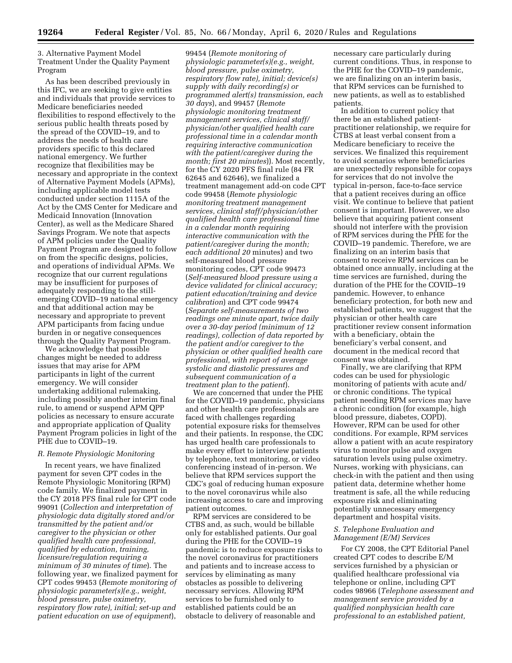3. Alternative Payment Model Treatment Under the Quality Payment Program

As has been described previously in this IFC, we are seeking to give entities and individuals that provide services to Medicare beneficiaries needed flexibilities to respond effectively to the serious public health threats posed by the spread of the COVID–19, and to address the needs of health care providers specific to this declared national emergency. We further recognize that flexibilities may be necessary and appropriate in the context of Alternative Payment Models (APMs), including applicable model tests conducted under section 1115A of the Act by the CMS Center for Medicare and Medicaid Innovation (Innovation Center), as well as the Medicare Shared Savings Program. We note that aspects of APM policies under the Quality Payment Program are designed to follow on from the specific designs, policies, and operations of individual APMs. We recognize that our current regulations may be insufficient for purposes of adequately responding to the stillemerging COVID–19 national emergency and that additional action may be necessary and appropriate to prevent APM participants from facing undue burden in or negative consequences through the Quality Payment Program.

We acknowledge that possible changes might be needed to address issues that may arise for APM participants in light of the current emergency. We will consider undertaking additional rulemaking, including possibly another interim final rule, to amend or suspend APM QPP policies as necessary to ensure accurate and appropriate application of Quality Payment Program policies in light of the PHE due to COVID–19.

# *R. Remote Physiologic Monitoring*

In recent years, we have finalized payment for seven CPT codes in the Remote Physiologic Monitoring (RPM) code family. We finalized payment in the CY 2018 PFS final rule for CPT code 99091 (*Collection and interpretation of physiologic data digitally stored and/or transmitted by the patient and/or caregiver to the physician or other qualified health care professional, qualified by education, training, licensure/regulation requiring a minimum of 30 minutes of time*). The following year, we finalized payment for CPT codes 99453 (*Remote monitoring of physiologic parameter(s)(e.g., weight, blood pressure, pulse oximetry, respiratory flow rate), initial; set-up and patient education on use of equipment*),

99454 (*Remote monitoring of physiologic parameter(s)(e.g., weight, blood pressure, pulse oximetry, respiratory flow rate), initial; device(s) supply with daily recording(s) or programmed alert(s) transmission, each 30 days*), and 99457 (*Remote physiologic monitoring treatment management services, clinical staff/ physician/other qualified health care professional time in a calendar month requiring interactive communication with the patient/caregiver during the month; first 20 minutes*)). Most recently, for the CY 2020 PFS final rule (84 FR 62645 and 62646), we finalized a treatment management add-on code CPT code 99458 (*Remote physiologic monitoring treatment management services, clinical staff/physician/other qualified health care professional time in a calendar month requiring interactive communication with the patient/caregiver during the month; each additional 20* minutes) and two self-measured blood pressure monitoring codes, CPT code 99473 (*Self-measured blood pressure using a device validated for clinical accuracy; patient education/training and device calibration*) and CPT code 99474 (*Separate self-measurements of two readings one minute apart, twice daily over a 30-day period (minimum of 12 readings), collection of data reported by the patient and/or caregiver to the physician or other qualified health care professional, with report of average systolic and diastolic pressures and subsequent communication of a treatment plan to the patient*).

We are concerned that under the PHE for the COVID–19 pandemic, physicians and other health care professionals are faced with challenges regarding potential exposure risks for themselves and their patients. In response, the CDC has urged health care professionals to make every effort to interview patients by telephone, text monitoring, or video conferencing instead of in-person. We believe that RPM services support the CDC's goal of reducing human exposure to the novel coronavirus while also increasing access to care and improving patient outcomes.

RPM services are considered to be CTBS and, as such, would be billable only for established patients. Our goal during the PHE for the COVID–19 pandemic is to reduce exposure risks to the novel coronavirus for practitioners and patients and to increase access to services by eliminating as many obstacles as possible to delivering necessary services. Allowing RPM services to be furnished only to established patients could be an obstacle to delivery of reasonable and

necessary care particularly during current conditions. Thus, in response to the PHE for the COVID–19 pandemic, we are finalizing on an interim basis, that RPM services can be furnished to new patients, as well as to established patients.

In addition to current policy that there be an established patientpractitioner relationship, we require for CTBS at least verbal consent from a Medicare beneficiary to receive the services. We finalized this requirement to avoid scenarios where beneficiaries are unexpectedly responsible for copays for services that do not involve the typical in-person, face-to-face service that a patient receives during an office visit. We continue to believe that patient consent is important. However, we also believe that acquiring patient consent should not interfere with the provision of RPM services during the PHE for the COVID–19 pandemic. Therefore, we are finalizing on an interim basis that consent to receive RPM services can be obtained once annually, including at the time services are furnished, during the duration of the PHE for the COVID–19 pandemic. However, to enhance beneficiary protection, for both new and established patients, we suggest that the physician or other health care practitioner review consent information with a beneficiary, obtain the beneficiary's verbal consent, and document in the medical record that consent was obtained.

Finally, we are clarifying that RPM codes can be used for physiologic monitoring of patients with acute and/ or chronic conditions. The typical patient needing RPM services may have a chronic condition (for example, high blood pressure, diabetes, COPD). However, RPM can be used for other conditions. For example, RPM services allow a patient with an acute respiratory virus to monitor pulse and oxygen saturation levels using pulse oximetry. Nurses, working with physicians, can check-in with the patient and then using patient data, determine whether home treatment is safe, all the while reducing exposure risk and eliminating potentially unnecessary emergency department and hospital visits.

### *S. Telephone Evaluation and Management (E/M) Services*

For CY 2008, the CPT Editorial Panel created CPT codes to describe E/M services furnished by a physician or qualified healthcare professional via telephone or online, including CPT codes 98966 (*Telephone assessment and management service provided by a qualified nonphysician health care professional to an established patient,*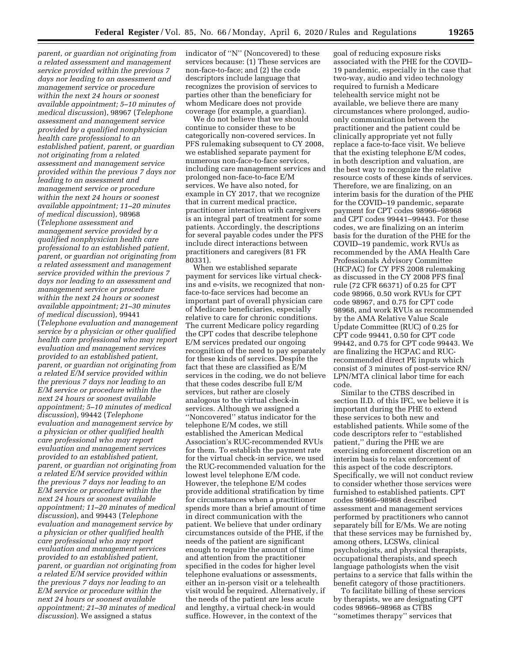*parent, or guardian not originating from a related assessment and management service provided within the previous 7 days nor leading to an assessment and management service or procedure within the next 24 hours or soonest available appointment; 5–10 minutes of medical discussion*), 98967 (*Telephone assessment and management service provided by a qualified nonphysician health care professional to an established patient, parent, or guardian not originating from a related assessment and management service provided within the previous 7 days nor leading to an assessment and management service or procedure within the next 24 hours or soonest available appointment; 11–20 minutes of medical discussion*), 98968 (*Telephone assessment and management service provided by a qualified nonphysician health care professional to an established patient, parent, or guardian not originating from a related assessment and management service provided within the previous 7 days nor leading to an assessment and management service or procedure within the next 24 hours or soonest available appointment; 21–30 minutes of medical discussion*), 99441 (*Telephone evaluation and management service by a physician or other qualified health care professional who may report evaluation and management services provided to an established patient, parent, or guardian not originating from a related E/M service provided within the previous 7 days nor leading to an E/M service or procedure within the next 24 hours or soonest available appointment; 5–10 minutes of medical discussion*), 99442 (*Telephone evaluation and management service by a physician or other qualified health care professional who may report evaluation and management services provided to an established patient, parent, or guardian not originating from a related E/M service provided within the previous 7 days nor leading to an E/M service or procedure within the next 24 hours or soonest available appointment; 11–20 minutes of medical discussion*), and 99443 (*Telephone evaluation and management service by a physician or other qualified health care professional who may report evaluation and management services provided to an established patient, parent, or guardian not originating from a related E/M service provided within the previous 7 days nor leading to an E/M service or procedure within the next 24 hours or soonest available appointment; 21–30 minutes of medical discussion*). We assigned a status

indicator of ''N'' (Noncovered) to these services because: (1) These services are non-face-to-face; and (2) the code descriptors include language that recognizes the provision of services to parties other than the beneficiary for whom Medicare does not provide coverage (for example, a guardian).

We do not believe that we should continue to consider these to be categorically non-covered services. In PFS rulemaking subsequent to CY 2008, we established separate payment for numerous non-face-to-face services, including care management services and prolonged non-face-to-face E/M services. We have also noted, for example in CY 2017, that we recognize that in current medical practice, practitioner interaction with caregivers is an integral part of treatment for some patients. Accordingly, the descriptions for several payable codes under the PFS include direct interactions between practitioners and caregivers (81 FR 80331).

When we established separate payment for services like virtual checkins and e-visits, we recognized that nonface-to-face services had become an important part of overall physician care of Medicare beneficiaries, especially relative to care for chronic conditions. The current Medicare policy regarding the CPT codes that describe telephone E/M services predated our ongoing recognition of the need to pay separately for these kinds of services. Despite the fact that these are classified as E/M services in the coding, we do not believe that these codes describe full E/M services, but rather are closely analogous to the virtual check-in services. Although we assigned a ''Noncovered'' status indicator for the telephone E/M codes, we still established the American Medical Association's RUC-recommended RVUs for them. To establish the payment rate for the virtual check-in service, we used the RUC-recommended valuation for the lowest level telephone E/M code. However, the telephone E/M codes provide additional stratification by time for circumstances when a practitioner spends more than a brief amount of time in direct communication with the patient. We believe that under ordinary circumstances outside of the PHE, if the needs of the patient are significant enough to require the amount of time and attention from the practitioner specified in the codes for higher level telephone evaluations or assessments, either an in-person visit or a telehealth visit would be required. Alternatively, if the needs of the patient are less acute and lengthy, a virtual check-in would suffice. However, in the context of the

goal of reducing exposure risks associated with the PHE for the COVID– 19 pandemic, especially in the case that two-way, audio and video technology required to furnish a Medicare telehealth service might not be available, we believe there are many circumstances where prolonged, audioonly communication between the practitioner and the patient could be clinically appropriate yet not fully replace a face-to-face visit. We believe that the existing telephone E/M codes, in both description and valuation, are the best way to recognize the relative resource costs of these kinds of services. Therefore, we are finalizing, on an interim basis for the duration of the PHE for the COVID–19 pandemic, separate payment for CPT codes 98966–98968 and CPT codes 99441–99443. For these codes, we are finalizing on an interim basis for the duration of the PHE for the COVID–19 pandemic, work RVUs as recommended by the AMA Health Care Professionals Advisory Committee (HCPAC) for CY PFS 2008 rulemaking as discussed in the CY 2008 PFS final rule (72 CFR 66371) of 0.25 for CPT code 98966, 0.50 work RVUs for CPT code 98967, and 0.75 for CPT code 98968, and work RVUs as recommended by the AMA Relative Value Scale Update Committee (RUC) of 0.25 for CPT code 99441, 0.50 for CPT code 99442, and 0.75 for CPT code 99443. We are finalizing the HCPAC and RUCrecommended direct PE inputs which consist of 3 minutes of post-service RN/ LPN/MTA clinical labor time for each code.

Similar to the CTBS described in section II.D. of this IFC, we believe it is important during the PHE to extend these services to both new and established patients. While some of the code descriptors refer to ''established patient,'' during the PHE we are exercising enforcement discretion on an interim basis to relax enforcement of this aspect of the code descriptors. Specifically, we will not conduct review to consider whether those services were furnished to established patients. CPT codes 98966–98968 described assessment and management services performed by practitioners who cannot separately bill for E/Ms. We are noting that these services may be furnished by, among others, LCSWs, clinical psychologists, and physical therapists, occupational therapists, and speech language pathologists when the visit pertains to a service that falls within the benefit category of those practitioners.

To facilitate billing of these services by therapists, we are designating CPT codes 98966–98968 as CTBS ''sometimes therapy'' services that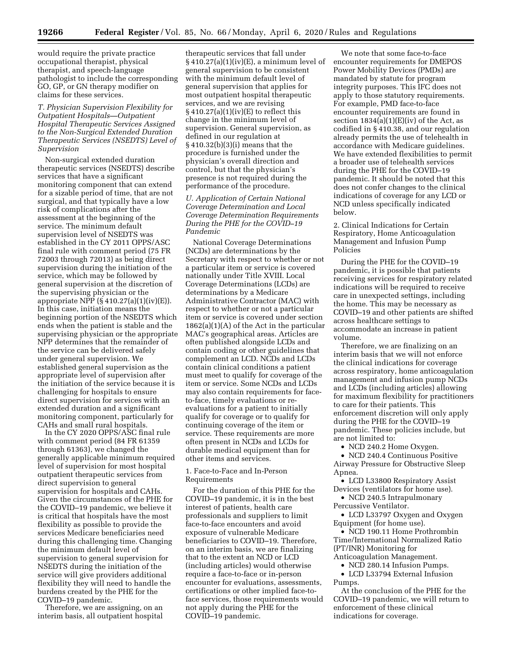would require the private practice occupational therapist, physical therapist, and speech-language pathologist to include the corresponding GO, GP, or GN therapy modifier on claims for these services.

*T. Physician Supervision Flexibility for Outpatient Hospitals—Outpatient Hospital Therapeutic Services Assigned to the Non-Surgical Extended Duration Therapeutic Services (NSEDTS) Level of Supervision* 

Non-surgical extended duration therapeutic services (NSEDTS) describe services that have a significant monitoring component that can extend for a sizable period of time, that are not surgical, and that typically have a low risk of complications after the assessment at the beginning of the service. The minimum default supervision level of NSEDTS was established in the CY 2011 OPPS/ASC final rule with comment period (75 FR 72003 through 72013) as being direct supervision during the initiation of the service, which may be followed by general supervision at the discretion of the supervising physician or the appropriate NPP  $(\S 410.27(a)(1)(iv)(E)).$ In this case, initiation means the beginning portion of the NSEDTS which ends when the patient is stable and the supervising physician or the appropriate NPP determines that the remainder of the service can be delivered safely under general supervision. We established general supervision as the appropriate level of supervision after the initiation of the service because it is challenging for hospitals to ensure direct supervision for services with an extended duration and a significant monitoring component, particularly for CAHs and small rural hospitals.

In the CY 2020 OPPS/ASC final rule with comment period (84 FR 61359 through 61363), we changed the generally applicable minimum required level of supervision for most hospital outpatient therapeutic services from direct supervision to general supervision for hospitals and CAHs. Given the circumstances of the PHE for the COVID–19 pandemic, we believe it is critical that hospitals have the most flexibility as possible to provide the services Medicare beneficiaries need during this challenging time. Changing the minimum default level of supervision to general supervision for NSEDTS during the initiation of the service will give providers additional flexibility they will need to handle the burdens created by the PHE for the COVID–19 pandemic.

Therefore, we are assigning, on an interim basis, all outpatient hospital

therapeutic services that fall under  $\S 410.27(a)(1)(iv)(E)$ , a minimum level of general supervision to be consistent with the minimum default level of general supervision that applies for most outpatient hospital therapeutic services, and we are revising  $\S 410.27(a)(1)(iv)(E)$  to reflect this change in the minimum level of supervision. General supervision, as defined in our regulation at § 410.32(b)(3)(i) means that the procedure is furnished under the physician's overall direction and control, but that the physician's presence is not required during the performance of the procedure.

# *U. Application of Certain National Coverage Determination and Local Coverage Determination Requirements During the PHE for the COVID–19 Pandemic*

National Coverage Determinations (NCDs) are determinations by the Secretary with respect to whether or not a particular item or service is covered nationally under Title XVIII. Local Coverage Determinations (LCDs) are determinations by a Medicare Administrative Contractor (MAC) with respect to whether or not a particular item or service is covered under section 1862(a)(1)(A) of the Act in the particular MAC's geographical areas. Articles are often published alongside LCDs and contain coding or other guidelines that complement an LCD. NCDs and LCDs contain clinical conditions a patient must meet to qualify for coverage of the item or service. Some NCDs and LCDs may also contain requirements for faceto-face, timely evaluations or reevaluations for a patient to initially qualify for coverage or to qualify for continuing coverage of the item or service. These requirements are more often present in NCDs and LCDs for durable medical equipment than for other items and services.

1. Face-to-Face and In-Person Requirements

For the duration of this PHE for the COVID–19 pandemic, it is in the best interest of patients, health care professionals and suppliers to limit face-to-face encounters and avoid exposure of vulnerable Medicare beneficiaries to COVID–19. Therefore, on an interim basis, we are finalizing that to the extent an NCD or LCD (including articles) would otherwise require a face-to-face or in-person encounter for evaluations, assessments, certifications or other implied face-toface services, those requirements would not apply during the PHE for the COVID–19 pandemic.

We note that some face-to-face encounter requirements for DMEPOS Power Mobility Devices (PMDs) are mandated by statute for program integrity purposes. This IFC does not apply to those statutory requirements. For example, PMD face-to-face encounter requirements are found in section  $1834(a)(1)(E)(iv)$  of the Act, as codified in § 410.38, and our regulation already permits the use of telehealth in accordance with Medicare guidelines. We have extended flexibilities to permit a broader use of telehealth services during the PHE for the COVID–19 pandemic. It should be noted that this does not confer changes to the clinical indications of coverage for any LCD or NCD unless specifically indicated below.

2. Clinical Indications for Certain Respiratory, Home Anticoagulation Management and Infusion Pump Policies

During the PHE for the COVID–19 pandemic, it is possible that patients receiving services for respiratory related indications will be required to receive care in unexpected settings, including the home. This may be necessary as COVID–19 and other patients are shifted across healthcare settings to accommodate an increase in patient volume.

Therefore, we are finalizing on an interim basis that we will not enforce the clinical indications for coverage across respiratory, home anticoagulation management and infusion pump NCDs and LCDs (including articles) allowing for maximum flexibility for practitioners to care for their patients. This enforcement discretion will only apply during the PHE for the COVID–19 pandemic. These policies include, but are not limited to:

• NCD 240.2 Home Oxygen.

• NCD 240.4 Continuous Positive Airway Pressure for Obstructive Sleep Apnea.

• LCD L33800 Respiratory Assist Devices (ventilators for home use).

• NCD 240.5 Intrapulmonary Percussive Ventilator.

• LCD L33797 Oxygen and Oxygen Equipment (for home use).

• NCD 190.11 Home Prothrombin Time/International Normalized Ratio (PT/INR) Monitoring for Anticoagulation Management.

- 
- NCD 280.14 Infusion Pumps.

• LCD L33794 External Infusion Pumps.

At the conclusion of the PHE for the COVID–19 pandemic, we will return to enforcement of these clinical indications for coverage.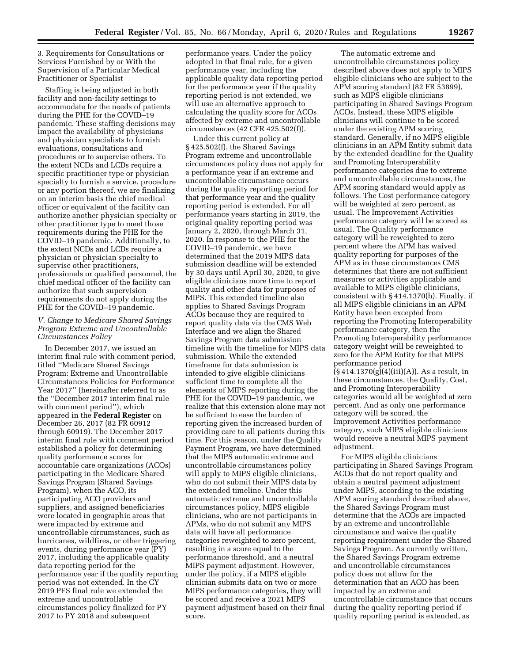3. Requirements for Consultations or Services Furnished by or With the Supervision of a Particular Medical Practitioner or Specialist

Staffing is being adjusted in both facility and non-facility settings to accommodate for the needs of patients during the PHE for the COVID–19 pandemic. These staffing decisions may impact the availability of physicians and physician specialists to furnish evaluations, consultations and procedures or to supervise others. To the extent NCDs and LCDs require a specific practitioner type or physician specialty to furnish a service, procedure or any portion thereof, we are finalizing on an interim basis the chief medical officer or equivalent of the facility can authorize another physician specialty or other practitioner type to meet those requirements during the PHE for the COVID–19 pandemic. Additionally, to the extent NCDs and LCDs require a physician or physician specialty to supervise other practitioners, professionals or qualified personnel, the chief medical officer of the facility can authorize that such supervision requirements do not apply during the PHE for the COVID–19 pandemic.

### *V. Change to Medicare Shared Savings Program Extreme and Uncontrollable Circumstances Policy*

In December 2017, we issued an interim final rule with comment period, titled ''Medicare Shared Savings Program: Extreme and Uncontrollable Circumstances Policies for Performance Year 2017'' (hereinafter referred to as the ''December 2017 interim final rule with comment period''), which appeared in the **Federal Register** on December 26, 2017 (82 FR 60912 through 60919). The December 2017 interim final rule with comment period established a policy for determining quality performance scores for accountable care organizations (ACOs) participating in the Medicare Shared Savings Program (Shared Savings Program), when the ACO, its participating ACO providers and suppliers, and assigned beneficiaries were located in geographic areas that were impacted by extreme and uncontrollable circumstances, such as hurricanes, wildfires, or other triggering events, during performance year (PY) 2017, including the applicable quality data reporting period for the performance year if the quality reporting period was not extended. In the CY 2019 PFS final rule we extended the extreme and uncontrollable circumstances policy finalized for PY 2017 to PY 2018 and subsequent

performance years. Under the policy adopted in that final rule, for a given performance year, including the applicable quality data reporting period for the performance year if the quality reporting period is not extended, we will use an alternative approach to calculating the quality score for ACOs affected by extreme and uncontrollable circumstances (42 CFR 425.502(f)).

Under this current policy at § 425.502(f), the Shared Savings Program extreme and uncontrollable circumstances policy does not apply for a performance year if an extreme and uncontrollable circumstance occurs during the quality reporting period for that performance year and the quality reporting period is extended. For all performance years starting in 2019, the original quality reporting period was January 2, 2020, through March 31, 2020. In response to the PHE for the COVID–19 pandemic, we have determined that the 2019 MIPS data submission deadline will be extended by 30 days until April 30, 2020, to give eligible clinicians more time to report quality and other data for purposes of MIPS. This extended timeline also applies to Shared Savings Program ACOs because they are required to report quality data via the CMS Web Interface and we align the Shared Savings Program data submission timeline with the timeline for MIPS data submission. While the extended timeframe for data submission is intended to give eligible clinicians sufficient time to complete all the elements of MIPS reporting during the PHE for the COVID–19 pandemic, we realize that this extension alone may not be sufficient to ease the burden of reporting given the increased burden of providing care to all patients during this time. For this reason, under the Quality Payment Program, we have determined that the MIPS automatic extreme and uncontrollable circumstances policy will apply to MIPS eligible clinicians, who do not submit their MIPS data by the extended timeline. Under this automatic extreme and uncontrollable circumstances policy, MIPS eligible clinicians, who are not participants in APMs, who do not submit any MIPS data will have all performance categories reweighted to zero percent, resulting in a score equal to the performance threshold, and a neutral MIPS payment adjustment. However, under the policy, if a MIPS eligible clinician submits data on two or more MIPS performance categories, they will be scored and receive a 2021 MIPS payment adjustment based on their final score.

The automatic extreme and uncontrollable circumstances policy described above does not apply to MIPS eligible clinicians who are subject to the APM scoring standard (82 FR 53899), such as MIPS eligible clinicians participating in Shared Savings Program ACOs. Instead, these MIPS eligible clinicians will continue to be scored under the existing APM scoring standard. Generally, if no MIPS eligible clinicians in an APM Entity submit data by the extended deadline for the Quality and Promoting Interoperability performance categories due to extreme and uncontrollable circumstances, the APM scoring standard would apply as follows. The Cost performance category will be weighted at zero percent, as usual. The Improvement Activities performance category will be scored as usual. The Quality performance category will be reweighted to zero percent where the APM has waived quality reporting for purposes of the APM as in these circumstances CMS determines that there are not sufficient measures or activities applicable and available to MIPS eligible clinicians, consistent with § 414.1370(h). Finally, if all MIPS eligible clinicians in an APM Entity have been excepted from reporting the Promoting Interoperability performance category, then the Promoting Interoperability performance category weight will be reweighted to zero for the APM Entity for that MIPS performance period  $(§ 414.1370(g)(4)(iii)(A)).$  As a result, in these circumstances, the Quality, Cost, and Promoting Interoperability categories would all be weighted at zero percent. And as only one performance category will be scored, the Improvement Activities performance category, such MIPS eligible clinicians would receive a neutral MIPS payment adjustment.

For MIPS eligible clinicians participating in Shared Savings Program ACOs that do not report quality and obtain a neutral payment adjustment under MIPS, according to the existing APM scoring standard described above, the Shared Savings Program must determine that the ACOs are impacted by an extreme and uncontrollable circumstance and waive the quality reporting requirement under the Shared Savings Program. As currently written, the Shared Savings Program extreme and uncontrollable circumstances policy does not allow for the determination that an ACO has been impacted by an extreme and uncontrollable circumstance that occurs during the quality reporting period if quality reporting period is extended, as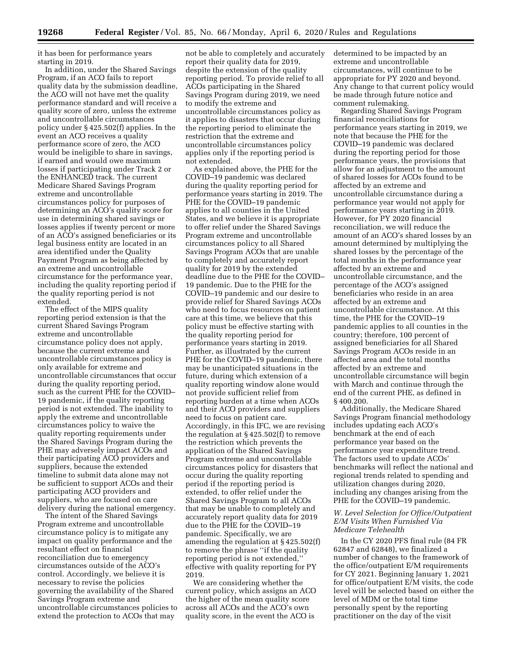it has been for performance years starting in 2019.

In addition, under the Shared Savings Program, if an ACO fails to report quality data by the submission deadline, the ACO will not have met the quality performance standard and will receive a quality score of zero, unless the extreme and uncontrollable circumstances policy under § 425.502(f) applies. In the event an ACO receives a quality performance score of zero, the ACO would be ineligible to share in savings, if earned and would owe maximum losses if participating under Track 2 or the ENHANCED track. The current Medicare Shared Savings Program extreme and uncontrollable circumstances policy for purposes of determining an ACO's quality score for use in determining shared savings or losses applies if twenty percent or more of an ACO's assigned beneficiaries or its legal business entity are located in an area identified under the Quality Payment Program as being affected by an extreme and uncontrollable circumstance for the performance year, including the quality reporting period if the quality reporting period is not extended.

The effect of the MIPS quality reporting period extension is that the current Shared Savings Program extreme and uncontrollable circumstance policy does not apply, because the current extreme and uncontrollable circumstances policy is only available for extreme and uncontrollable circumstances that occur during the quality reporting period, such as the current PHE for the COVID– 19 pandemic, if the quality reporting period is not extended. The inability to apply the extreme and uncontrollable circumstances policy to waive the quality reporting requirements under the Shared Savings Program during the PHE may adversely impact ACOs and their participating ACO providers and suppliers, because the extended timeline to submit data alone may not be sufficient to support ACOs and their participating ACO providers and suppliers, who are focused on care delivery during the national emergency.

The intent of the Shared Savings Program extreme and uncontrollable circumstance policy is to mitigate any impact on quality performance and the resultant effect on financial reconciliation due to emergency circumstances outside of the ACO's control. Accordingly, we believe it is necessary to revise the policies governing the availability of the Shared Savings Program extreme and uncontrollable circumstances policies to extend the protection to ACOs that may

not be able to completely and accurately report their quality data for 2019, despite the extension of the quality reporting period. To provide relief to all ACOs participating in the Shared Savings Program during 2019, we need to modify the extreme and uncontrollable circumstances policy as it applies to disasters that occur during the reporting period to eliminate the restriction that the extreme and uncontrollable circumstances policy applies only if the reporting period is not extended.

As explained above, the PHE for the COVID–19 pandemic was declared during the quality reporting period for performance years starting in 2019. The PHE for the COVID–19 pandemic applies to all counties in the United States, and we believe it is appropriate to offer relief under the Shared Savings Program extreme and uncontrollable circumstances policy to all Shared Savings Program ACOs that are unable to completely and accurately report quality for 2019 by the extended deadline due to the PHE for the COVID– 19 pandemic. Due to the PHE for the COVID–19 pandemic and our desire to provide relief for Shared Savings ACOs who need to focus resources on patient care at this time, we believe that this policy must be effective starting with the quality reporting period for performance years starting in 2019. Further, as illustrated by the current PHE for the COVID–19 pandemic, there may be unanticipated situations in the future, during which extension of a quality reporting window alone would not provide sufficient relief from reporting burden at a time when ACOs and their ACO providers and suppliers need to focus on patient care. Accordingly, in this IFC, we are revising the regulation at § 425.502(f) to remove the restriction which prevents the application of the Shared Savings Program extreme and uncontrollable circumstances policy for disasters that occur during the quality reporting period if the reporting period is extended, to offer relief under the Shared Savings Program to all ACOs that may be unable to completely and accurately report quality data for 2019 due to the PHE for the COVID–19 pandemic. Specifically, we are amending the regulation at § 425.502(f) to remove the phrase ''if the quality reporting period is not extended,'' effective with quality reporting for PY 2019.

We are considering whether the current policy, which assigns an ACO the higher of the mean quality score across all ACOs and the ACO's own quality score, in the event the ACO is

determined to be impacted by an extreme and uncontrollable circumstances, will continue to be appropriate for PY 2020 and beyond. Any change to that current policy would be made through future notice and comment rulemaking.

Regarding Shared Savings Program financial reconciliations for performance years starting in 2019, we note that because the PHE for the COVID–19 pandemic was declared during the reporting period for those performance years, the provisions that allow for an adjustment to the amount of shared losses for ACOs found to be affected by an extreme and uncontrollable circumstance during a performance year would not apply for performance years starting in 2019. However, for PY 2020 financial reconciliation, we will reduce the amount of an ACO's shared losses by an amount determined by multiplying the shared losses by the percentage of the total months in the performance year affected by an extreme and uncontrollable circumstance, and the percentage of the ACO's assigned beneficiaries who reside in an area affected by an extreme and uncontrollable circumstance. At this time, the PHE for the COVID–19 pandemic applies to all counties in the country; therefore, 100 percent of assigned beneficiaries for all Shared Savings Program ACOs reside in an affected area and the total months affected by an extreme and uncontrollable circumstance will begin with March and continue through the end of the current PHE, as defined in § 400.200.

Additionally, the Medicare Shared Savings Program financial methodology includes updating each ACO's benchmark at the end of each performance year based on the performance year expenditure trend. The factors used to update ACOs' benchmarks will reflect the national and regional trends related to spending and utilization changes during 2020, including any changes arising from the PHE for the COVID–19 pandemic.

### *W. Level Selection for Office/Outpatient E/M Visits When Furnished Via Medicare Telehealth*

In the CY 2020 PFS final rule (84 FR 62847 and 62848), we finalized a number of changes to the framework of the office/outpatient E/M requirements for CY 2021. Beginning January 1, 2021 for office/outpatient E/M visits, the code level will be selected based on either the level of MDM or the total time personally spent by the reporting practitioner on the day of the visit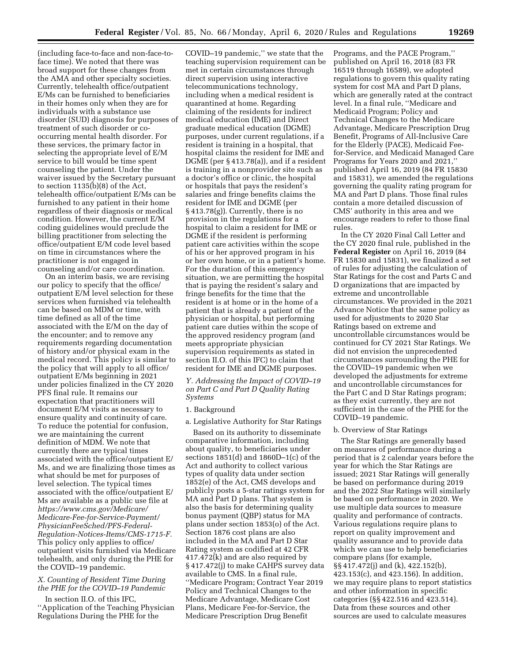(including face-to-face and non-face-toface time). We noted that there was broad support for these changes from the AMA and other specialty societies. Currently, telehealth office/outpatient E/Ms can be furnished to beneficiaries in their homes only when they are for individuals with a substance use disorder (SUD) diagnosis for purposes of treatment of such disorder or cooccurring mental health disorder. For these services, the primary factor in selecting the appropriate level of E/M service to bill would be time spent counseling the patient. Under the waiver issued by the Secretary pursuant to section 1135(b)(8) of the Act, telehealth office/outpatient E/Ms can be furnished to any patient in their home regardless of their diagnosis or medical condition. However, the current E/M coding guidelines would preclude the billing practitioner from selecting the office/outpatient E/M code level based on time in circumstances where the practitioner is not engaged in counseling and/or care coordination.

On an interim basis, we are revising our policy to specify that the office/ outpatient E/M level selection for these services when furnished via telehealth can be based on MDM or time, with time defined as all of the time associated with the E/M on the day of the encounter; and to remove any requirements regarding documentation of history and/or physical exam in the medical record. This policy is similar to the policy that will apply to all office/ outpatient E/Ms beginning in 2021 under policies finalized in the CY 2020 PFS final rule. It remains our expectation that practitioners will document E/M visits as necessary to ensure quality and continuity of care. To reduce the potential for confusion, we are maintaining the current definition of MDM. We note that currently there are typical times associated with the office/outpatient E/ Ms, and we are finalizing those times as what should be met for purposes of level selection. The typical times associated with the office/outpatient E/ Ms are available as a public use file at *[https://www.cms.gov/Medicare/](https://www.cms.gov/Medicare/Medicare-Fee-for-Service-Payment/PhysicianFeeSched/PFS-Federal-Regulation-Notices-Items/CMS-1715-F) [Medicare-Fee-for-Service-Payment/](https://www.cms.gov/Medicare/Medicare-Fee-for-Service-Payment/PhysicianFeeSched/PFS-Federal-Regulation-Notices-Items/CMS-1715-F)  [PhysicianFeeSched/PFS-Federal-](https://www.cms.gov/Medicare/Medicare-Fee-for-Service-Payment/PhysicianFeeSched/PFS-Federal-Regulation-Notices-Items/CMS-1715-F)[Regulation-Notices-Items/CMS-1715-F.](https://www.cms.gov/Medicare/Medicare-Fee-for-Service-Payment/PhysicianFeeSched/PFS-Federal-Regulation-Notices-Items/CMS-1715-F)*  This policy only applies to office/ outpatient visits furnished via Medicare telehealth, and only during the PHE for the COVID–19 pandemic.

# *X. Counting of Resident Time During the PHE for the COVID–19 Pandemic*

In section II.O. of this IFC, ''Application of the Teaching Physician Regulations During the PHE for the

COVID–19 pandemic,'' we state that the teaching supervision requirement can be met in certain circumstances through direct supervision using interactive telecommunications technology, including when a medical resident is quarantined at home. Regarding claiming of the residents for indirect medical education (IME) and Direct graduate medical education (DGME) purposes, under current regulations, if a resident is training in a hospital, that hospital claims the resident for IME and DGME (per § 413.78(a)), and if a resident is training in a nonprovider site such as a doctor's office or clinic, the hospital or hospitals that pays the resident's salaries and fringe benefits claims the resident for IME and DGME (per § 413.78(g)). Currently, there is no provision in the regulations for a hospital to claim a resident for IME or DGME if the resident is performing patient care activities within the scope of his or her approved program in his or her own home, or in a patient's home. For the duration of this emergency situation, we are permitting the hospital that is paying the resident's salary and fringe benefits for the time that the resident is at home or in the home of a patient that is already a patient of the physician or hospital, but performing patient care duties within the scope of the approved residency program (and meets appropriate physician supervision requirements as stated in section II.O. of this IFC) to claim that resident for IME and DGME purposes.

*Y. Addressing the Impact of COVID–19 on Part C and Part D Quality Rating Systems* 

### 1. Background

a. Legislative Authority for Star Ratings

Based on its authority to disseminate comparative information, including about quality, to beneficiaries under sections 1851(d) and 1860D–1(c) of the Act and authority to collect various types of quality data under section 1852(e) of the Act, CMS develops and publicly posts a 5-star ratings system for MA and Part D plans. That system is also the basis for determining quality bonus payment (QBP) status for MA plans under section 1853(o) of the Act. Section 1876 cost plans are also included in the MA and Part D Star Rating system as codified at 42 CFR 417.472(k) and are also required by § 417.472(j) to make CAHPS survey data available to CMS. In a final rule, ''Medicare Program; Contract Year 2019 Policy and Technical Changes to the Medicare Advantage, Medicare Cost Plans, Medicare Fee-for-Service, the Medicare Prescription Drug Benefit

Programs, and the PACE Program,'' published on April 16, 2018 (83 FR 16519 through 16589), we adopted regulations to govern this quality rating system for cost MA and Part D plans, which are generally rated at the contract level. In a final rule, ''Medicare and Medicaid Program; Policy and Technical Changes to the Medicare Advantage, Medicare Prescription Drug Benefit, Programs of All-Inclusive Care for the Elderly (PACE), Medicaid Feefor-Service, and Medicaid Managed Care Programs for Years 2020 and 2021,'' published April 16, 2019 (84 FR 15830 and 15831), we amended the regulations governing the quality rating program for MA and Part D plans. Those final rules contain a more detailed discussion of CMS' authority in this area and we encourage readers to refer to those final rules.

In the CY 2020 Final Call Letter and the CY 2020 final rule, published in the **Federal Register** on April 16, 2019 (84 FR 15830 and 15831), we finalized a set of rules for adjusting the calculation of Star Ratings for the cost and Parts C and D organizations that are impacted by extreme and uncontrollable circumstances. We provided in the 2021 Advance Notice that the same policy as used for adjustments to 2020 Star Ratings based on extreme and uncontrollable circumstances would be continued for CY 2021 Star Ratings. We did not envision the unprecedented circumstances surrounding the PHE for the COVID–19 pandemic when we developed the adjustments for extreme and uncontrollable circumstances for the Part C and D Star Ratings program; as they exist currently, they are not sufficient in the case of the PHE for the COVID–19 pandemic.

#### b. Overview of Star Ratings

The Star Ratings are generally based on measures of performance during a period that is 2 calendar years before the year for which the Star Ratings are issued; 2021 Star Ratings will generally be based on performance during 2019 and the 2022 Star Ratings will similarly be based on performance in 2020. We use multiple data sources to measure quality and performance of contracts. Various regulations require plans to report on quality improvement and quality assurance and to provide data which we can use to help beneficiaries compare plans (for example, §§ 417.472(j) and (k), 422.152(b), 423.153(c), and 423.156). In addition, we may require plans to report statistics and other information in specific categories (§§ 422.516 and 423.514). Data from these sources and other sources are used to calculate measures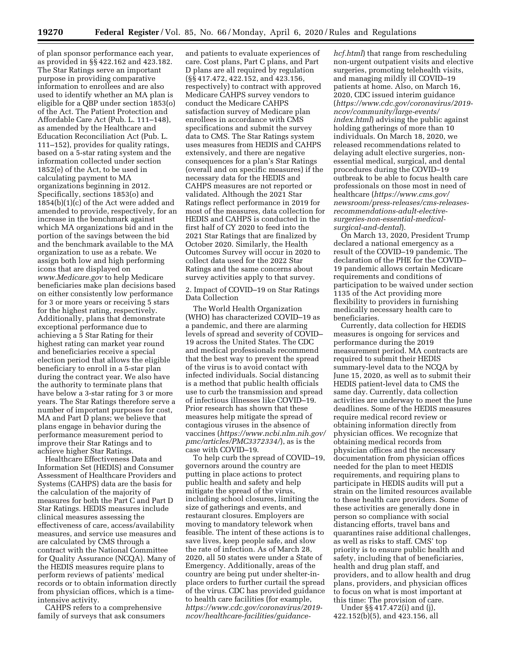of plan sponsor performance each year, as provided in §§ 422.162 and 423.182. The Star Ratings serve an important purpose in providing comparative information to enrollees and are also used to identify whether an MA plan is eligible for a QBP under section 1853(o) of the Act. The Patient Protection and Affordable Care Act (Pub. L. 111–148), as amended by the Healthcare and Education Reconciliation Act (Pub. L. 111–152), provides for quality ratings, based on a 5-star rating system and the information collected under section 1852(e) of the Act, to be used in calculating payment to MA organizations beginning in 2012. Specifically, sections 1853(o) and 1854(b)(1)(c) of the Act were added and amended to provide, respectively, for an increase in the benchmark against which MA organizations bid and in the portion of the savings between the bid and the benchmark available to the MA organization to use as a rebate. We assign both low and high performing icons that are displayed on *[www.Medicare.gov](http://www.Medicare.gov)* to help Medicare beneficiaries make plan decisions based on either consistently low performance for 3 or more years or receiving 5 stars for the highest rating, respectively. Additionally, plans that demonstrate exceptional performance due to achieving a 5 Star Rating for their highest rating can market year round and beneficiaries receive a special election period that allows the eligible beneficiary to enroll in a 5-star plan during the contract year. We also have the authority to terminate plans that have below a 3-star rating for 3 or more years. The Star Ratings therefore serve a number of important purposes for cost, MA and Part D plans; we believe that plans engage in behavior during the performance measurement period to improve their Star Ratings and to achieve higher Star Ratings.

Healthcare Effectiveness Data and Information Set (HEDIS) and Consumer Assessment of Healthcare Providers and Systems (CAHPS) data are the basis for the calculation of the majority of measures for both the Part C and Part D Star Ratings. HEDIS measures include clinical measures assessing the effectiveness of care, access/availability measures, and service use measures and are calculated by CMS through a contract with the National Committee for Quality Assurance (NCQA). Many of the HEDIS measures require plans to perform reviews of patients' medical records or to obtain information directly from physician offices, which is a timeintensive activity.

CAHPS refers to a comprehensive family of surveys that ask consumers

and patients to evaluate experiences of care. Cost plans, Part C plans, and Part D plans are all required by regulation (§§ 417.472, 422.152, and 423.156, respectively) to contract with approved Medicare CAHPS survey vendors to conduct the Medicare CAHPS satisfaction survey of Medicare plan enrollees in accordance with CMS specifications and submit the survey data to CMS. The Star Ratings system uses measures from HEDIS and CAHPS extensively, and there are negative consequences for a plan's Star Ratings (overall and on specific measures) if the necessary data for the HEDIS and CAHPS measures are not reported or validated. Although the 2021 Star Ratings reflect performance in 2019 for most of the measures, data collection for HEDIS and CAHPS is conducted in the first half of CY 2020 to feed into the 2021 Star Ratings that are finalized by October 2020. Similarly, the Health Outcomes Survey will occur in 2020 to collect data used for the 2022 Star Ratings and the same concerns about survey activities apply to that survey.

2. Impact of COVID–19 on Star Ratings Data Collection

The World Health Organization (WHO) has characterized COVID–19 as a pandemic, and there are alarming levels of spread and severity of COVID– 19 across the United States. The CDC and medical professionals recommend that the best way to prevent the spread of the virus is to avoid contact with infected individuals. Social distancing is a method that public health officials use to curb the transmission and spread of infectious illnesses like COVID–19. Prior research has shown that these measures help mitigate the spread of contagious viruses in the absence of vaccines (*[https://www.ncbi.nlm.nih.gov/](https://www.ncbi.nlm.nih.gov/pmc/articles/PMC3372334/)  [pmc/articles/PMC3372334/](https://www.ncbi.nlm.nih.gov/pmc/articles/PMC3372334/)*), as is the case with COVID–19.

To help curb the spread of COVID–19, governors around the country are putting in place actions to protect public health and safety and help mitigate the spread of the virus, including school closures, limiting the size of gatherings and events, and restaurant closures. Employers are moving to mandatory telework when feasible. The intent of these actions is to save lives, keep people safe, and slow the rate of infection. As of March 28, 2020, all 50 states were under a State of Emergency. Additionally, areas of the country are being put under shelter-inplace orders to further curtail the spread of the virus. CDC has provided guidance to health care facilities (for example, *[https://www.cdc.gov/coronavirus/2019](https://www.cdc.gov/coronavirus/2019-ncov/healthcare-facilities/guidance-hcf.html)  [ncov/healthcare-facilities/guidance-](https://www.cdc.gov/coronavirus/2019-ncov/healthcare-facilities/guidance-hcf.html)*

*[hcf.html](https://www.cdc.gov/coronavirus/2019-ncov/healthcare-facilities/guidance-hcf.html)*) that range from rescheduling non-urgent outpatient visits and elective surgeries, promoting telehealth visits, and managing mildly ill COVID–19 patients at home. Also, on March 16, 2020, CDC issued interim guidance (*[https://www.cdc.gov/coronavirus/2019](https://www.cdc.gov/coronavirus/2019-ncov/community/large-events/index.html)  [ncov/community/large-events/](https://www.cdc.gov/coronavirus/2019-ncov/community/large-events/index.html)  [index.html](https://www.cdc.gov/coronavirus/2019-ncov/community/large-events/index.html)*) advising the public against holding gatherings of more than 10 individuals. On March 18, 2020, we released recommendations related to delaying adult elective surgeries, nonessential medical, surgical, and dental procedures during the COVID–19 outbreak to be able to focus health care professionals on those most in need of healthcare (*[https://www.cms.gov/](https://www.cms.gov/newsroom/press-releases/cms-releases-recommendations-adult-elective-surgeries-non-essential-medical-surgical-and-dental)  [newsroom/press-releases/cms-releases](https://www.cms.gov/newsroom/press-releases/cms-releases-recommendations-adult-elective-surgeries-non-essential-medical-surgical-and-dental)recommendations-adult-electivesurgeries-non-essential-medical[surgical-and-dental](https://www.cms.gov/newsroom/press-releases/cms-releases-recommendations-adult-elective-surgeries-non-essential-medical-surgical-and-dental)*).

On March 13, 2020, President Trump declared a national emergency as a result of the COVID–19 pandemic. The declaration of the PHE for the COVID– 19 pandemic allows certain Medicare requirements and conditions of participation to be waived under section 1135 of the Act providing more flexibility to providers in furnishing medically necessary health care to beneficiaries.

Currently, data collection for HEDIS measures is ongoing for services and performance during the 2019 measurement period. MA contracts are required to submit their HEDIS summary-level data to the NCQA by June 15, 2020, as well as to submit their HEDIS patient-level data to CMS the same day. Currently, data collection activities are underway to meet the June deadlines. Some of the HEDIS measures require medical record review or obtaining information directly from physician offices. We recognize that obtaining medical records from physician offices and the necessary documentation from physician offices needed for the plan to meet HEDIS requirements, and requiring plans to participate in HEDIS audits will put a strain on the limited resources available to these health care providers. Some of these activities are generally done in person so compliance with social distancing efforts, travel bans and quarantines raise additional challenges, as well as risks to staff. CMS' top priority is to ensure public health and safety, including that of beneficiaries, health and drug plan staff, and providers, and to allow health and drug plans, providers, and physician offices to focus on what is most important at this time: The provision of care.

Under §§ 417.472(i) and (j), 422.152(b)(5), and 423.156, all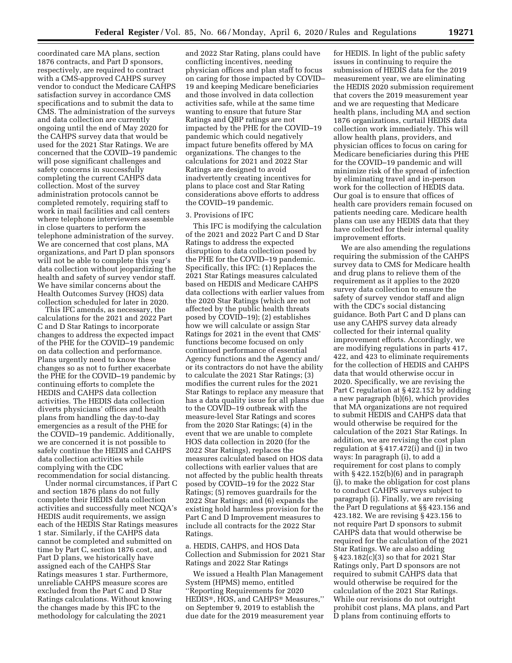coordinated care MA plans, section 1876 contracts, and Part D sponsors, respectively, are required to contract with a CMS-approved CAHPS survey vendor to conduct the Medicare CAHPS satisfaction survey in accordance CMS specifications and to submit the data to CMS. The administration of the surveys and data collection are currently ongoing until the end of May 2020 for the CAHPS survey data that would be used for the 2021 Star Ratings. We are concerned that the COVID–19 pandemic will pose significant challenges and safety concerns in successfully completing the current CAHPS data collection. Most of the survey administration protocols cannot be completed remotely, requiring staff to work in mail facilities and call centers where telephone interviewers assemble in close quarters to perform the telephone administration of the survey. We are concerned that cost plans, MA organizations, and Part D plan sponsors will not be able to complete this year's data collection without jeopardizing the health and safety of survey vendor staff. We have similar concerns about the Health Outcomes Survey (HOS) data collection scheduled for later in 2020.

This IFC amends, as necessary, the calculations for the 2021 and 2022 Part C and D Star Ratings to incorporate changes to address the expected impact of the PHE for the COVID–19 pandemic on data collection and performance. Plans urgently need to know these changes so as not to further exacerbate the PHE for the COVID–19 pandemic by continuing efforts to complete the HEDIS and CAHPS data collection activities. The HEDIS data collection diverts physicians' offices and health plans from handling the day-to-day emergencies as a result of the PHE for the COVID–19 pandemic. Additionally, we are concerned it is not possible to safely continue the HEDIS and CAHPS data collection activities while complying with the CDC recommendation for social distancing.

Under normal circumstances, if Part C and section 1876 plans do not fully complete their HEDIS data collection activities and successfully meet NCQA's HEDIS audit requirements, we assign each of the HEDIS Star Ratings measures 1 star. Similarly, if the CAHPS data cannot be completed and submitted on time by Part C, section 1876 cost, and Part D plans, we historically have assigned each of the CAHPS Star Ratings measures 1 star. Furthermore, unreliable CAHPS measure scores are excluded from the Part C and D Star Ratings calculations. Without knowing the changes made by this IFC to the methodology for calculating the 2021

and 2022 Star Rating, plans could have conflicting incentives, needing physician offices and plan staff to focus on caring for those impacted by COVID– 19 and keeping Medicare beneficiaries and those involved in data collection activities safe, while at the same time wanting to ensure that future Star Ratings and QBP ratings are not impacted by the PHE for the COVID–19 pandemic which could negatively impact future benefits offered by MA organizations. The changes to the calculations for 2021 and 2022 Star Ratings are designed to avoid inadvertently creating incentives for plans to place cost and Star Rating considerations above efforts to address the COVID–19 pandemic.

#### 3. Provisions of IFC

This IFC is modifying the calculation of the 2021 and 2022 Part C and D Star Ratings to address the expected disruption to data collection posed by the PHE for the COVID–19 pandemic. Specifically, this IFC: (1) Replaces the 2021 Star Ratings measures calculated based on HEDIS and Medicare CAHPS data collections with earlier values from the 2020 Star Ratings (which are not affected by the public health threats posed by COVID–19); (2) establishes how we will calculate or assign Star Ratings for 2021 in the event that CMS' functions become focused on only continued performance of essential Agency functions and the Agency and/ or its contractors do not have the ability to calculate the 2021 Star Ratings; (3) modifies the current rules for the 2021 Star Ratings to replace any measure that has a data quality issue for all plans due to the COVID–19 outbreak with the measure-level Star Ratings and scores from the 2020 Star Ratings; (4) in the event that we are unable to complete HOS data collection in 2020 (for the 2022 Star Ratings), replaces the measures calculated based on HOS data collections with earlier values that are not affected by the public health threats posed by COVID–19 for the 2022 Star Ratings; (5) removes guardrails for the 2022 Star Ratings; and (6) expands the existing hold harmless provision for the Part C and D Improvement measures to include all contracts for the 2022 Star Ratings.

a. HEDIS, CAHPS, and HOS Data Collection and Submission for 2021 Star Ratings and 2022 Star Ratings

We issued a Health Plan Management System (HPMS) memo, entitled ''Reporting Requirements for 2020 HEDIS®, HOS, and CAHPS® Measures,'' on September 9, 2019 to establish the due date for the 2019 measurement year

for HEDIS. In light of the public safety issues in continuing to require the submission of HEDIS data for the 2019 measurement year, we are eliminating the HEDIS 2020 submission requirement that covers the 2019 measurement year and we are requesting that Medicare health plans, including MA and section 1876 organizations, curtail HEDIS data collection work immediately. This will allow health plans, providers, and physician offices to focus on caring for Medicare beneficiaries during this PHE for the COVID–19 pandemic and will minimize risk of the spread of infection by eliminating travel and in-person work for the collection of HEDIS data. Our goal is to ensure that offices of health care providers remain focused on patients needing care. Medicare health plans can use any HEDIS data that they have collected for their internal quality improvement efforts.

We are also amending the regulations requiring the submission of the CAHPS survey data to CMS for Medicare health and drug plans to relieve them of the requirement as it applies to the 2020 survey data collection to ensure the safety of survey vendor staff and align with the CDC's social distancing guidance. Both Part C and D plans can use any CAHPS survey data already collected for their internal quality improvement efforts. Accordingly, we are modifying regulations in parts 417, 422, and 423 to eliminate requirements for the collection of HEDIS and CAHPS data that would otherwise occur in 2020. Specifically, we are revising the Part C regulation at § 422.152 by adding a new paragraph (b)(6), which provides that MA organizations are not required to submit HEDIS and CAHPS data that would otherwise be required for the calculation of the 2021 Star Ratings. In addition, we are revising the cost plan regulation at § 417.472(i) and (j) in two ways: In paragraph (i), to add a requirement for cost plans to comply with § 422.152(b)(6) and in paragraph (j), to make the obligation for cost plans to conduct CAHPS surveys subject to paragraph (i). Finally, we are revising the Part D regulations at §§ 423.156 and 423.182. We are revising § 423.156 to not require Part D sponsors to submit CAHPS data that would otherwise be required for the calculation of the 2021 Star Ratings. We are also adding § 423.182(c)(3) so that for 2021 Star Ratings only, Part D sponsors are not required to submit CAHPS data that would otherwise be required for the calculation of the 2021 Star Ratings. While our revisions do not outright prohibit cost plans, MA plans, and Part D plans from continuing efforts to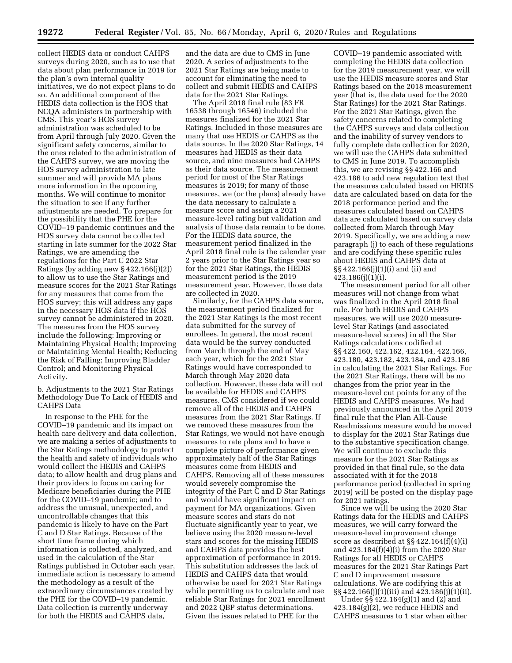collect HEDIS data or conduct CAHPS surveys during 2020, such as to use that data about plan performance in 2019 for the plan's own internal quality initiatives, we do not expect plans to do so. An additional component of the HEDIS data collection is the HOS that NCQA administers in partnership with CMS. This year's HOS survey administration was scheduled to be from April through July 2020. Given the significant safety concerns, similar to the ones related to the administration of the CAHPS survey, we are moving the HOS survey administration to late summer and will provide MA plans more information in the upcoming months. We will continue to monitor the situation to see if any further adjustments are needed. To prepare for the possibility that the PHE for the COVID–19 pandemic continues and the HOS survey data cannot be collected starting in late summer for the 2022 Star Ratings, we are amending the regulations for the Part C 2022 Star Ratings (by adding new  $\S$  422.166(j)(2)) to allow us to use the Star Ratings and measure scores for the 2021 Star Ratings for any measures that come from the HOS survey; this will address any gaps in the necessary HOS data if the HOS survey cannot be administered in 2020. The measures from the HOS survey include the following: Improving or Maintaining Physical Health; Improving or Maintaining Mental Health; Reducing the Risk of Falling; Improving Bladder Control; and Monitoring Physical Activity.

b. Adjustments to the 2021 Star Ratings Methodology Due To Lack of HEDIS and CAHPS Data

In response to the PHE for the COVID–19 pandemic and its impact on health care delivery and data collection, we are making a series of adjustments to the Star Ratings methodology to protect the health and safety of individuals who would collect the HEDIS and CAHPS data; to allow health and drug plans and their providers to focus on caring for Medicare beneficiaries during the PHE for the COVID–19 pandemic; and to address the unusual, unexpected, and uncontrollable changes that this pandemic is likely to have on the Part C and D Star Ratings. Because of the short time frame during which information is collected, analyzed, and used in the calculation of the Star Ratings published in October each year, immediate action is necessary to amend the methodology as a result of the extraordinary circumstances created by the PHE for the COVID–19 pandemic. Data collection is currently underway for both the HEDIS and CAHPS data,

and the data are due to CMS in June 2020. A series of adjustments to the 2021 Star Ratings are being made to account for eliminating the need to collect and submit HEDIS and CAHPS data for the 2021 Star Ratings.

The April 2018 final rule (83 FR 16538 through 16546) included the measures finalized for the 2021 Star Ratings. Included in those measures are many that use HEDIS or CAHPS as the data source. In the 2020 Star Ratings, 14 measures had HEDIS as their data source, and nine measures had CAHPS as their data source. The measurement period for most of the Star Ratings measures is 2019; for many of those measures, we (or the plans) already have the data necessary to calculate a measure score and assign a 2021 measure-level rating but validation and analysis of those data remain to be done. For the HEDIS data source, the measurement period finalized in the April 2018 final rule is the calendar year 2 years prior to the Star Ratings year so for the 2021 Star Ratings, the HEDIS measurement period is the 2019 measurement year. However, those data are collected in 2020.

Similarly, for the CAHPS data source, the measurement period finalized for the 2021 Star Ratings is the most recent data submitted for the survey of enrollees. In general, the most recent data would be the survey conducted from March through the end of May each year, which for the 2021 Star Ratings would have corresponded to March through May 2020 data collection. However, these data will not be available for HEDIS and CAHPS measures. CMS considered if we could remove all of the HEDIS and CAHPS measures from the 2021 Star Ratings. If we removed these measures from the Star Ratings, we would not have enough measures to rate plans and to have a complete picture of performance given approximately half of the Star Ratings measures come from HEDIS and CAHPS. Removing all of these measures would severely compromise the integrity of the Part C and D Star Ratings and would have significant impact on payment for MA organizations. Given measure scores and stars do not fluctuate significantly year to year, we believe using the 2020 measure-level stars and scores for the missing HEDIS and CAHPS data provides the best approximation of performance in 2019. This substitution addresses the lack of HEDIS and CAHPS data that would otherwise be used for 2021 Star Ratings while permitting us to calculate and use reliable Star Ratings for 2021 enrollment and 2022 QBP status determinations. Given the issues related to PHE for the

COVID–19 pandemic associated with completing the HEDIS data collection for the 2019 measurement year, we will use the HEDIS measure scores and Star Ratings based on the 2018 measurement year (that is, the data used for the 2020 Star Ratings) for the 2021 Star Ratings. For the 2021 Star Ratings, given the safety concerns related to completing the CAHPS surveys and data collection and the inability of survey vendors to fully complete data collection for 2020, we will use the CAHPS data submitted to CMS in June 2019. To accomplish this, we are revising §§ 422.166 and 423.186 to add new regulation text that the measures calculated based on HEDIS data are calculated based on data for the 2018 performance period and the measures calculated based on CAHPS data are calculated based on survey data collected from March through May 2019. Specifically, we are adding a new paragraph (j) to each of these regulations and are codifying these specific rules about HEDIS and CAHPS data at §§ 422.166(j)(1)(i) and (ii) and 423.186(j)(1)(i).

The measurement period for all other measures will not change from what was finalized in the April 2018 final rule. For both HEDIS and CAHPS measures, we will use 2020 measurelevel Star Ratings (and associated measure-level scores) in all the Star Ratings calculations codified at §§ 422.160, 422.162, 422.164, 422.166, 423.180, 423.182, 423.184, and 423.186 in calculating the 2021 Star Ratings. For the 2021 Star Ratings, there will be no changes from the prior year in the measure-level cut points for any of the HEDIS and CAHPS measures. We had previously announced in the April 2019 final rule that the Plan All-Cause Readmissions measure would be moved to display for the 2021 Star Ratings due to the substantive specification change. We will continue to exclude this measure for the 2021 Star Ratings as provided in that final rule, so the data associated with it for the 2018 performance period (collected in spring 2019) will be posted on the display page for 2021 ratings.

Since we will be using the 2020 Star Ratings data for the HEDIS and CAHPS measures, we will carry forward the measure-level improvement change score as described at §§ 422.164(f)(4)(i) and 423.184(f)(4)(i) from the 2020 Star Ratings for all HEDIS or CAHPS measures for the 2021 Star Ratings Part C and D improvement measure calculations. We are codifying this at §§ 422.166(j)(1)(iii) and 423.186(j)(1)(ii).

Under §§ 422.164(g)(1) and (2) and 423.184(g)(2), we reduce HEDIS and CAHPS measures to 1 star when either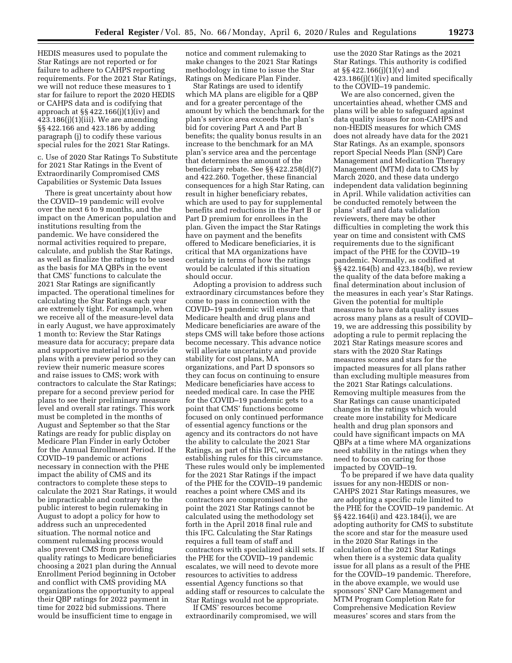HEDIS measures used to populate the Star Ratings are not reported or for failure to adhere to CAHPS reporting requirements. For the 2021 Star Ratings, we will not reduce these measures to 1 star for failure to report the 2020 HEDIS or CAHPS data and is codifying that approach at §§ 422.166(j)(1)(iv) and  $423.186(j)(1)(iii)$ . We are amending §§ 422.166 and 423.186 by adding paragraph (j) to codify these various special rules for the 2021 Star Ratings.

c. Use of 2020 Star Ratings To Substitute for 2021 Star Ratings in the Event of Extraordinarily Compromised CMS Capabilities or Systemic Data Issues

There is great uncertainty about how the COVID–19 pandemic will evolve over the next 6 to 9 months, and the impact on the American population and institutions resulting from the pandemic. We have considered the normal activities required to prepare, calculate, and publish the Star Ratings, as well as finalize the ratings to be used as the basis for MA QBPs in the event that CMS' functions to calculate the 2021 Star Ratings are significantly impacted. The operational timelines for calculating the Star Ratings each year are extremely tight. For example, when we receive all of the measure-level data in early August, we have approximately 1 month to: Review the Star Ratings measure data for accuracy; prepare data and supportive material to provide plans with a preview period so they can review their numeric measure scores and raise issues to CMS; work with contractors to calculate the Star Ratings; prepare for a second preview period for plans to see their preliminary measure level and overall star ratings. This work must be completed in the months of August and September so that the Star Ratings are ready for public display on Medicare Plan Finder in early October for the Annual Enrollment Period. If the COVID–19 pandemic or actions necessary in connection with the PHE impact the ability of CMS and its contractors to complete these steps to calculate the 2021 Star Ratings, it would be impracticable and contrary to the public interest to begin rulemaking in August to adopt a policy for how to address such an unprecedented situation. The normal notice and comment rulemaking process would also prevent CMS from providing quality ratings to Medicare beneficiaries choosing a 2021 plan during the Annual Enrollment Period beginning in October and conflict with CMS providing MA organizations the opportunity to appeal their QBP ratings for 2022 payment in time for 2022 bid submissions. There would be insufficient time to engage in

notice and comment rulemaking to make changes to the 2021 Star Ratings methodology in time to issue the Star Ratings on Medicare Plan Finder.

Star Ratings are used to identify which MA plans are eligible for a QBP and for a greater percentage of the amount by which the benchmark for the plan's service area exceeds the plan's bid for covering Part A and Part B benefits; the quality bonus results in an increase to the benchmark for an MA plan's service area and the percentage that determines the amount of the beneficiary rebate. See §§ 422.258(d)(7) and 422.260. Together, these financial consequences for a high Star Rating, can result in higher beneficiary rebates, which are used to pay for supplemental benefits and reductions in the Part B or Part D premium for enrollees in the plan. Given the impact the Star Ratings have on payment and the benefits offered to Medicare beneficiaries, it is critical that MA organizations have certainty in terms of how the ratings would be calculated if this situation should occur.

Adopting a provision to address such extraordinary circumstances before they come to pass in connection with the COVID–19 pandemic will ensure that Medicare health and drug plans and Medicare beneficiaries are aware of the steps CMS will take before those actions become necessary. This advance notice will alleviate uncertainty and provide stability for cost plans, MA organizations, and Part D sponsors so they can focus on continuing to ensure Medicare beneficiaries have access to needed medical care. In case the PHE for the COVID–19 pandemic gets to a point that CMS' functions become focused on only continued performance of essential agency functions or the agency and its contractors do not have the ability to calculate the 2021 Star Ratings, as part of this IFC, we are establishing rules for this circumstance. These rules would only be implemented for the 2021 Star Ratings if the impact of the PHE for the COVID–19 pandemic reaches a point where CMS and its contractors are compromised to the point the 2021 Star Ratings cannot be calculated using the methodology set forth in the April 2018 final rule and this IFC. Calculating the Star Ratings requires a full team of staff and contractors with specialized skill sets. If the PHE for the COVID–19 pandemic escalates, we will need to devote more resources to activities to address essential Agency functions so that adding staff or resources to calculate the Star Ratings would not be appropriate.

If CMS' resources become extraordinarily compromised, we will

use the 2020 Star Ratings as the 2021 Star Ratings. This authority is codified at §§ 422.166(j)(1)(v) and 423.186(j)(1)(iv) and limited specifically to the COVID–19 pandemic.

We are also concerned, given the uncertainties ahead, whether CMS and plans will be able to safeguard against data quality issues for non-CAHPS and non-HEDIS measures for which CMS does not already have data for the 2021 Star Ratings. As an example, sponsors report Special Needs Plan (SNP) Care Management and Medication Therapy Management (MTM) data to CMS by March 2020, and these data undergo independent data validation beginning in April. While validation activities can be conducted remotely between the plans' staff and data validation reviewers, there may be other difficulties in completing the work this year on time and consistent with CMS requirements due to the significant impact of the PHE for the COVID–19 pandemic. Normally, as codified at §§ 422.164(b) and 423.184(b), we review the quality of the data before making a final determination about inclusion of the measures in each year's Star Ratings. Given the potential for multiple measures to have data quality issues across many plans as a result of COVID– 19, we are addressing this possibility by adopting a rule to permit replacing the 2021 Star Ratings measure scores and stars with the 2020 Star Ratings measures scores and stars for the impacted measures for all plans rather than excluding multiple measures from the 2021 Star Ratings calculations. Removing multiple measures from the Star Ratings can cause unanticipated changes in the ratings which would create more instability for Medicare health and drug plan sponsors and could have significant impacts on MA QBPs at a time where MA organizations need stability in the ratings when they need to focus on caring for those impacted by COVID–19.

To be prepared if we have data quality issues for any non-HEDIS or non-CAHPS 2021 Star Ratings measures, we are adopting a specific rule limited to the PHE for the COVID–19 pandemic. At §§ 422.164(i) and 423.184(i), we are adopting authority for CMS to substitute the score and star for the measure used in the 2020 Star Ratings in the calculation of the 2021 Star Ratings when there is a systemic data quality issue for all plans as a result of the PHE for the COVID–19 pandemic. Therefore, in the above example, we would use sponsors' SNP Care Management and MTM Program Completion Rate for Comprehensive Medication Review measures' scores and stars from the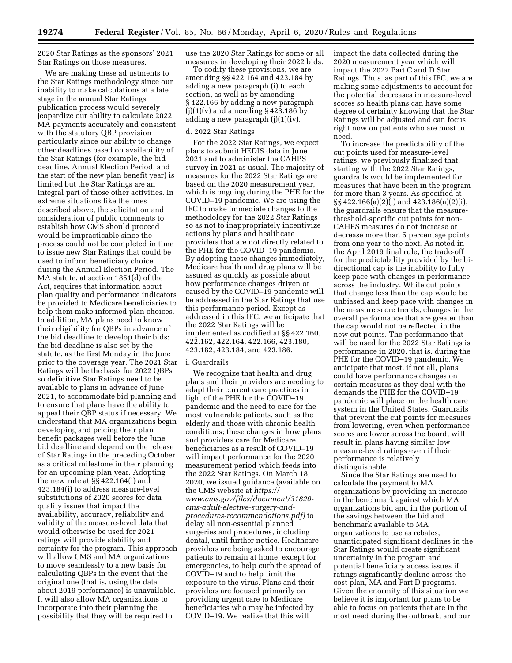2020 Star Ratings as the sponsors' 2021 Star Ratings on those measures.

We are making these adjustments to the Star Ratings methodology since our inability to make calculations at a late stage in the annual Star Ratings publication process would severely jeopardize our ability to calculate 2022 MA payments accurately and consistent with the statutory QBP provision particularly since our ability to change other deadlines based on availability of the Star Ratings (for example, the bid deadline, Annual Election Period, and the start of the new plan benefit year) is limited but the Star Ratings are an integral part of those other activities. In extreme situations like the ones described above, the solicitation and consideration of public comments to establish how CMS should proceed would be impracticable since the process could not be completed in time to issue new Star Ratings that could be used to inform beneficiary choice during the Annual Election Period. The MA statute, at section 1851(d) of the Act, requires that information about plan quality and performance indicators be provided to Medicare beneficiaries to help them make informed plan choices. In addition, MA plans need to know their eligibility for QBPs in advance of the bid deadline to develop their bids; the bid deadline is also set by the statute, as the first Monday in the June prior to the coverage year. The 2021 Star Ratings will be the basis for 2022 QBPs so definitive Star Ratings need to be available to plans in advance of June 2021, to accommodate bid planning and to ensure that plans have the ability to appeal their QBP status if necessary. We understand that MA organizations begin developing and pricing their plan benefit packages well before the June bid deadline and depend on the release of Star Ratings in the preceding October as a critical milestone in their planning for an upcoming plan year. Adopting the new rule at §§ 422.164(i) and 423.184(i) to address measure-level substitutions of 2020 scores for data quality issues that impact the availability, accuracy, reliability and validity of the measure-level data that would otherwise be used for 2021 ratings will provide stability and certainty for the program. This approach will allow CMS and MA organizations to move seamlessly to a new basis for calculating QBPs in the event that the original one (that is, using the data about 2019 performance) is unavailable. It will also allow MA organizations to incorporate into their planning the possibility that they will be required to

use the 2020 Star Ratings for some or all measures in developing their 2022 bids.

To codify these provisions, we are amending §§ 422.164 and 423.184 by adding a new paragraph (i) to each section, as well as by amending § 422.166 by adding a new paragraph  $(j)(1)(v)$  and amending § 423.186 by adding a new paragraph (j)(1)(iv).

### d. 2022 Star Ratings

For the 2022 Star Ratings, we expect plans to submit HEDIS data in June 2021 and to administer the CAHPS survey in 2021 as usual. The majority of measures for the 2022 Star Ratings are based on the 2020 measurement year, which is ongoing during the PHE for the COVID–19 pandemic. We are using the IFC to make immediate changes to the methodology for the 2022 Star Ratings so as not to inappropriately incentivize actions by plans and healthcare providers that are not directly related to the PHE for the COVID–19 pandemic. By adopting these changes immediately, Medicare health and drug plans will be assured as quickly as possible about how performance changes driven or caused by the COVID–19 pandemic will be addressed in the Star Ratings that use this performance period. Except as addressed in this IFC, we anticipate that the 2022 Star Ratings will be implemented as codified at §§ 422.160, 422.162, 422.164, 422.166, 423.180, 423.182, 423.184, and 423.186.

#### i. Guardrails

We recognize that health and drug plans and their providers are needing to adapt their current care practices in light of the PHE for the COVID–19 pandemic and the need to care for the most vulnerable patients, such as the elderly and those with chronic health conditions; these changes in how plans and providers care for Medicare beneficiaries as a result of COVID–19 will impact performance for the 2020 measurement period which feeds into the 2022 Star Ratings. On March 18, 2020, we issued guidance (available on the CMS website at *[https://](https://www.cms.gov/files/document/31820-cms-adult-elective-surgery-and-procedures-recommendations.pdf) [www.cms.gov/files/document/31820](https://www.cms.gov/files/document/31820-cms-adult-elective-surgery-and-procedures-recommendations.pdf) [cms-adult-elective-surgery-and](https://www.cms.gov/files/document/31820-cms-adult-elective-surgery-and-procedures-recommendations.pdf)[procedures-recommendations.pdf\)](https://www.cms.gov/files/document/31820-cms-adult-elective-surgery-and-procedures-recommendations.pdf)* to delay all non-essential planned surgeries and procedures, including dental, until further notice. Healthcare providers are being asked to encourage patients to remain at home, except for emergencies, to help curb the spread of COVID–19 and to help limit the exposure to the virus. Plans and their providers are focused primarily on providing urgent care to Medicare beneficiaries who may be infected by COVID–19. We realize that this will

impact the data collected during the 2020 measurement year which will impact the 2022 Part C and D Star Ratings. Thus, as part of this IFC, we are making some adjustments to account for the potential decreases in measure-level scores so health plans can have some degree of certainty knowing that the Star Ratings will be adjusted and can focus right now on patients who are most in need.

To increase the predictability of the cut points used for measure-level ratings, we previously finalized that, starting with the 2022 Star Ratings, guardrails would be implemented for measures that have been in the program for more than 3 years. As specified at §§ 422.166(a)(2)(i) and 423.186(a)(2)(i), the guardrails ensure that the measurethreshold-specific cut points for non-CAHPS measures do not increase or decrease more than 5 percentage points from one year to the next. As noted in the April 2019 final rule, the trade-off for the predictability provided by the bidirectional cap is the inability to fully keep pace with changes in performance across the industry. While cut points that change less than the cap would be unbiased and keep pace with changes in the measure score trends, changes in the overall performance that are greater than the cap would not be reflected in the new cut points. The performance that will be used for the 2022 Star Ratings is performance in 2020, that is, during the PHE for the COVID–19 pandemic. We anticipate that most, if not all, plans could have performance changes on certain measures as they deal with the demands the PHE for the COVID–19 pandemic will place on the health care system in the United States. Guardrails that prevent the cut points for measures from lowering, even when performance scores are lower across the board, will result in plans having similar low measure-level ratings even if their performance is relatively distinguishable.

Since the Star Ratings are used to calculate the payment to MA organizations by providing an increase in the benchmark against which MA organizations bid and in the portion of the savings between the bid and benchmark available to MA organizations to use as rebates, unanticipated significant declines in the Star Ratings would create significant uncertainty in the program and potential beneficiary access issues if ratings significantly decline across the cost plan, MA and Part D programs. Given the enormity of this situation we believe it is important for plans to be able to focus on patients that are in the most need during the outbreak, and our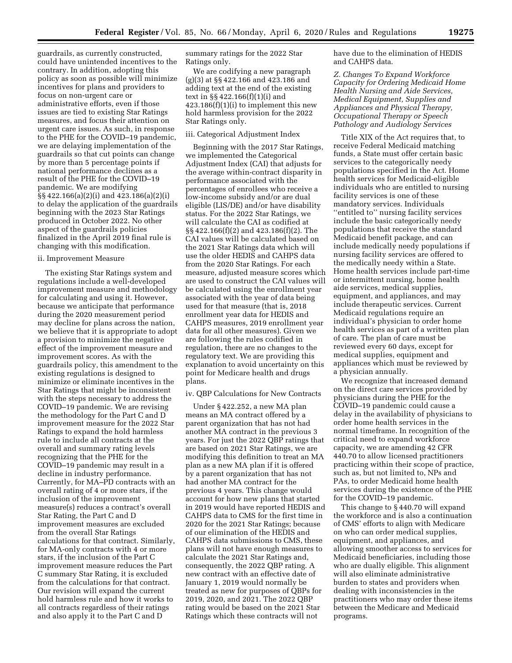guardrails, as currently constructed, could have unintended incentives to the contrary. In addition, adopting this policy as soon as possible will minimize incentives for plans and providers to focus on non-urgent care or administrative efforts, even if those issues are tied to existing Star Ratings measures, and focus their attention on urgent care issues. As such, in response to the PHE for the COVID–19 pandemic, we are delaying implementation of the guardrails so that cut points can change by more than 5 percentage points if national performance declines as a result of the PHE for the COVID–19 pandemic. We are modifying §§ 422.166(a)(2)(i) and 423.186(a)(2)(i) to delay the application of the guardrails beginning with the 2023 Star Ratings produced in October 2022. No other aspect of the guardrails policies finalized in the April 2019 final rule is changing with this modification.

### ii. Improvement Measure

The existing Star Ratings system and regulations include a well-developed improvement measure and methodology for calculating and using it. However, because we anticipate that performance during the 2020 measurement period may decline for plans across the nation, we believe that it is appropriate to adopt a provision to minimize the negative effect of the improvement measure and improvement scores. As with the guardrails policy, this amendment to the existing regulations is designed to minimize or eliminate incentives in the Star Ratings that might be inconsistent with the steps necessary to address the COVID–19 pandemic. We are revising the methodology for the Part C and D improvement measure for the 2022 Star Ratings to expand the hold harmless rule to include all contracts at the overall and summary rating levels recognizing that the PHE for the COVID–19 pandemic may result in a decline in industry performance. Currently, for MA–PD contracts with an overall rating of 4 or more stars, if the inclusion of the improvement measure(s) reduces a contract's overall Star Rating, the Part C and D improvement measures are excluded from the overall Star Ratings calculations for that contract. Similarly, for MA-only contracts with 4 or more stars, if the inclusion of the Part C improvement measure reduces the Part C summary Star Rating, it is excluded from the calculations for that contract. Our revision will expand the current hold harmless rule and how it works to all contracts regardless of their ratings and also apply it to the Part C and D

summary ratings for the 2022 Star Ratings only.

We are codifying a new paragraph (g)(3) at §§ 422.166 and 423.186 and adding text at the end of the existing text in §§ 422.166(f)(1)(i) and 423.186(f)(1)(i) to implement this new hold harmless provision for the 2022 Star Ratings only.

### iii. Categorical Adjustment Index

Beginning with the 2017 Star Ratings, we implemented the Categorical Adjustment Index (CAI) that adjusts for the average within-contract disparity in performance associated with the percentages of enrollees who receive a low-income subsidy and/or are dual eligible (LIS/DE) and/or have disability status. For the 2022 Star Ratings, we will calculate the CAI as codified at §§ 422.166(f)(2) and 423.186(f)(2). The CAI values will be calculated based on the 2021 Star Ratings data which will use the older HEDIS and CAHPS data from the 2020 Star Ratings. For each measure, adjusted measure scores which are used to construct the CAI values will be calculated using the enrollment year associated with the year of data being used for that measure (that is, 2018 enrollment year data for HEDIS and CAHPS measures, 2019 enrollment year data for all other measures). Given we are following the rules codified in regulation, there are no changes to the regulatory text. We are providing this explanation to avoid uncertainty on this point for Medicare health and drugs plans.

#### iv. QBP Calculations for New Contracts

Under § 422.252, a new MA plan means an MA contract offered by a parent organization that has not had another MA contract in the previous 3 years. For just the 2022 QBP ratings that are based on 2021 Star Ratings, we are modifying this definition to treat an MA plan as a new MA plan if it is offered by a parent organization that has not had another MA contract for the previous 4 years. This change would account for how new plans that started in 2019 would have reported HEDIS and CAHPS data to CMS for the first time in 2020 for the 2021 Star Ratings; because of our elimination of the HEDIS and CAHPS data submissions to CMS, these plans will not have enough measures to calculate the 2021 Star Ratings and, consequently, the 2022 QBP rating. A new contract with an effective date of January 1, 2019 would normally be treated as new for purposes of QBPs for 2019, 2020, and 2021. The 2022 QBP rating would be based on the 2021 Star Ratings which these contracts will not

have due to the elimination of HEDIS and CAHPS data.

*Z. Changes To Expand Workforce Capacity for Ordering Medicaid Home Health Nursing and Aide Services, Medical Equipment, Supplies and Appliances and Physical Therapy, Occupational Therapy or Speech Pathology and Audiology Services* 

Title XIX of the Act requires that, to receive Federal Medicaid matching funds, a State must offer certain basic services to the categorically needy populations specified in the Act. Home health services for Medicaid-eligible individuals who are entitled to nursing facility services is one of these mandatory services. Individuals ''entitled to'' nursing facility services include the basic categorically needy populations that receive the standard Medicaid benefit package, and can include medically needy populations if nursing facility services are offered to the medically needy within a State. Home health services include part-time or intermittent nursing, home health aide services, medical supplies, equipment, and appliances, and may include therapeutic services. Current Medicaid regulations require an individual's physician to order home health services as part of a written plan of care. The plan of care must be reviewed every 60 days, except for medical supplies, equipment and appliances which must be reviewed by a physician annually.

We recognize that increased demand on the direct care services provided by physicians during the PHE for the COVID–19 pandemic could cause a delay in the availability of physicians to order home health services in the normal timeframe. In recognition of the critical need to expand workforce capacity, we are amending 42 CFR 440.70 to allow licensed practitioners practicing within their scope of practice, such as, but not limited to, NPs and PAs, to order Medicaid home health services during the existence of the PHE for the COVID–19 pandemic.

This change to § 440.70 will expand the workforce and is also a continuation of CMS' efforts to align with Medicare on who can order medical supplies, equipment, and appliances, and allowing smoother access to services for Medicaid beneficiaries, including those who are dually eligible. This alignment will also eliminate administrative burden to states and providers when dealing with inconsistencies in the practitioners who may order these items between the Medicare and Medicaid programs.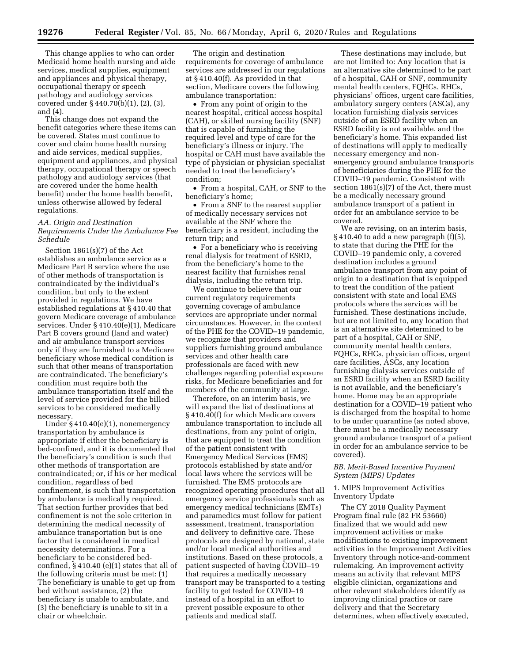This change applies to who can order Medicaid home health nursing and aide services, medical supplies, equipment and appliances and physical therapy, occupational therapy or speech pathology and audiology services covered under § 440.70(b)(1), (2), (3), and (4).

This change does not expand the benefit categories where these items can be covered. States must continue to cover and claim home health nursing and aide services, medical supplies, equipment and appliances, and physical therapy, occupational therapy or speech pathology and audiology services (that are covered under the home health benefit) under the home health benefit, unless otherwise allowed by federal regulations.

### *AA. Origin and Destination Requirements Under the Ambulance Fee Schedule*

Section 1861(s)(7) of the Act establishes an ambulance service as a Medicare Part B service where the use of other methods of transportation is contraindicated by the individual's condition, but only to the extent provided in regulations. We have established regulations at § 410.40 that govern Medicare coverage of ambulance services. Under § 410.40(e)(1), Medicare Part B covers ground (land and water) and air ambulance transport services only if they are furnished to a Medicare beneficiary whose medical condition is such that other means of transportation are contraindicated. The beneficiary's condition must require both the ambulance transportation itself and the level of service provided for the billed services to be considered medically necessary.

Under § 410.40(e)(1), nonemergency transportation by ambulance is appropriate if either the beneficiary is bed-confined, and it is documented that the beneficiary's condition is such that other methods of transportation are contraindicated; or, if his or her medical condition, regardless of bed confinement, is such that transportation by ambulance is medically required. That section further provides that bed confinement is not the sole criterion in determining the medical necessity of ambulance transportation but is one factor that is considered in medical necessity determinations. For a beneficiary to be considered bedconfined, § 410.40 (e)(1) states that all of the following criteria must be met: (1) The beneficiary is unable to get up from bed without assistance, (2) the beneficiary is unable to ambulate, and (3) the beneficiary is unable to sit in a chair or wheelchair.

The origin and destination requirements for coverage of ambulance services are addressed in our regulations at § 410.40(f). As provided in that section, Medicare covers the following ambulance transportation:

• From any point of origin to the nearest hospital, critical access hospital (CAH), or skilled nursing facility (SNF) that is capable of furnishing the required level and type of care for the beneficiary's illness or injury. The hospital or CAH must have available the type of physician or physician specialist needed to treat the beneficiary's condition;

• From a hospital, CAH, or SNF to the beneficiary's home;

• From a SNF to the nearest supplier of medically necessary services not available at the SNF where the beneficiary is a resident, including the return trip; and

• For a beneficiary who is receiving renal dialysis for treatment of ESRD, from the beneficiary's home to the nearest facility that furnishes renal dialysis, including the return trip.

We continue to believe that our current regulatory requirements governing coverage of ambulance services are appropriate under normal circumstances. However, in the context of the PHE for the COVID–19 pandemic, we recognize that providers and suppliers furnishing ground ambulance services and other health care professionals are faced with new challenges regarding potential exposure risks, for Medicare beneficiaries and for members of the community at large.

Therefore, on an interim basis, we will expand the list of destinations at § 410.40(f) for which Medicare covers ambulance transportation to include all destinations, from any point of origin, that are equipped to treat the condition of the patient consistent with Emergency Medical Services (EMS) protocols established by state and/or local laws where the services will be furnished. The EMS protocols are recognized operating procedures that all emergency service professionals such as emergency medical technicians (EMTs) and paramedics must follow for patient assessment, treatment, transportation and delivery to definitive care. These protocols are designed by national, state and/or local medical authorities and institutions. Based on these protocols, a patient suspected of having COVID–19 that requires a medically necessary transport may be transported to a testing facility to get tested for COVID–19 instead of a hospital in an effort to prevent possible exposure to other patients and medical staff.

These destinations may include, but are not limited to: Any location that is an alternative site determined to be part of a hospital, CAH or SNF, community mental health centers, FQHCs, RHCs, physicians' offices, urgent care facilities, ambulatory surgery centers (ASCs), any location furnishing dialysis services outside of an ESRD facility when an ESRD facility is not available, and the beneficiary's home. This expanded list of destinations will apply to medically necessary emergency and nonemergency ground ambulance transports of beneficiaries during the PHE for the COVID–19 pandemic. Consistent with section 1861(s)(7) of the Act, there must be a medically necessary ground ambulance transport of a patient in order for an ambulance service to be covered.

We are revising, on an interim basis, § 410.40 to add a new paragraph (f)(5), to state that during the PHE for the COVID–19 pandemic only, a covered destination includes a ground ambulance transport from any point of origin to a destination that is equipped to treat the condition of the patient consistent with state and local EMS protocols where the services will be furnished. These destinations include, but are not limited to, any location that is an alternative site determined to be part of a hospital, CAH or SNF, community mental health centers, FQHCs, RHCs, physician offices, urgent care facilities, ASCs, any location furnishing dialysis services outside of an ESRD facility when an ESRD facility is not available, and the beneficiary's home. Home may be an appropriate destination for a COVID–19 patient who is discharged from the hospital to home to be under quarantine (as noted above, there must be a medically necessary ground ambulance transport of a patient in order for an ambulance service to be covered).

### *BB. Merit-Based Incentive Payment System (MIPS) Updates*

### 1. MIPS Improvement Activities Inventory Update

The CY 2018 Quality Payment Program final rule (82 FR 53660) finalized that we would add new improvement activities or make modifications to existing improvement activities in the Improvement Activities Inventory through notice-and-comment rulemaking. An improvement activity means an activity that relevant MIPS eligible clinician, organizations and other relevant stakeholders identify as improving clinical practice or care delivery and that the Secretary determines, when effectively executed,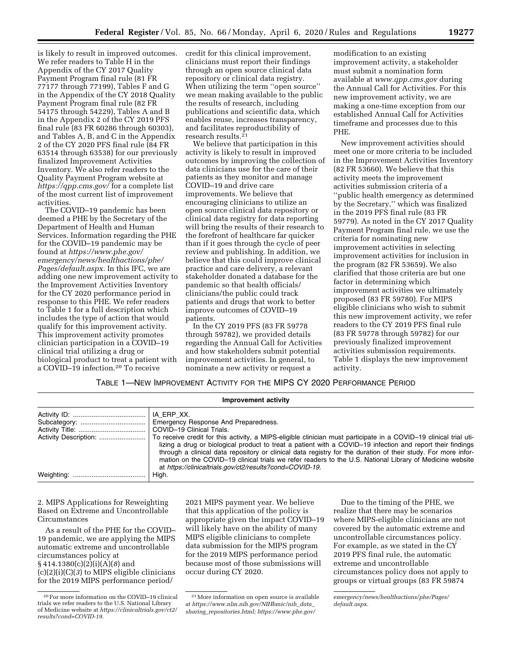is likely to result in improved outcomes. We refer readers to Table H in the Appendix of the CY 2017 Quality Payment Program final rule (81 FR 77177 through 77199), Tables F and G in the Appendix of the CY 2018 Quality Payment Program final rule (82 FR 54175 through 54229), Tables A and B in the Appendix 2 of the CY 2019 PFS final rule (83 FR 60286 through 60303), and Tables A, B, and C in the Appendix 2 of the CY 2020 PFS final rule (84 FR 63514 through 63538) for our previously finalized Improvement Activities Inventory. We also refer readers to the Quality Payment Program website at *<https://qpp.cms.gov/>*for a complete list of the most current list of improvement activities.

The COVID–19 pandemic has been deemed a PHE by the Secretary of the Department of Health and Human Services. Information regarding the PHE for the COVID–19 pandemic may be found at *[https://www.phe.gov/](https://www.phe.gov/emergency/news/healthactions/phe/Pages/default.aspx) [emergency/news/healthactions/phe/](https://www.phe.gov/emergency/news/healthactions/phe/Pages/default.aspx)  [Pages/default.aspx.](https://www.phe.gov/emergency/news/healthactions/phe/Pages/default.aspx)* In this IFC, we are adding one new improvement activity to the Improvement Activities Inventory for the CY 2020 performance period in response to this PHE. We refer readers to Table 1 for a full description which includes the type of action that would qualify for this improvement activity. This improvement activity promotes clinician participation in a COVID–19 clinical trial utilizing a drug or biological product to treat a patient with a COVID–19 infection.20 To receive

credit for this clinical improvement, clinicians must report their findings through an open source clinical data repository or clinical data registry. When utilizing the term ''open source'' we mean making available to the public the results of research, including publications and scientific data, which enables reuse, increases transparency, and facilitates reproductibility of research results.21

We believe that participation in this activity is likely to result in improved outcomes by improving the collection of data clinicians use for the care of their patients as they monitor and manage COVID–19 and drive care improvements. We believe that encouraging clinicians to utilize an open source clinical data repository or clinical data registry for data reporting will bring the results of their research to the forefront of healthcare far quicker than if it goes through the cycle of peer review and publishing. In addition, we believe that this could improve clinical practice and care delivery, a relevant stakeholder donated a database for the pandemic so that health officials/ clinicians/the public could track patients and drugs that work to better improve outcomes of COVID–19 patients.

In the CY 2019 PFS (83 FR 59778 through 59782), we provided details regarding the Annual Call for Activities and how stakeholders submit potential improvement activities. In general, to nominate a new activity or request a

modification to an existing improvement activity, a stakeholder must submit a nomination form available at *[www.qpp.cms.gov](http://www.qpp.cms.gov)* during the Annual Call for Activities. For this new improvement activity, we are making a one-time exception from our established Annual Call for Activities timeframe and processes due to this PHE.

New improvement activities should meet one or more criteria to be included in the Improvement Activities Inventory (82 FR 53660). We believe that this activity meets the improvement activities submission criteria of a ''public health emergency as determined by the Secretary,'' which was finalized in the 2019 PFS final rule (83 FR 59779). As noted in the CY 2017 Quality Payment Program final rule, we use the criteria for nominating new improvement activities in selecting improvement activities for inclusion in the program (82 FR 53659). We also clarified that those criteria are but one factor in determining which improvement activities we ultimately proposed (83 FR 59780). For MIPS eligible clinicians who wish to submit this new improvement activity, we refer readers to the CY 2019 PFS final rule (83 FR 59778 through 59782) for our previously finalized improvement activities submission requirements. Table 1 displays the new improvement activity.

# TABLE 1—NEW IMPROVEMENT ACTIVITY FOR THE MIPS CY 2020 PERFORMANCE PERIOD

| Improvement activity |                                                                                                                                                                                                                                                                                                                                                                                                                                                                                                                                                                               |  |
|----------------------|-------------------------------------------------------------------------------------------------------------------------------------------------------------------------------------------------------------------------------------------------------------------------------------------------------------------------------------------------------------------------------------------------------------------------------------------------------------------------------------------------------------------------------------------------------------------------------|--|
|                      | Emergency Response And Preparedness.                                                                                                                                                                                                                                                                                                                                                                                                                                                                                                                                          |  |
|                      | COVID-19 Clinical Trials.<br>Activity Description:   To receive credit for this activity, a MIPS-eligible clinician must participate in a COVID-19 clinical trial uti-<br>lizing a drug or biological product to treat a patient with a COVID-19 infection and report their findings<br>through a clinical data repository or clinical data registry for the duration of their study. For more infor-<br>mation on the COVID-19 clinical trials we refer readers to the U.S. National Library of Medicine website<br>at https://clinicaltrials.gov/ct2/results?cond=COVID-19. |  |
|                      | High.                                                                                                                                                                                                                                                                                                                                                                                                                                                                                                                                                                         |  |

2. MIPS Applications for Reweighting Based on Extreme and Uncontrollable Circumstances

As a result of the PHE for the COVID– 19 pandemic, we are applying the MIPS automatic extreme and uncontrollable circumstances policy at § 414.1380(c)(2)(i)(A)(*8*) and (c)(2)(i)(C)(*3*) to MIPS eligible clinicians for the 2019 MIPS performance period/

2021 MIPS payment year. We believe that this application of the policy is appropriate given the impact COVID–19 will likely have on the ability of many MIPS eligible clinicians to complete data submission for the MIPS program for the 2019 MIPS performance period because most of those submissions will occur during CY 2020.

Due to the timing of the PHE, we realize that there may be scenarios where MIPS-eligible clinicians are not covered by the automatic extreme and uncontrollable circumstances policy. For example, as we stated in the CY 2019 PFS final rule, the automatic extreme and uncontrollable circumstances policy does not apply to groups or virtual groups (83 FR 59874

*[emergency/news/healthactions/phe/Pages/](https://www.phe.gov/emergency/news/healthactions/phe/Pages/default.aspx) [default.aspx.](https://www.phe.gov/emergency/news/healthactions/phe/Pages/default.aspx)* 

<sup>20</sup>For more information on the COVID–19 clinical trials we refer readers to the U.S. National Library of Medicine website at *[https://clinicaltrials.gov/ct2/](https://clinicaltrials.gov/ct2/results?cond=COVID-19)  [results?cond=COVID-19.](https://clinicaltrials.gov/ct2/results?cond=COVID-19)* 

<sup>21</sup>More information on open source is available at *[https://www.nlm.nih.gov/NIHbmic/nih](https://www.nlm.nih.gov/NIHbmic/nih_data_sharing_repositories.html)*\_*data*\_ *sharing*\_*[repositories.html;](https://www.nlm.nih.gov/NIHbmic/nih_data_sharing_repositories.html) [https://www.phe.gov/](https://www.phe.gov/emergency/news/healthactions/phe/Pages/default.aspx)*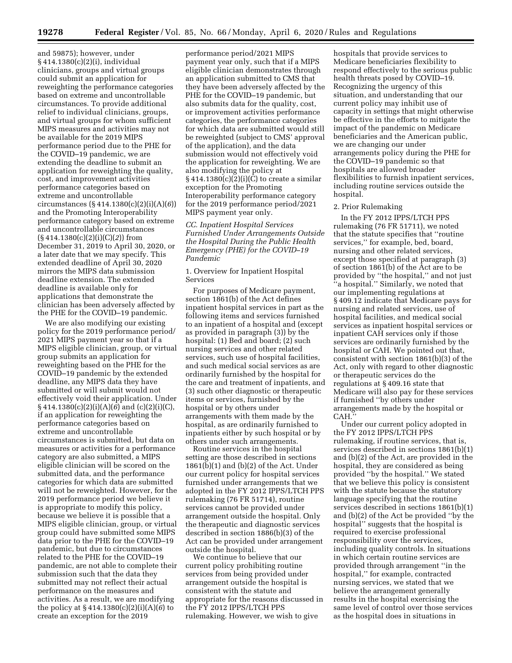**19278 Federal Register** / Vol. 85, No. 66 / Monday, April 6, 2020 / Rules and Regulations

and 59875); however, under § 414.1380(c)(2)(i), individual clinicians, groups and virtual groups could submit an application for reweighting the performance categories based on extreme and uncontrollable circumstances. To provide additional relief to individual clinicians, groups, and virtual groups for whom sufficient MIPS measures and activities may not be available for the 2019 MIPS performance period due to the PHE for the COVID–19 pandemic, we are extending the deadline to submit an application for reweighting the quality, cost, and improvement activities performance categories based on extreme and uncontrollable circumstances (§ 414.1380(c)(2)(i)(A)(*6*)) and the Promoting Interoperability performance category based on extreme and uncontrollable circumstances (§ 414.1380(c)(2)(i)(C)(*2*)) from December 31, 2019 to April 30, 2020, or a later date that we may specify. This extended deadline of April 30, 2020 mirrors the MIPS data submission deadline extension. The extended deadline is available only for applications that demonstrate the clinician has been adversely affected by the PHE for the COVID–19 pandemic.

We are also modifying our existing policy for the 2019 performance period/ 2021 MIPS payment year so that if a MIPS eligible clinician, group, or virtual group submits an application for reweighting based on the PHE for the COVID–19 pandemic by the extended deadline, any MIPS data they have submitted or will submit would not effectively void their application. Under § 414.1380(c)(2)(i)(A)(*6*) and (c)(2)(i)(C), if an application for reweighting the performance categories based on extreme and uncontrollable circumstances is submitted, but data on measures or activities for a performance category are also submitted, a MIPS eligible clinician will be scored on the submitted data, and the performance categories for which data are submitted will not be reweighted. However, for the 2019 performance period we believe it is appropriate to modify this policy, because we believe it is possible that a MIPS eligible clinician, group, or virtual group could have submitted some MIPS data prior to the PHE for the COVID–19 pandemic, but due to circumstances related to the PHE for the COVID–19 pandemic, are not able to complete their submission such that the data they submitted may not reflect their actual performance on the measures and activities. As a result, we are modifying the policy at § 414.1380(c)(2)(i)(A)(*6*) to create an exception for the 2019

performance period/2021 MIPS payment year only, such that if a MIPS eligible clinician demonstrates through an application submitted to CMS that they have been adversely affected by the PHE for the COVID–19 pandemic, but also submits data for the quality, cost, or improvement activities performance categories, the performance categories for which data are submitted would still be reweighted (subject to CMS' approval of the application), and the data submission would not effectively void the application for reweighting. We are also modifying the policy at  $§ 414.1380(c)(2)(i)(C)$  to create a similar exception for the Promoting Interoperability performance category for the 2019 performance period/2021 MIPS payment year only.

*CC. Inpatient Hospital Services Furnished Under Arrangements Outside the Hospital During the Public Health Emergency (PHE) for the COVID–19 Pandemic* 

### 1. Overview for Inpatient Hospital Services

For purposes of Medicare payment, section 1861(b) of the Act defines inpatient hospital services in part as the following items and services furnished to an inpatient of a hospital and (except as provided in paragraph (3)) by the hospital: (1) Bed and board; (2) such nursing services and other related services, such use of hospital facilities, and such medical social services as are ordinarily furnished by the hospital for the care and treatment of inpatients, and (3) such other diagnostic or therapeutic items or services, furnished by the hospital or by others under arrangements with them made by the hospital, as are ordinarily furnished to inpatients either by such hospital or by others under such arrangements.

Routine services in the hospital setting are those described in sections  $1861(b)(1)$  and  $(b)(2)$  of the Act. Under our current policy for hospital services furnished under arrangements that we adopted in the FY 2012 IPPS/LTCH PPS rulemaking (76 FR 51714), routine services cannot be provided under arrangement outside the hospital. Only the therapeutic and diagnostic services described in section 1886(b)(3) of the Act can be provided under arrangement outside the hospital.

We continue to believe that our current policy prohibiting routine services from being provided under arrangement outside the hospital is consistent with the statute and appropriate for the reasons discussed in the FY 2012 IPPS/LTCH PPS rulemaking. However, we wish to give

hospitals that provide services to Medicare beneficiaries flexibility to respond effectively to the serious public health threats posed by COVID–19. Recognizing the urgency of this situation, and understanding that our current policy may inhibit use of capacity in settings that might otherwise be effective in the efforts to mitigate the impact of the pandemic on Medicare beneficiaries and the American public, we are changing our under arrangements policy during the PHE for the COVID–19 pandemic so that hospitals are allowed broader flexibilities to furnish inpatient services, including routine services outside the hospital.

#### 2. Prior Rulemaking

In the FY 2012 IPPS/LTCH PPS rulemaking (76 FR 51711), we noted that the statute specifies that ''routine services,'' for example, bed, board, nursing and other related services, except those specified at paragraph (3) of section 1861(b) of the Act are to be provided by ''the hospital,'' and not just ''a hospital.'' Similarly, we noted that our implementing regulations at § 409.12 indicate that Medicare pays for nursing and related services, use of hospital facilities, and medical social services as inpatient hospital services or inpatient CAH services only if those services are ordinarily furnished by the hospital or CAH. We pointed out that, consistent with section 1861(b)(3) of the Act, only with regard to other diagnostic or therapeutic services do the regulations at § 409.16 state that Medicare will also pay for these services if furnished ''by others under arrangements made by the hospital or CAH.''

Under our current policy adopted in the FY 2012 IPPS/LTCH PPS rulemaking, if routine services, that is, services described in sections 1861(b)(1) and (b)(2) of the Act, are provided in the hospital, they are considered as being provided ''by the hospital.'' We stated that we believe this policy is consistent with the statute because the statutory language specifying that the routine services described in sections 1861(b)(1) and (b)(2) of the Act be provided ''by the hospital'' suggests that the hospital is required to exercise professional responsibility over the services, including quality controls. In situations in which certain routine services are provided through arrangement ''in the hospital,'' for example, contracted nursing services, we stated that we believe the arrangement generally results in the hospital exercising the same level of control over those services as the hospital does in situations in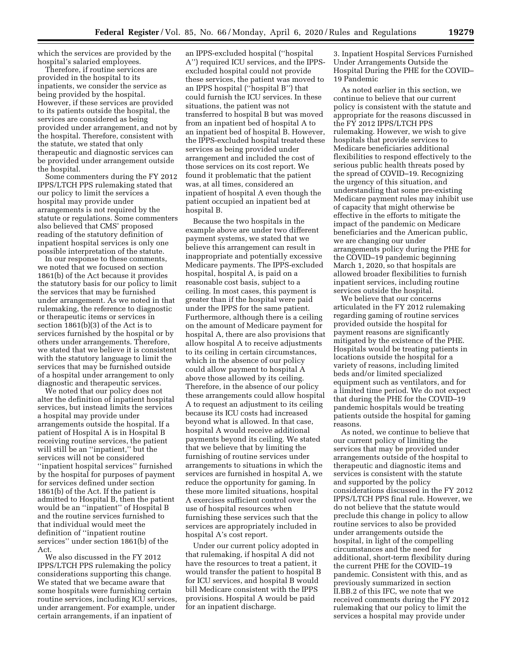which the services are provided by the hospital's salaried employees.

Therefore, if routine services are provided in the hospital to its inpatients, we consider the service as being provided by the hospital. However, if these services are provided to its patients outside the hospital, the services are considered as being provided under arrangement, and not by the hospital. Therefore, consistent with the statute, we stated that only therapeutic and diagnostic services can be provided under arrangement outside the hospital.

Some commenters during the FY 2012 IPPS/LTCH PPS rulemaking stated that our policy to limit the services a hospital may provide under arrangements is not required by the statute or regulations. Some commenters also believed that CMS' proposed reading of the statutory definition of inpatient hospital services is only one possible interpretation of the statute.

In our response to these comments, we noted that we focused on section 1861(b) of the Act because it provides the statutory basis for our policy to limit the services that may be furnished under arrangement. As we noted in that rulemaking, the reference to diagnostic or therapeutic items or services in section 1861(b)(3) of the Act is to services furnished by the hospital or by others under arrangements. Therefore, we stated that we believe it is consistent with the statutory language to limit the services that may be furnished outside of a hospital under arrangement to only diagnostic and therapeutic services.

We noted that our policy does not alter the definition of inpatient hospital services, but instead limits the services a hospital may provide under arrangements outside the hospital. If a patient of Hospital A is in Hospital B receiving routine services, the patient will still be an ''inpatient,'' but the services will not be considered ''inpatient hospital services'' furnished by the hospital for purposes of payment for services defined under section 1861(b) of the Act. If the patient is admitted to Hospital B, then the patient would be an ''inpatient'' of Hospital B and the routine services furnished to that individual would meet the definition of ''inpatient routine services'' under section 1861(b) of the Act.

We also discussed in the FY 2012 IPPS/LTCH PPS rulemaking the policy considerations supporting this change. We stated that we became aware that some hospitals were furnishing certain routine services, including ICU services, under arrangement. For example, under certain arrangements, if an inpatient of

an IPPS-excluded hospital (''hospital A'') required ICU services, and the IPPSexcluded hospital could not provide these services, the patient was moved to an IPPS hospital (''hospital B'') that could furnish the ICU services. In these situations, the patient was not transferred to hospital B but was moved from an inpatient bed of hospital A to an inpatient bed of hospital B. However, the IPPS-excluded hospital treated these services as being provided under arrangement and included the cost of those services on its cost report. We found it problematic that the patient was, at all times, considered an inpatient of hospital A even though the patient occupied an inpatient bed at hospital B.

Because the two hospitals in the example above are under two different payment systems, we stated that we believe this arrangement can result in inappropriate and potentially excessive Medicare payments. The IPPS-excluded hospital, hospital A, is paid on a reasonable cost basis, subject to a ceiling. In most cases, this payment is greater than if the hospital were paid under the IPPS for the same patient. Furthermore, although there is a ceiling on the amount of Medicare payment for hospital A, there are also provisions that allow hospital A to receive adjustments to its ceiling in certain circumstances, which in the absence of our policy could allow payment to hospital A above those allowed by its ceiling. Therefore, in the absence of our policy these arrangements could allow hospital A to request an adjustment to its ceiling because its ICU costs had increased beyond what is allowed. In that case, hospital A would receive additional payments beyond its ceiling. We stated that we believe that by limiting the furnishing of routine services under arrangements to situations in which the services are furnished in hospital A, we reduce the opportunity for gaming. In these more limited situations, hospital A exercises sufficient control over the use of hospital resources when furnishing these services such that the services are appropriately included in hospital A's cost report.

Under our current policy adopted in that rulemaking, if hospital A did not have the resources to treat a patient, it would transfer the patient to hospital B for ICU services, and hospital B would bill Medicare consistent with the IPPS provisions. Hospital A would be paid for an inpatient discharge.

3. Inpatient Hospital Services Furnished Under Arrangements Outside the Hospital During the PHE for the COVID– 19 Pandemic

As noted earlier in this section, we continue to believe that our current policy is consistent with the statute and appropriate for the reasons discussed in the FY 2012 IPPS/LTCH PPS rulemaking. However, we wish to give hospitals that provide services to Medicare beneficiaries additional flexibilities to respond effectively to the serious public health threats posed by the spread of COVID–19. Recognizing the urgency of this situation, and understanding that some pre-existing Medicare payment rules may inhibit use of capacity that might otherwise be effective in the efforts to mitigate the impact of the pandemic on Medicare beneficiaries and the American public, we are changing our under arrangements policy during the PHE for the COVID–19 pandemic beginning March 1, 2020, so that hospitals are allowed broader flexibilities to furnish inpatient services, including routine services outside the hospital.

We believe that our concerns articulated in the FY 2012 rulemaking regarding gaming of routine services provided outside the hospital for payment reasons are significantly mitigated by the existence of the PHE. Hospitals would be treating patients in locations outside the hospital for a variety of reasons, including limited beds and/or limited specialized equipment such as ventilators, and for a limited time period. We do not expect that during the PHE for the COVID–19 pandemic hospitals would be treating patients outside the hospital for gaming reasons.

As noted, we continue to believe that our current policy of limiting the services that may be provided under arrangements outside of the hospital to therapeutic and diagnostic items and services is consistent with the statute and supported by the policy considerations discussed in the FY 2012 IPPS/LTCH PPS final rule. However, we do not believe that the statute would preclude this change in policy to allow routine services to also be provided under arrangements outside the hospital, in light of the compelling circumstances and the need for additional, short-term flexibility during the current PHE for the COVID–19 pandemic. Consistent with this, and as previously summarized in section II.BB.2 of this IFC, we note that we received comments during the FY 2012 rulemaking that our policy to limit the services a hospital may provide under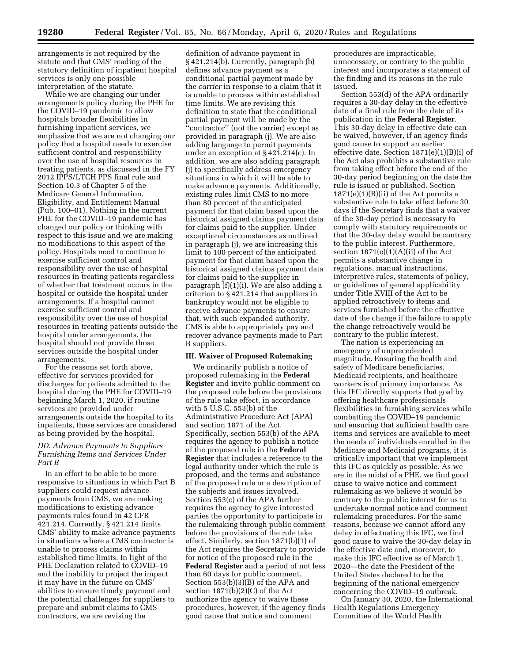arrangements is not required by the statute and that CMS' reading of the statutory definition of inpatient hospital services is only one possible interpretation of the statute.

While we are changing our under arrangements policy during the PHE for the COVID–19 pandemic to allow hospitals broader flexibilities in furnishing inpatient services, we emphasize that we are not changing our policy that a hospital needs to exercise sufficient control and responsibility over the use of hospital resources in treating patients, as discussed in the FY 2012 IPPS/LTCH PPS final rule and Section 10.3 of Chapter 5 of the Medicare General Information, Eligibility, and Entitlement Manual (Pub. 100–01). Nothing in the current PHE for the COVID–19 pandemic has changed our policy or thinking with respect to this issue and we are making no modifications to this aspect of the policy. Hospitals need to continue to exercise sufficient control and responsibility over the use of hospital resources in treating patients regardless of whether that treatment occurs in the hospital or outside the hospital under arrangements. If a hospital cannot exercise sufficient control and responsibility over the use of hospital resources in treating patients outside the hospital under arrangements, the hospital should not provide those services outside the hospital under arrangements.

For the reasons set forth above, effective for services provided for discharges for patients admitted to the hospital during the PHE for COVID–19 beginning March 1, 2020, if routine services are provided under arrangements outside the hospital to its inpatients, these services are considered as being provided by the hospital.

## *DD. Advance Payments to Suppliers Furnishing Items and Services Under Part B*

In an effort to be able to be more responsive to situations in which Part B suppliers could request advance payments from CMS, we are making modifications to existing advance payments rules found in 42 CFR 421.214. Currently, § 421.214 limits CMS' ability to make advance payments in situations where a CMS contractor is unable to process claims within established time limits. In light of the PHE Declaration related to COVID–19 and the inability to project the impact it may have in the future on CMS' abilities to ensure timely payment and the potential challenges for suppliers to prepare and submit claims to CMS contractors, we are revising the

definition of advance payment in § 421.214(b). Currently, paragraph (b) defines advance payment as a conditional partial payment made by the *carrier* in response to a claim that it is unable to process within established time limits. We are revising this definition to state that the conditional partial payment will be made by the ''contractor'' (not the carrier) except as provided in paragraph (j). We are also adding language to permit payments under an exception at § 421.214(c). In addition, we are also adding paragraph (j) to specifically address emergency situations in which it will be able to make advance payments. Additionally, existing rules limit CMS to no more than 80 percent of the anticipated payment for that claim based upon the historical assigned claims payment data for claims paid to the supplier. Under exceptional circumstances as outlined in paragraph (j), we are increasing this limit to 100 percent of the anticipated payment for that claim based upon the historical assigned claims payment data for claims paid to the supplier in paragraph (f)(1)(i). We are also adding a criterion to § 421.214 that suppliers in bankruptcy would not be eligible to receive advance payments to ensure that, with such expanded authority, CMS is able to appropriately pay and recover advance payments made to Part B suppliers.

### **III. Waiver of Proposed Rulemaking**

We ordinarily publish a notice of proposed rulemaking in the **Federal Register** and invite public comment on the proposed rule before the provisions of the rule take effect, in accordance with 5 U.S.C. 553(b) of the Administrative Procedure Act (APA) and section 1871 of the Act. Specifically, section 553(b) of the APA requires the agency to publish a notice of the proposed rule in the **Federal Register** that includes a reference to the legal authority under which the rule is proposed, and the terms and substance of the proposed rule or a description of the subjects and issues involved. Section 553(c) of the APA further requires the agency to give interested parties the opportunity to participate in the rulemaking through public comment before the provisions of the rule take effect. Similarly, section 1871(b)(1) of the Act requires the Secretary to provide for notice of the proposed rule in the **Federal Register** and a period of not less than 60 days for public comment. Section 553(b)(3)(B) of the APA and section 1871(b)(2)(C) of the Act authorize the agency to waive these procedures, however, if the agency finds good cause that notice and comment

procedures are impracticable, unnecessary, or contrary to the public interest and incorporates a statement of the finding and its reasons in the rule issued.

Section 553(d) of the APA ordinarily requires a 30-day delay in the effective date of a final rule from the date of its publication in the **Federal Register**. This 30-day delay in effective date can be waived, however, if an agency finds good cause to support an earlier effective date. Section 1871(e)(1)(B)(i) of the Act also prohibits a substantive rule from taking effect before the end of the 30-day period beginning on the date the rule is issued or published. Section  $1871(e)(1)(B)(ii)$  of the Act permits a substantive rule to take effect before 30 days if the Secretary finds that a waiver of the 30-day period is necessary to comply with statutory requirements or that the 30-day delay would be contrary to the public interest. Furthermore, section  $1871(e)(1)(A)(ii)$  of the Act permits a substantive change in regulations, manual instructions, interpretive rules, statements of policy, or guidelines of general applicability under Title XVIII of the Act to be applied retroactively to items and services furnished before the effective date of the change if the failure to apply the change retroactively would be contrary to the public interest.

The nation is experiencing an emergency of unprecedented magnitude. Ensuring the health and safety of Medicare beneficiaries, Medicaid recipients, and healthcare workers is of primary importance. As this IFC directly supports that goal by offering healthcare professionals flexibilities in furnishing services while combatting the COVID–19 pandemic and ensuring that sufficient health care items and services are available to meet the needs of individuals enrolled in the Medicare and Medicaid programs, it is critically important that we implement this IFC as quickly as possible. As we are in the midst of a PHE, we find good cause to waive notice and comment rulemaking as we believe it would be contrary to the public interest for us to undertake normal notice and comment rulemaking procedures. For the same reasons, because we cannot afford any delay in effectuating this IFC, we find good cause to waive the 30-day delay in the effective date and, moreover, to make this IFC effective as of March 1, 2020—the date the President of the United States declared to be the beginning of the national emergency concerning the COVID–19 outbreak.

On January 30, 2020, the International Health Regulations Emergency Committee of the World Health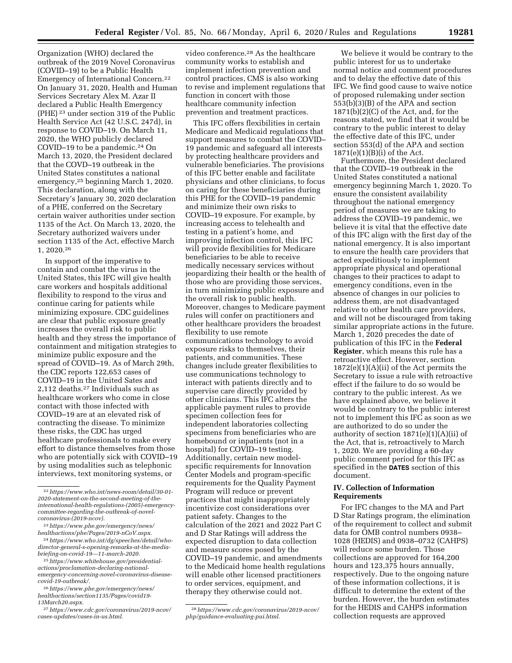Organization (WHO) declared the outbreak of the 2019 Novel Coronavirus (COVID–19) to be a Public Health Emergency of International Concern.22 On January 31, 2020, Health and Human Services Secretary Alex M. Azar II declared a Public Health Emergency (PHE) 23 under section 319 of the Public Health Service Act (42 U.S.C. 247d), in response to COVID–19. On March 11, 2020, the WHO publicly declared COVID–19 to be a pandemic.24 On March 13, 2020, the President declared that the COVD–19 outbreak in the United States constitutes a national emergency,25 beginning March 1, 2020. This declaration, along with the Secretary's January 30, 2020 declaration of a PHE, conferred on the Secretary certain waiver authorities under section 1135 of the Act. On March 13, 2020, the Secretary authorized waivers under section 1135 of the Act, effective March 1, 2020.26

In support of the imperative to contain and combat the virus in the United States, this IFC will give health care workers and hospitals additional flexibility to respond to the virus and continue caring for patients while minimizing exposure. CDC guidelines are clear that public exposure greatly increases the overall risk to public health and they stress the importance of containment and mitigation strategies to minimize public exposure and the spread of COVID–19. As of March 29th, the CDC reports 122,653 cases of COVID–19 in the United Sates and 2,112 deaths.27 Individuals such as healthcare workers who come in close contact with those infected with COVID–19 are at an elevated risk of contracting the disease. To minimize these risks, the CDC has urged healthcare professionals to make every effort to distance themselves from those who are potentially sick with COVID–19 by using modalities such as telephonic interviews, text monitoring systems, or

23*[https://www.phe.gov/emergency/news/](https://www.phe.gov/emergency/news/healthactions/phe/Pages/2019-nCoV.aspx)  [healthactions/phe/Pages/2019-nCoV.aspx.](https://www.phe.gov/emergency/news/healthactions/phe/Pages/2019-nCoV.aspx)* 

24*[https://www.who.int/dg/speeches/detail/who](https://www.who.int/dg/speeches/detail/who-director-general-s-opening-remarks-at-the-media-briefing-on-covid-19---11-march-2020)[director-general-s-opening-remarks-at-the-media](https://www.who.int/dg/speeches/detail/who-director-general-s-opening-remarks-at-the-media-briefing-on-covid-19---11-march-2020)[briefing-on-covid-19---11-march-2020.](https://www.who.int/dg/speeches/detail/who-director-general-s-opening-remarks-at-the-media-briefing-on-covid-19---11-march-2020)* 

27*[https://www.cdc.gov/coronavirus/2019-ncov/](https://www.cdc.gov/coronavirus/2019-ncov/cases-updates/cases-in-us.html)  [cases-updates/cases-in-us.html.](https://www.cdc.gov/coronavirus/2019-ncov/cases-updates/cases-in-us.html)* 

video conference.28 As the healthcare community works to establish and implement infection prevention and control practices, CMS is also working to revise and implement regulations that function in concert with those healthcare community infection prevention and treatment practices.

This IFC offers flexibilities in certain Medicare and Medicaid regulations that support measures to combat the COVID– 19 pandemic and safeguard all interests by protecting healthcare providers and vulnerable beneficiaries. The provisions of this IFC better enable and facilitate physicians and other clinicians, to focus on caring for these beneficiaries during this PHE for the COVID–19 pandemic and minimize their own risks to COVID–19 exposure. For example, by increasing access to telehealth and testing in a patient's home, and improving infection control, this IFC will provide flexibilities for Medicare beneficiaries to be able to receive medically necessary services without jeopardizing their health or the health of those who are providing those services, in turn minimizing public exposure and the overall risk to public health. Moreover, changes to Medicare payment rules will confer on practitioners and other healthcare providers the broadest flexibility to use remote communications technology to avoid exposure risks to themselves, their patients, and communities. These changes include greater flexibilities to use communications technology to interact with patients directly and to supervise care directly provided by other clinicians. This IFC alters the applicable payment rules to provide specimen collection fees for independent laboratories collecting specimens from beneficiaries who are homebound or inpatients (not in a hospital) for COVID–19 testing. Additionally, certain new modelspecific requirements for Innovation Center Models and program-specific requirements for the Quality Payment Program will reduce or prevent practices that might inappropriately incentivize cost considerations over patient safety. Changes to the calculation of the 2021 and 2022 Part C and D Star Ratings will address the expected disruption to data collection and measure scores posed by the COVID–19 pandemic, and amendments to the Medicaid home health regulations will enable other licensed practitioners to order services, equipment, and therapy they otherwise could not.

We believe it would be contrary to the public interest for us to undertake normal notice and comment procedures and to delay the effective date of this IFC. We find good cause to waive notice of proposed rulemaking under section 553(b)(3)(B) of the APA and section 1871(b)(2)(C) of the Act, and, for the reasons stated, we find that it would be contrary to the public interest to delay the effective date of this IFC, under section 553(d) of the APA and section 1871(e)(1)(B)(i) of the Act.

Furthermore, the President declared that the COVID–19 outbreak in the United States constituted a national emergency beginning March 1, 2020. To ensure the consistent availability throughout the national emergency period of measures we are taking to address the COVID–19 pandemic, we believe it is vital that the effective date of this IFC align with the first day of the national emergency. It is also important to ensure the health care providers that acted expeditiously to implement appropriate physical and operational changes to their practices to adapt to emergency conditions, even in the absence of changes in our policies to address them, are not disadvantaged relative to other health care providers, and will not be discouraged from taking similar appropriate actions in the future. March 1, 2020 precedes the date of publication of this IFC in the **Federal Register**, which means this rule has a retroactive effect. However, section 1872(e)(1)(A)(ii) of the Act permits the Secretary to issue a rule with retroactive effect if the failure to do so would be contrary to the public interest. As we have explained above, we believe it would be contrary to the public interest not to implement this IFC as soon as we are authorized to do so under the authority of section 1871(e)(1)(A)(ii) of the Act, that is, retroactively to March 1, 2020. We are providing a 60-day public comment period for this IFC as specified in the **DATES** section of this document.

## **IV. Collection of Information Requirements**

For IFC changes to the MA and Part D Star Ratings program, the elimination of the requirement to collect and submit data for OMB control numbers 0938– 1028 (HEDIS) and 0938–0732 (CAHPS) will reduce some burden. Those collections are approved for 164,200 hours and 123,375 hours annually, respectively. Due to the ongoing nature of these information collections, it is difficult to determine the extent of the burden. However, the burden estimates for the HEDIS and CAHPS information collection requests are approved

<sup>22</sup>*[https://www.who.int/news-room/detail/30-01-](https://www.who.int/news-room/detail/30-01-2020-statement-on-the-second-meeting-of-the-international-health-regulations-(2005)-emergency-committee-regarding-the-outbreak-of-novel-coronavirus-(2019-ncov))  2020-statement-on-the-second-meeting-of-the[international-health-regulations-\(2005\)-emergency](https://www.who.int/news-room/detail/30-01-2020-statement-on-the-second-meeting-of-the-international-health-regulations-(2005)-emergency-committee-regarding-the-outbreak-of-novel-coronavirus-(2019-ncov))committee-regarding-the-outbreak-of-novel[coronavirus-\(2019-ncov\)](https://www.who.int/news-room/detail/30-01-2020-statement-on-the-second-meeting-of-the-international-health-regulations-(2005)-emergency-committee-regarding-the-outbreak-of-novel-coronavirus-(2019-ncov)).* 

<sup>25</sup>*[https://www.whitehouse.gov/presidential](https://www.whitehouse.gov/presidential-actions/proclamation-declaring-national-emergency-concerning-novel-coronavirus-disease-covid-19-outbreak/)[actions/proclamation-declaring-national](https://www.whitehouse.gov/presidential-actions/proclamation-declaring-national-emergency-concerning-novel-coronavirus-disease-covid-19-outbreak/)[emergency-concerning-novel-coronavirus-disease](https://www.whitehouse.gov/presidential-actions/proclamation-declaring-national-emergency-concerning-novel-coronavirus-disease-covid-19-outbreak/)[covid-19-outbreak/.](https://www.whitehouse.gov/presidential-actions/proclamation-declaring-national-emergency-concerning-novel-coronavirus-disease-covid-19-outbreak/)* 

<sup>26</sup>*[https://www.phe.gov/emergency/news/](https://www.phe.gov/emergency/news/healthactions/section1135/Pages/covid19-13March20.aspx)  [healthactions/section1135/Pages/covid19-](https://www.phe.gov/emergency/news/healthactions/section1135/Pages/covid19-13March20.aspx) [13March20.aspx.](https://www.phe.gov/emergency/news/healthactions/section1135/Pages/covid19-13March20.aspx)* 

<sup>28</sup>*[https://www.cdc.gov/coronavirus/2019-ncov/](https://www.cdc.gov/coronavirus/2019-ncov/php/guidance-evaluating-pui.html)  [php/guidance-evaluating-pui.html.](https://www.cdc.gov/coronavirus/2019-ncov/php/guidance-evaluating-pui.html)*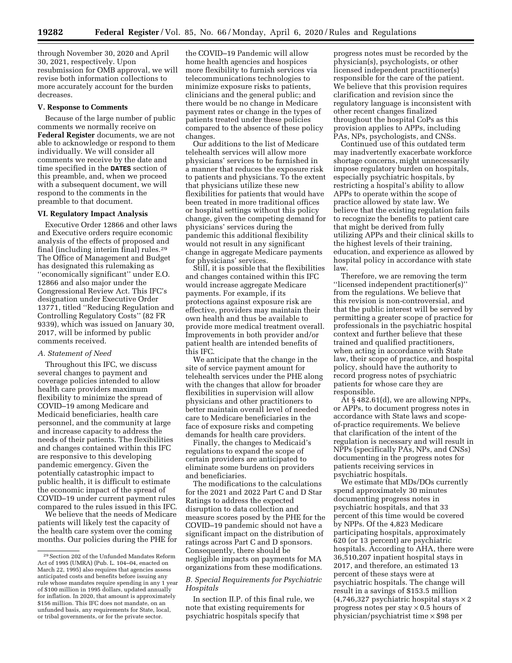through November 30, 2020 and April 30, 2021, respectively. Upon resubmission for OMB approval, we will revise both information collections to more accurately account for the burden decreases.

#### **V. Response to Comments**

Because of the large number of public comments we normally receive on **Federal Register** documents, we are not able to acknowledge or respond to them individually. We will consider all comments we receive by the date and time specified in the **DATES** section of this preamble, and, when we proceed with a subsequent document, we will respond to the comments in the preamble to that document.

#### **VI. Regulatory Impact Analysis**

Executive Order 12866 and other laws and Executive orders require economic analysis of the effects of proposed and final (including interim final) rules.29 The Office of Management and Budget has designated this rulemaking as ''economically significant'' under E.O. 12866 and also major under the Congressional Review Act. This IFC's designation under Executive Order 13771, titled ''Reducing Regulation and Controlling Regulatory Costs'' (82 FR 9339), which was issued on January 30, 2017, will be informed by public comments received.

### *A. Statement of Need*

Throughout this IFC, we discuss several changes to payment and coverage policies intended to allow health care providers maximum flexibility to minimize the spread of COVID–19 among Medicare and Medicaid beneficiaries, health care personnel, and the community at large and increase capacity to address the needs of their patients. The flexibilities and changes contained within this IFC are responsive to this developing pandemic emergency. Given the potentially catastrophic impact to public health, it is difficult to estimate the economic impact of the spread of COVID–19 under current payment rules compared to the rules issued in this IFC.

We believe that the needs of Medicare patients will likely test the capacity of the health care system over the coming months. Our policies during the PHE for

the COVID–19 Pandemic will allow home health agencies and hospices more flexibility to furnish services via telecommunications technologies to minimize exposure risks to patients, clinicians and the general public; and there would be no change in Medicare payment rates or change in the types of patients treated under these policies compared to the absence of these policy changes.

Our additions to the list of Medicare telehealth services will allow more physicians' services to be furnished in a manner that reduces the exposure risk to patients and physicians. To the extent that physicians utilize these new flexibilities for patients that would have been treated in more traditional offices or hospital settings without this policy change, given the competing demand for physicians' services during the pandemic this additional flexibility would not result in any significant change in aggregate Medicare payments for physicians' services.

Still, it is possible that the flexibilities and changes contained within this IFC would increase aggregate Medicare payments. For example, if its protections against exposure risk are effective, providers may maintain their own health and thus be available to provide more medical treatment overall. Improvements in both provider and/or patient health are intended benefits of this IFC.

We anticipate that the change in the site of service payment amount for telehealth services under the PHE along with the changes that allow for broader flexibilities in supervision will allow physicians and other practitioners to better maintain overall level of needed care to Medicare beneficiaries in the face of exposure risks and competing demands for health care providers.

Finally, the changes to Medicaid's regulations to expand the scope of certain providers are anticipated to eliminate some burdens on providers and beneficiaries.

The modifications to the calculations for the 2021 and 2022 Part C and D Star Ratings to address the expected disruption to data collection and measure scores posed by the PHE for the COVID–19 pandemic should not have a significant impact on the distribution of ratings across Part C and D sponsors. Consequently, there should be negligible impacts on payments for MA organizations from these modifications.

### *B. Special Requirements for Psychiatric Hospitals*

In section II.P. of this final rule, we note that existing requirements for psychiatric hospitals specify that

progress notes must be recorded by the physician(s), psychologists, or other licensed independent practitioner(s) responsible for the care of the patient. We believe that this provision requires clarification and revision since the regulatory language is inconsistent with other recent changes finalized throughout the hospital CoPs as this provision applies to APPs, including PAs, NPs, psychologists, and CNSs.

Continued use of this outdated term may inadvertently exacerbate workforce shortage concerns, might unnecessarily impose regulatory burden on hospitals, especially psychiatric hospitals, by restricting a hospital's ability to allow APPs to operate within the scope of practice allowed by state law. We believe that the existing regulation fails to recognize the benefits to patient care that might be derived from fully utilizing APPs and their clinical skills to the highest levels of their training, education, and experience as allowed by hospital policy in accordance with state law.

Therefore, we are removing the term ''licensed independent practitioner(s)'' from the regulations. We believe that this revision is non-controversial, and that the public interest will be served by permitting a greater scope of practice for professionals in the psychiatric hospital context and further believe that these trained and qualified practitioners, when acting in accordance with State law, their scope of practice, and hospital policy, should have the authority to record progress notes of psychiatric patients for whose care they are responsible.

At § 482.61(d), we are allowing NPPs, or APPs, to document progress notes in accordance with State laws and scopeof-practice requirements. We believe that clarification of the intent of the regulation is necessary and will result in NPPs (specifically PAs, NPs, and CNSs) documenting in the progress notes for patients receiving services in psychiatric hospitals.

We estimate that MDs/DOs currently spend approximately 30 minutes documenting progress notes in psychiatric hospitals, and that 33 percent of this time would be covered by NPPs. Of the 4,823 Medicare participating hospitals, approximately 620 (or 13 percent) are psychiatric hospitals. According to AHA, there were 36,510,207 inpatient hospital stays in 2017, and therefore, an estimated 13 percent of these stays were at psychiatric hospitals. The change will result in a savings of \$153.5 million  $(4,746,327)$  psychiatric hospital stays  $\times 2$ progress notes per stay  $\times$  0.5 hours of physician/psychiatrist time × \$98 per

<sup>29</sup>Section 202 of the Unfunded Mandates Reform Act of 1995 (UMRA) (Pub. L. 104–04, enacted on March 22, 1995) also requires that agencies assess anticipated costs and benefits before issuing any rule whose mandates require spending in any 1 year of \$100 million in 1995 dollars, updated annually for inflation. In 2020, that amount is approximately \$156 million. This IFC does not mandate, on an unfunded basis, any requirements for State, local, or tribal governments, or for the private sector.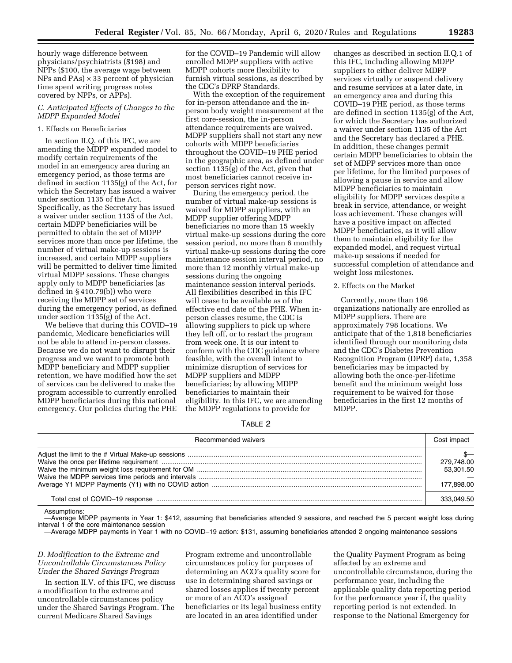hourly wage difference between physicians/psychiatrists (\$198) and NPPs (\$100, the average wage between NPs and  $PAs$ )  $\times$  33 percent of physician time spent writing progress notes covered by NPPs, or APPs).

### *C. Anticipated Effects of Changes to the MDPP Expanded Model*

### 1. Effects on Beneficiaries

In section II.Q. of this IFC, we are amending the MDPP expanded model to modify certain requirements of the model in an emergency area during an emergency period, as those terms are defined in section 1135(g) of the Act, for which the Secretary has issued a waiver under section 1135 of the Act. Specifically, as the Secretary has issued a waiver under section 1135 of the Act, certain MDPP beneficiaries will be permitted to obtain the set of MDPP services more than once per lifetime, the number of virtual make-up sessions is increased, and certain MDPP suppliers will be permitted to deliver time limited virtual MDPP sessions. These changes apply only to MDPP beneficiaries (as defined in § 410.79(b)) who were receiving the MDPP set of services during the emergency period, as defined under section 1135(g) of the Act.

We believe that during this COVID–19 pandemic, Medicare beneficiaries will not be able to attend in-person classes. Because we do not want to disrupt their progress and we want to promote both MDPP beneficiary and MDPP supplier retention, we have modified how the set of services can be delivered to make the program accessible to currently enrolled MDPP beneficiaries during this national emergency. Our policies during the PHE

for the COVID–19 Pandemic will allow enrolled MDPP suppliers with active MDPP cohorts more flexibility to furnish virtual sessions, as described by the CDC's DPRP Standards.

With the exception of the requirement for in-person attendance and the inperson body weight measurement at the first core-session, the in-person attendance requirements are waived. MDPP suppliers shall not start any new cohorts with MDPP beneficiaries throughout the COVID–19 PHE period in the geographic area, as defined under section 1135(g) of the Act, given that most beneficiaries cannot receive inperson services right now.

During the emergency period, the number of virtual make-up sessions is waived for MDPP suppliers, with an MDPP supplier offering MDPP beneficiaries no more than 15 weekly virtual make-up sessions during the core session period, no more than 6 monthly virtual make-up sessions during the core maintenance session interval period, no more than 12 monthly virtual make-up sessions during the ongoing maintenance session interval periods. All flexibilities described in this IFC will cease to be available as of the effective end date of the PHE. When inperson classes resume, the CDC is allowing suppliers to pick up where they left off, or to restart the program from week one. It is our intent to conform with the CDC guidance where feasible, with the overall intent to minimize disruption of services for MDPP suppliers and MDPP beneficiaries; by allowing MDPP beneficiaries to maintain their eligibility. In this IFC, we are amending the MDPP regulations to provide for

changes as described in section II.Q.1 of this IFC, including allowing MDPP suppliers to either deliver MDPP services virtually or suspend delivery and resume services at a later date, in an emergency area and during this COVID–19 PHE period, as those terms are defined in section 1135(g) of the Act, for which the Secretary has authorized a waiver under section 1135 of the Act and the Secretary has declared a PHE. In addition, these changes permit certain MDPP beneficiaries to obtain the set of MDPP services more than once per lifetime, for the limited purposes of allowing a pause in service and allow MDPP beneficiaries to maintain eligibility for MDPP services despite a break in service, attendance, or weight loss achievement. These changes will have a positive impact on affected MDPP beneficiaries, as it will allow them to maintain eligibility for the expanded model, and request virtual make-up sessions if needed for successful completion of attendance and weight loss milestones.

# 2. Effects on the Market

Currently, more than 196 organizations nationally are enrolled as MDPP suppliers. There are approximately 798 locations. We anticipate that of the 1,818 beneficiaries identified through our monitoring data and the CDC's Diabetes Prevention Recognition Program (DPRP) data, 1,358 beneficiaries may be impacted by allowing both the once-per-lifetime benefit and the minimum weight loss requirement to be waived for those beneficiaries in the first 12 months of MDPP.

TABLE 2

| Recommended waivers |  |
|---------------------|--|
|                     |  |

Assumptions:

—Average MDPP payments in Year 1: \$412, assuming that beneficiaries attended 9 sessions, and reached the 5 percent weight loss during interval 1 of the core maintenance session

—Average MDPP payments in Year 1 with no COVID–19 action: \$131, assuming beneficiaries attended 2 ongoing maintenance sessions

*D. Modification to the Extreme and Uncontrollable Circumstances Policy Under the Shared Savings Program* 

In section II.V. of this IFC, we discuss a modification to the extreme and uncontrollable circumstances policy under the Shared Savings Program. The current Medicare Shared Savings

Program extreme and uncontrollable circumstances policy for purposes of determining an ACO's quality score for use in determining shared savings or shared losses applies if twenty percent or more of an ACO's assigned beneficiaries or its legal business entity are located in an area identified under

the Quality Payment Program as being affected by an extreme and uncontrollable circumstance, during the performance year, including the applicable quality data reporting period for the performance year if, the quality reporting period is not extended. In response to the National Emergency for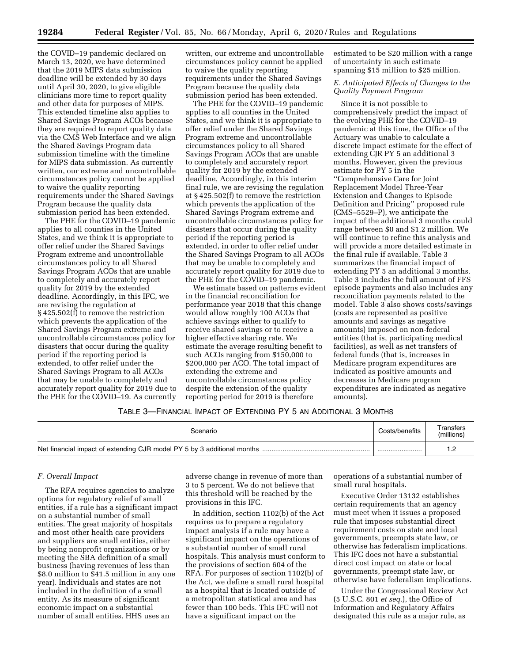the COVID–19 pandemic declared on March 13, 2020, we have determined that the 2019 MIPS data submission deadline will be extended by 30 days until April 30, 2020, to give eligible clinicians more time to report quality and other data for purposes of MIPS. This extended timeline also applies to Shared Savings Program ACOs because they are required to report quality data via the CMS Web Interface and we align the Shared Savings Program data submission timeline with the timeline for MIPS data submission. As currently written, our extreme and uncontrollable circumstances policy cannot be applied to waive the quality reporting requirements under the Shared Savings Program because the quality data submission period has been extended.

The PHE for the COVID–19 pandemic applies to all counties in the United States, and we think it is appropriate to offer relief under the Shared Savings Program extreme and uncontrollable circumstances policy to all Shared Savings Program ACOs that are unable to completely and accurately report quality for 2019 by the extended deadline. Accordingly, in this IFC, we are revising the regulation at § 425.502(f) to remove the restriction which prevents the application of the Shared Savings Program extreme and uncontrollable circumstances policy for disasters that occur during the quality period if the reporting period is extended, to offer relief under the Shared Savings Program to all ACOs that may be unable to completely and accurately report quality for 2019 due to the PHE for the COVID–19. As currently

written, our extreme and uncontrollable circumstances policy cannot be applied to waive the quality reporting requirements under the Shared Savings Program because the quality data submission period has been extended.

The PHE for the COVID–19 pandemic applies to all counties in the United States, and we think it is appropriate to offer relief under the Shared Savings Program extreme and uncontrollable circumstances policy to all Shared Savings Program ACOs that are unable to completely and accurately report quality for 2019 by the extended deadline, Accordingly, in this interim final rule, we are revising the regulation at § 425.502(f) to remove the restriction which prevents the application of the Shared Savings Program extreme and uncontrollable circumstances policy for disasters that occur during the quality period if the reporting period is extended, in order to offer relief under the Shared Savings Program to all ACOs that may be unable to completely and accurately report quality for 2019 due to the PHE for the COVID–19 pandemic.

We estimate based on patterns evident in the financial reconciliation for performance year 2018 that this change would allow roughly 100 ACOs that achieve savings either to qualify to receive shared savings or to receive a higher effective sharing rate. We estimate the average resulting benefit to such ACOs ranging from \$150,000 to \$200,000 per ACO. The total impact of extending the extreme and uncontrollable circumstances policy despite the extension of the quality reporting period for 2019 is therefore

estimated to be \$20 million with a range of uncertainty in such estimate spanning \$15 million to \$25 million.

*E. Anticipated Effects of Changes to the Quality Payment Program* 

Since it is not possible to comprehensively predict the impact of the evolving PHE for the COVID–19 pandemic at this time, the Office of the Actuary was unable to calculate a discrete impact estimate for the effect of extending CJR PY 5 an additional 3 months. However, given the previous estimate for PY 5 in the ''Comprehensive Care for Joint Replacement Model Three-Year Extension and Changes to Episode Definition and Pricing'' proposed rule (CMS–5529–P), we anticipate the impact of the additional 3 months could range between \$0 and \$1.2 million. We will continue to refine this analysis and will provide a more detailed estimate in the final rule if available. Table 3 summarizes the financial impact of extending PY 5 an additional 3 months. Table 3 includes the full amount of FFS episode payments and also includes any reconciliation payments related to the model. Table 3 also shows costs/savings (costs are represented as positive amounts and savings as negative amounts) imposed on non-federal entities (that is, participating medical facilities), as well as net transfers of federal funds (that is, increases in Medicare program expenditures are indicated as positive amounts and decreases in Medicare program expenditures are indicated as negative amounts).

## TABLE 3—FINANCIAL IMPACT OF EXTENDING PY 5 AN ADDITIONAL 3 MONTHS

| Scenario | Costs/benefits | Transfers<br>(millions) |
|----------|----------------|-------------------------|
|          |                |                         |

### *F. Overall Impact*

The RFA requires agencies to analyze options for regulatory relief of small entities, if a rule has a significant impact on a substantial number of small entities. The great majority of hospitals and most other health care providers and suppliers are small entities, either by being nonprofit organizations or by meeting the SBA definition of a small business (having revenues of less than \$8.0 million to \$41.5 million in any one year). Individuals and states are not included in the definition of a small entity. As its measure of significant economic impact on a substantial number of small entities, HHS uses an

adverse change in revenue of more than 3 to 5 percent. We do not believe that this threshold will be reached by the provisions in this IFC.

In addition, section 1102(b) of the Act requires us to prepare a regulatory impact analysis if a rule may have a significant impact on the operations of a substantial number of small rural hospitals. This analysis must conform to the provisions of section 604 of the RFA. For purposes of section 1102(b) of the Act, we define a small rural hospital as a hospital that is located outside of a metropolitan statistical area and has fewer than 100 beds. This IFC will not have a significant impact on the

operations of a substantial number of small rural hospitals.

Executive Order 13132 establishes certain requirements that an agency must meet when it issues a proposed rule that imposes substantial direct requirement costs on state and local governments, preempts state law, or otherwise has federalism implications. This IFC does not have a substantial direct cost impact on state or local governments, preempt state law, or otherwise have federalism implications.

Under the Congressional Review Act (5 U.S.C. 801 *et seq.*), the Office of Information and Regulatory Affairs designated this rule as a major rule, as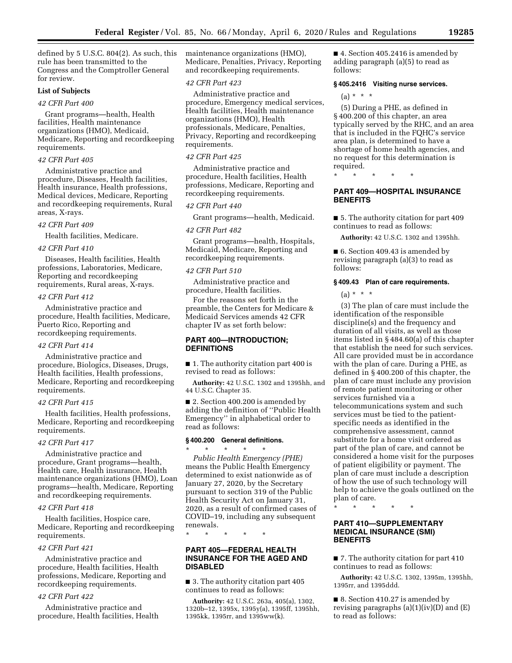defined by 5 U.S.C. 804(2). As such, this rule has been transmitted to the Congress and the Comptroller General for review.

### **List of Subjects**

### *42 CFR Part 400*

Grant programs—health, Health facilities, Health maintenance organizations (HMO), Medicaid, Medicare, Reporting and recordkeeping requirements.

#### *42 CFR Part 405*

Administrative practice and procedure, Diseases, Health facilities, Health insurance, Health professions, Medical devices, Medicare, Reporting and recordkeeping requirements, Rural areas, X-rays.

#### *42 CFR Part 409*

Health facilities, Medicare.

#### *42 CFR Part 410*

Diseases, Health facilities, Health professions, Laboratories, Medicare, Reporting and recordkeeping requirements, Rural areas, X-rays.

### *42 CFR Part 412*

Administrative practice and procedure, Health facilities, Medicare, Puerto Rico, Reporting and recordkeeping requirements.

# *42 CFR Part 414*

Administrative practice and procedure, Biologics, Diseases, Drugs, Health facilities, Health professions, Medicare, Reporting and recordkeeping requirements.

#### *42 CFR Part 415*

Health facilities, Health professions, Medicare, Reporting and recordkeeping requirements.

# *42 CFR Part 417*

Administrative practice and procedure, Grant programs—health, Health care, Health insurance, Health maintenance organizations (HMO), Loan programs—health, Medicare, Reporting and recordkeeping requirements.

#### *42 CFR Part 418*

Health facilities, Hospice care, Medicare, Reporting and recordkeeping requirements.

# *42 CFR Part 421*

Administrative practice and procedure, Health facilities, Health professions, Medicare, Reporting and recordkeeping requirements.

## *42 CFR Part 422*

Administrative practice and procedure, Health facilities, Health maintenance organizations (HMO), Medicare, Penalties, Privacy, Reporting and recordkeeping requirements.

#### *42 CFR Part 423*

Administrative practice and procedure, Emergency medical services, Health facilities, Health maintenance organizations (HMO), Health professionals, Medicare, Penalties, Privacy, Reporting and recordkeeping requirements.

## *42 CFR Part 425*

Administrative practice and procedure, Health facilities, Health professions, Medicare, Reporting and recordkeeping requirements.

# *42 CFR Part 440*

Grant programs—health, Medicaid.

#### *42 CFR Part 482*

Grant programs—health, Hospitals, Medicaid, Medicare, Reporting and recordkeeping requirements.

#### *42 CFR Part 510*

Administrative practice and procedure, Health facilities.

For the reasons set forth in the preamble, the Centers for Medicare & Medicaid Services amends 42 CFR chapter IV as set forth below:

### **PART 400—INTRODUCTION; DEFINITIONS**

■ 1. The authority citation part 400 is revised to read as follows:

**Authority:** 42 U.S.C. 1302 and 1395hh, and 44 U.S.C. Chapter 35.

■ 2. Section 400.200 is amended by adding the definition of ''Public Health Emergency'' in alphabetical order to read as follows:

# **§ 400.200 General definitions.**

\* \* \* \* \* *Public Health Emergency (PHE)*  means the Public Health Emergency determined to exist nationwide as of January 27, 2020, by the Secretary pursuant to section 319 of the Public Health Security Act on January 31, 2020, as a result of confirmed cases of COVID–19, including any subsequent renewals.

\* \* \* \* \*

## **PART 405—FEDERAL HEALTH INSURANCE FOR THE AGED AND DISABLED**

■ 3. The authority citation part 405 continues to read as follows:

**Authority:** 42 U.S.C. 263a, 405(a), 1302, 1320b–12, 1395x, 1395y(a), 1395ff, 1395hh, 1395kk, 1395rr, and 1395ww(k).

■ 4. Section 405.2416 is amended by adding paragraph (a)(5) to read as follows:

#### **§ 405.2416 Visiting nurse services.**

 $(a) * * * *$ 

(5) During a PHE, as defined in § 400.200 of this chapter, an area typically served by the RHC, and an area that is included in the FQHC's service area plan, is determined to have a shortage of home health agencies, and no request for this determination is required.

\* \* \* \* \*

### **PART 409—HOSPITAL INSURANCE BENEFITS**

■ 5. The authority citation for part 409 continues to read as follows:

**Authority:** 42 U.S.C. 1302 and 1395hh.

■ 6. Section 409.43 is amended by revising paragraph (a)(3) to read as follows:

#### **§ 409.43 Plan of care requirements.**

 $(a) * * * *$ 

(3) The plan of care must include the identification of the responsible discipline(s) and the frequency and duration of all visits, as well as those items listed in § 484.60(a) of this chapter that establish the need for such services. All care provided must be in accordance with the plan of care. During a PHE, as defined in § 400.200 of this chapter, the plan of care must include any provision of remote patient monitoring or other services furnished via a telecommunications system and such services must be tied to the patientspecific needs as identified in the comprehensive assessment, cannot substitute for a home visit ordered as part of the plan of care, and cannot be considered a home visit for the purposes of patient eligibility or payment. The plan of care must include a description of how the use of such technology will help to achieve the goals outlined on the plan of care.

\* \* \* \* \*

# **PART 410—SUPPLEMENTARY MEDICAL INSURANCE (SMI) BENEFITS**

■ 7. The authority citation for part 410 continues to read as follows:

**Authority:** 42 U.S.C. 1302, 1395m, 1395hh, 1395rr, and 1395ddd.

■ 8. Section 410.27 is amended by revising paragraphs  $(a)(1)(iv)(D)$  and  $(E)$ to read as follows: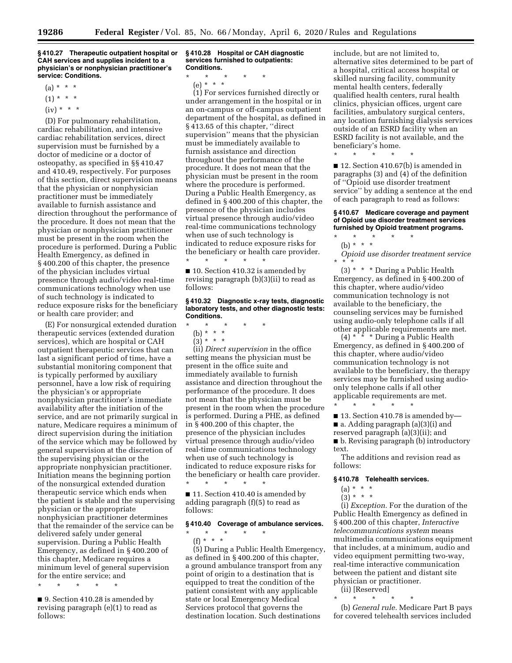**§ 410.27 Therapeutic outpatient hospital or CAH services and supplies incident to a physician's or nonphysician practitioner's service: Conditions.** 

- $(a) * * * *$
- $(1) * * * *$
- $(iv) * * * *$

(D) For pulmonary rehabilitation, cardiac rehabilitation, and intensive cardiac rehabilitation services, direct supervision must be furnished by a doctor of medicine or a doctor of osteopathy, as specified in §§ 410.47 and 410.49, respectively. For purposes of this section, direct supervision means that the physician or nonphysician practitioner must be immediately available to furnish assistance and direction throughout the performance of the procedure. It does not mean that the physician or nonphysician practitioner must be present in the room when the procedure is performed. During a Public Health Emergency, as defined in § 400.200 of this chapter, the presence of the physician includes virtual presence through audio/video real-time communications technology when use of such technology is indicated to reduce exposure risks for the beneficiary or health care provider; and

(E) For nonsurgical extended duration therapeutic services (extended duration services), which are hospital or CAH outpatient therapeutic services that can last a significant period of time, have a substantial monitoring component that is typically performed by auxiliary personnel, have a low risk of requiring the physician's or appropriate nonphysician practitioner's immediate availability after the initiation of the service, and are not primarily surgical in nature, Medicare requires a minimum of direct supervision during the initiation of the service which may be followed by general supervision at the discretion of the supervising physician or the appropriate nonphysician practitioner. Initiation means the beginning portion of the nonsurgical extended duration therapeutic service which ends when the patient is stable and the supervising physician or the appropriate nonphysician practitioner determines that the remainder of the service can be delivered safely under general supervision. During a Public Health Emergency, as defined in § 400.200 of this chapter, Medicare requires a minimum level of general supervision for the entire service; and

\* \* \* \* \*

■ 9. Section 410.28 is amended by revising paragraph (e)(1) to read as follows:

#### **§ 410.28 Hospital or CAH diagnostic services furnished to outpatients: Conditions.**

\* \* \* \* \*

(e) \* \* \*

(1) For services furnished directly or under arrangement in the hospital or in an on-campus or off-campus outpatient department of the hospital, as defined in § 413.65 of this chapter, ''direct supervision'' means that the physician must be immediately available to furnish assistance and direction throughout the performance of the procedure. It does not mean that the physician must be present in the room where the procedure is performed. During a Public Health Emergency, as defined in § 400.200 of this chapter, the presence of the physician includes virtual presence through audio/video real-time communications technology when use of such technology is indicated to reduce exposure risks for the beneficiary or health care provider. \* \* \* \* \*

■ 10. Section 410.32 is amended by revising paragraph (b)(3)(ii) to read as follows:

### **§ 410.32 Diagnostic x-ray tests, diagnostic laboratory tests, and other diagnostic tests: Conditions.**

- \* \* \* \* \*
	- (b) \* \* \*
	- $(3)^*$  \* \*

(ii) *Direct supervision* in the office setting means the physician must be present in the office suite and immediately available to furnish assistance and direction throughout the performance of the procedure. It does not mean that the physician must be present in the room when the procedure is performed. During a PHE, as defined in § 400.200 of this chapter, the presence of the physician includes virtual presence through audio/video real-time communications technology when use of such technology is indicated to reduce exposure risks for the beneficiary or health care provider. \* \* \* \* \*

■ 11. Section 410.40 is amended by adding paragraph (f)(5) to read as follows:

\* \* \* \* \*

# **§ 410.40 Coverage of ambulance services.**

(f) \* \* \* (5) During a Public Health Emergency, as defined in § 400.200 of this chapter, a ground ambulance transport from any point of origin to a destination that is equipped to treat the condition of the patient consistent with any applicable state or local Emergency Medical Services protocol that governs the destination location. Such destinations

include, but are not limited to, alternative sites determined to be part of a hospital, critical access hospital or skilled nursing facility, community mental health centers, federally qualified health centers, rural health clinics, physician offices, urgent care facilities, ambulatory surgical centers, any location furnishing dialysis services outside of an ESRD facility when an ESRD facility is not available, and the beneficiary's home.

\* \* \* \* \*

■ 12. Section 410.67(b) is amended in paragraphs (3) and (4) of the definition of ''Opioid use disorder treatment service'' by adding a sentence at the end of each paragraph to read as follows:

**§ 410.67 Medicare coverage and payment of Opioid use disorder treatment services furnished by Opioid treatment programs.** 

\* \* \* \* \*

(b) \* \* \*

*Opioid use disorder treatment service*  \* \* \*

(3) \* \* \* During a Public Health Emergency, as defined in § 400.200 of this chapter, where audio/video communication technology is not available to the beneficiary, the counseling services may be furnished using audio-only telephone calls if all other applicable requirements are met.

 $(4)$  \* \* \* During a Public Health Emergency, as defined in § 400.200 of this chapter, where audio/video communication technology is not available to the beneficiary, the therapy services may be furnished using audioonly telephone calls if all other applicable requirements are met.

\* \* \* \* \* ■ 13. Section 410.78 is amended by— ■ a. Adding paragraph (a)(3)(i) and reserved paragraph (a)(3)(ii); and ■ b. Revising paragraph (b) introductory text.

The additions and revision read as follows:

### **§ 410.78 Telehealth services.**

- $(a) * * * *$
- $(3) * * * *$

(i) *Exception.* For the duration of the Public Health Emergency as defined in § 400.200 of this chapter, *Interactive telecommunications system* means multimedia communications equipment that includes, at a minimum, audio and video equipment permitting two-way, real-time interactive communication between the patient and distant site physician or practitioner.

(ii) [Reserved] \* \* \* \* \*

(b) *General rule.* Medicare Part B pays for covered telehealth services included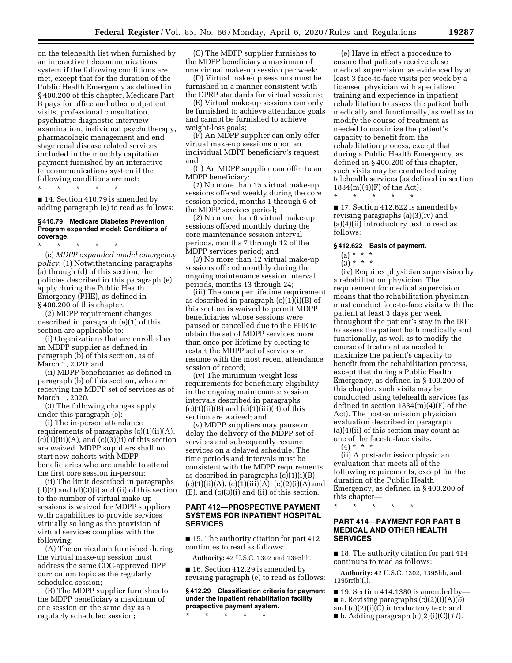on the telehealth list when furnished by an interactive telecommunications system if the following conditions are met, except that for the duration of the Public Health Emergency as defined in § 400.200 of this chapter, Medicare Part B pays for office and other outpatient visits, professional consultation, psychiatric diagnostic interview examination, individual psychotherapy, pharmacologic management and end stage renal disease related services included in the monthly capitation payment furnished by an interactive telecommunications system if the following conditions are met:

\* \* \* \* \*

■ 14. Section 410.79 is amended by adding paragraph (e) to read as follows:

#### **§ 410.79 Medicare Diabetes Prevention Program expanded model: Conditions of coverage.**

\* \* \* \* \* (e) *MDPP expanded model emergency policy.* (1) Notwithstanding paragraphs (a) through (d) of this section, the policies described in this paragraph (e) apply during the Public Health Emergency (PHE), as defined in § 400.200 of this chapter.

(2) MDPP requirement changes described in paragraph (e)(1) of this section are applicable to:

(i) Organizations that are enrolled as an MDPP supplier as defined in paragraph (b) of this section, as of March 1, 2020; and

(ii) MDPP beneficiaries as defined in paragraph (b) of this section, who are receiving the MDPP set of services as of March 1, 2020.

(3) The following changes apply under this paragraph (e):

(i) The in-person attendance requirements of paragraphs  $(c)(1)(ii)(A)$ ,  $(c)(1)(iii)(A)$ , and  $(c)(3)(ii)$  of this section are waived. MDPP suppliers shall not start new cohorts with MDPP beneficiaries who are unable to attend the first core session in-person;

(ii) The limit described in paragraphs  $(d)(2)$  and  $(d)(3)(i)$  and  $(ii)$  of this section to the number of virtual make-up sessions is waived for MDPP suppliers with capabilities to provide services virtually so long as the provision of virtual services complies with the following:

(A) The curriculum furnished during the virtual make-up session must address the same CDC-approved DPP curriculum topic as the regularly scheduled session;

(B) The MDPP supplier furnishes to the MDPP beneficiary a maximum of one session on the same day as a regularly scheduled session;

(C) The MDPP supplier furnishes to the MDPP beneficiary a maximum of one virtual make-up session per week;

(D) Virtual make-up sessions must be furnished in a manner consistent with the DPRP standards for virtual sessions;

(E) Virtual make-up sessions can only be furnished to achieve attendance goals and cannot be furnished to achieve weight-loss goals;

(F) An MDPP supplier can only offer virtual make-up sessions upon an individual MDPP beneficiary's request; and

(G) An MDPP supplier can offer to an MDPP beneficiary:

(*1*) No more than 15 virtual make-up sessions offered weekly during the core session period, months 1 through 6 of the MDPP services period;

(*2*) No more than 6 virtual make-up sessions offered monthly during the core maintenance session interval periods, months 7 through 12 of the MDPP services period; and

(*3*) No more than 12 virtual make-up sessions offered monthly during the ongoing maintenance session interval periods, months 13 through 24;

(iii) The once per lifetime requirement as described in paragraph (c)(1)(i)(B) of this section is waived to permit MDPP beneficiaries whose sessions were paused or cancelled due to the PHE to obtain the set of MDPP services more than once per lifetime by electing to restart the MDPP set of services or resume with the most recent attendance session of record;

(iv) The minimum weight loss requirements for beneficiary eligibility in the ongoing maintenance session intervals described in paragraphs  $(c)(1)(ii)(B)$  and  $(c)(1)(iii)(B)$  of this section are waived; and

(v) MDPP suppliers may pause or delay the delivery of the MDPP set of services and subsequently resume services on a delayed schedule. The time periods and intervals must be consistent with the MDPP requirements as described in paragraphs  $(c)(1)(i)(B)$ ,  $(c)(1)(ii)(A), (c)(1)(iii)(A), (c)(2)(i)(A)$  and (B), and (c)(3)(i) and (ii) of this section.

# **PART 412—PROSPECTIVE PAYMENT SYSTEMS FOR INPATIENT HOSPITAL SERVICES**

■ 15. The authority citation for part 412 continues to read as follows:

**Authority:** 42 U.S.C. 1302 and 1395hh.

■ 16. Section 412.29 is amended by revising paragraph (e) to read as follows:

# **§ 412.29 Classification criteria for payment under the inpatient rehabilitation facility prospective payment system.**

\* \* \* \* \*

(e) Have in effect a procedure to ensure that patients receive close medical supervision, as evidenced by at least 3 face-to-face visits per week by a licensed physician with specialized training and experience in inpatient rehabilitation to assess the patient both medically and functionally, as well as to modify the course of treatment as needed to maximize the patient's capacity to benefit from the rehabilitation process, except that during a Public Health Emergency, as defined in § 400.200 of this chapter, such visits may be conducted using telehealth services (as defined in section  $1834(m)(4)(F)$  of the Act).

\* \* \* \* \*

■ 17. Section 412.622 is amended by revising paragraphs (a)(3)(iv) and (a)(4)(ii) introductory text to read as follows:

#### **§ 412.622 Basis of payment.**

# (a) \* \* \*

# $(3) * * * *$

(iv) Requires physician supervision by a rehabilitation physician. The requirement for medical supervision means that the rehabilitation physician must conduct face-to-face visits with the patient at least 3 days per week throughout the patient's stay in the IRF to assess the patient both medically and functionally, as well as to modify the course of treatment as needed to maximize the patient's capacity to benefit from the rehabilitation process, except that during a Public Health Emergency, as defined in § 400.200 of this chapter, such visits may be conducted using telehealth services (as defined in section 1834(m)(4)(F) of the Act). The post-admission physician evaluation described in paragraph  $(a)(4)(ii)$  of this section may count as one of the face-to-face visits.

 $(4) * * * *$ 

(ii) A post-admission physician evaluation that meets all of the following requirements, except for the duration of the Public Health Emergency, as defined in § 400.200 of this chapter—

\* \* \* \* \*

# **PART 414—PAYMENT FOR PART B MEDICAL AND OTHER HEALTH SERVICES**

■ 18. The authority citation for part 414 continues to read as follows:

**Authority:** 42 U.S.C. 1302, 1395hh, and 1395rr(b)(l).

- $\blacksquare$  19. Section 414.1380 is amended by
- **a**. Revising paragraphs  $(c)(2)(i)(A)(6)$
- and (c)(2)(i)(C) introductory text; and
- $\blacksquare$  b. Adding paragraph  $(c)(2)(i)(C)(11)$ .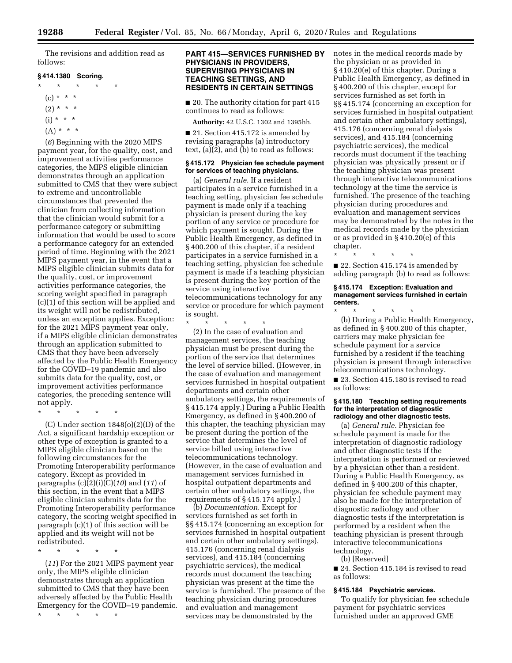The revisions and addition read as follows:

### **§ 414.1380 Scoring.**

- \* \* \* \* \*
	- $(c) * * * *$
	- $(2) * * * *$
	- $(i) * * * *$
	- $(A) * * * *$

(*6*) Beginning with the 2020 MIPS payment year, for the quality, cost, and improvement activities performance categories, the MIPS eligible clinician demonstrates through an application submitted to CMS that they were subject to extreme and uncontrollable circumstances that prevented the clinician from collecting information that the clinician would submit for a performance category or submitting information that would be used to score a performance category for an extended period of time. Beginning with the 2021 MIPS payment year, in the event that a MIPS eligible clinician submits data for the quality, cost, or improvement activities performance categories, the scoring weight specified in paragraph (c)(1) of this section will be applied and its weight will not be redistributed, unless an exception applies. Exception: for the 2021 MIPS payment year only, if a MIPS eligible clinician demonstrates through an application submitted to CMS that they have been adversely affected by the Public Health Emergency for the COVID–19 pandemic and also submits data for the quality, cost, or improvement activities performance categories, the preceding sentence will not apply.

\* \* \* \* \*

(C) Under section 1848(o)(2)(D) of the Act, a significant hardship exception or other type of exception is granted to a MIPS eligible clinician based on the following circumstances for the Promoting Interoperability performance category. Except as provided in paragraphs (c)(2)(i)(C)(*10*) and (*11*) of this section, in the event that a MIPS eligible clinician submits data for the Promoting Interoperability performance category, the scoring weight specified in paragraph (c)(1) of this section will be applied and its weight will not be redistributed.

\* \* \* \* \*

(*11*) For the 2021 MIPS payment year only, the MIPS eligible clinician demonstrates through an application submitted to CMS that they have been adversely affected by the Public Health Emergency for the COVID–19 pandemic.

\* \* \* \* \*

# **PART 415—SERVICES FURNISHED BY PHYSICIANS IN PROVIDERS, SUPERVISING PHYSICIANS IN TEACHING SETTINGS, AND RESIDENTS IN CERTAIN SETTINGS**

■ 20. The authority citation for part 415 continues to read as follows:

**Authority:** 42 U.S.C. 1302 and 1395hh.

■ 21. Section 415.172 is amended by revising paragraphs (a) introductory text, (a)(2), and (b) to read as follows:

### **§ 415.172 Physician fee schedule payment for services of teaching physicians.**

(a) *General rule.* If a resident participates in a service furnished in a teaching setting, physician fee schedule payment is made only if a teaching physician is present during the key portion of any service or procedure for which payment is sought. During the Public Health Emergency, as defined in § 400.200 of this chapter, if a resident participates in a service furnished in a teaching setting, physician fee schedule payment is made if a teaching physician is present during the key portion of the service using interactive telecommunications technology for any service or procedure for which payment is sought.

\* \* \* \* \*

(2) In the case of evaluation and management services, the teaching physician must be present during the portion of the service that determines the level of service billed. (However, in the case of evaluation and management services furnished in hospital outpatient departments and certain other ambulatory settings, the requirements of § 415.174 apply.) During a Public Health Emergency, as defined in § 400.200 of this chapter, the teaching physician may be present during the portion of the service that determines the level of service billed using interactive telecommunications technology. (However, in the case of evaluation and management services furnished in hospital outpatient departments and certain other ambulatory settings, the requirements of § 415.174 apply.)

(b) *Documentation.* Except for services furnished as set forth in §§ 415.174 (concerning an exception for services furnished in hospital outpatient and certain other ambulatory settings), 415.176 (concerning renal dialysis services), and 415.184 (concerning psychiatric services), the medical records must document the teaching physician was present at the time the service is furnished. The presence of the teaching physician during procedures and evaluation and management services may be demonstrated by the

notes in the medical records made by the physician or as provided in § 410.20(e) of this chapter. During a Public Health Emergency, as defined in § 400.200 of this chapter, except for services furnished as set forth in §§ 415.174 (concerning an exception for services furnished in hospital outpatient and certain other ambulatory settings), 415.176 (concerning renal dialysis services), and 415.184 (concerning psychiatric services), the medical records must document if the teaching physician was physically present or if the teaching physician was present through interactive telecommunications technology at the time the service is furnished. The presence of the teaching physician during procedures and evaluation and management services may be demonstrated by the notes in the medical records made by the physician or as provided in § 410.20(e) of this chapter.

\* \* \* \* \*

■ 22. Section 415.174 is amended by adding paragraph (b) to read as follows:

#### **§ 415.174 Exception: Evaluation and management services furnished in certain centers.**

\* \* \* \* \* (b) During a Public Health Emergency, as defined in § 400.200 of this chapter, carriers may make physician fee schedule payment for a service furnished by a resident if the teaching physician is present through interactive telecommunications technology.

■ 23. Section 415.180 is revised to read as follows:

#### **§ 415.180 Teaching setting requirements for the interpretation of diagnostic radiology and other diagnostic tests.**

(a) *General rule.* Physician fee schedule payment is made for the interpretation of diagnostic radiology and other diagnostic tests if the interpretation is performed or reviewed by a physician other than a resident. During a Public Health Emergency, as defined in § 400.200 of this chapter, physician fee schedule payment may also be made for the interpretation of diagnostic radiology and other diagnostic tests if the interpretation is performed by a resident when the teaching physician is present through interactive telecommunications technology.

(b) [Reserved]

■ 24. Section 415.184 is revised to read as follows:

# **§ 415.184 Psychiatric services.**

To qualify for physician fee schedule payment for psychiatric services furnished under an approved GME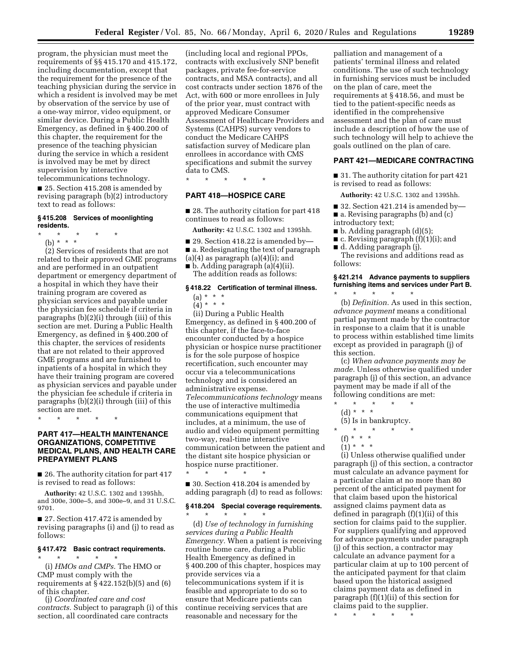program, the physician must meet the requirements of §§ 415.170 and 415.172, including documentation, except that the requirement for the presence of the teaching physician during the service in which a resident is involved may be met by observation of the service by use of a one-way mirror, video equipment, or similar device. During a Public Health Emergency, as defined in § 400.200 of this chapter, the requirement for the presence of the teaching physician during the service in which a resident is involved may be met by direct supervision by interactive telecommunications technology.

■ 25. Section 415.208 is amended by revising paragraph (b)(2) introductory text to read as follows:

### **§ 415.208 Services of moonlighting residents.**

- \* \* \* \* \*
- (b) \* \* \*

(2) Services of residents that are not related to their approved GME programs and are performed in an outpatient department or emergency department of a hospital in which they have their training program are covered as physician services and payable under the physician fee schedule if criteria in paragraphs (b)(2)(i) through (iii) of this section are met. During a Public Health Emergency, as defined in § 400.200 of this chapter, the services of residents that are not related to their approved GME programs and are furnished to inpatients of a hospital in which they have their training program are covered as physician services and payable under the physician fee schedule if criteria in paragraphs (b)(2)(i) through (iii) of this section are met.

\* \* \* \* \*

# **PART 417—HEALTH MAINTENANCE ORGANIZATIONS, COMPETITIVE MEDICAL PLANS, AND HEALTH CARE PREPAYMENT PLANS**

■ 26. The authority citation for part 417 is revised to read as follows:

**Authority:** 42 U.S.C. 1302 and 1395hh, and 300e, 300e–5, and 300e–9, and 31 U.S.C. 9701.

■ 27. Section 417.472 is amended by revising paragraphs (i) and (j) to read as follows:

# **§ 417.472 Basic contract requirements.**

\* \* \* \* \* (i) *HMOs and CMPs.* The HMO or CMP must comply with the requirements at  $\S 422.152(b)(5)$  and  $(6)$ of this chapter.

(j) *Coordinated care and cost contracts.* Subject to paragraph (i) of this section, all coordinated care contracts

(including local and regional PPOs, contracts with exclusively SNP benefit packages, private fee-for-service contracts, and MSA contracts), and all cost contracts under section 1876 of the Act, with 600 or more enrollees in July of the prior year, must contract with approved Medicare Consumer Assessment of Healthcare Providers and Systems (CAHPS) survey vendors to conduct the Medicare CAHPS satisfaction survey of Medicare plan enrollees in accordance with CMS specifications and submit the survey data to CMS.

\* \* \* \* \*

### **PART 418—HOSPICE CARE**

■ 28. The authority citation for part 418 continues to read as follows:

**Authority:** 42 U.S.C. 1302 and 1395hh.

■ 29. Section 418.22 is amended by—

■ a. Redesignating the text of paragraph

 $(a)(4)$  as paragraph  $(a)(4)(i)$ ; and

■ b. Adding paragraph (a)(4)(ii). The addition reads as follows:

# **§ 418.22 Certification of terminal illness.**

# (a) \* \* \*

 $(4) * * * *$ 

(ii) During a Public Health Emergency, as defined in § 400.200 of this chapter, if the face-to-face encounter conducted by a hospice physician or hospice nurse practitioner is for the sole purpose of hospice recertification, such encounter may occur via a telecommunications technology and is considered an administrative expense. *Telecommunications technology* means the use of interactive multimedia communications equipment that includes, at a minimum, the use of audio and video equipment permitting two-way, real-time interactive communication between the patient and the distant site hospice physician or hospice nurse practitioner.

■ 30. Section 418.204 is amended by adding paragraph (d) to read as follows:

\* \* \* \* \*

### **§ 418.204 Special coverage requirements.**  \* \* \* \* \*

(d) *Use of technology in furnishing services during a Public Health Emergency.* When a patient is receiving routine home care, during a Public Health Emergency as defined in § 400.200 of this chapter, hospices may provide services via a telecommunications system if it is feasible and appropriate to do so to ensure that Medicare patients can continue receiving services that are reasonable and necessary for the

palliation and management of a patients' terminal illness and related conditions. The use of such technology in furnishing services must be included on the plan of care, meet the requirements at § 418.56, and must be tied to the patient-specific needs as identified in the comprehensive assessment and the plan of care must include a description of how the use of such technology will help to achieve the goals outlined on the plan of care.

# **PART 421—MEDICARE CONTRACTING**

■ 31. The authority citation for part 421 is revised to read as follows:

**Authority:** 42 U.S.C. 1302 and 1395hh.

- 32. Section 421.214 is amended by—
- a. Revising paragraphs (b) and (c)
- introductory text;
- b. Adding paragraph (d)(5);
- c. Revising paragraph (f)(1)(i); and
- d. Adding paragraph (j).

The revisions and additions read as follows:

# **§ 421.214 Advance payments to suppliers furnishing items and services under Part B.**

\* \* \* \* \* (b) *Definition.* As used in this section, *advance payment* means a conditional partial payment made by the contractor in response to a claim that it is unable to process within established time limits except as provided in paragraph (j) of this section.

(c) *When advance payments may be made.* Unless otherwise qualified under paragraph (j) of this section, an advance payment may be made if all of the following conditions are met:

 $\star$   $\star$   $\star$ (d) \* \* \*

(5) Is in bankruptcy.

- \* \* \* \* \*
- $(f) * * * *$
- $(1) * * * *$

(i) Unless otherwise qualified under paragraph (j) of this section, a contractor must calculate an advance payment for a particular claim at no more than 80 percent of the anticipated payment for that claim based upon the historical assigned claims payment data as defined in paragraph (f)(1)(ii) of this section for claims paid to the supplier. For suppliers qualifying and approved for advance payments under paragraph (j) of this section, a contractor may calculate an advance payment for a particular claim at up to 100 percent of the anticipated payment for that claim based upon the historical assigned claims payment data as defined in paragraph (f)(1)(ii) of this section for claims paid to the supplier.

\* \* \* \* \*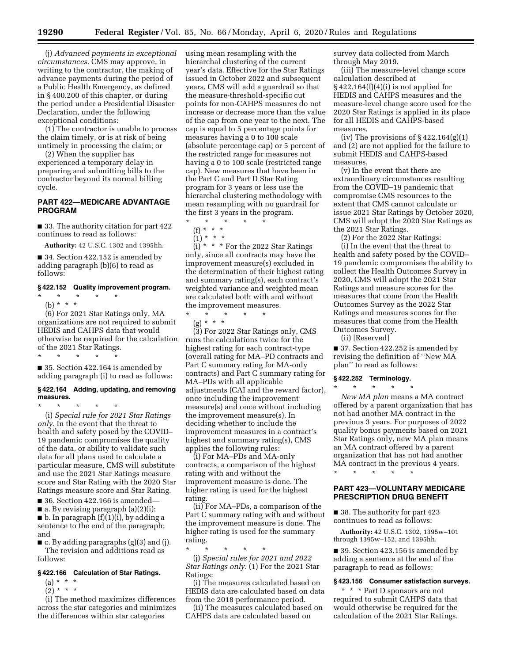(j) *Advanced payments in exceptional circumstances.* CMS may approve, in writing to the contractor, the making of advance payments during the period of a Public Health Emergency, as defined in § 400.200 of this chapter, or during the period under a Presidential Disaster Declaration, under the following exceptional conditions:

(1) The contractor is unable to process the claim timely, or is at risk of being untimely in processing the claim; or

(2) When the supplier has experienced a temporary delay in preparing and submitting bills to the contractor beyond its normal billing cycle.

### **PART 422—MEDICARE ADVANTAGE PROGRAM**

■ 33. The authority citation for part 422 continues to read as follows:

**Authority:** 42 U.S.C. 1302 and 1395hh.

■ 34. Section 422.152 is amended by adding paragraph (b)(6) to read as follows:

#### **§ 422.152 Quality improvement program.**

\* \* \* \* \* (b) \* \* \*

(6) For 2021 Star Ratings only, MA organizations are not required to submit HEDIS and CAHPS data that would otherwise be required for the calculation of the 2021 Star Ratings. \* \* \* \* \*

■ 35. Section 422.164 is amended by adding paragraph (i) to read as follows:

#### **§ 422.164 Adding, updating, and removing measures.**

\* \* \* \* \*

(i) *Special rule for 2021 Star Ratings only.* In the event that the threat to health and safety posed by the COVID– 19 pandemic compromises the quality of the data, or ability to validate such data for all plans used to calculate a particular measure, CMS will substitute and use the 2021 Star Ratings measure score and Star Rating with the 2020 Star Ratings measure score and Star Rating.

■ 36. Section 422.166 is amended—

■ a. By revising paragraph (a)(2)(i);

 $\blacksquare$  b. In paragraph  $(f)(1)(i)$ , by adding a sentence to the end of the paragraph; and

■ c. By adding paragraphs (g)(3) and (j). The revision and additions read as follows:

### **§ 422.166 Calculation of Star Ratings.**

- $(a) * * * *$
- $(2) * * * *$

(i) The method maximizes differences across the star categories and minimizes the differences within star categories

using mean resampling with the hierarchal clustering of the current year's data. Effective for the Star Ratings issued in October 2022 and subsequent years, CMS will add a guardrail so that the measure-threshold-specific cut points for non-CAHPS measures do not increase or decrease more than the value of the cap from one year to the next. The cap is equal to 5 percentage points for measures having a 0 to 100 scale (absolute percentage cap) or 5 percent of the restricted range for measures not having a 0 to 100 scale (restricted range cap). New measures that have been in the Part C and Part D Star Rating program for 3 years or less use the hierarchal clustering methodology with mean resampling with no guardrail for the first 3 years in the program.

\* \* \* \* \*

(f) \* \* \*  $(1) * * * *$ 

 $(i) * * *$  For the 2022 Star Ratings only, since all contracts may have the improvement measure(s) excluded in the determination of their highest rating and summary rating(s), each contract's weighted variance and weighted mean are calculated both with and without the improvement measures.

\* \* \* \* \*

(g) \* \* \*

(3) For 2022 Star Ratings only, CMS runs the calculations twice for the highest rating for each contract-type (overall rating for MA–PD contracts and Part C summary rating for MA-only contracts) and Part C summary rating for MA–PDs with all applicable adjustments (CAI and the reward factor), once including the improvement measure(s) and once without including the improvement measure(s). In deciding whether to include the improvement measures in a contract's highest and summary rating(s), CMS applies the following rules:

(i) For MA–PDs and MA-only contracts, a comparison of the highest rating with and without the improvement measure is done. The higher rating is used for the highest rating.

(ii) For MA–PDs, a comparison of the Part C summary rating with and without the improvement measure is done. The higher rating is used for the summary rating.

\* \* \* \* \* (j) *Special rules for 2021 and 2022 Star Ratings only.* (1) For the 2021 Star Ratings:

(i) The measures calculated based on HEDIS data are calculated based on data from the 2018 performance period.

(ii) The measures calculated based on CAHPS data are calculated based on

survey data collected from March through May 2019.

(iii) The measure-level change score calculation described at  $§$  422.164 $(f)(4)(i)$  is not applied for HEDIS and CAHPS measures and the measure-level change score used for the 2020 Star Ratings is applied in its place for all HEDIS and CAHPS-based measures.

(iv) The provisions of  $\S 422.164(g)(1)$ and (2) are not applied for the failure to submit HEDIS and CAHPS-based measures.

(v) In the event that there are extraordinary circumstances resulting from the COVID–19 pandemic that compromise CMS resources to the extent that CMS cannot calculate or issue 2021 Star Ratings by October 2020, CMS will adopt the 2020 Star Ratings as the 2021 Star Ratings.

(2) For the 2022 Star Ratings: (i) In the event that the threat to health and safety posed by the COVID– 19 pandemic compromises the ability to collect the Health Outcomes Survey in 2020, CMS will adopt the 2021 Star Ratings and measure scores for the measures that come from the Health Outcomes Survey as the 2022 Star Ratings and measures scores for the measures that come from the Health Outcomes Survey.

(ii) [Reserved]

■ 37. Section 422.252 is amended by revising the definition of ''New MA plan'' to read as follows:

### **§ 422.252 Terminology.**  \* \* \* \* \*

*New MA plan* means a MA contract offered by a parent organization that has not had another MA contract in the previous 3 years. For purposes of 2022 quality bonus payments based on 2021 Star Ratings only, new MA plan means an MA contract offered by a parent organization that has not had another MA contract in the previous 4 years.

\* \* \* \* \*

### **PART 423—VOLUNTARY MEDICARE PRESCRIPTION DRUG BENEFIT**

■ 38. The authority for part 423 continues to read as follows:

**Authority:** 42 U.S.C. 1302, 1395w–101 through 1395w–152, and 1395hh.

■ 39. Section 423.156 is amended by adding a sentence at the end of the paragraph to read as follows:

#### **§ 423.156 Consumer satisfaction surveys.**

\* \* \* Part D sponsors are not required to submit CAHPS data that would otherwise be required for the calculation of the 2021 Star Ratings.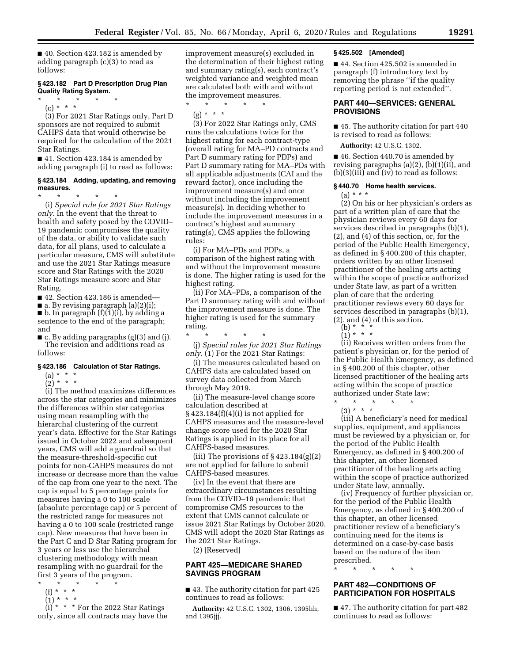■ 40. Section 423.182 is amended by adding paragraph (c)(3) to read as follows:

# **§ 423.182 Part D Prescription Drug Plan Quality Rating System.**

\* \* \* \* \* (c) \* \* \*

(3) For 2021 Star Ratings only, Part D sponsors are not required to submit CAHPS data that would otherwise be required for the calculation of the 2021 Star Ratings.

■ 41. Section 423.184 is amended by adding paragraph (i) to read as follows:

#### **§ 423.184 Adding, updating, and removing measures.**

\* \* \* \* \* (i) *Special rule for 2021 Star Ratings only.* In the event that the threat to health and safety posed by the COVID– 19 pandemic compromises the quality of the data, or ability to validate such data, for all plans, used to calculate a particular measure, CMS will substitute and use the 2021 Star Ratings measure score and Star Ratings with the 2020 Star Ratings measure score and Star Rating.

■ 42. Section 423.186 is amended—

 $\blacksquare$  a. By revising paragraph (a)(2)(i);

 $\blacksquare$  b. In paragraph  $(f)(1)(i)$ , by adding a sentence to the end of the paragraph; and

 $\blacksquare$  c. By adding paragraphs (g)(3) and (j). The revision and additions read as follows:

#### **§ 423.186 Calculation of Star Ratings.**

- $(a) * * * *$
- $(2)^*$  \* \* \*

(i) The method maximizes differences across the star categories and minimizes the differences within star categories using mean resampling with the hierarchal clustering of the current year's data. Effective for the Star Ratings issued in October 2022 and subsequent years, CMS will add a guardrail so that the measure-threshold-specific cut points for non-CAHPS measures do not increase or decrease more than the value of the cap from one year to the next. The cap is equal to 5 percentage points for measures having a 0 to 100 scale (absolute percentage cap) or 5 percent of the restricted range for measures not having a 0 to 100 scale (restricted range cap). New measures that have been in the Part C and D Star Rating program for 3 years or less use the hierarchal clustering methodology with mean resampling with no guardrail for the first 3 years of the program.

- \* \* \* \* \*
- (f) \* \* \*
- $(1) * * * *$

 $(i) * * *$  For the 2022 Star Ratings only, since all contracts may have the improvement measure(s) excluded in the determination of their highest rating and summary rating(s), each contract's weighted variance and weighted mean are calculated both with and without the improvement measures.

\* \* \* \* \* (g) \* \* \*

(3) For 2022 Star Ratings only, CMS runs the calculations twice for the highest rating for each contract-type (overall rating for MA–PD contracts and Part D summary rating for PDPs) and Part D summary rating for MA–PDs with all applicable adjustments (CAI and the reward factor), once including the improvement measure(s) and once without including the improvement measure(s). In deciding whether to include the improvement measures in a contract's highest and summary rating(s), CMS applies the following rules:

(i) For MA–PDs and PDPs, a comparison of the highest rating with and without the improvement measure is done. The higher rating is used for the highest rating.

(ii) For MA–PDs, a comparison of the Part D summary rating with and without the improvement measure is done. The higher rating is used for the summary rating.

\* \* \* \* \* (j) *Special rules for 2021 Star Ratings only.* (1) For the 2021 Star Ratings:

(i) The measures calculated based on CAHPS data are calculated based on survey data collected from March through May 2019.

(ii) The measure-level change score calculation described at § 423.184(f)(4)(i) is not applied for CAHPS measures and the measure-level change score used for the 2020 Star Ratings is applied in its place for all CAHPS-based measures.

(iii) The provisions of  $\S 423.184(g)(2)$ are not applied for failure to submit CAHPS-based measures.

(iv) In the event that there are extraordinary circumstances resulting from the COVID–19 pandemic that compromise CMS resources to the extent that CMS cannot calculate or issue 2021 Star Ratings by October 2020, CMS will adopt the 2020 Star Ratings as the 2021 Star Ratings.

(2) [Reserved]

# **PART 425—MEDICARE SHARED SAVINGS PROGRAM**

■ 43. The authority citation for part 425 continues to read as follows:

**Authority:** 42 U.S.C. 1302, 1306, 1395hh, and 1395jjj.

#### **§ 425.502 [Amended]**

■ 44. Section 425.502 is amended in paragraph (f) introductory text by removing the phrase ''if the quality reporting period is not extended''.

# **PART 440—SERVICES: GENERAL PROVISIONS**

■ 45. The authority citation for part 440 is revised to read as follows:

**Authority:** 42 U.S.C. 1302.

■ 46. Section 440.70 is amended by revising paragraphs (a)(2), (b)(1)(ii), and (b)(3)(iii) and (iv) to read as follows:

# **§ 440.70 Home health services.**

 $(a) * * * *$ 

(2) On his or her physician's orders as part of a written plan of care that the physician reviews every 60 days for services described in paragraphs (b)(1), (2), and (4) of this section, or, for the period of the Public Health Emergency, as defined in § 400.200 of this chapter, orders written by an other licensed practitioner of the healing arts acting within the scope of practice authorized under State law, as part of a written plan of care that the ordering practitioner reviews every 60 days for services described in paragraphs (b)(1), (2), and (4) of this section.

(b) \* \* \* (1) \* \* \*

(ii) Receives written orders from the patient's physician or, for the period of the Public Health Emergency, as defined in § 400.200 of this chapter, other licensed practitioner of the healing arts acting within the scope of practice authorized under State law;

\* \* \* \* \* (3) \* \* \*

(iii) A beneficiary's need for medical supplies, equipment, and appliances must be reviewed by a physician or, for the period of the Public Health Emergency, as defined in § 400.200 of this chapter, an other licensed practitioner of the healing arts acting within the scope of practice authorized under State law, annually.

(iv) Frequency of further physician or, for the period of the Public Health Emergency, as defined in § 400.200 of this chapter, an other licensed practitioner review of a beneficiary's continuing need for the items is determined on a case-by-case basis based on the nature of the item prescribed.

\* \* \* \* \*

# **PART 482—CONDITIONS OF PARTICIPATION FOR HOSPITALS**

■ 47. The authority citation for part 482 continues to read as follows: